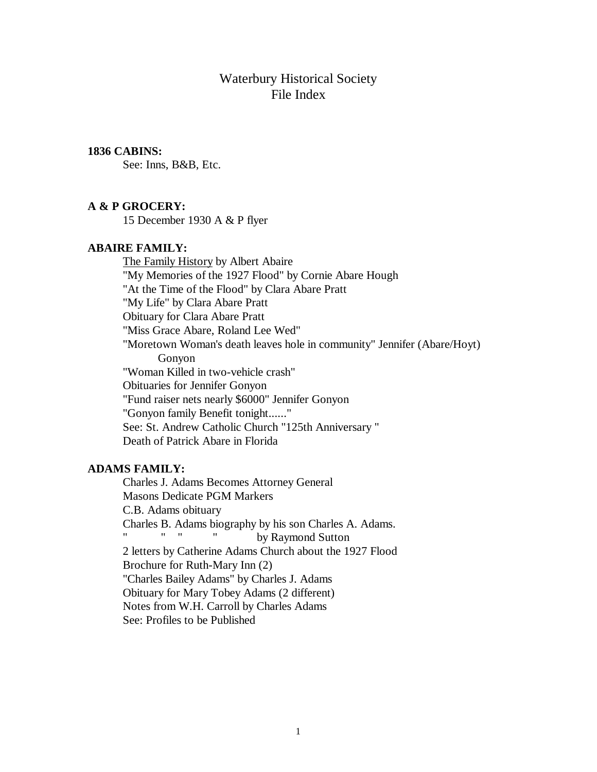# Waterbury Historical Society File Index

## **1836 CABINS:**

See: Inns, B&B, Etc.

#### **A & P GROCERY:**

15 December 1930 A & P flyer

#### **ABAIRE FAMILY:**

The Family History by Albert Abaire "My Memories of the 1927 Flood" by Cornie Abare Hough "At the Time of the Flood" by Clara Abare Pratt "My Life" by Clara Abare Pratt Obituary for Clara Abare Pratt "Miss Grace Abare, Roland Lee Wed" "Moretown Woman's death leaves hole in community" Jennifer (Abare/Hoyt) Gonyon "Woman Killed in two-vehicle crash" Obituaries for Jennifer Gonyon "Fund raiser nets nearly \$6000" Jennifer Gonyon "Gonyon family Benefit tonight......" See: St. Andrew Catholic Church "125th Anniversary " Death of Patrick Abare in Florida

## **ADAMS FAMILY:**

Charles J. Adams Becomes Attorney General Masons Dedicate PGM Markers C.B. Adams obituary Charles B. Adams biography by his son Charles A. Adams. by Raymond Sutton 2 letters by Catherine Adams Church about the 1927 Flood Brochure for Ruth-Mary Inn (2) "Charles Bailey Adams" by Charles J. Adams Obituary for Mary Tobey Adams (2 different) Notes from W.H. Carroll by Charles Adams See: Profiles to be Published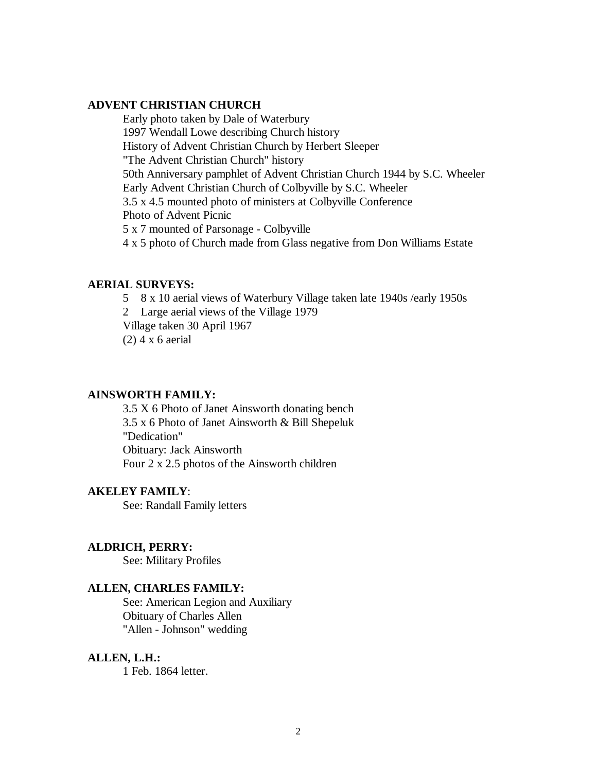# **ADVENT CHRISTIAN CHURCH**

Early photo taken by Dale of Waterbury 1997 Wendall Lowe describing Church history History of Advent Christian Church by Herbert Sleeper "The Advent Christian Church" history 50th Anniversary pamphlet of Advent Christian Church 1944 by S.C. Wheeler Early Advent Christian Church of Colbyville by S.C. Wheeler 3.5 x 4.5 mounted photo of ministers at Colbyville Conference Photo of Advent Picnic 5 x 7 mounted of Parsonage - Colbyville 4 x 5 photo of Church made from Glass negative from Don Williams Estate

## **AERIAL SURVEYS:**

- 5 8 x 10 aerial views of Waterbury Village taken late 1940s /early 1950s
- 2 Large aerial views of the Village 1979
- Village taken 30 April 1967
- $(2)$  4 x 6 aerial

#### **AINSWORTH FAMILY:**

3.5 X 6 Photo of Janet Ainsworth donating bench 3.5 x 6 Photo of Janet Ainsworth & Bill Shepeluk "Dedication" Obituary: Jack Ainsworth Four 2 x 2.5 photos of the Ainsworth children

#### **AKELEY FAMILY**:

See: Randall Family letters

#### **ALDRICH, PERRY:**

See: Military Profiles

#### **ALLEN, CHARLES FAMILY:**

See: American Legion and Auxiliary Obituary of Charles Allen "Allen - Johnson" wedding

#### **ALLEN, L.H.:**

1 Feb. 1864 letter.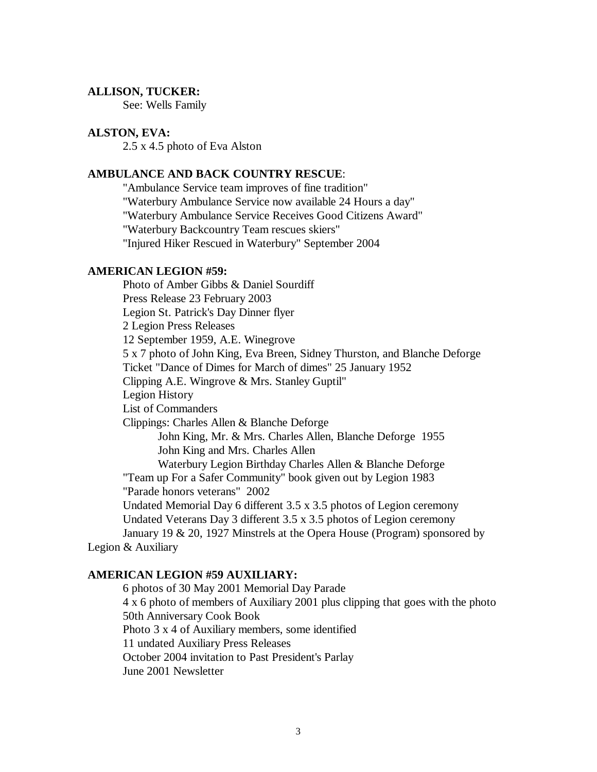#### **ALLISON, TUCKER:**

See: Wells Family

#### **ALSTON, EVA:**

2.5 x 4.5 photo of Eva Alston

## **AMBULANCE AND BACK COUNTRY RESCUE**:

"Ambulance Service team improves of fine tradition" "Waterbury Ambulance Service now available 24 Hours a day" "Waterbury Ambulance Service Receives Good Citizens Award" "Waterbury Backcountry Team rescues skiers" "Injured Hiker Rescued in Waterbury" September 2004

#### **AMERICAN LEGION #59:**

Photo of Amber Gibbs & Daniel Sourdiff Press Release 23 February 2003 Legion St. Patrick's Day Dinner flyer 2 Legion Press Releases 12 September 1959, A.E. Winegrove 5 x 7 photo of John King, Eva Breen, Sidney Thurston, and Blanche Deforge Ticket "Dance of Dimes for March of dimes" 25 January 1952 Clipping A.E. Wingrove & Mrs. Stanley Guptil" Legion History List of Commanders Clippings: Charles Allen & Blanche Deforge John King, Mr. & Mrs. Charles Allen, Blanche Deforge 1955 John King and Mrs. Charles Allen Waterbury Legion Birthday Charles Allen & Blanche Deforge "Team up For a Safer Community" book given out by Legion 1983 "Parade honors veterans" 2002 Undated Memorial Day 6 different 3.5 x 3.5 photos of Legion ceremony Undated Veterans Day 3 different 3.5 x 3.5 photos of Legion ceremony January 19 & 20, 1927 Minstrels at the Opera House (Program) sponsored by Legion & Auxiliary

## **AMERICAN LEGION #59 AUXILIARY:**

6 photos of 30 May 2001 Memorial Day Parade 4 x 6 photo of members of Auxiliary 2001 plus clipping that goes with the photo 50th Anniversary Cook Book Photo 3 x 4 of Auxiliary members, some identified 11 undated Auxiliary Press Releases October 2004 invitation to Past President's Parlay June 2001 Newsletter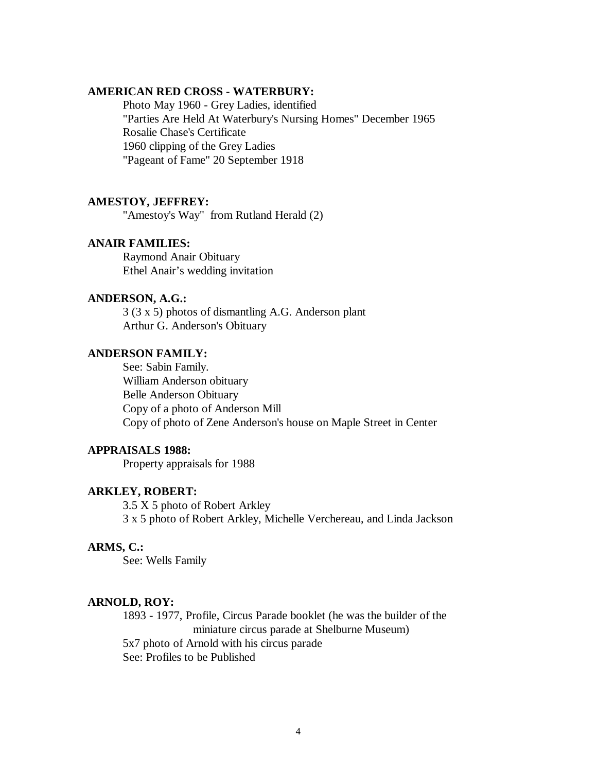## **AMERICAN RED CROSS - WATERBURY:**

Photo May 1960 - Grey Ladies, identified "Parties Are Held At Waterbury's Nursing Homes" December 1965 Rosalie Chase's Certificate 1960 clipping of the Grey Ladies "Pageant of Fame" 20 September 1918

#### **AMESTOY, JEFFREY:**

"Amestoy's Way" from Rutland Herald (2)

## **ANAIR FAMILIES:**

Raymond Anair Obituary Ethel Anair's wedding invitation

#### **ANDERSON, A.G.:**

3 (3 x 5) photos of dismantling A.G. Anderson plant Arthur G. Anderson's Obituary

# **ANDERSON FAMILY:**

See: Sabin Family. William Anderson obituary Belle Anderson Obituary Copy of a photo of Anderson Mill Copy of photo of Zene Anderson's house on Maple Street in Center

## **APPRAISALS 1988:**

Property appraisals for 1988

#### **ARKLEY, ROBERT:**

3.5 X 5 photo of Robert Arkley 3 x 5 photo of Robert Arkley, Michelle Verchereau, and Linda Jackson

## **ARMS, C.:**

See: Wells Family

## **ARNOLD, ROY:**

1893 - 1977, Profile, Circus Parade booklet (he was the builder of the miniature circus parade at Shelburne Museum) 5x7 photo of Arnold with his circus parade See: Profiles to be Published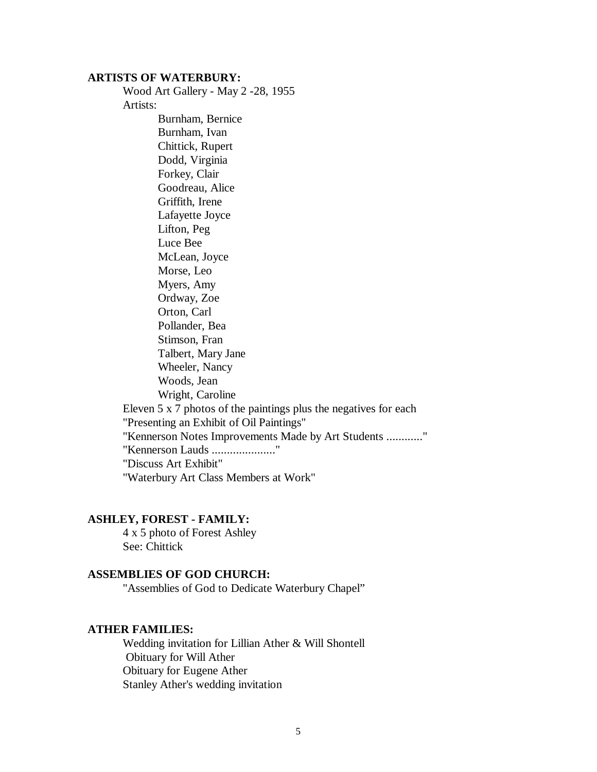#### **ARTISTS OF WATERBURY:**

Wood Art Gallery - May 2 -28, 1955 Artists:

Burnham, Bernice Burnham, Ivan Chittick, Rupert Dodd, Virginia Forkey, Clair Goodreau, Alice Griffith, Irene Lafayette Joyce Lifton, Peg Luce Bee McLean, Joyce Morse, Leo Myers, Amy Ordway, Zoe Orton, Carl Pollander, Bea Stimson, Fran Talbert, Mary Jane Wheeler, Nancy Woods, Jean Wright, Caroline Eleven 5 x 7 photos of the paintings plus the negatives for each "Presenting an Exhibit of Oil Paintings" "Kennerson Notes Improvements Made by Art Students ............" "Kennerson Lauds ....................." "Discuss Art Exhibit" "Waterbury Art Class Members at Work"

## **ASHLEY, FOREST - FAMILY:**

4 x 5 photo of Forest Ashley See: Chittick

## **ASSEMBLIES OF GOD CHURCH:**

"Assemblies of God to Dedicate Waterbury Chapel"

## **ATHER FAMILIES:**

Wedding invitation for Lillian Ather & Will Shontell Obituary for Will Ather Obituary for Eugene Ather Stanley Ather's wedding invitation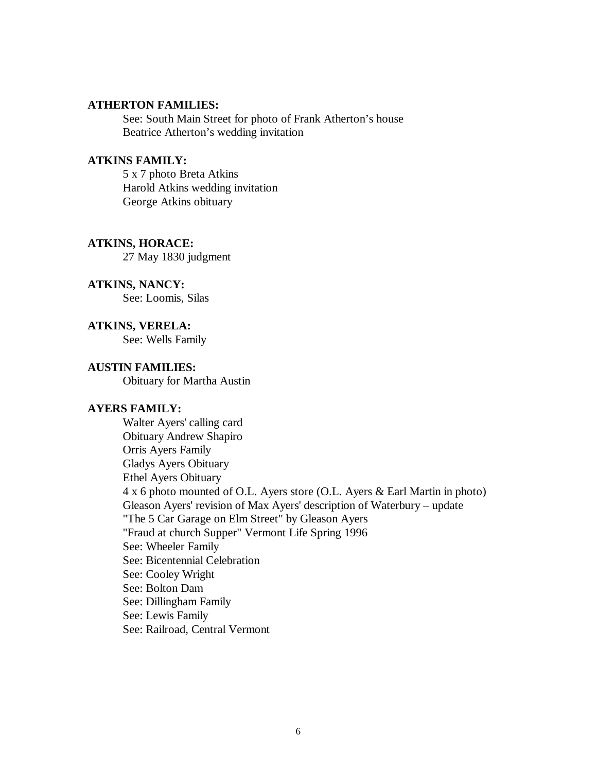## **ATHERTON FAMILIES:**

See: South Main Street for photo of Frank Atherton's house Beatrice Atherton's wedding invitation

## **ATKINS FAMILY:**

5 x 7 photo Breta Atkins Harold Atkins wedding invitation George Atkins obituary

## **ATKINS, HORACE:**

27 May 1830 judgment

# **ATKINS, NANCY:**

See: Loomis, Silas

**ATKINS, VERELA:** See: Wells Family

#### **AUSTIN FAMILIES:**

Obituary for Martha Austin

## **AYERS FAMILY:**

Walter Ayers' calling card Obituary Andrew Shapiro Orris Ayers Family Gladys Ayers Obituary Ethel Ayers Obituary 4 x 6 photo mounted of O.L. Ayers store (O.L. Ayers & Earl Martin in photo) Gleason Ayers' revision of Max Ayers' description of Waterbury – update "The 5 Car Garage on Elm Street" by Gleason Ayers "Fraud at church Supper" Vermont Life Spring 1996 See: Wheeler Family See: Bicentennial Celebration See: Cooley Wright See: Bolton Dam See: Dillingham Family See: Lewis Family See: Railroad, Central Vermont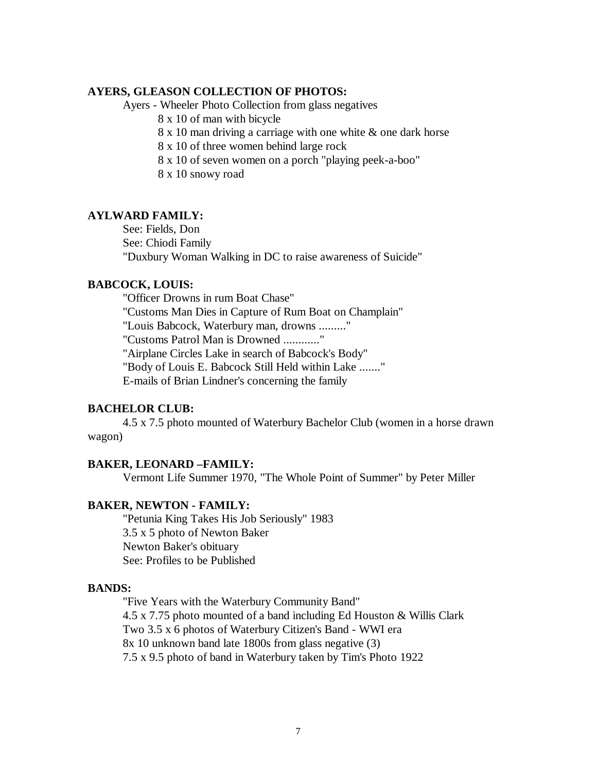## **AYERS, GLEASON COLLECTION OF PHOTOS:**

Ayers - Wheeler Photo Collection from glass negatives

8 x 10 of man with bicycle

8 x 10 man driving a carriage with one white & one dark horse

8 x 10 of three women behind large rock

8 x 10 of seven women on a porch "playing peek-a-boo"

8 x 10 snowy road

## **AYLWARD FAMILY:**

See: Fields, Don See: Chiodi Family "Duxbury Woman Walking in DC to raise awareness of Suicide"

## **BABCOCK, LOUIS:**

"Officer Drowns in rum Boat Chase" "Customs Man Dies in Capture of Rum Boat on Champlain" "Louis Babcock, Waterbury man, drowns ........." "Customs Patrol Man is Drowned ............" "Airplane Circles Lake in search of Babcock's Body" "Body of Louis E. Babcock Still Held within Lake ......." E-mails of Brian Lindner's concerning the family

#### **BACHELOR CLUB:**

4.5 x 7.5 photo mounted of Waterbury Bachelor Club (women in a horse drawn wagon)

#### **BAKER, LEONARD –FAMILY:**

Vermont Life Summer 1970, "The Whole Point of Summer" by Peter Miller

## **BAKER, NEWTON - FAMILY:**

"Petunia King Takes His Job Seriously" 1983 3.5 x 5 photo of Newton Baker Newton Baker's obituary See: Profiles to be Published

#### **BANDS:**

"Five Years with the Waterbury Community Band" 4.5 x 7.75 photo mounted of a band including Ed Houston & Willis Clark Two 3.5 x 6 photos of Waterbury Citizen's Band - WWI era 8x 10 unknown band late 1800s from glass negative (3) 7.5 x 9.5 photo of band in Waterbury taken by Tim's Photo 1922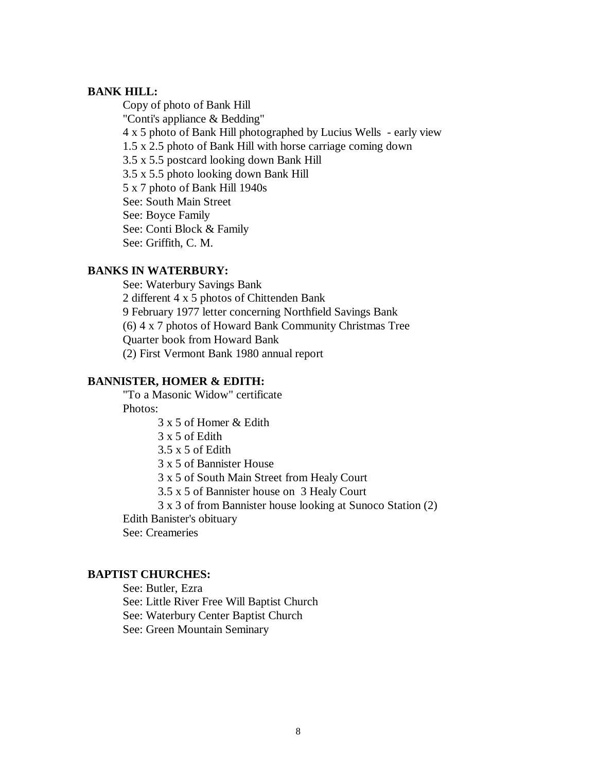## **BANK HILL:**

Copy of photo of Bank Hill "Conti's appliance & Bedding" 4 x 5 photo of Bank Hill photographed by Lucius Wells - early view 1.5 x 2.5 photo of Bank Hill with horse carriage coming down 3.5 x 5.5 postcard looking down Bank Hill 3.5 x 5.5 photo looking down Bank Hill 5 x 7 photo of Bank Hill 1940s See: South Main Street See: Boyce Family See: Conti Block & Family See: Griffith, C. M.

## **BANKS IN WATERBURY:**

See: Waterbury Savings Bank 2 different 4 x 5 photos of Chittenden Bank 9 February 1977 letter concerning Northfield Savings Bank (6) 4 x 7 photos of Howard Bank Community Christmas Tree Quarter book from Howard Bank (2) First Vermont Bank 1980 annual report

## **BANNISTER, HOMER & EDITH:**

"To a Masonic Widow" certificate Photos:

3 x 5 of Homer & Edith

3 x 5 of Edith

3.5 x 5 of Edith

3 x 5 of Bannister House

3 x 5 of South Main Street from Healy Court

3.5 x 5 of Bannister house on 3 Healy Court

3 x 3 of from Bannister house looking at Sunoco Station (2)

Edith Banister's obituary

See: Creameries

### **BAPTIST CHURCHES:**

See: Butler, Ezra See: Little River Free Will Baptist Church See: Waterbury Center Baptist Church See: Green Mountain Seminary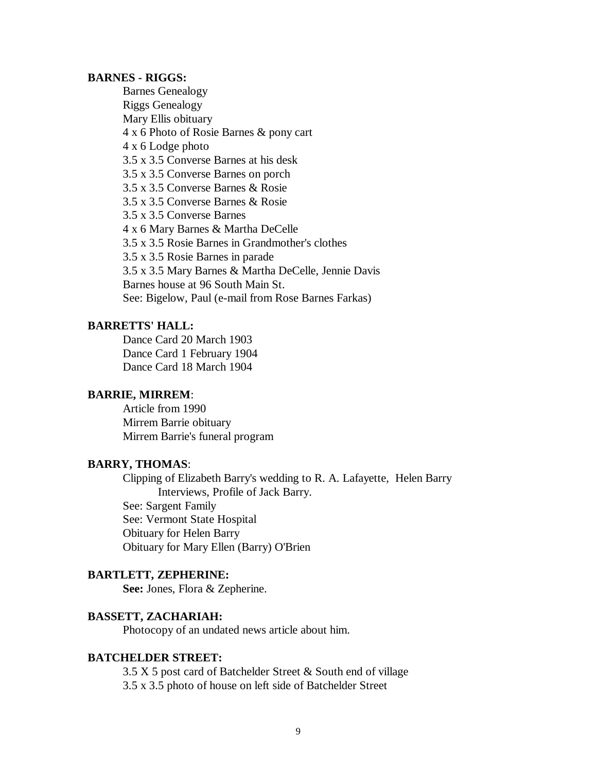#### **BARNES - RIGGS:**

Barnes Genealogy Riggs Genealogy Mary Ellis obituary 4 x 6 Photo of Rosie Barnes & pony cart 4 x 6 Lodge photo 3.5 x 3.5 Converse Barnes at his desk 3.5 x 3.5 Converse Barnes on porch 3.5 x 3.5 Converse Barnes & Rosie 3.5 x 3.5 Converse Barnes & Rosie 3.5 x 3.5 Converse Barnes 4 x 6 Mary Barnes & Martha DeCelle 3.5 x 3.5 Rosie Barnes in Grandmother's clothes 3.5 x 3.5 Rosie Barnes in parade 3.5 x 3.5 Mary Barnes & Martha DeCelle, Jennie Davis Barnes house at 96 South Main St. See: Bigelow, Paul (e-mail from Rose Barnes Farkas)

## **BARRETTS' HALL:**

Dance Card 20 March 1903 Dance Card 1 February 1904 Dance Card 18 March 1904

#### **BARRIE, MIRREM**:

Article from 1990 Mirrem Barrie obituary Mirrem Barrie's funeral program

#### **BARRY, THOMAS**:

Clipping of Elizabeth Barry's wedding to R. A. Lafayette, Helen Barry Interviews, Profile of Jack Barry.

See: Sargent Family See: Vermont State Hospital Obituary for Helen Barry Obituary for Mary Ellen (Barry) O'Brien

#### **BARTLETT, ZEPHERINE:**

**See:** Jones, Flora & Zepherine.

# **BASSETT, ZACHARIAH:**

Photocopy of an undated news article about him.

#### **BATCHELDER STREET:**

3.5 X 5 post card of Batchelder Street & South end of village 3.5 x 3.5 photo of house on left side of Batchelder Street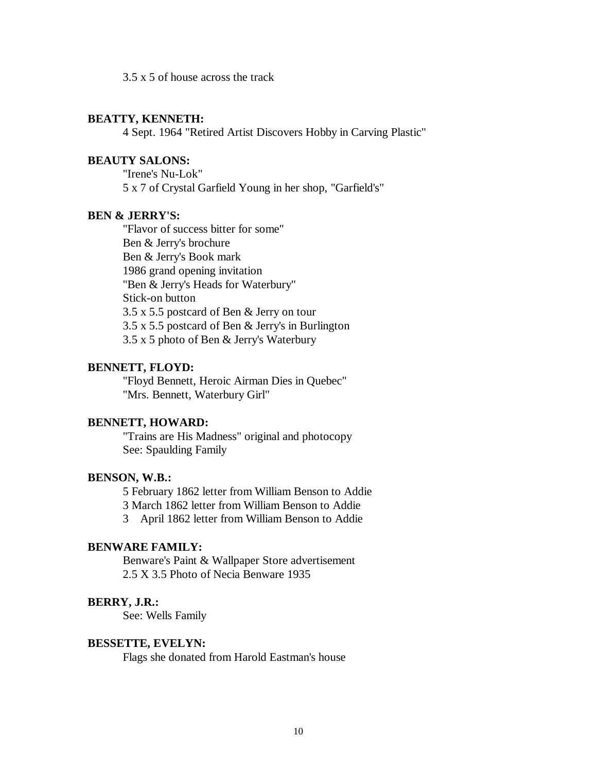3.5 x 5 of house across the track

## **BEATTY, KENNETH:**

4 Sept. 1964 "Retired Artist Discovers Hobby in Carving Plastic"

## **BEAUTY SALONS:**

"Irene's Nu-Lok" 5 x 7 of Crystal Garfield Young in her shop, "Garfield's"

# **BEN & JERRY'S:**

"Flavor of success bitter for some" Ben & Jerry's brochure Ben & Jerry's Book mark 1986 grand opening invitation "Ben & Jerry's Heads for Waterbury" Stick-on button 3.5 x 5.5 postcard of Ben & Jerry on tour 3.5 x 5.5 postcard of Ben & Jerry's in Burlington 3.5 x 5 photo of Ben & Jerry's Waterbury

#### **BENNETT, FLOYD:**

"Floyd Bennett, Heroic Airman Dies in Quebec" "Mrs. Bennett, Waterbury Girl"

# **BENNETT, HOWARD:**

"Trains are His Madness" original and photocopy See: Spaulding Family

#### **BENSON, W.B.:**

5 February 1862 letter from William Benson to Addie

3 March 1862 letter from William Benson to Addie

3 April 1862 letter from William Benson to Addie

# **BENWARE FAMILY:**

Benware's Paint & Wallpaper Store advertisement 2.5 X 3.5 Photo of Necia Benware 1935

## **BERRY, J.R.:**

See: Wells Family

#### **BESSETTE, EVELYN:**

Flags she donated from Harold Eastman's house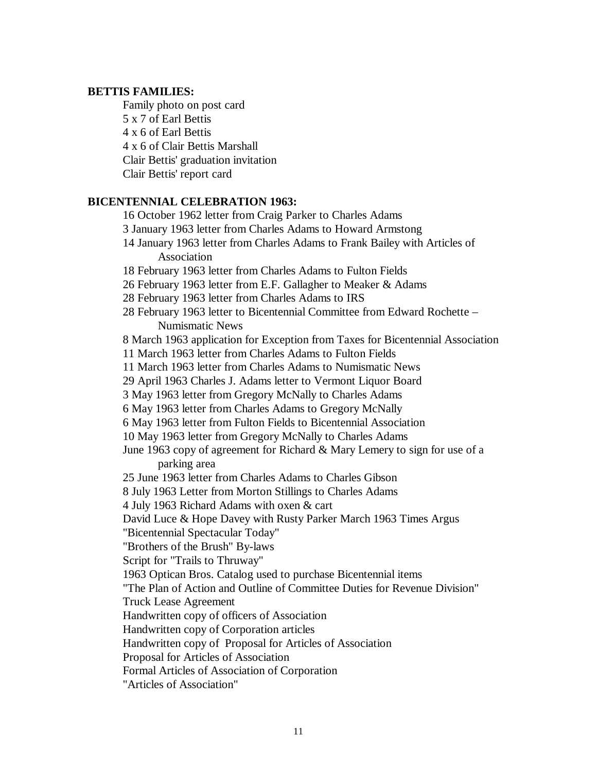## **BETTIS FAMILIES:**

Family photo on post card 5 x 7 of Earl Bettis 4 x 6 of Earl Bettis 4 x 6 of Clair Bettis Marshall Clair Bettis' graduation invitation Clair Bettis' report card

## **BICENTENNIAL CELEBRATION 1963:**

16 October 1962 letter from Craig Parker to Charles Adams 3 January 1963 letter from Charles Adams to Howard Armstong 14 January 1963 letter from Charles Adams to Frank Bailey with Articles of Association 18 February 1963 letter from Charles Adams to Fulton Fields 26 February 1963 letter from E.F. Gallagher to Meaker & Adams 28 February 1963 letter from Charles Adams to IRS 28 February 1963 letter to Bicentennial Committee from Edward Rochette – Numismatic News 8 March 1963 application for Exception from Taxes for Bicentennial Association 11 March 1963 letter from Charles Adams to Fulton Fields 11 March 1963 letter from Charles Adams to Numismatic News 29 April 1963 Charles J. Adams letter to Vermont Liquor Board 3 May 1963 letter from Gregory McNally to Charles Adams 6 May 1963 letter from Charles Adams to Gregory McNally 6 May 1963 letter from Fulton Fields to Bicentennial Association 10 May 1963 letter from Gregory McNally to Charles Adams June 1963 copy of agreement for Richard & Mary Lemery to sign for use of a parking area 25 June 1963 letter from Charles Adams to Charles Gibson 8 July 1963 Letter from Morton Stillings to Charles Adams 4 July 1963 Richard Adams with oxen & cart David Luce & Hope Davey with Rusty Parker March 1963 Times Argus "Bicentennial Spectacular Today" "Brothers of the Brush" By-laws Script for "Trails to Thruway" 1963 Optican Bros. Catalog used to purchase Bicentennial items "The Plan of Action and Outline of Committee Duties for Revenue Division" Truck Lease Agreement Handwritten copy of officers of Association Handwritten copy of Corporation articles Handwritten copy of Proposal for Articles of Association Proposal for Articles of Association Formal Articles of Association of Corporation "Articles of Association"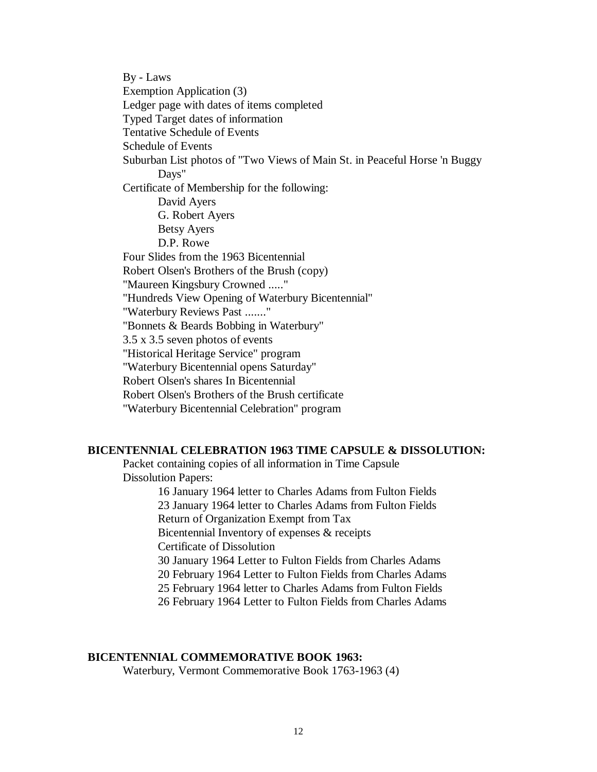By - Laws Exemption Application (3) Ledger page with dates of items completed Typed Target dates of information Tentative Schedule of Events Schedule of Events Suburban List photos of "Two Views of Main St. in Peaceful Horse 'n Buggy Days" Certificate of Membership for the following: David Ayers G. Robert Ayers Betsy Ayers D.P. Rowe Four Slides from the 1963 Bicentennial Robert Olsen's Brothers of the Brush (copy) "Maureen Kingsbury Crowned ....." "Hundreds View Opening of Waterbury Bicentennial" "Waterbury Reviews Past ......." "Bonnets & Beards Bobbing in Waterbury" 3.5 x 3.5 seven photos of events "Historical Heritage Service" program "Waterbury Bicentennial opens Saturday" Robert Olsen's shares In Bicentennial Robert Olsen's Brothers of the Brush certificate "Waterbury Bicentennial Celebration" program

## **BICENTENNIAL CELEBRATION 1963 TIME CAPSULE & DISSOLUTION:**

Packet containing copies of all information in Time Capsule Dissolution Papers:

> 16 January 1964 letter to Charles Adams from Fulton Fields 23 January 1964 letter to Charles Adams from Fulton Fields Return of Organization Exempt from Tax Bicentennial Inventory of expenses & receipts Certificate of Dissolution 30 January 1964 Letter to Fulton Fields from Charles Adams 20 February 1964 Letter to Fulton Fields from Charles Adams 25 February 1964 letter to Charles Adams from Fulton Fields 26 February 1964 Letter to Fulton Fields from Charles Adams

#### **BICENTENNIAL COMMEMORATIVE BOOK 1963:**

Waterbury, Vermont Commemorative Book 1763-1963 (4)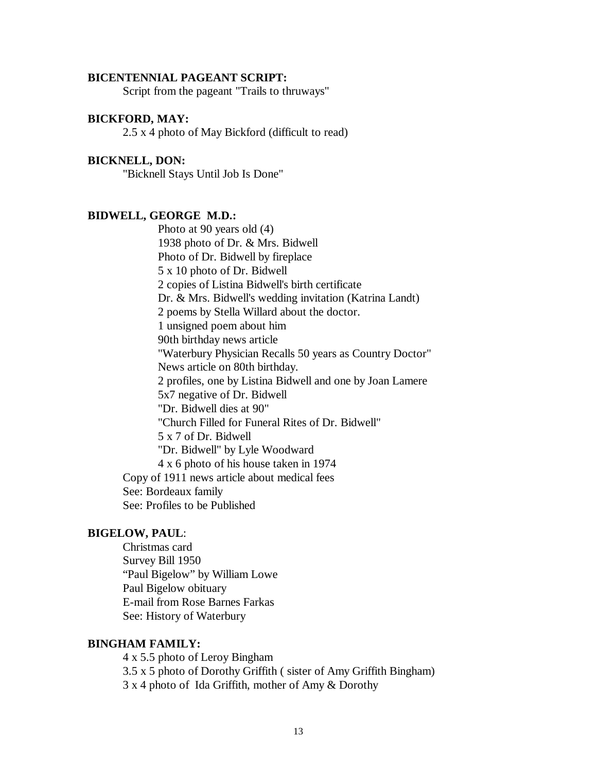#### **BICENTENNIAL PAGEANT SCRIPT:**

Script from the pageant "Trails to thruways"

## **BICKFORD, MAY:**

2.5 x 4 photo of May Bickford (difficult to read)

## **BICKNELL, DON:**

"Bicknell Stays Until Job Is Done"

## **BIDWELL, GEORGE M.D.:**

Photo at 90 years old (4) 1938 photo of Dr. & Mrs. Bidwell Photo of Dr. Bidwell by fireplace 5 x 10 photo of Dr. Bidwell 2 copies of Listina Bidwell's birth certificate Dr. & Mrs. Bidwell's wedding invitation (Katrina Landt) 2 poems by Stella Willard about the doctor. 1 unsigned poem about him 90th birthday news article "Waterbury Physician Recalls 50 years as Country Doctor" News article on 80th birthday. 2 profiles, one by Listina Bidwell and one by Joan Lamere 5x7 negative of Dr. Bidwell "Dr. Bidwell dies at 90" "Church Filled for Funeral Rites of Dr. Bidwell" 5 x 7 of Dr. Bidwell "Dr. Bidwell" by Lyle Woodward 4 x 6 photo of his house taken in 1974 Copy of 1911 news article about medical fees See: Bordeaux family See: Profiles to be Published

#### **BIGELOW, PAUL**:

Christmas card Survey Bill 1950 "Paul Bigelow" by William Lowe Paul Bigelow obituary E-mail from Rose Barnes Farkas See: History of Waterbury

## **BINGHAM FAMILY:**

4 x 5.5 photo of Leroy Bingham 3.5 x 5 photo of Dorothy Griffith ( sister of Amy Griffith Bingham) 3 x 4 photo of Ida Griffith, mother of Amy & Dorothy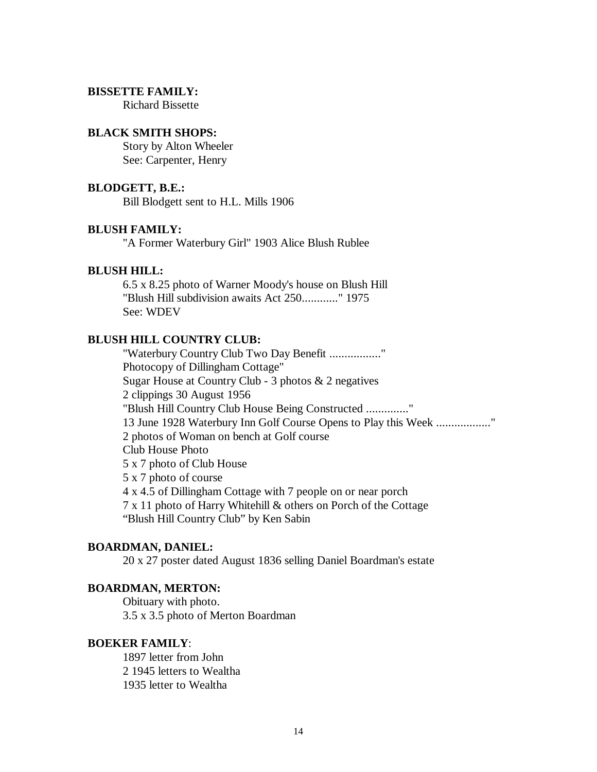## **BISSETTE FAMILY:**

Richard Bissette

#### **BLACK SMITH SHOPS:**

Story by Alton Wheeler See: Carpenter, Henry

## **BLODGETT, B.E.:**

Bill Blodgett sent to H.L. Mills 1906

#### **BLUSH FAMILY:**

"A Former Waterbury Girl" 1903 Alice Blush Rublee

#### **BLUSH HILL:**

6.5 x 8.25 photo of Warner Moody's house on Blush Hill "Blush Hill subdivision awaits Act 250............" 1975 See: WDEV

# **BLUSH HILL COUNTRY CLUB:**

"Waterbury Country Club Two Day Benefit ................." Photocopy of Dillingham Cottage" Sugar House at Country Club - 3 photos & 2 negatives 2 clippings 30 August 1956 "Blush Hill Country Club House Being Constructed .............." 13 June 1928 Waterbury Inn Golf Course Opens to Play this Week .................." 2 photos of Woman on bench at Golf course Club House Photo 5 x 7 photo of Club House 5 x 7 photo of course 4 x 4.5 of Dillingham Cottage with 7 people on or near porch 7 x 11 photo of Harry Whitehill & others on Porch of the Cottage "Blush Hill Country Club" by Ken Sabin

## **BOARDMAN, DANIEL:**

20 x 27 poster dated August 1836 selling Daniel Boardman's estate

#### **BOARDMAN, MERTON:**

Obituary with photo. 3.5 x 3.5 photo of Merton Boardman

## **BOEKER FAMILY**:

1897 letter from John 2 1945 letters to Wealtha 1935 letter to Wealtha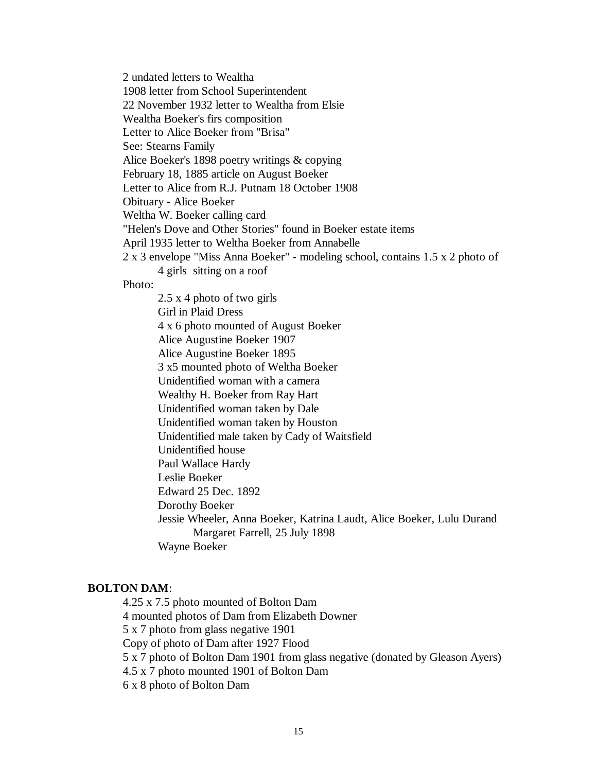2 undated letters to Wealtha

1908 letter from School Superintendent

22 November 1932 letter to Wealtha from Elsie

Wealtha Boeker's firs composition

Letter to Alice Boeker from "Brisa"

See: Stearns Family

Alice Boeker's 1898 poetry writings & copying

February 18, 1885 article on August Boeker

Letter to Alice from R.J. Putnam 18 October 1908

Obituary - Alice Boeker

Weltha W. Boeker calling card

"Helen's Dove and Other Stories" found in Boeker estate items

April 1935 letter to Weltha Boeker from Annabelle

2 x 3 envelope "Miss Anna Boeker" - modeling school, contains 1.5 x 2 photo of

4 girls sitting on a roof

Photo:

2.5 x 4 photo of two girls Girl in Plaid Dress 4 x 6 photo mounted of August Boeker Alice Augustine Boeker 1907 Alice Augustine Boeker 1895 3 x5 mounted photo of Weltha Boeker Unidentified woman with a camera Wealthy H. Boeker from Ray Hart Unidentified woman taken by Dale Unidentified woman taken by Houston Unidentified male taken by Cady of Waitsfield Unidentified house Paul Wallace Hardy Leslie Boeker Edward 25 Dec. 1892 Dorothy Boeker Jessie Wheeler, Anna Boeker, Katrina Laudt, Alice Boeker, Lulu Durand Margaret Farrell, 25 July 1898 Wayne Boeker

## **BOLTON DAM**:

4.25 x 7.5 photo mounted of Bolton Dam 4 mounted photos of Dam from Elizabeth Downer 5 x 7 photo from glass negative 1901 Copy of photo of Dam after 1927 Flood 5 x 7 photo of Bolton Dam 1901 from glass negative (donated by Gleason Ayers) 4.5 x 7 photo mounted 1901 of Bolton Dam 6 x 8 photo of Bolton Dam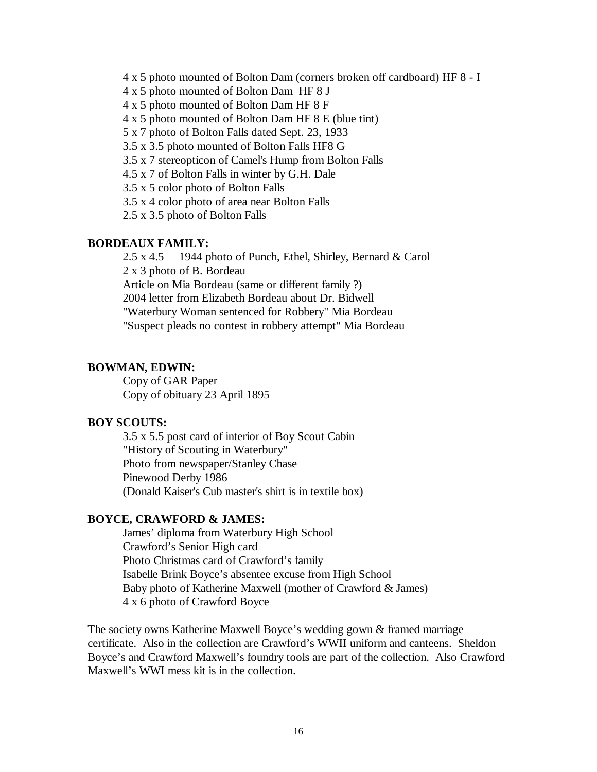4 x 5 photo mounted of Bolton Dam (corners broken off cardboard) HF 8 - I

4 x 5 photo mounted of Bolton Dam HF 8 J

4 x 5 photo mounted of Bolton Dam HF 8 F

4 x 5 photo mounted of Bolton Dam HF 8 E (blue tint)

5 x 7 photo of Bolton Falls dated Sept. 23, 1933

3.5 x 3.5 photo mounted of Bolton Falls HF8 G

3.5 x 7 stereopticon of Camel's Hump from Bolton Falls

4.5 x 7 of Bolton Falls in winter by G.H. Dale

3.5 x 5 color photo of Bolton Falls

3.5 x 4 color photo of area near Bolton Falls

2.5 x 3.5 photo of Bolton Falls

## **BORDEAUX FAMILY:**

2.5 x 4.5 1944 photo of Punch, Ethel, Shirley, Bernard & Carol 2 x 3 photo of B. Bordeau Article on Mia Bordeau (same or different family ?) 2004 letter from Elizabeth Bordeau about Dr. Bidwell "Waterbury Woman sentenced for Robbery" Mia Bordeau "Suspect pleads no contest in robbery attempt" Mia Bordeau

#### **BOWMAN, EDWIN:**

Copy of GAR Paper Copy of obituary 23 April 1895

#### **BOY SCOUTS:**

3.5 x 5.5 post card of interior of Boy Scout Cabin "History of Scouting in Waterbury" Photo from newspaper/Stanley Chase Pinewood Derby 1986 (Donald Kaiser's Cub master's shirt is in textile box)

#### **BOYCE, CRAWFORD & JAMES:**

James' diploma from Waterbury High School Crawford's Senior High card Photo Christmas card of Crawford's family Isabelle Brink Boyce's absentee excuse from High School Baby photo of Katherine Maxwell (mother of Crawford & James) 4 x 6 photo of Crawford Boyce

The society owns Katherine Maxwell Boyce's wedding gown & framed marriage certificate. Also in the collection are Crawford's WWII uniform and canteens. Sheldon Boyce's and Crawford Maxwell's foundry tools are part of the collection. Also Crawford Maxwell's WWI mess kit is in the collection.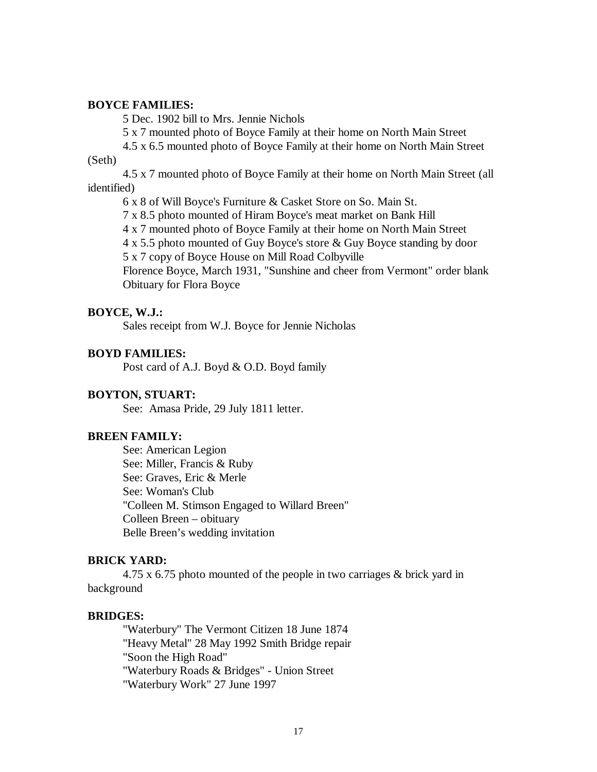#### **BOYCE FAMILIES:**

5 Dec. 1902 bill to Mrs. Jennie Nichols

5 x 7 mounted photo of Boyce Family at their home on North Main Street

4.5 x 6.5 mounted photo of Boyce Family at their home on North Main Street

## (Seth)

4.5 x 7 mounted photo of Boyce Family at their home on North Main Street (all identified)

6 x 8 of Will Boyce's Furniture & Casket Store on So. Main St.

7 x 8.5 photo mounted of Hiram Boyce's meat market on Bank Hill

4 x 7 mounted photo of Boyce Family at their home on North Main Street

4 x 5.5 photo mounted of Guy Boyce's store & Guy Boyce standing by door

5 x 7 copy of Boyce House on Mill Road Colbyville

Florence Boyce, March 1931, "Sunshine and cheer from Vermont" order blank Obituary for Flora Boyce

#### **BOYCE, W.J.:**

Sales receipt from W.J. Boyce for Jennie Nicholas

#### **BOYD FAMILIES:**

Post card of A.J. Boyd & O.D. Boyd family

#### **BOYTON, STUART:**

See: Amasa Pride, 29 July 1811 letter.

## **BREEN FAMILY:**

See: American Legion See: Miller, Francis & Ruby See: Graves, Eric & Merle See: Woman's Club "Colleen M. Stimson Engaged to Willard Breen" Colleen Breen – obituary Belle Breen's wedding invitation

#### **BRICK YARD:**

4.75 x 6.75 photo mounted of the people in two carriages & brick yard in background

#### **BRIDGES:**

"Waterbury" The Vermont Citizen 18 June 1874 "Heavy Metal" 28 May 1992 Smith Bridge repair "Soon the High Road" "Waterbury Roads & Bridges" - Union Street "Waterbury Work" 27 June 1997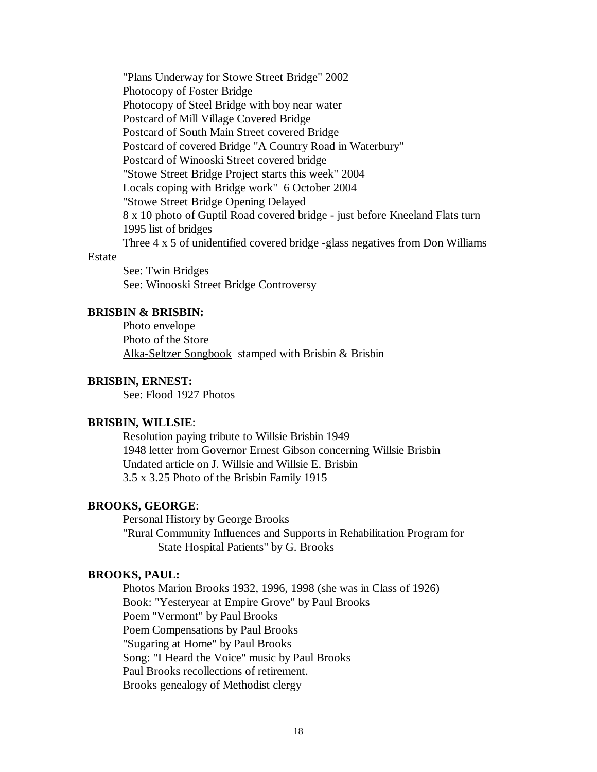"Plans Underway for Stowe Street Bridge" 2002 Photocopy of Foster Bridge Photocopy of Steel Bridge with boy near water Postcard of Mill Village Covered Bridge Postcard of South Main Street covered Bridge Postcard of covered Bridge "A Country Road in Waterbury" Postcard of Winooski Street covered bridge "Stowe Street Bridge Project starts this week" 2004 Locals coping with Bridge work" 6 October 2004 "Stowe Street Bridge Opening Delayed 8 x 10 photo of Guptil Road covered bridge - just before Kneeland Flats turn 1995 list of bridges Three 4 x 5 of unidentified covered bridge -glass negatives from Don Williams

#### Estate

See: Twin Bridges See: Winooski Street Bridge Controversy

## **BRISBIN & BRISBIN:**

Photo envelope Photo of the Store Alka-Seltzer Songbook stamped with Brisbin & Brisbin

## **BRISBIN, ERNEST:**

See: Flood 1927 Photos

#### **BRISBIN, WILLSIE**:

Resolution paying tribute to Willsie Brisbin 1949 1948 letter from Governor Ernest Gibson concerning Willsie Brisbin Undated article on J. Willsie and Willsie E. Brisbin 3.5 x 3.25 Photo of the Brisbin Family 1915

#### **BROOKS, GEORGE**:

Personal History by George Brooks "Rural Community Influences and Supports in Rehabilitation Program for State Hospital Patients" by G. Brooks

## **BROOKS, PAUL:**

Photos Marion Brooks 1932, 1996, 1998 (she was in Class of 1926) Book: "Yesteryear at Empire Grove" by Paul Brooks Poem "Vermont" by Paul Brooks Poem Compensations by Paul Brooks "Sugaring at Home" by Paul Brooks Song: "I Heard the Voice" music by Paul Brooks Paul Brooks recollections of retirement. Brooks genealogy of Methodist clergy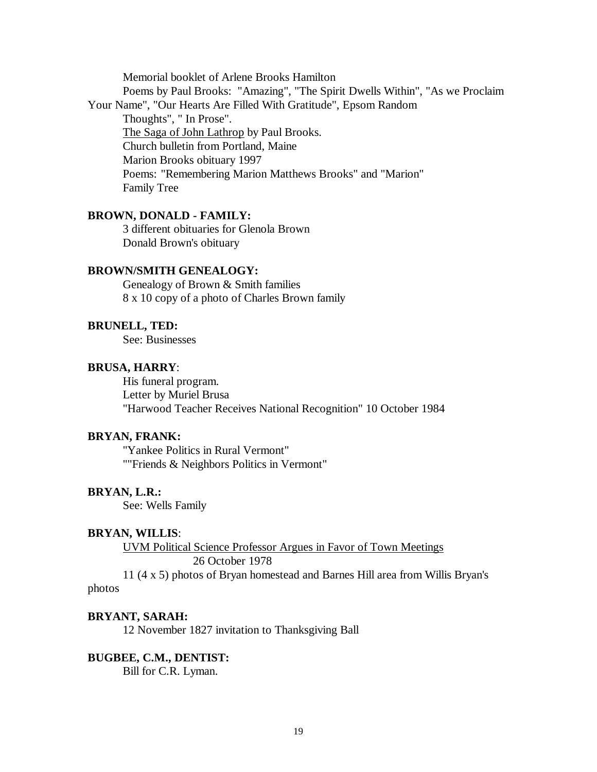Memorial booklet of Arlene Brooks Hamilton Poems by Paul Brooks: "Amazing", "The Spirit Dwells Within", "As we Proclaim Your Name", "Our Hearts Are Filled With Gratitude", Epsom Random Thoughts", " In Prose". The Saga of John Lathrop by Paul Brooks. Church bulletin from Portland, Maine Marion Brooks obituary 1997 Poems: "Remembering Marion Matthews Brooks" and "Marion" Family Tree

## **BROWN, DONALD - FAMILY:**

3 different obituaries for Glenola Brown Donald Brown's obituary

## **BROWN/SMITH GENEALOGY:**

Genealogy of Brown & Smith families 8 x 10 copy of a photo of Charles Brown family

## **BRUNELL, TED:**

See: Businesses

#### **BRUSA, HARRY**:

His funeral program. Letter by Muriel Brusa "Harwood Teacher Receives National Recognition" 10 October 1984

## **BRYAN, FRANK:**

"Yankee Politics in Rural Vermont" ""Friends & Neighbors Politics in Vermont"

#### **BRYAN, L.R.:**

See: Wells Family

## **BRYAN, WILLIS**:

UVM Political Science Professor Argues in Favor of Town Meetings 26 October 1978

11 (4 x 5) photos of Bryan homestead and Barnes Hill area from Willis Bryan's photos

# **BRYANT, SARAH:**

12 November 1827 invitation to Thanksgiving Ball

**BUGBEE, C.M., DENTIST:** Bill for C.R. Lyman.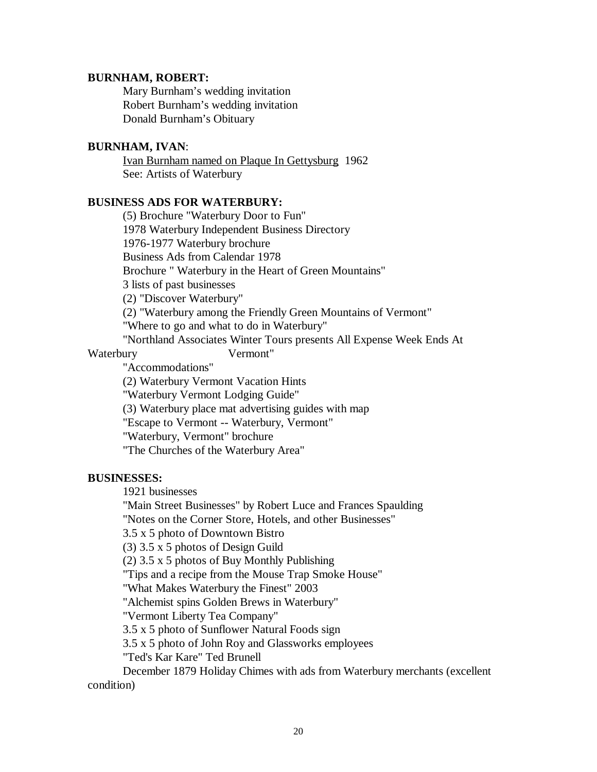#### **BURNHAM, ROBERT:**

Mary Burnham's wedding invitation Robert Burnham's wedding invitation Donald Burnham's Obituary

## **BURNHAM, IVAN**:

Ivan Burnham named on Plaque In Gettysburg 1962 See: Artists of Waterbury

## **BUSINESS ADS FOR WATERBURY:**

(5) Brochure "Waterbury Door to Fun" 1978 Waterbury Independent Business Directory 1976-1977 Waterbury brochure Business Ads from Calendar 1978 Brochure " Waterbury in the Heart of Green Mountains" 3 lists of past businesses (2) "Discover Waterbury" (2) "Waterbury among the Friendly Green Mountains of Vermont" "Where to go and what to do in Waterbury" "Northland Associates Winter Tours presents All Expense Week Ends At Waterbury Vermont" "Accommodations" (2) Waterbury Vermont Vacation Hints "Waterbury Vermont Lodging Guide" (3) Waterbury place mat advertising guides with map

"Escape to Vermont -- Waterbury, Vermont"

"Waterbury, Vermont" brochure

"The Churches of the Waterbury Area"

### **BUSINESSES:**

1921 businesses

"Main Street Businesses" by Robert Luce and Frances Spaulding

"Notes on the Corner Store, Hotels, and other Businesses"

3.5 x 5 photo of Downtown Bistro

(3) 3.5 x 5 photos of Design Guild

(2) 3.5 x 5 photos of Buy Monthly Publishing

"Tips and a recipe from the Mouse Trap Smoke House"

"What Makes Waterbury the Finest" 2003

"Alchemist spins Golden Brews in Waterbury"

"Vermont Liberty Tea Company"

3.5 x 5 photo of Sunflower Natural Foods sign

3.5 x 5 photo of John Roy and Glassworks employees

"Ted's Kar Kare" Ted Brunell

December 1879 Holiday Chimes with ads from Waterbury merchants (excellent condition)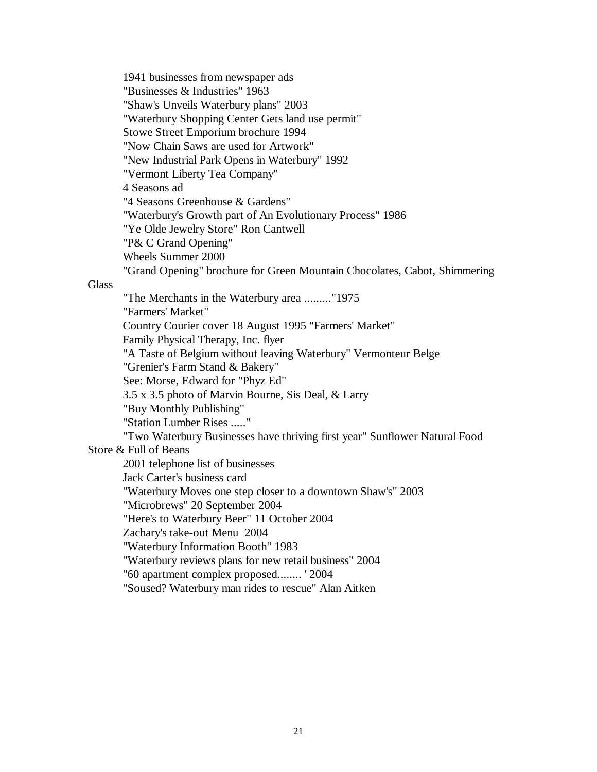1941 businesses from newspaper ads "Businesses & Industries" 1963 "Shaw's Unveils Waterbury plans" 2003 "Waterbury Shopping Center Gets land use permit" Stowe Street Emporium brochure 1994 "Now Chain Saws are used for Artwork" "New Industrial Park Opens in Waterbury" 1992 "Vermont Liberty Tea Company" 4 Seasons ad "4 Seasons Greenhouse & Gardens" "Waterbury's Growth part of An Evolutionary Process" 1986 "Ye Olde Jewelry Store" Ron Cantwell "P& C Grand Opening" Wheels Summer 2000 "Grand Opening" brochure for Green Mountain Chocolates, Cabot, Shimmering

**Glass** 

"The Merchants in the Waterbury area ........."1975 "Farmers' Market" Country Courier cover 18 August 1995 "Farmers' Market" Family Physical Therapy, Inc. flyer "A Taste of Belgium without leaving Waterbury" Vermonteur Belge "Grenier's Farm Stand & Bakery" See: Morse, Edward for "Phyz Ed" 3.5 x 3.5 photo of Marvin Bourne, Sis Deal, & Larry "Buy Monthly Publishing" "Station Lumber Rises ....." "Two Waterbury Businesses have thriving first year" Sunflower Natural Food Store & Full of Beans 2001 telephone list of businesses Jack Carter's business card "Waterbury Moves one step closer to a downtown Shaw's" 2003 "Microbrews" 20 September 2004 "Here's to Waterbury Beer" 11 October 2004 Zachary's take-out Menu 2004 "Waterbury Information Booth" 1983 "Waterbury reviews plans for new retail business" 2004 "60 apartment complex proposed........ ' 2004 "Soused? Waterbury man rides to rescue" Alan Aitken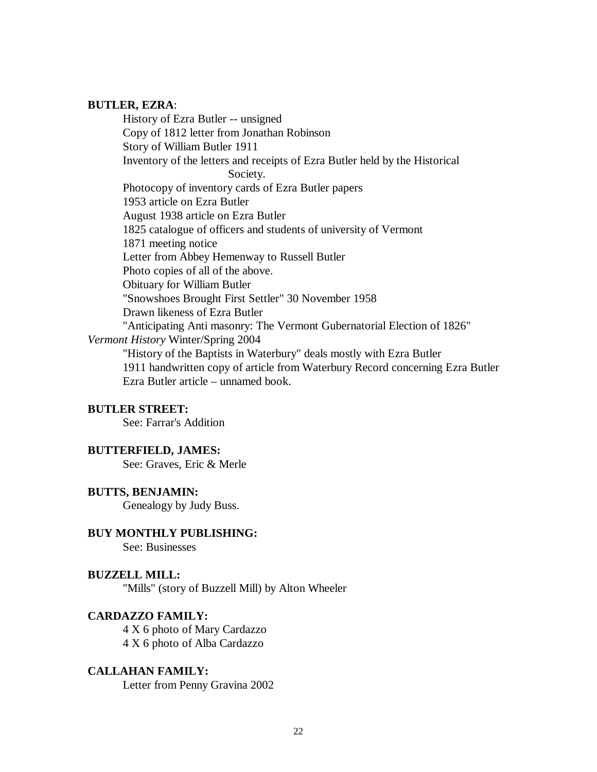## **BUTLER, EZRA**:

History of Ezra Butler -- unsigned Copy of 1812 letter from Jonathan Robinson Story of William Butler 1911 Inventory of the letters and receipts of Ezra Butler held by the Historical Society. Photocopy of inventory cards of Ezra Butler papers 1953 article on Ezra Butler August 1938 article on Ezra Butler 1825 catalogue of officers and students of university of Vermont 1871 meeting notice Letter from Abbey Hemenway to Russell Butler Photo copies of all of the above. Obituary for William Butler "Snowshoes Brought First Settler" 30 November 1958 Drawn likeness of Ezra Butler "Anticipating Anti masonry: The Vermont Gubernatorial Election of 1826" *Vermont History* Winter/Spring 2004 "History of the Baptists in Waterbury" deals mostly with Ezra Butler 1911 handwritten copy of article from Waterbury Record concerning Ezra Butler Ezra Butler article – unnamed book.

# **BUTLER STREET:**

See: Farrar's Addition

#### **BUTTERFIELD, JAMES:**

See: Graves, Eric & Merle

## **BUTTS, BENJAMIN:**

Genealogy by Judy Buss.

# **BUY MONTHLY PUBLISHING:**

See: Businesses

## **BUZZELL MILL:**

"Mills" (story of Buzzell Mill) by Alton Wheeler

## **CARDAZZO FAMILY:**

4 X 6 photo of Mary Cardazzo 4 X 6 photo of Alba Cardazzo

#### **CALLAHAN FAMILY:**

Letter from Penny Gravina 2002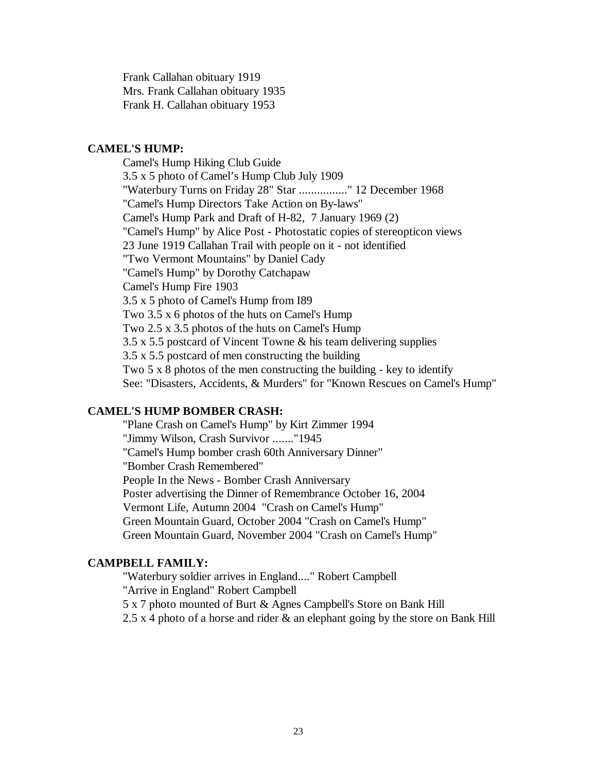Frank Callahan obituary 1919 Mrs. Frank Callahan obituary 1935 Frank H. Callahan obituary 1953

#### **CAMEL'S HUMP:**

Camel's Hump Hiking Club Guide 3.5 x 5 photo of Camel's Hump Club July 1909 "Waterbury Turns on Friday 28" Star ................" 12 December 1968 "Camel's Hump Directors Take Action on By-laws" Camel's Hump Park and Draft of H-82, 7 January 1969 (2) "Camel's Hump" by Alice Post - Photostatic copies of stereopticon views 23 June 1919 Callahan Trail with people on it - not identified "Two Vermont Mountains" by Daniel Cady "Camel's Hump" by Dorothy Catchapaw Camel's Hump Fire 1903 3.5 x 5 photo of Camel's Hump from I89 Two 3.5 x 6 photos of the huts on Camel's Hump Two 2.5 x 3.5 photos of the huts on Camel's Hump 3.5 x 5.5 postcard of Vincent Towne & his team delivering supplies 3.5 x 5.5 postcard of men constructing the building Two 5 x 8 photos of the men constructing the building - key to identify See: "Disasters, Accidents, & Murders" for "Known Rescues on Camel's Hump"

#### **CAMEL'S HUMP BOMBER CRASH:**

"Plane Crash on Camel's Hump" by Kirt Zimmer 1994 "Jimmy Wilson, Crash Survivor ......."1945 "Camel's Hump bomber crash 60th Anniversary Dinner" "Bomber Crash Remembered" People In the News - Bomber Crash Anniversary Poster advertising the Dinner of Remembrance October 16, 2004 Vermont Life, Autumn 2004 "Crash on Camel's Hump" Green Mountain Guard, October 2004 "Crash on Camel's Hump" Green Mountain Guard, November 2004 "Crash on Camel's Hump"

## **CAMPBELL FAMILY:**

"Waterbury soldier arrives in England...." Robert Campbell "Arrive in England" Robert Campbell 5 x 7 photo mounted of Burt & Agnes Campbell's Store on Bank Hill 2.5 x 4 photo of a horse and rider  $\&$  an elephant going by the store on Bank Hill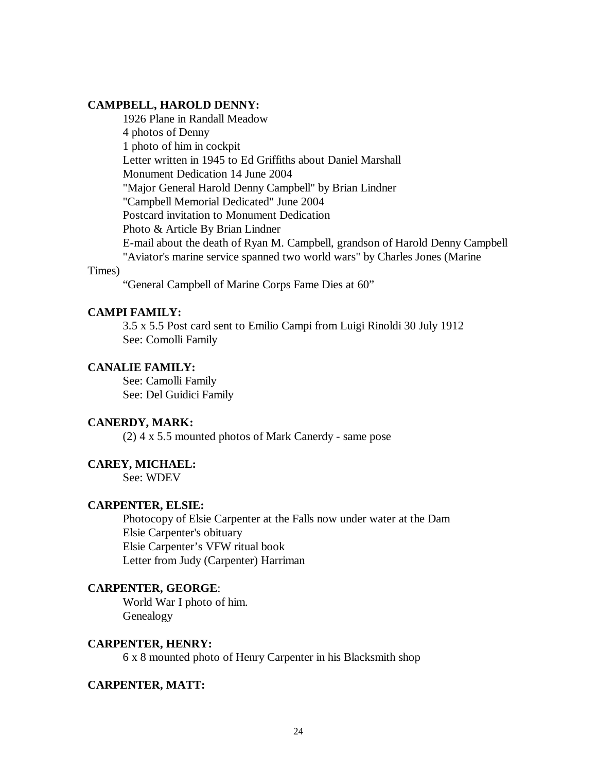## **CAMPBELL, HAROLD DENNY:**

1926 Plane in Randall Meadow 4 photos of Denny 1 photo of him in cockpit Letter written in 1945 to Ed Griffiths about Daniel Marshall Monument Dedication 14 June 2004 "Major General Harold Denny Campbell" by Brian Lindner "Campbell Memorial Dedicated" June 2004 Postcard invitation to Monument Dedication Photo & Article By Brian Lindner E-mail about the death of Ryan M. Campbell, grandson of Harold Denny Campbell "Aviator's marine service spanned two world wars" by Charles Jones (Marine

#### Times)

"General Campbell of Marine Corps Fame Dies at 60"

#### **CAMPI FAMILY:**

3.5 x 5.5 Post card sent to Emilio Campi from Luigi Rinoldi 30 July 1912 See: Comolli Family

## **CANALIE FAMILY:**

See: Camolli Family See: Del Guidici Family

#### **CANERDY, MARK:**

(2) 4 x 5.5 mounted photos of Mark Canerdy - same pose

#### **CAREY, MICHAEL:**

See: WDEV

## **CARPENTER, ELSIE:**

Photocopy of Elsie Carpenter at the Falls now under water at the Dam Elsie Carpenter's obituary Elsie Carpenter's VFW ritual book Letter from Judy (Carpenter) Harriman

## **CARPENTER, GEORGE**:

World War I photo of him. Genealogy

#### **CARPENTER, HENRY:**

6 x 8 mounted photo of Henry Carpenter in his Blacksmith shop

#### **CARPENTER, MATT:**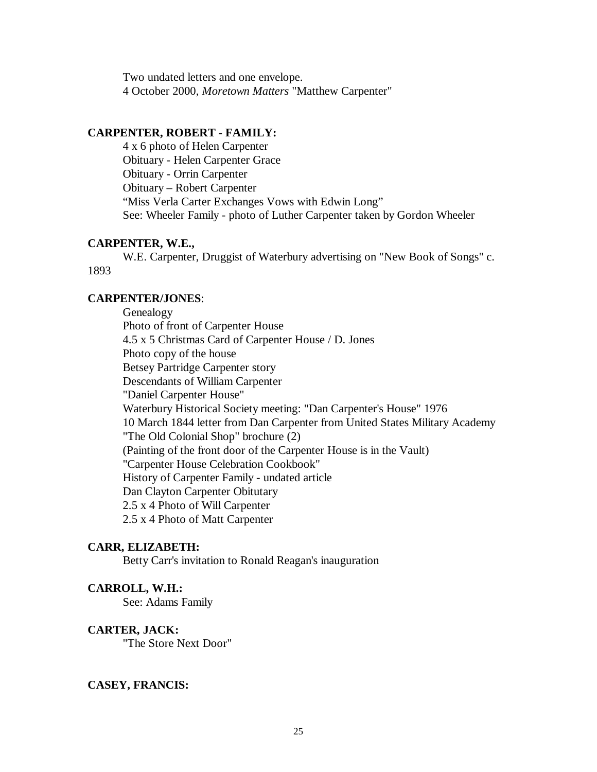Two undated letters and one envelope. 4 October 2000, *Moretown Matters* "Matthew Carpenter"

#### **CARPENTER, ROBERT - FAMILY:**

4 x 6 photo of Helen Carpenter Obituary - Helen Carpenter Grace Obituary - Orrin Carpenter Obituary – Robert Carpenter "Miss Verla Carter Exchanges Vows with Edwin Long" See: Wheeler Family - photo of Luther Carpenter taken by Gordon Wheeler

## **CARPENTER, W.E.,**

W.E. Carpenter, Druggist of Waterbury advertising on "New Book of Songs" c. 1893

#### **CARPENTER/JONES**:

Genealogy Photo of front of Carpenter House 4.5 x 5 Christmas Card of Carpenter House / D. Jones Photo copy of the house Betsey Partridge Carpenter story Descendants of William Carpenter "Daniel Carpenter House" Waterbury Historical Society meeting: "Dan Carpenter's House" 1976 10 March 1844 letter from Dan Carpenter from United States Military Academy "The Old Colonial Shop" brochure (2) (Painting of the front door of the Carpenter House is in the Vault) "Carpenter House Celebration Cookbook" History of Carpenter Family - undated article Dan Clayton Carpenter Obitutary 2.5 x 4 Photo of Will Carpenter 2.5 x 4 Photo of Matt Carpenter

#### **CARR, ELIZABETH:**

Betty Carr's invitation to Ronald Reagan's inauguration

#### **CARROLL, W.H.:**

See: Adams Family

#### **CARTER, JACK:**

"The Store Next Door"

#### **CASEY, FRANCIS:**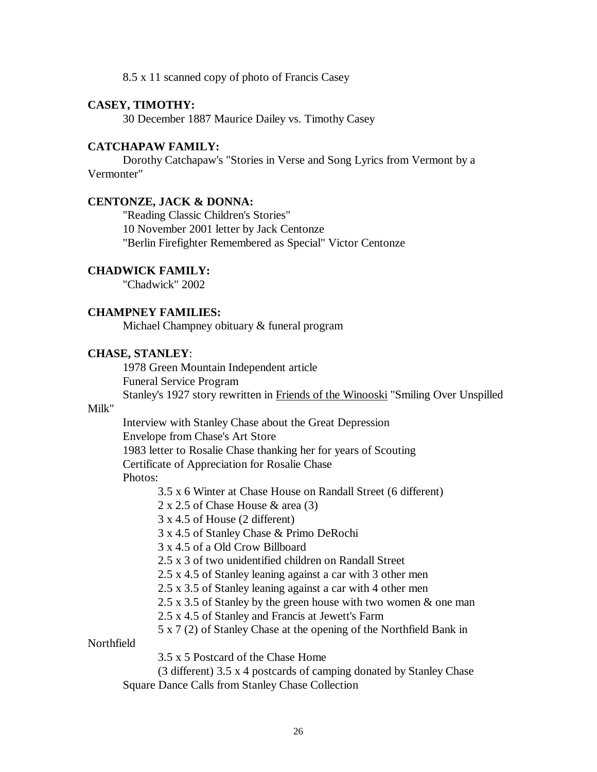8.5 x 11 scanned copy of photo of Francis Casey

## **CASEY, TIMOTHY:**

30 December 1887 Maurice Dailey vs. Timothy Casey

#### **CATCHAPAW FAMILY:**

Dorothy Catchapaw's "Stories in Verse and Song Lyrics from Vermont by a Vermonter"

#### **CENTONZE, JACK & DONNA:**

"Reading Classic Children's Stories" 10 November 2001 letter by Jack Centonze "Berlin Firefighter Remembered as Special" Victor Centonze

#### **CHADWICK FAMILY:**

"Chadwick" 2002

## **CHAMPNEY FAMILIES:**

Michael Champney obituary & funeral program

## **CHASE, STANLEY**:

1978 Green Mountain Independent article Funeral Service Program Stanley's 1927 story rewritten in Friends of the Winooski "Smiling Over Unspilled

## Milk"

Interview with Stanley Chase about the Great Depression Envelope from Chase's Art Store 1983 letter to Rosalie Chase thanking her for years of Scouting Certificate of Appreciation for Rosalie Chase Photos:

3.5 x 6 Winter at Chase House on Randall Street (6 different)

2 x 2.5 of Chase House & area (3)

3 x 4.5 of House (2 different)

3 x 4.5 of Stanley Chase & Primo DeRochi

3 x 4.5 of a Old Crow Billboard

2.5 x 3 of two unidentified children on Randall Street

- 2.5 x 4.5 of Stanley leaning against a car with 3 other men
- 2.5 x 3.5 of Stanley leaning against a car with 4 other men
- 2.5 x 3.5 of Stanley by the green house with two women & one man
- 2.5 x 4.5 of Stanley and Francis at Jewett's Farm

5 x 7 (2) of Stanley Chase at the opening of the Northfield Bank in

## **Northfield**

3.5 x 5 Postcard of the Chase Home

(3 different) 3.5 x 4 postcards of camping donated by Stanley Chase Square Dance Calls from Stanley Chase Collection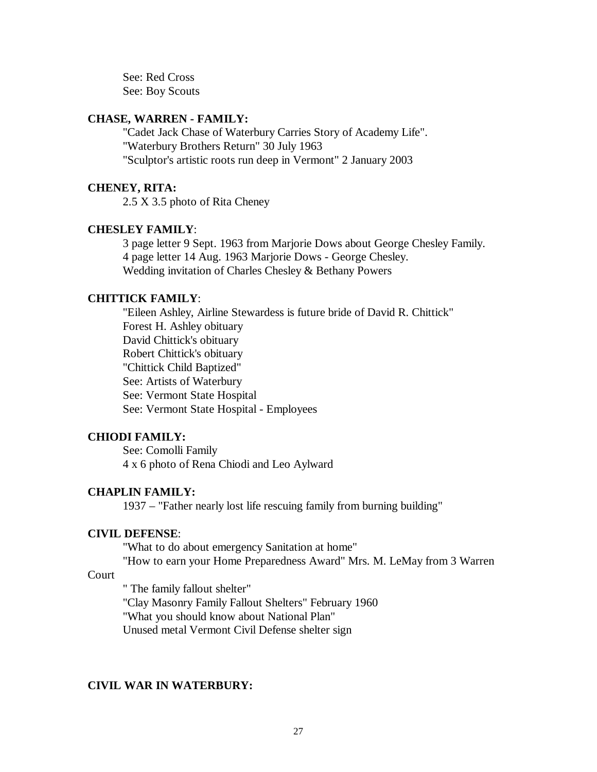See: Red Cross See: Boy Scouts

### **CHASE, WARREN - FAMILY:**

"Cadet Jack Chase of Waterbury Carries Story of Academy Life". "Waterbury Brothers Return" 30 July 1963 "Sculptor's artistic roots run deep in Vermont" 2 January 2003

### **CHENEY, RITA:**

2.5 X 3.5 photo of Rita Cheney

#### **CHESLEY FAMILY**:

3 page letter 9 Sept. 1963 from Marjorie Dows about George Chesley Family. 4 page letter 14 Aug. 1963 Marjorie Dows - George Chesley. Wedding invitation of Charles Chesley & Bethany Powers

#### **CHITTICK FAMILY**:

"Eileen Ashley, Airline Stewardess is future bride of David R. Chittick" Forest H. Ashley obituary David Chittick's obituary Robert Chittick's obituary "Chittick Child Baptized" See: Artists of Waterbury See: Vermont State Hospital See: Vermont State Hospital - Employees

#### **CHIODI FAMILY:**

See: Comolli Family 4 x 6 photo of Rena Chiodi and Leo Aylward

#### **CHAPLIN FAMILY:**

1937 – "Father nearly lost life rescuing family from burning building"

#### **CIVIL DEFENSE**:

"What to do about emergency Sanitation at home"

"How to earn your Home Preparedness Award" Mrs. M. LeMay from 3 Warren

## Court

" The family fallout shelter"

"Clay Masonry Family Fallout Shelters" February 1960

"What you should know about National Plan"

Unused metal Vermont Civil Defense shelter sign

## **CIVIL WAR IN WATERBURY:**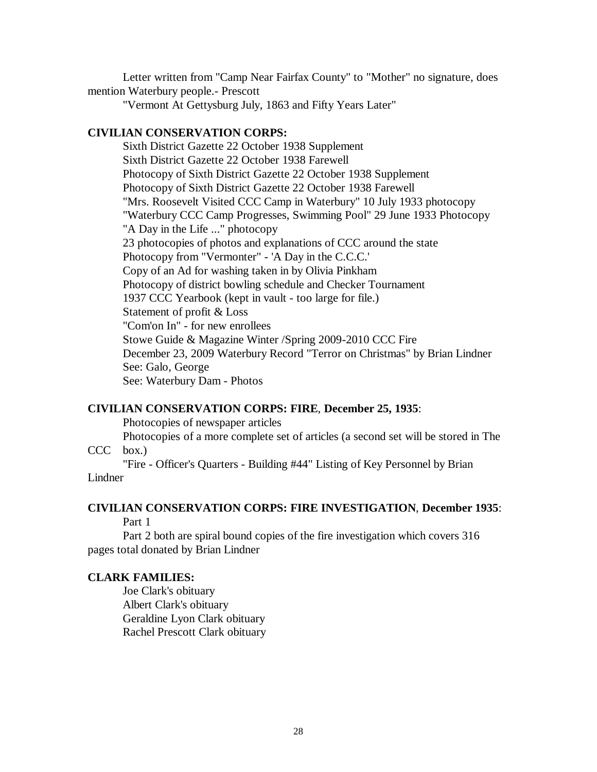Letter written from "Camp Near Fairfax County" to "Mother" no signature, does mention Waterbury people.- Prescott

"Vermont At Gettysburg July, 1863 and Fifty Years Later"

#### **CIVILIAN CONSERVATION CORPS:**

Sixth District Gazette 22 October 1938 Supplement Sixth District Gazette 22 October 1938 Farewell Photocopy of Sixth District Gazette 22 October 1938 Supplement Photocopy of Sixth District Gazette 22 October 1938 Farewell "Mrs. Roosevelt Visited CCC Camp in Waterbury" 10 July 1933 photocopy "Waterbury CCC Camp Progresses, Swimming Pool" 29 June 1933 Photocopy "A Day in the Life ..." photocopy 23 photocopies of photos and explanations of CCC around the state Photocopy from "Vermonter" - 'A Day in the C.C.C.' Copy of an Ad for washing taken in by Olivia Pinkham Photocopy of district bowling schedule and Checker Tournament 1937 CCC Yearbook (kept in vault - too large for file.) Statement of profit & Loss "Com'on In" - for new enrollees Stowe Guide & Magazine Winter /Spring 2009-2010 CCC Fire December 23, 2009 Waterbury Record "Terror on Christmas" by Brian Lindner See: Galo, George See: Waterbury Dam - Photos

## **CIVILIAN CONSERVATION CORPS: FIRE**, **December 25, 1935**:

Photocopies of newspaper articles

Photocopies of a more complete set of articles (a second set will be stored in The  $CCC$  box.)

"Fire - Officer's Quarters - Building #44" Listing of Key Personnel by Brian Lindner

# **CIVILIAN CONSERVATION CORPS: FIRE INVESTIGATION**, **December 1935**:

Part 1

Part 2 both are spiral bound copies of the fire investigation which covers 316 pages total donated by Brian Lindner

#### **CLARK FAMILIES:**

Joe Clark's obituary Albert Clark's obituary Geraldine Lyon Clark obituary Rachel Prescott Clark obituary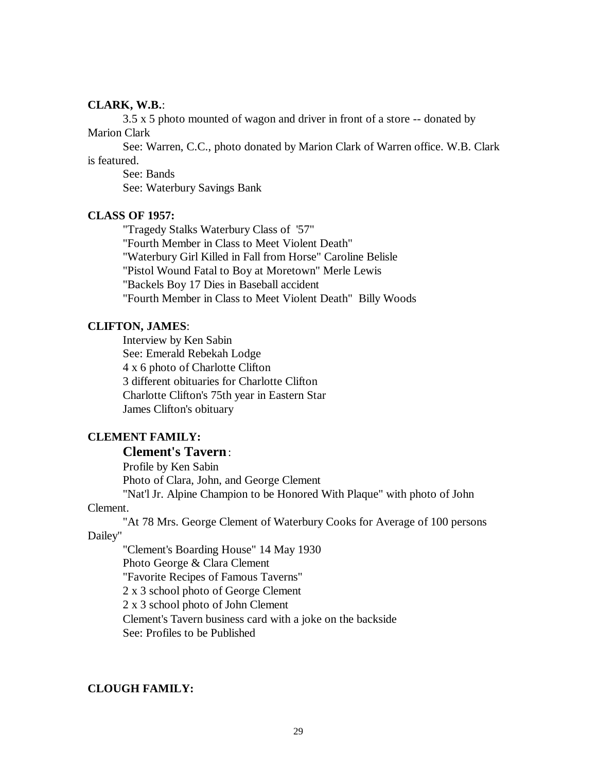#### **CLARK, W.B.**:

3.5 x 5 photo mounted of wagon and driver in front of a store -- donated by Marion Clark

See: Warren, C.C., photo donated by Marion Clark of Warren office. W.B. Clark is featured.

See: Bands See: Waterbury Savings Bank

## **CLASS OF 1957:**

"Tragedy Stalks Waterbury Class of '57" "Fourth Member in Class to Meet Violent Death" "Waterbury Girl Killed in Fall from Horse" Caroline Belisle "Pistol Wound Fatal to Boy at Moretown" Merle Lewis "Backels Boy 17 Dies in Baseball accident "Fourth Member in Class to Meet Violent Death" Billy Woods

### **CLIFTON, JAMES**:

Interview by Ken Sabin See: Emerald Rebekah Lodge 4 x 6 photo of Charlotte Clifton 3 different obituaries for Charlotte Clifton Charlotte Clifton's 75th year in Eastern Star James Clifton's obituary

# **CLEMENT FAMILY:**

# **Clement's Tavern**:

Profile by Ken Sabin Photo of Clara, John, and George Clement "Nat'l Jr. Alpine Champion to be Honored With Plaque" with photo of John

#### Clement.

"At 78 Mrs. George Clement of Waterbury Cooks for Average of 100 persons

Dailey"

"Clement's Boarding House" 14 May 1930 Photo George & Clara Clement "Favorite Recipes of Famous Taverns" 2 x 3 school photo of George Clement 2 x 3 school photo of John Clement Clement's Tavern business card with a joke on the backside See: Profiles to be Published

## **CLOUGH FAMILY:**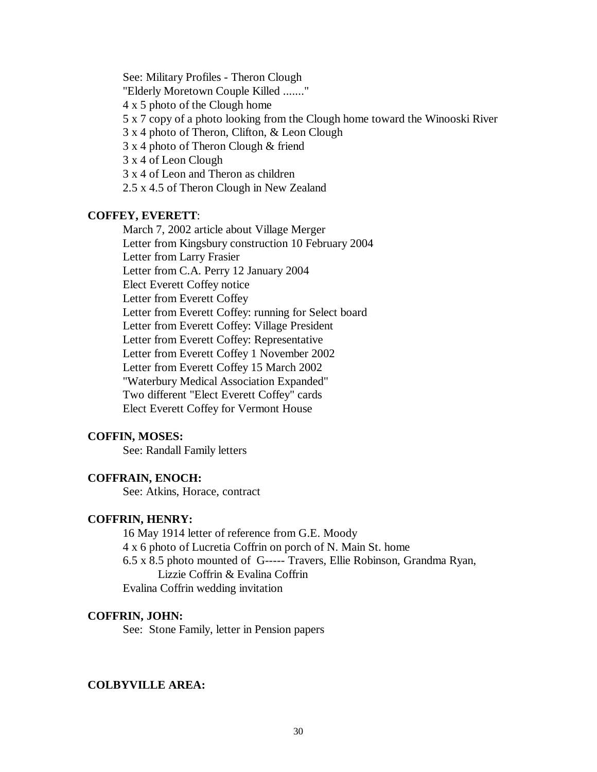See: Military Profiles - Theron Clough "Elderly Moretown Couple Killed ......." 4 x 5 photo of the Clough home 5 x 7 copy of a photo looking from the Clough home toward the Winooski River 3 x 4 photo of Theron, Clifton, & Leon Clough 3 x 4 photo of Theron Clough & friend 3 x 4 of Leon Clough 3 x 4 of Leon and Theron as children

2.5 x 4.5 of Theron Clough in New Zealand

## **COFFEY, EVERETT**:

March 7, 2002 article about Village Merger Letter from Kingsbury construction 10 February 2004 Letter from Larry Frasier Letter from C.A. Perry 12 January 2004 Elect Everett Coffey notice Letter from Everett Coffey Letter from Everett Coffey: running for Select board Letter from Everett Coffey: Village President Letter from Everett Coffey: Representative Letter from Everett Coffey 1 November 2002 Letter from Everett Coffey 15 March 2002 "Waterbury Medical Association Expanded" Two different "Elect Everett Coffey" cards Elect Everett Coffey for Vermont House

## **COFFIN, MOSES:**

See: Randall Family letters

### **COFFRAIN, ENOCH:**

See: Atkins, Horace, contract

#### **COFFRIN, HENRY:**

16 May 1914 letter of reference from G.E. Moody

4 x 6 photo of Lucretia Coffrin on porch of N. Main St. home

6.5 x 8.5 photo mounted of G----- Travers, Ellie Robinson, Grandma Ryan, Lizzie Coffrin & Evalina Coffrin

Evalina Coffrin wedding invitation

## **COFFRIN, JOHN:**

See: Stone Family, letter in Pension papers

## **COLBYVILLE AREA:**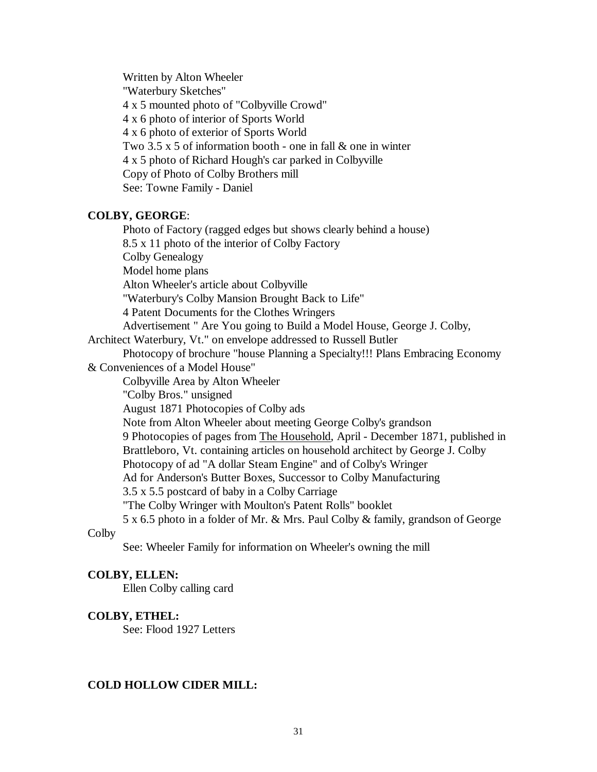Written by Alton Wheeler "Waterbury Sketches" 4 x 5 mounted photo of "Colbyville Crowd" 4 x 6 photo of interior of Sports World 4 x 6 photo of exterior of Sports World Two 3.5 x 5 of information booth - one in fall & one in winter 4 x 5 photo of Richard Hough's car parked in Colbyville Copy of Photo of Colby Brothers mill See: Towne Family - Daniel

#### **COLBY, GEORGE**:

Photo of Factory (ragged edges but shows clearly behind a house) 8.5 x 11 photo of the interior of Colby Factory Colby Genealogy Model home plans Alton Wheeler's article about Colbyville "Waterbury's Colby Mansion Brought Back to Life" 4 Patent Documents for the Clothes Wringers Advertisement " Are You going to Build a Model House, George J. Colby, Architect Waterbury, Vt." on envelope addressed to Russell Butler Photocopy of brochure "house Planning a Specialty!!! Plans Embracing Economy & Conveniences of a Model House" Colbyville Area by Alton Wheeler "Colby Bros." unsigned August 1871 Photocopies of Colby ads Note from Alton Wheeler about meeting George Colby's grandson 9 Photocopies of pages from The Household, April - December 1871, published in Brattleboro, Vt. containing articles on household architect by George J. Colby Photocopy of ad "A dollar Steam Engine" and of Colby's Wringer Ad for Anderson's Butter Boxes, Successor to Colby Manufacturing 3.5 x 5.5 postcard of baby in a Colby Carriage "The Colby Wringer with Moulton's Patent Rolls" booklet 5 x 6.5 photo in a folder of Mr. & Mrs. Paul Colby & family, grandson of George **Colby** 

See: Wheeler Family for information on Wheeler's owning the mill

### **COLBY, ELLEN:**

Ellen Colby calling card

#### **COLBY, ETHEL:**

See: Flood 1927 Letters

#### **COLD HOLLOW CIDER MILL:**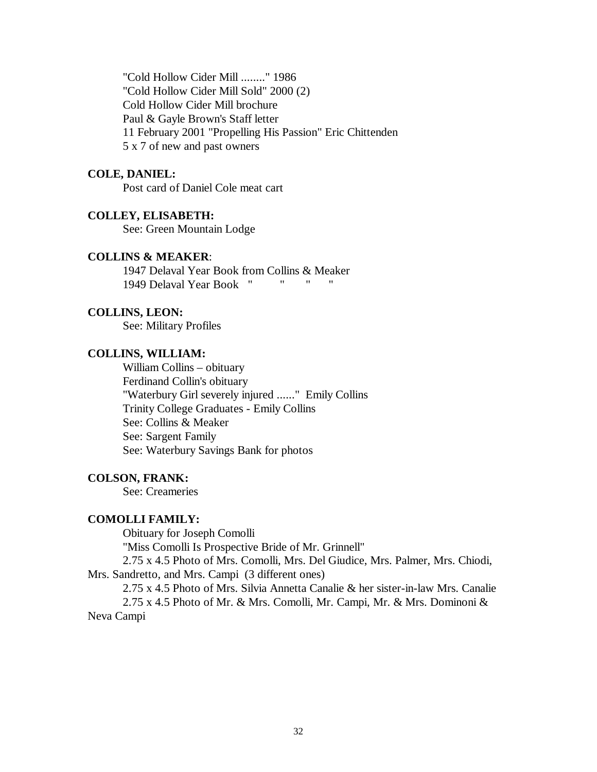"Cold Hollow Cider Mill ........" 1986 "Cold Hollow Cider Mill Sold" 2000 (2) Cold Hollow Cider Mill brochure Paul & Gayle Brown's Staff letter 11 February 2001 "Propelling His Passion" Eric Chittenden 5 x 7 of new and past owners

#### **COLE, DANIEL:**

Post card of Daniel Cole meat cart

## **COLLEY, ELISABETH:**

See: Green Mountain Lodge

## **COLLINS & MEAKER**:

1947 Delaval Year Book from Collins & Meaker 1949 Delaval Year Book " " " "

## **COLLINS, LEON:**

See: Military Profiles

## **COLLINS, WILLIAM:**

William Collins – obituary Ferdinand Collin's obituary "Waterbury Girl severely injured ......" Emily Collins Trinity College Graduates - Emily Collins See: Collins & Meaker See: Sargent Family See: Waterbury Savings Bank for photos

## **COLSON, FRANK:**

See: Creameries

#### **COMOLLI FAMILY:**

Obituary for Joseph Comolli

"Miss Comolli Is Prospective Bride of Mr. Grinnell"

2.75 x 4.5 Photo of Mrs. Comolli, Mrs. Del Giudice, Mrs. Palmer, Mrs. Chiodi, Mrs. Sandretto, and Mrs. Campi(3 different ones)

2.75 x 4.5 Photo of Mrs. Silvia Annetta Canalie & her sister-in-law Mrs. Canalie

2.75 x 4.5 Photo of Mr. & Mrs. Comolli, Mr. Campi, Mr. & Mrs. Dominoni & Neva Campi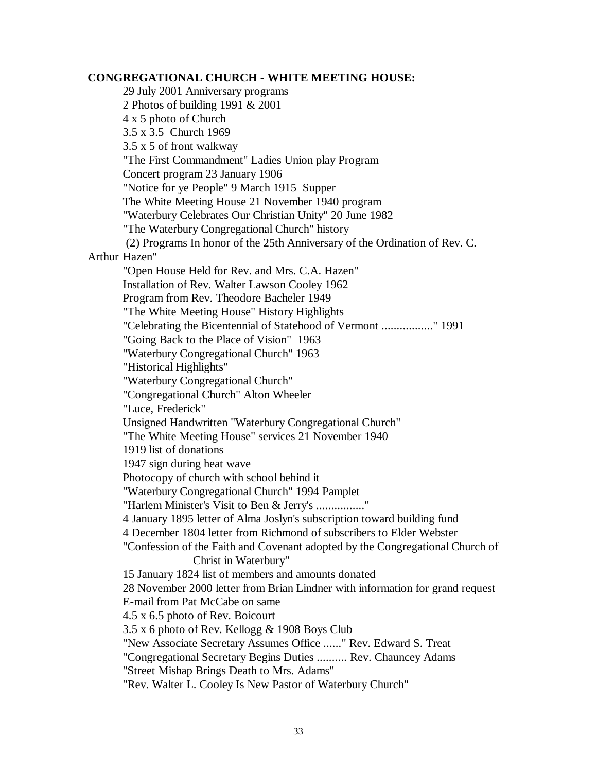## **CONGREGATIONAL CHURCH - WHITE MEETING HOUSE:**

29 July 2001 Anniversary programs 2 Photos of building 1991 & 2001 4 x 5 photo of Church 3.5 x 3.5 Church 1969 3.5 x 5 of front walkway "The First Commandment" Ladies Union play Program Concert program 23 January 1906 "Notice for ye People" 9 March 1915 Supper The White Meeting House 21 November 1940 program "Waterbury Celebrates Our Christian Unity" 20 June 1982 "The Waterbury Congregational Church" history (2) Programs In honor of the 25th Anniversary of the Ordination of Rev. C. Arthur Hazen" "Open House Held for Rev. and Mrs. C.A. Hazen" Installation of Rev. Walter Lawson Cooley 1962 Program from Rev. Theodore Bacheler 1949 "The White Meeting House" History Highlights "Celebrating the Bicentennial of Statehood of Vermont ................." 1991 "Going Back to the Place of Vision" 1963 "Waterbury Congregational Church" 1963 "Historical Highlights" "Waterbury Congregational Church" "Congregational Church" Alton Wheeler "Luce, Frederick" Unsigned Handwritten "Waterbury Congregational Church" "The White Meeting House" services 21 November 1940 1919 list of donations 1947 sign during heat wave Photocopy of church with school behind it "Waterbury Congregational Church" 1994 Pamplet "Harlem Minister's Visit to Ben & Jerry's ................." 4 January 1895 letter of Alma Joslyn's subscription toward building fund 4 December 1804 letter from Richmond of subscribers to Elder Webster "Confession of the Faith and Covenant adopted by the Congregational Church of Christ in Waterbury" 15 January 1824 list of members and amounts donated 28 November 2000 letter from Brian Lindner with information for grand request E-mail from Pat McCabe on same 4.5 x 6.5 photo of Rev. Boicourt 3.5 x 6 photo of Rev. Kellogg & 1908 Boys Club "New Associate Secretary Assumes Office ......" Rev. Edward S. Treat "Congregational Secretary Begins Duties .......... Rev. Chauncey Adams "Street Mishap Brings Death to Mrs. Adams" "Rev. Walter L. Cooley Is New Pastor of Waterbury Church"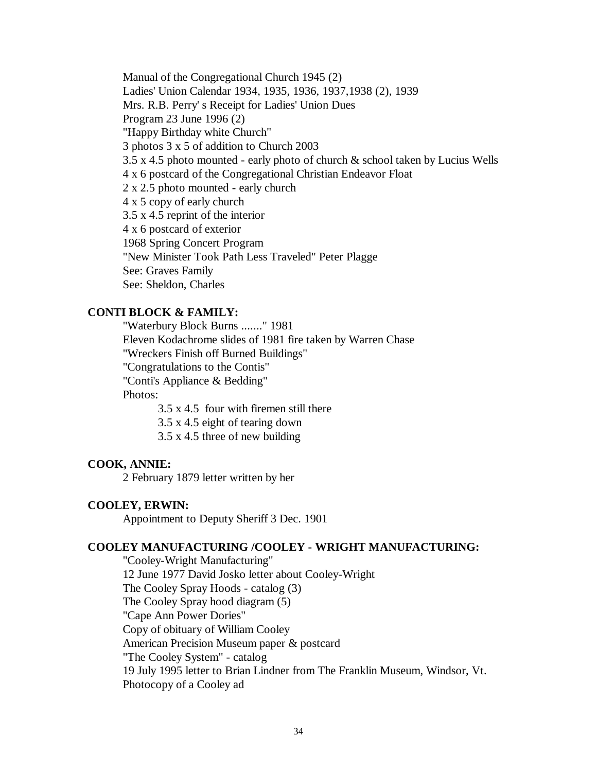Manual of the Congregational Church 1945 (2) Ladies' Union Calendar 1934, 1935, 1936, 1937,1938 (2), 1939 Mrs. R.B. Perry' s Receipt for Ladies' Union Dues Program 23 June 1996 (2) "Happy Birthday white Church" 3 photos 3 x 5 of addition to Church 2003 3.5 x 4.5 photo mounted - early photo of church & school taken by Lucius Wells 4 x 6 postcard of the Congregational Christian Endeavor Float 2 x 2.5 photo mounted - early church 4 x 5 copy of early church 3.5 x 4.5 reprint of the interior 4 x 6 postcard of exterior 1968 Spring Concert Program "New Minister Took Path Less Traveled" Peter Plagge See: Graves Family See: Sheldon, Charles

#### **CONTI BLOCK & FAMILY:**

"Waterbury Block Burns ......." 1981 Eleven Kodachrome slides of 1981 fire taken by Warren Chase "Wreckers Finish off Burned Buildings" "Congratulations to the Contis" "Conti's Appliance & Bedding" Photos:

3.5 x 4.5 four with firemen still there

3.5 x 4.5 eight of tearing down

3.5 x 4.5 three of new building

#### **COOK, ANNIE:**

2 February 1879 letter written by her

## **COOLEY, ERWIN:**

Appointment to Deputy Sheriff 3 Dec. 1901

# **COOLEY MANUFACTURING /COOLEY - WRIGHT MANUFACTURING:**

"Cooley-Wright Manufacturing" 12 June 1977 David Josko letter about Cooley-Wright The Cooley Spray Hoods - catalog (3) The Cooley Spray hood diagram (5) "Cape Ann Power Dories" Copy of obituary of William Cooley American Precision Museum paper & postcard "The Cooley System" - catalog 19 July 1995 letter to Brian Lindner from The Franklin Museum, Windsor, Vt. Photocopy of a Cooley ad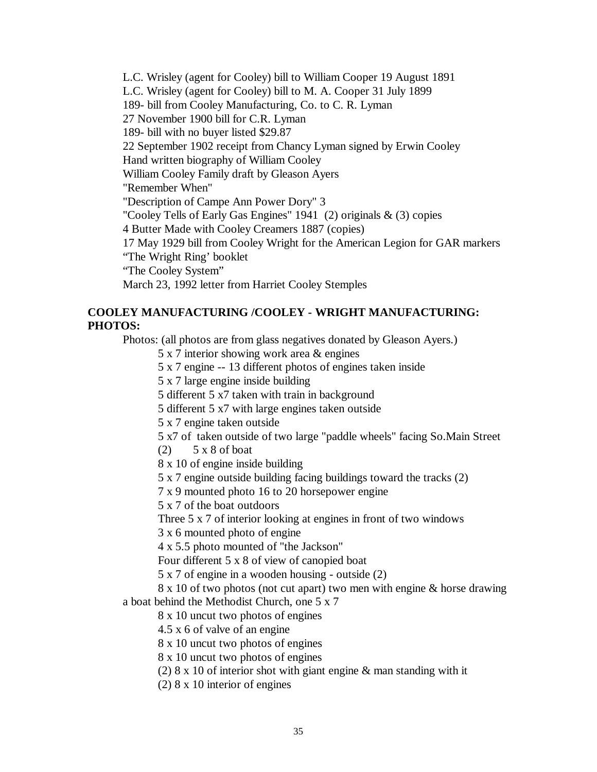L.C. Wrisley (agent for Cooley) bill to William Cooper 19 August 1891 L.C. Wrisley (agent for Cooley) bill to M. A. Cooper 31 July 1899 189- bill from Cooley Manufacturing, Co. to C. R. Lyman 27 November 1900 bill for C.R. Lyman 189- bill with no buyer listed \$29.87 22 September 1902 receipt from Chancy Lyman signed by Erwin Cooley Hand written biography of William Cooley William Cooley Family draft by Gleason Ayers "Remember When" "Description of Campe Ann Power Dory" 3 "Cooley Tells of Early Gas Engines" 1941 (2) originals & (3) copies 4 Butter Made with Cooley Creamers 1887 (copies) 17 May 1929 bill from Cooley Wright for the American Legion for GAR markers "The Wright Ring' booklet "The Cooley System" March 23, 1992 letter from Harriet Cooley Stemples

# **COOLEY MANUFACTURING /COOLEY - WRIGHT MANUFACTURING: PHOTOS:**

Photos: (all photos are from glass negatives donated by Gleason Ayers.)

5 x 7 interior showing work area & engines

5 x 7 engine -- 13 different photos of engines taken inside

5 x 7 large engine inside building

5 different 5 x7 taken with train in background

5 different 5 x7 with large engines taken outside

5 x 7 engine taken outside

5 x7 of taken outside of two large "paddle wheels" facing So.Main Street

 $(2)$  5 x 8 of boat

8 x 10 of engine inside building

5 x 7 engine outside building facing buildings toward the tracks (2)

7 x 9 mounted photo 16 to 20 horsepower engine

5 x 7 of the boat outdoors

Three 5 x 7 of interior looking at engines in front of two windows

3 x 6 mounted photo of engine

4 x 5.5 photo mounted of "the Jackson"

Four different 5 x 8 of view of canopied boat

5 x 7 of engine in a wooden housing - outside (2)

8 x 10 of two photos (not cut apart) two men with engine & horse drawing a boat behind the Methodist Church, one 5 x 7

8 x 10 uncut two photos of engines

4.5 x 6 of valve of an engine

8 x 10 uncut two photos of engines

8 x 10 uncut two photos of engines

(2) 8 x 10 of interior shot with giant engine & man standing with it

(2) 8 x 10 interior of engines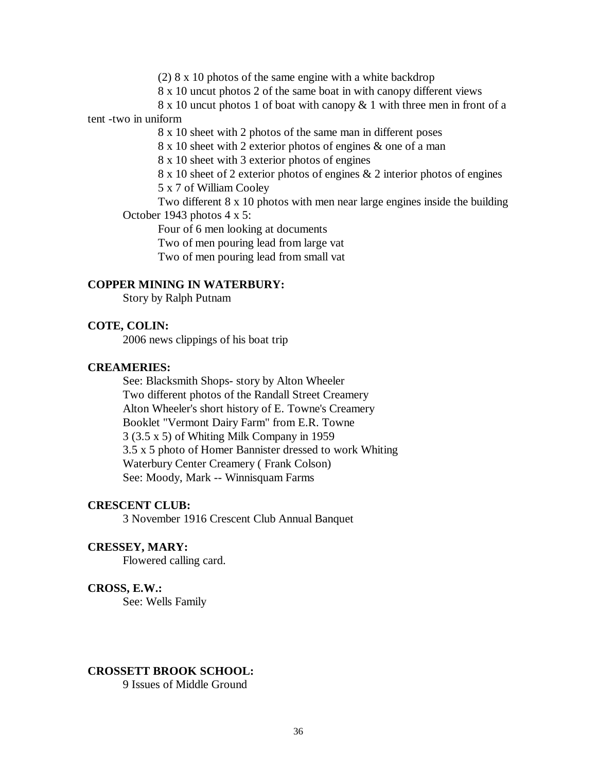(2) 8 x 10 photos of the same engine with a white backdrop

8 x 10 uncut photos 2 of the same boat in with canopy different views

8 x 10 uncut photos 1 of boat with canopy & 1 with three men in front of a

## tent -two in uniform

8 x 10 sheet with 2 photos of the same man in different poses

8 x 10 sheet with 2 exterior photos of engines & one of a man

8 x 10 sheet with 3 exterior photos of engines

8 x 10 sheet of 2 exterior photos of engines & 2 interior photos of engines 5 x 7 of William Cooley

Two different 8 x 10 photos with men near large engines inside the building October 1943 photos 4 x 5:

Four of 6 men looking at documents

Two of men pouring lead from large vat

Two of men pouring lead from small vat

## **COPPER MINING IN WATERBURY:**

Story by Ralph Putnam

## **COTE, COLIN:**

2006 news clippings of his boat trip

#### **CREAMERIES:**

See: Blacksmith Shops- story by Alton Wheeler Two different photos of the Randall Street Creamery Alton Wheeler's short history of E. Towne's Creamery Booklet "Vermont Dairy Farm" from E.R. Towne 3 (3.5 x 5) of Whiting Milk Company in 1959 3.5 x 5 photo of Homer Bannister dressed to work Whiting Waterbury Center Creamery ( Frank Colson) See: Moody, Mark -- Winnisquam Farms

## **CRESCENT CLUB:**

3 November 1916 Crescent Club Annual Banquet

#### **CRESSEY, MARY:**

Flowered calling card.

#### **CROSS, E.W.:**

See: Wells Family

# **CROSSETT BROOK SCHOOL:**

9 Issues of Middle Ground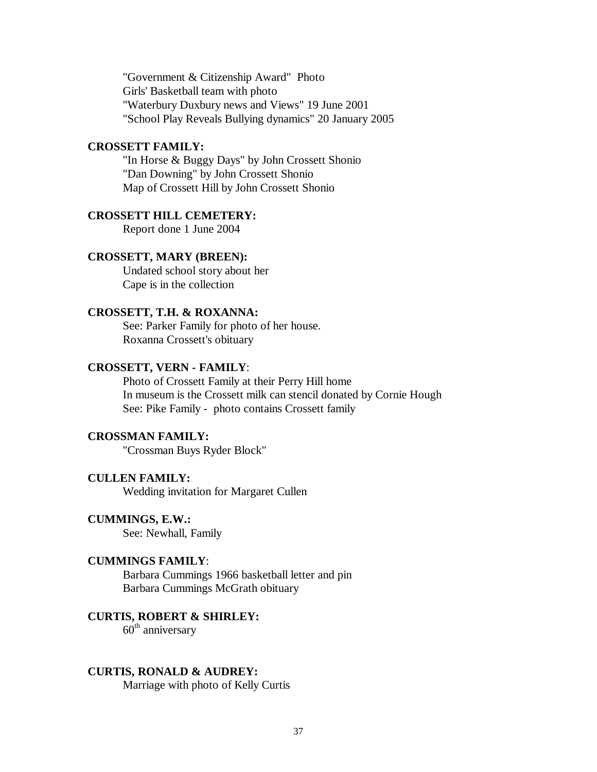"Government & Citizenship Award" Photo Girls' Basketball team with photo "Waterbury Duxbury news and Views" 19 June 2001 "School Play Reveals Bullying dynamics" 20 January 2005

### **CROSSETT FAMILY:**

"In Horse & Buggy Days" by John Crossett Shonio "Dan Downing" by John Crossett Shonio Map of Crossett Hill by John Crossett Shonio

## **CROSSETT HILL CEMETERY:**

Report done 1 June 2004

## **CROSSETT, MARY (BREEN):**

Undated school story about her Cape is in the collection

### **CROSSETT, T.H. & ROXANNA:**

See: Parker Family for photo of her house. Roxanna Crossett's obituary

### **CROSSETT, VERN - FAMILY**:

Photo of Crossett Family at their Perry Hill home In museum is the Crossett milk can stencil donated by Cornie Hough See: Pike Family - photo contains Crossett family

# **CROSSMAN FAMILY:**

"Crossman Buys Ryder Block"

## **CULLEN FAMILY:**

Wedding invitation for Margaret Cullen

### **CUMMINGS, E.W.:**

See: Newhall, Family

## **CUMMINGS FAMILY**:

Barbara Cummings 1966 basketball letter and pin Barbara Cummings McGrath obituary

## **CURTIS, ROBERT & SHIRLEY:**

 $60<sup>th</sup>$  anniversary

### **CURTIS, RONALD & AUDREY:**

Marriage with photo of Kelly Curtis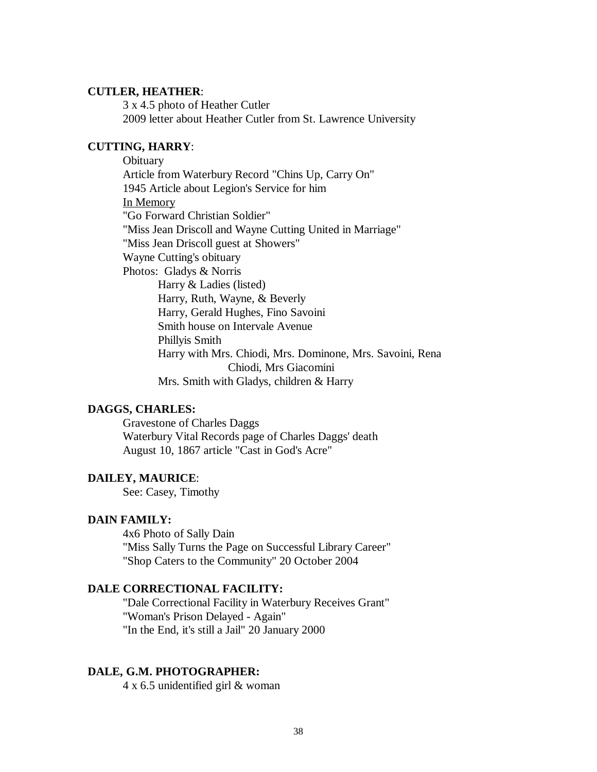### **CUTLER, HEATHER**:

3 x 4.5 photo of Heather Cutler 2009 letter about Heather Cutler from St. Lawrence University

## **CUTTING, HARRY**:

**Obituary** Article from Waterbury Record "Chins Up, Carry On" 1945 Article about Legion's Service for him In Memory "Go Forward Christian Soldier" "Miss Jean Driscoll and Wayne Cutting United in Marriage" "Miss Jean Driscoll guest at Showers" Wayne Cutting's obituary Photos: Gladys & Norris Harry & Ladies (listed) Harry, Ruth, Wayne, & Beverly Harry, Gerald Hughes, Fino Savoini Smith house on Intervale Avenue Phillyis Smith Harry with Mrs. Chiodi, Mrs. Dominone, Mrs. Savoini, Rena Chiodi, Mrs Giacomini Mrs. Smith with Gladys, children & Harry

## **DAGGS, CHARLES:**

Gravestone of Charles Daggs Waterbury Vital Records page of Charles Daggs' death August 10, 1867 article "Cast in God's Acre"

### **DAILEY, MAURICE**:

See: Casey, Timothy

### **DAIN FAMILY:**

4x6 Photo of Sally Dain "Miss Sally Turns the Page on Successful Library Career" "Shop Caters to the Community" 20 October 2004

### **DALE CORRECTIONAL FACILITY:**

"Dale Correctional Facility in Waterbury Receives Grant" "Woman's Prison Delayed - Again" "In the End, it's still a Jail" 20 January 2000

### **DALE, G.M. PHOTOGRAPHER:**

4 x 6.5 unidentified girl & woman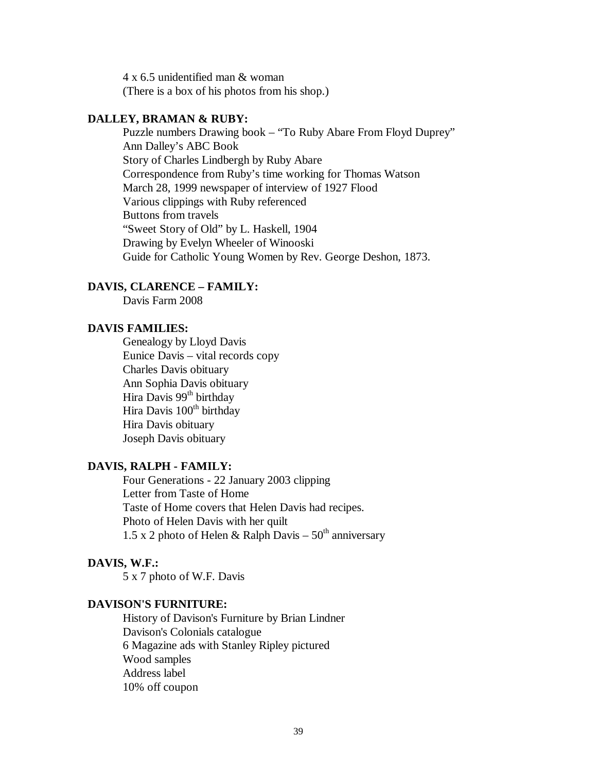4 x 6.5 unidentified man & woman (There is a box of his photos from his shop.)

### **DALLEY, BRAMAN & RUBY:**

Puzzle numbers Drawing book – "To Ruby Abare From Floyd Duprey" Ann Dalley's ABC Book Story of Charles Lindbergh by Ruby Abare Correspondence from Ruby's time working for Thomas Watson March 28, 1999 newspaper of interview of 1927 Flood Various clippings with Ruby referenced Buttons from travels "Sweet Story of Old" by L. Haskell, 1904 Drawing by Evelyn Wheeler of Winooski Guide for Catholic Young Women by Rev. George Deshon, 1873.

### **DAVIS, CLARENCE – FAMILY:**

Davis Farm 2008

## **DAVIS FAMILIES:**

Genealogy by Lloyd Davis Eunice Davis – vital records copy Charles Davis obituary Ann Sophia Davis obituary Hira Davis 99<sup>th</sup> birthday Hira Davis 100<sup>th</sup> birthday Hira Davis obituary Joseph Davis obituary

## **DAVIS, RALPH - FAMILY:**

Four Generations - 22 January 2003 clipping Letter from Taste of Home Taste of Home covers that Helen Davis had recipes. Photo of Helen Davis with her quilt 1.5 x 2 photo of Helen & Ralph Davis –  $50<sup>th</sup>$  anniversary

## **DAVIS, W.F.:**

5 x 7 photo of W.F. Davis

## **DAVISON'S FURNITURE:**

History of Davison's Furniture by Brian Lindner Davison's Colonials catalogue 6 Magazine ads with Stanley Ripley pictured Wood samples Address label 10% off coupon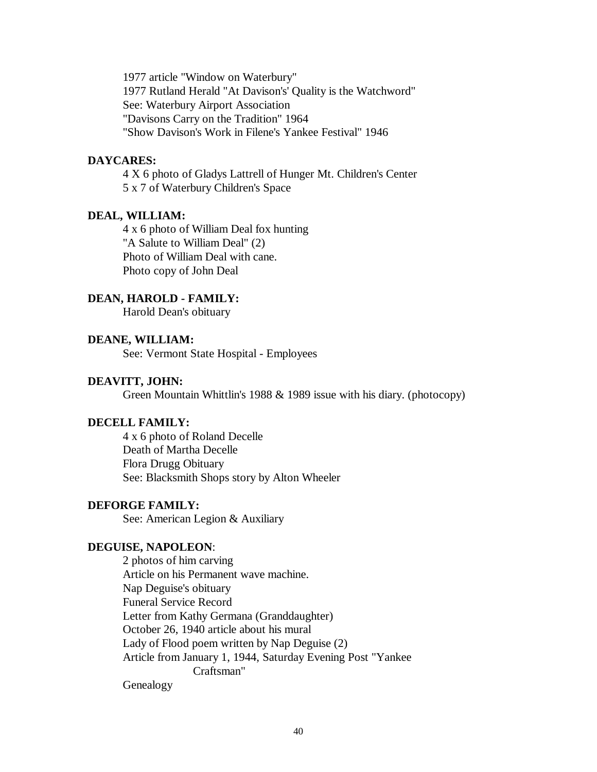1977 article "Window on Waterbury" 1977 Rutland Herald "At Davison's' Quality is the Watchword" See: Waterbury Airport Association "Davisons Carry on the Tradition" 1964 "Show Davison's Work in Filene's Yankee Festival" 1946

## **DAYCARES:**

4 X 6 photo of Gladys Lattrell of Hunger Mt. Children's Center 5 x 7 of Waterbury Children's Space

## **DEAL, WILLIAM:**

4 x 6 photo of William Deal fox hunting "A Salute to William Deal" (2) Photo of William Deal with cane. Photo copy of John Deal

#### **DEAN, HAROLD - FAMILY:**

Harold Dean's obituary

## **DEANE, WILLIAM:**

See: Vermont State Hospital - Employees

## **DEAVITT, JOHN:**

Green Mountain Whittlin's 1988 & 1989 issue with his diary. (photocopy)

### **DECELL FAMILY:**

4 x 6 photo of Roland Decelle Death of Martha Decelle Flora Drugg Obituary See: Blacksmith Shops story by Alton Wheeler

### **DEFORGE FAMILY:**

See: American Legion & Auxiliary

## **DEGUISE, NAPOLEON**:

2 photos of him carving Article on his Permanent wave machine. Nap Deguise's obituary Funeral Service Record Letter from Kathy Germana (Granddaughter) October 26, 1940 article about his mural Lady of Flood poem written by Nap Deguise (2) Article from January 1, 1944, Saturday Evening Post "Yankee Craftsman"

# Genealogy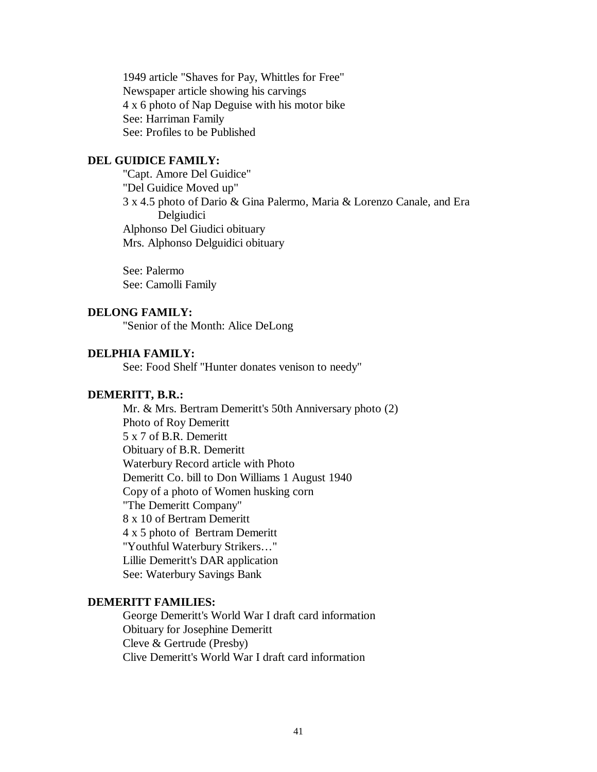1949 article "Shaves for Pay, Whittles for Free" Newspaper article showing his carvings 4 x 6 photo of Nap Deguise with his motor bike See: Harriman Family See: Profiles to be Published

## **DEL GUIDICE FAMILY:**

"Capt. Amore Del Guidice" "Del Guidice Moved up" 3 x 4.5 photo of Dario & Gina Palermo, Maria & Lorenzo Canale, and Era Delgiudici Alphonso Del Giudici obituary Mrs. Alphonso Delguidici obituary

See: Palermo See: Camolli Family

### **DELONG FAMILY:**

"Senior of the Month: Alice DeLong

## **DELPHIA FAMILY:**

See: Food Shelf "Hunter donates venison to needy"

#### **DEMERITT, B.R.:**

Mr. & Mrs. Bertram Demeritt's 50th Anniversary photo (2) Photo of Roy Demeritt 5 x 7 of B.R. Demeritt Obituary of B.R. Demeritt Waterbury Record article with Photo Demeritt Co. bill to Don Williams 1 August 1940 Copy of a photo of Women husking corn "The Demeritt Company" 8 x 10 of Bertram Demeritt 4 x 5 photo of Bertram Demeritt "Youthful Waterbury Strikers…" Lillie Demeritt's DAR application See: Waterbury Savings Bank

## **DEMERITT FAMILIES:**

George Demeritt's World War I draft card information Obituary for Josephine Demeritt Cleve & Gertrude (Presby) Clive Demeritt's World War I draft card information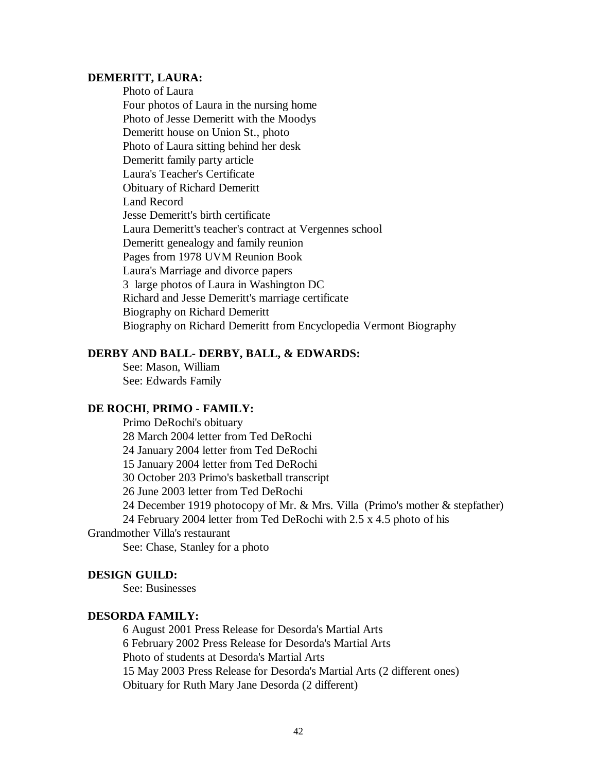### **DEMERITT, LAURA:**

Photo of Laura Four photos of Laura in the nursing home Photo of Jesse Demeritt with the Moodys Demeritt house on Union St., photo Photo of Laura sitting behind her desk Demeritt family party article Laura's Teacher's Certificate Obituary of Richard Demeritt Land Record Jesse Demeritt's birth certificate Laura Demeritt's teacher's contract at Vergennes school Demeritt genealogy and family reunion Pages from 1978 UVM Reunion Book Laura's Marriage and divorce papers 3 large photos of Laura in Washington DC Richard and Jesse Demeritt's marriage certificate Biography on Richard Demeritt Biography on Richard Demeritt from Encyclopedia Vermont Biography

# **DERBY AND BALL- DERBY, BALL, & EDWARDS:**

See: Mason, William See: Edwards Family

### **DE ROCHI**, **PRIMO - FAMILY:**

Primo DeRochi's obituary 28 March 2004 letter from Ted DeRochi 24 January 2004 letter from Ted DeRochi 15 January 2004 letter from Ted DeRochi 30 October 203 Primo's basketball transcript 26 June 2003 letter from Ted DeRochi 24 December 1919 photocopy of Mr. & Mrs. Villa (Primo's mother & stepfather) 24 February 2004 letter from Ted DeRochi with 2.5 x 4.5 photo of his Grandmother Villa's restaurant See: Chase, Stanley for a photo

#### **DESIGN GUILD:**

See: Businesses

# **DESORDA FAMILY:**

6 August 2001 Press Release for Desorda's Martial Arts 6 February 2002 Press Release for Desorda's Martial Arts Photo of students at Desorda's Martial Arts 15 May 2003 Press Release for Desorda's Martial Arts (2 different ones) Obituary for Ruth Mary Jane Desorda (2 different)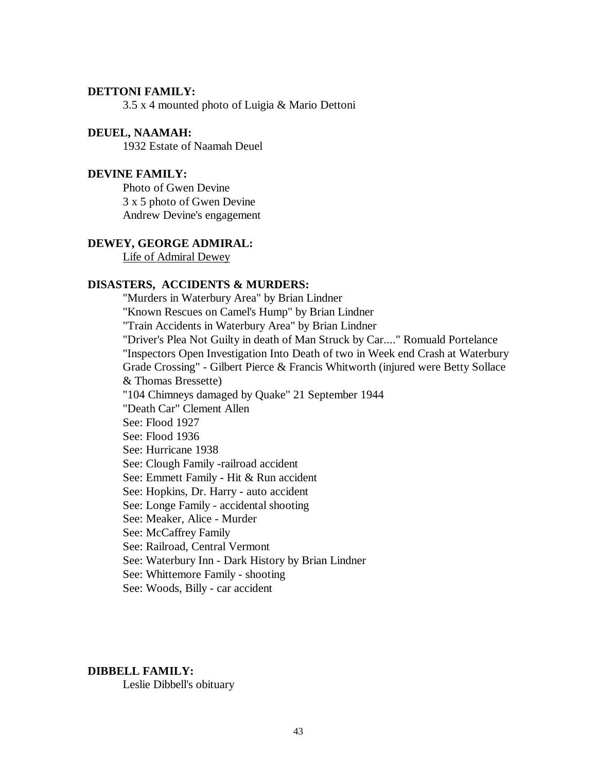# **DETTONI FAMILY:**

3.5 x 4 mounted photo of Luigia & Mario Dettoni

### **DEUEL, NAAMAH:**

1932 Estate of Naamah Deuel

## **DEVINE FAMILY:**

Photo of Gwen Devine 3 x 5 photo of Gwen Devine Andrew Devine's engagement

## **DEWEY, GEORGE ADMIRAL:**

Life of Admiral Dewey

## **DISASTERS, ACCIDENTS & MURDERS:**

"Murders in Waterbury Area" by Brian Lindner "Known Rescues on Camel's Hump" by Brian Lindner "Train Accidents in Waterbury Area" by Brian Lindner "Driver's Plea Not Guilty in death of Man Struck by Car...." Romuald Portelance "Inspectors Open Investigation Into Death of two in Week end Crash at Waterbury Grade Crossing" - Gilbert Pierce & Francis Whitworth (injured were Betty Sollace & Thomas Bressette) "104 Chimneys damaged by Quake" 21 September 1944 "Death Car" Clement Allen See: Flood 1927 See: Flood 1936 See: Hurricane 1938 See: Clough Family -railroad accident See: Emmett Family - Hit & Run accident See: Hopkins, Dr. Harry - auto accident See: Longe Family - accidental shooting See: Meaker, Alice - Murder See: McCaffrey Family See: Railroad, Central Vermont See: Waterbury Inn - Dark History by Brian Lindner See: Whittemore Family - shooting See: Woods, Billy - car accident

## **DIBBELL FAMILY:**

Leslie Dibbell's obituary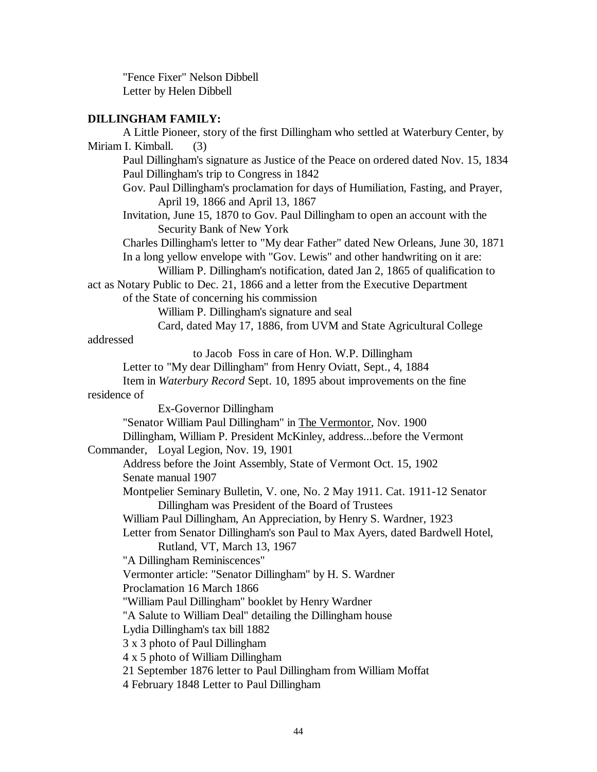"Fence Fixer" Nelson Dibbell Letter by Helen Dibbell

# **DILLINGHAM FAMILY:**

| A Little Pioneer, story of the first Dillingham who settled at Waterbury Center, by                                                                                                                                                             |  |  |  |
|-------------------------------------------------------------------------------------------------------------------------------------------------------------------------------------------------------------------------------------------------|--|--|--|
| Miriam I. Kimball.<br>(3)                                                                                                                                                                                                                       |  |  |  |
| Paul Dillingham's signature as Justice of the Peace on ordered dated Nov. 15, 1834<br>Paul Dillingham's trip to Congress in 1842                                                                                                                |  |  |  |
| Gov. Paul Dillingham's proclamation for days of Humiliation, Fasting, and Prayer,<br>April 19, 1866 and April 13, 1867                                                                                                                          |  |  |  |
| Invitation, June 15, 1870 to Gov. Paul Dillingham to open an account with the<br>Security Bank of New York                                                                                                                                      |  |  |  |
| Charles Dillingham's letter to "My dear Father" dated New Orleans, June 30, 1871<br>In a long yellow envelope with "Gov. Lewis" and other handwriting on it are:<br>William P. Dillingham's notification, dated Jan 2, 1865 of qualification to |  |  |  |
| act as Notary Public to Dec. 21, 1866 and a letter from the Executive Department<br>of the State of concerning his commission                                                                                                                   |  |  |  |
| William P. Dillingham's signature and seal                                                                                                                                                                                                      |  |  |  |
| Card, dated May 17, 1886, from UVM and State Agricultural College                                                                                                                                                                               |  |  |  |
| addressed                                                                                                                                                                                                                                       |  |  |  |
| to Jacob Foss in care of Hon. W.P. Dillingham                                                                                                                                                                                                   |  |  |  |
| Letter to "My dear Dillingham" from Henry Oviatt, Sept., 4, 1884                                                                                                                                                                                |  |  |  |
| Item in Waterbury Record Sept. 10, 1895 about improvements on the fine                                                                                                                                                                          |  |  |  |
| residence of                                                                                                                                                                                                                                    |  |  |  |
| Ex-Governor Dillingham                                                                                                                                                                                                                          |  |  |  |
| "Senator William Paul Dillingham" in The Vermontor, Nov. 1900                                                                                                                                                                                   |  |  |  |
| Dillingham, William P. President McKinley, addressbefore the Vermont                                                                                                                                                                            |  |  |  |
| Commander, Loyal Legion, Nov. 19, 1901                                                                                                                                                                                                          |  |  |  |
| Address before the Joint Assembly, State of Vermont Oct. 15, 1902                                                                                                                                                                               |  |  |  |
| Senate manual 1907                                                                                                                                                                                                                              |  |  |  |
| Montpelier Seminary Bulletin, V. one, No. 2 May 1911. Cat. 1911-12 Senator<br>Dillingham was President of the Board of Trustees                                                                                                                 |  |  |  |
| William Paul Dillingham, An Appreciation, by Henry S. Wardner, 1923                                                                                                                                                                             |  |  |  |
| Letter from Senator Dillingham's son Paul to Max Ayers, dated Bardwell Hotel,<br>Rutland, VT, March 13, 1967                                                                                                                                    |  |  |  |
| "A Dillingham Reminiscences"                                                                                                                                                                                                                    |  |  |  |
| Vermonter article: "Senator Dillingham" by H. S. Wardner                                                                                                                                                                                        |  |  |  |
| Proclamation 16 March 1866                                                                                                                                                                                                                      |  |  |  |
| "William Paul Dillingham" booklet by Henry Wardner                                                                                                                                                                                              |  |  |  |
| "A Salute to William Deal" detailing the Dillingham house                                                                                                                                                                                       |  |  |  |
| Lydia Dillingham's tax bill 1882                                                                                                                                                                                                                |  |  |  |
| 3 x 3 photo of Paul Dillingham                                                                                                                                                                                                                  |  |  |  |
| 4 x 5 photo of William Dillingham                                                                                                                                                                                                               |  |  |  |
| 21 September 1876 letter to Paul Dillingham from William Moffat<br>4 February 1848 Letter to Paul Dillingham                                                                                                                                    |  |  |  |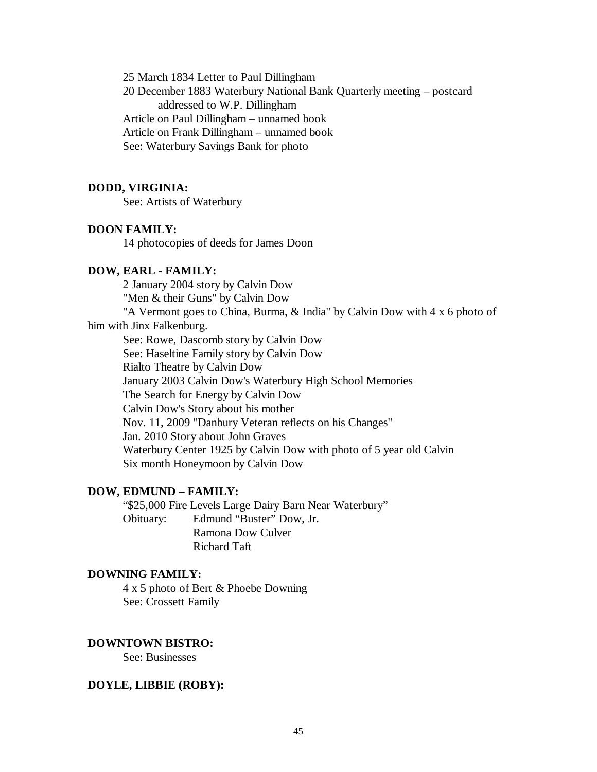25 March 1834 Letter to Paul Dillingham 20 December 1883 Waterbury National Bank Quarterly meeting – postcard addressed to W.P. Dillingham Article on Paul Dillingham – unnamed book Article on Frank Dillingham – unnamed book See: Waterbury Savings Bank for photo

### **DODD, VIRGINIA:**

See: Artists of Waterbury

#### **DOON FAMILY:**

14 photocopies of deeds for James Doon

### **DOW, EARL - FAMILY:**

2 January 2004 story by Calvin Dow "Men & their Guns" by Calvin Dow

"A Vermont goes to China, Burma, & India" by Calvin Dow with 4 x 6 photo of him with Jinx Falkenburg.

See: Rowe, Dascomb story by Calvin Dow See: Haseltine Family story by Calvin Dow Rialto Theatre by Calvin Dow January 2003 Calvin Dow's Waterbury High School Memories The Search for Energy by Calvin Dow Calvin Dow's Story about his mother Nov. 11, 2009 "Danbury Veteran reflects on his Changes" Jan. 2010 Story about John Graves Waterbury Center 1925 by Calvin Dow with photo of 5 year old Calvin Six month Honeymoon by Calvin Dow

### **DOW, EDMUND – FAMILY:**

"\$25,000 Fire Levels Large Dairy Barn Near Waterbury" Obituary: Edmund "Buster" Dow, Jr. Ramona Dow Culver Richard Taft

### **DOWNING FAMILY:**

4 x 5 photo of Bert & Phoebe Downing See: Crossett Family

### **DOWNTOWN BISTRO:**

See: Businesses

### **DOYLE, LIBBIE (ROBY):**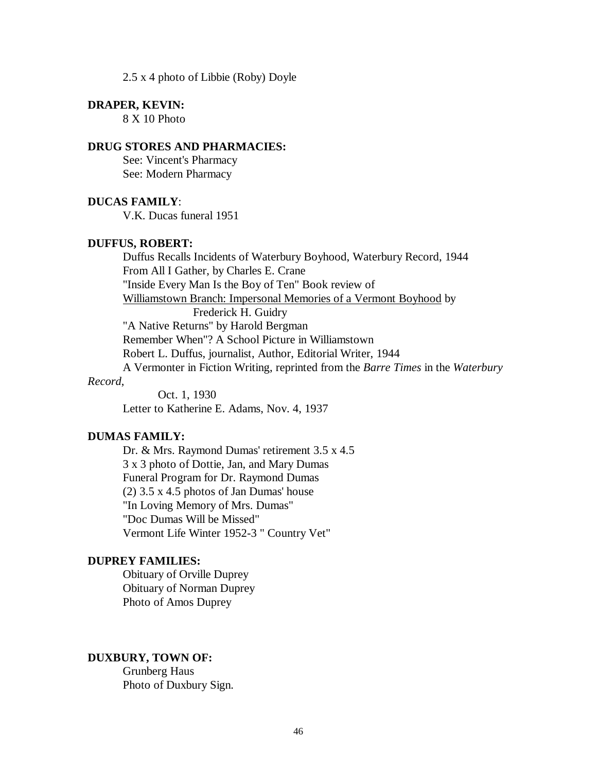2.5 x 4 photo of Libbie (Roby) Doyle

#### **DRAPER, KEVIN:**

8 X 10 Photo

### **DRUG STORES AND PHARMACIES:**

See: Vincent's Pharmacy See: Modern Pharmacy

### **DUCAS FAMILY**:

V.K. Ducas funeral 1951

### **DUFFUS, ROBERT:**

Duffus Recalls Incidents of Waterbury Boyhood, Waterbury Record, 1944 From All I Gather, by Charles E. Crane "Inside Every Man Is the Boy of Ten" Book review of Williamstown Branch: Impersonal Memories of a Vermont Boyhood by Frederick H. Guidry "A Native Returns" by Harold Bergman Remember When"? A School Picture in Williamstown Robert L. Duffus, journalist, Author, Editorial Writer, 1944 A Vermonter in Fiction Writing, reprinted from the *Barre Times* in the *Waterbury* 

### *Record*,

Oct. 1, 1930 Letter to Katherine E. Adams, Nov. 4, 1937

## **DUMAS FAMILY:**

Dr. & Mrs. Raymond Dumas' retirement 3.5 x 4.5 3 x 3 photo of Dottie, Jan, and Mary Dumas Funeral Program for Dr. Raymond Dumas (2) 3.5 x 4.5 photos of Jan Dumas' house "In Loving Memory of Mrs. Dumas" "Doc Dumas Will be Missed" Vermont Life Winter 1952-3 " Country Vet"

## **DUPREY FAMILIES:**

Obituary of Orville Duprey Obituary of Norman Duprey Photo of Amos Duprey

#### **DUXBURY, TOWN OF:**

Grunberg Haus Photo of Duxbury Sign.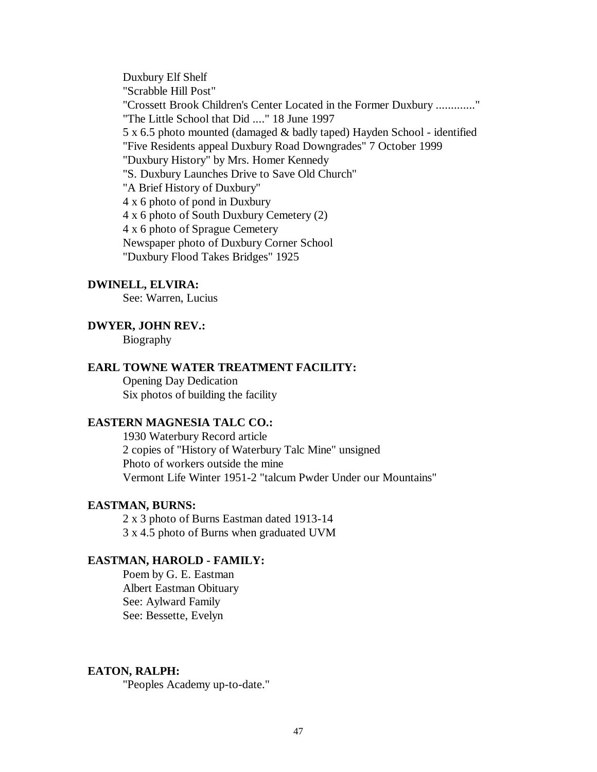Duxbury Elf Shelf "Scrabble Hill Post" "Crossett Brook Children's Center Located in the Former Duxbury ............." "The Little School that Did ...." 18 June 1997 5 x 6.5 photo mounted (damaged & badly taped) Hayden School - identified "Five Residents appeal Duxbury Road Downgrades" 7 October 1999 "Duxbury History" by Mrs. Homer Kennedy "S. Duxbury Launches Drive to Save Old Church" "A Brief History of Duxbury" 4 x 6 photo of pond in Duxbury 4 x 6 photo of South Duxbury Cemetery (2) 4 x 6 photo of Sprague Cemetery Newspaper photo of Duxbury Corner School "Duxbury Flood Takes Bridges" 1925

### **DWINELL, ELVIRA:**

See: Warren, Lucius

### **DWYER, JOHN REV.:**

Biography

# **EARL TOWNE WATER TREATMENT FACILITY:**

Opening Day Dedication Six photos of building the facility

### **EASTERN MAGNESIA TALC CO.:**

1930 Waterbury Record article 2 copies of "History of Waterbury Talc Mine" unsigned Photo of workers outside the mine Vermont Life Winter 1951-2 "talcum Pwder Under our Mountains"

## **EASTMAN, BURNS:**

2 x 3 photo of Burns Eastman dated 1913-14 3 x 4.5 photo of Burns when graduated UVM

## **EASTMAN, HAROLD - FAMILY:**

Poem by G. E. Eastman Albert Eastman Obituary See: Aylward Family See: Bessette, Evelyn

## **EATON, RALPH:**

"Peoples Academy up-to-date."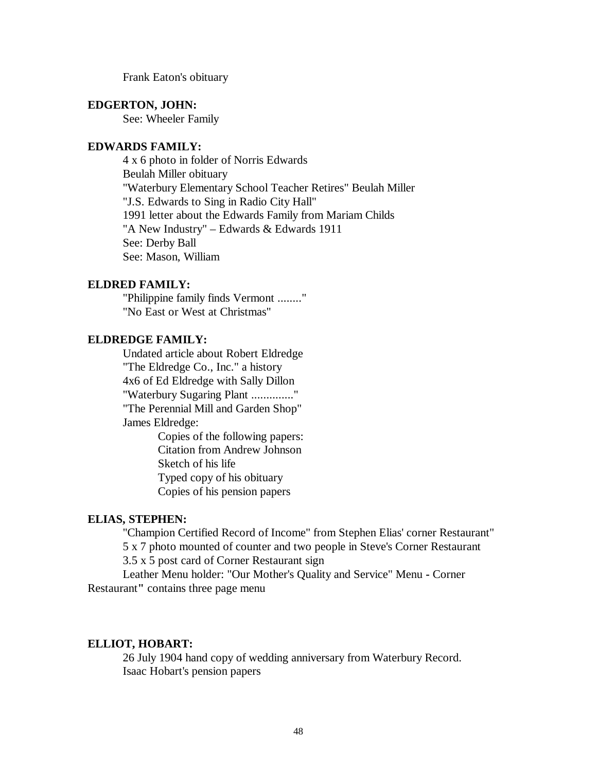Frank Eaton's obituary

### **EDGERTON, JOHN:**

See: Wheeler Family

### **EDWARDS FAMILY:**

4 x 6 photo in folder of Norris Edwards Beulah Miller obituary "Waterbury Elementary School Teacher Retires" Beulah Miller "J.S. Edwards to Sing in Radio City Hall" 1991 letter about the Edwards Family from Mariam Childs "A New Industry" – Edwards & Edwards 1911 See: Derby Ball See: Mason, William

### **ELDRED FAMILY:**

"Philippine family finds Vermont ........" "No East or West at Christmas"

# **ELDREDGE FAMILY:**

Undated article about Robert Eldredge "The Eldredge Co., Inc." a history 4x6 of Ed Eldredge with Sally Dillon "Waterbury Sugaring Plant .............." "The Perennial Mill and Garden Shop" James Eldredge:

Copies of the following papers: Citation from Andrew Johnson Sketch of his life Typed copy of his obituary Copies of his pension papers

### **ELIAS, STEPHEN:**

"Champion Certified Record of Income" from Stephen Elias' corner Restaurant"

5 x 7 photo mounted of counter and two people in Steve's Corner Restaurant

3.5 x 5 post card of Corner Restaurant sign

Leather Menu holder: "Our Mother's Quality and Service" Menu **-** Corner Restaurant**"** contains three page menu

#### **ELLIOT, HOBART:**

26 July 1904 hand copy of wedding anniversary from Waterbury Record. Isaac Hobart's pension papers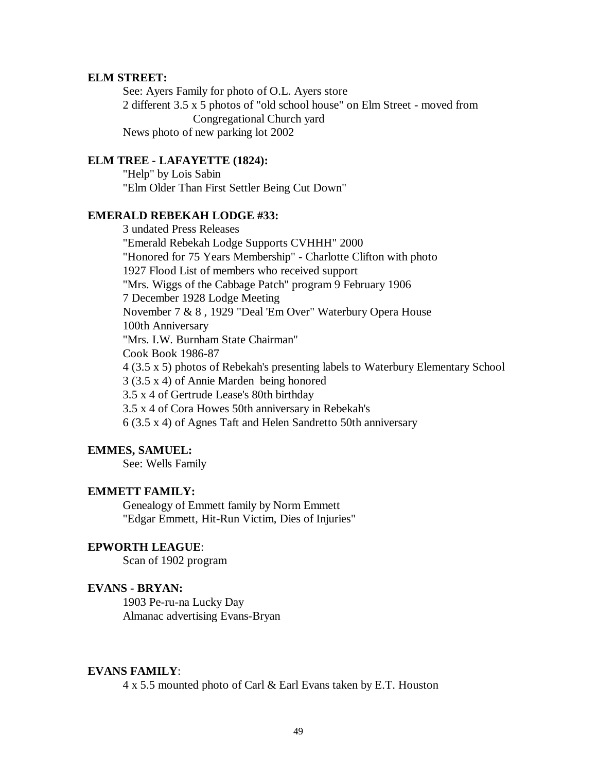#### **ELM STREET:**

See: Ayers Family for photo of O.L. Ayers store 2 different 3.5 x 5 photos of "old school house" on Elm Street - moved from Congregational Church yard News photo of new parking lot 2002

## **ELM TREE - LAFAYETTE (1824):**

"Help" by Lois Sabin "Elm Older Than First Settler Being Cut Down"

## **EMERALD REBEKAH LODGE #33:**

3 undated Press Releases "Emerald Rebekah Lodge Supports CVHHH" 2000 "Honored for 75 Years Membership" - Charlotte Clifton with photo 1927 Flood List of members who received support "Mrs. Wiggs of the Cabbage Patch" program 9 February 1906 7 December 1928 Lodge Meeting November 7 & 8 , 1929 "Deal 'Em Over" Waterbury Opera House 100th Anniversary "Mrs. I.W. Burnham State Chairman" Cook Book 1986-87 4 (3.5 x 5) photos of Rebekah's presenting labels to Waterbury Elementary School 3 (3.5 x 4) of Annie Marden being honored 3.5 x 4 of Gertrude Lease's 80th birthday 3.5 x 4 of Cora Howes 50th anniversary in Rebekah's 6 (3.5 x 4) of Agnes Taft and Helen Sandretto 50th anniversary

## **EMMES, SAMUEL:**

See: Wells Family

### **EMMETT FAMILY:**

Genealogy of Emmett family by Norm Emmett "Edgar Emmett, Hit-Run Victim, Dies of Injuries"

## **EPWORTH LEAGUE**:

Scan of 1902 program

#### **EVANS - BRYAN:**

1903 Pe-ru-na Lucky Day Almanac advertising Evans-Bryan

#### **EVANS FAMILY**:

4 x 5.5 mounted photo of Carl & Earl Evans taken by E.T. Houston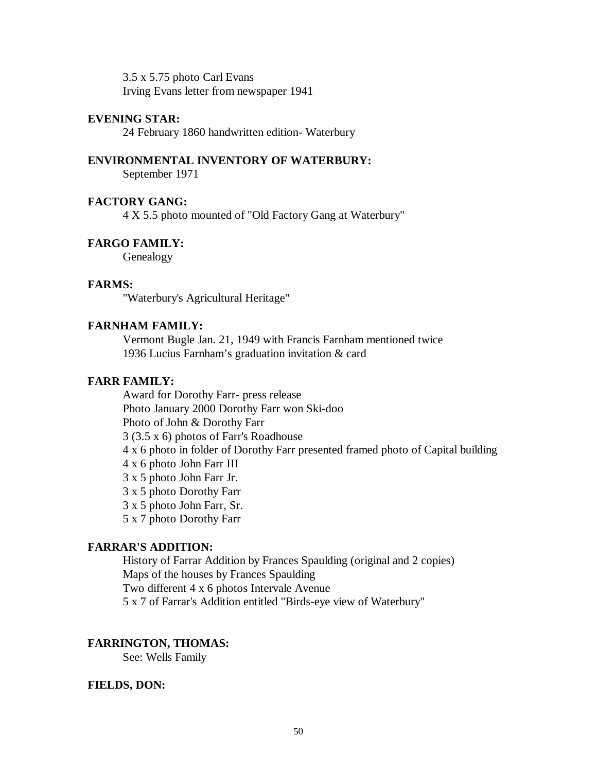3.5 x 5.75 photo Carl Evans Irving Evans letter from newspaper 1941

# **EVENING STAR:**

24 February 1860 handwritten edition- Waterbury

## **ENVIRONMENTAL INVENTORY OF WATERBURY:**

September 1971

## **FACTORY GANG:**

4 X 5.5 photo mounted of "Old Factory Gang at Waterbury"

# **FARGO FAMILY:**

Genealogy

## **FARMS:**

"Waterbury's Agricultural Heritage"

### **FARNHAM FAMILY:**

Vermont Bugle Jan. 21, 1949 with Francis Farnham mentioned twice 1936 Lucius Farnham's graduation invitation & card

## **FARR FAMILY:**

Award for Dorothy Farr- press release Photo January 2000 Dorothy Farr won Ski-doo Photo of John & Dorothy Farr 3 (3.5 x 6) photos of Farr's Roadhouse 4 x 6 photo in folder of Dorothy Farr presented framed photo of Capital building 4 x 6 photo John Farr III 3 x 5 photo John Farr Jr. 3 x 5 photo Dorothy Farr 3 x 5 photo John Farr, Sr. 5 x 7 photo Dorothy Farr

# **FARRAR'S ADDITION:**

History of Farrar Addition by Frances Spaulding (original and 2 copies) Maps of the houses by Frances Spaulding Two different 4 x 6 photos Intervale Avenue

5 x 7 of Farrar's Addition entitled "Birds-eye view of Waterbury"

## **FARRINGTON, THOMAS:**

See: Wells Family

### **FIELDS, DON:**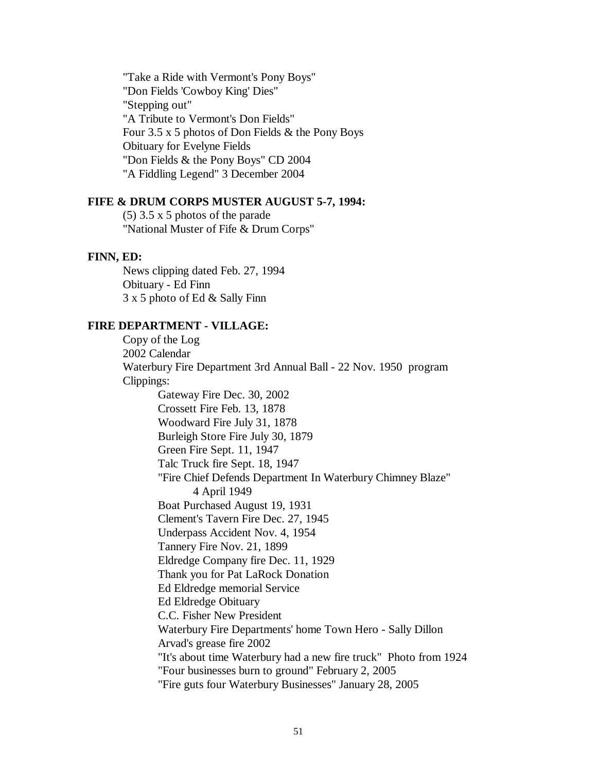"Take a Ride with Vermont's Pony Boys" "Don Fields 'Cowboy King' Dies" "Stepping out" "A Tribute to Vermont's Don Fields" Four 3.5 x 5 photos of Don Fields & the Pony Boys Obituary for Evelyne Fields "Don Fields & the Pony Boys" CD 2004 "A Fiddling Legend" 3 December 2004

### **FIFE & DRUM CORPS MUSTER AUGUST 5-7, 1994:**

(5) 3.5 x 5 photos of the parade "National Muster of Fife & Drum Corps"

# **FINN, ED:**

News clipping dated Feb. 27, 1994 Obituary - Ed Finn 3 x 5 photo of Ed & Sally Finn

### **FIRE DEPARTMENT - VILLAGE:**

Copy of the Log 2002 Calendar Waterbury Fire Department 3rd Annual Ball - 22 Nov. 1950 program Clippings: Gateway Fire Dec. 30, 2002 Crossett Fire Feb. 13, 1878 Woodward Fire July 31, 1878 Burleigh Store Fire July 30, 1879 Green Fire Sept. 11, 1947 Talc Truck fire Sept. 18, 1947 "Fire Chief Defends Department In Waterbury Chimney Blaze" 4 April 1949 Boat Purchased August 19, 1931 Clement's Tavern Fire Dec. 27, 1945 Underpass Accident Nov. 4, 1954 Tannery Fire Nov. 21, 1899 Eldredge Company fire Dec. 11, 1929 Thank you for Pat LaRock Donation Ed Eldredge memorial Service Ed Eldredge Obituary C.C. Fisher New President Waterbury Fire Departments' home Town Hero - Sally Dillon Arvad's grease fire 2002 "It's about time Waterbury had a new fire truck" Photo from 1924 "Four businesses burn to ground" February 2, 2005 "Fire guts four Waterbury Businesses" January 28, 2005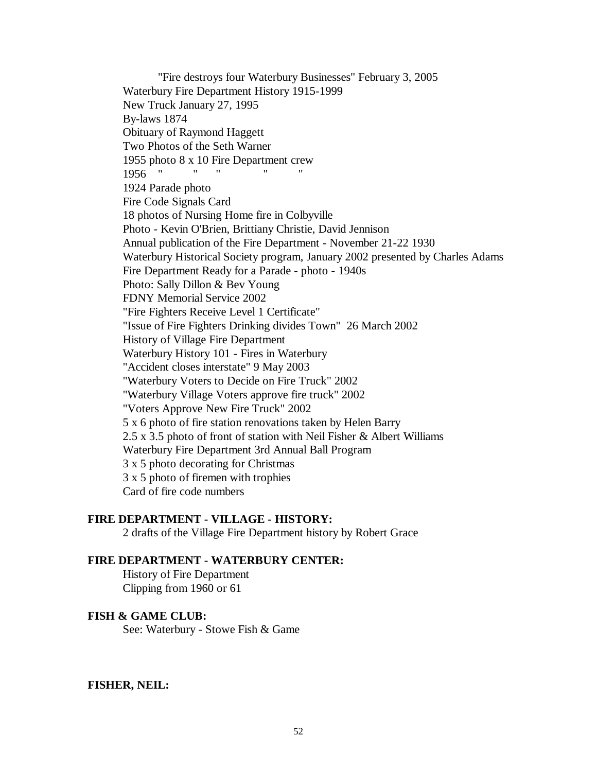"Fire destroys four Waterbury Businesses" February 3, 2005 Waterbury Fire Department History 1915-1999 New Truck January 27, 1995 By-laws 1874 Obituary of Raymond Haggett Two Photos of the Seth Warner 1955 photo 8 x 10 Fire Department crew<br>1956 " " " " " " 1956 " " " " " 1924 Parade photo Fire Code Signals Card 18 photos of Nursing Home fire in Colbyville Photo - Kevin O'Brien, Brittiany Christie, David Jennison Annual publication of the Fire Department - November 21-22 1930 Waterbury Historical Society program, January 2002 presented by Charles Adams Fire Department Ready for a Parade - photo - 1940s Photo: Sally Dillon & Bev Young FDNY Memorial Service 2002 "Fire Fighters Receive Level 1 Certificate" "Issue of Fire Fighters Drinking divides Town" 26 March 2002 History of Village Fire Department Waterbury History 101 - Fires in Waterbury "Accident closes interstate" 9 May 2003 "Waterbury Voters to Decide on Fire Truck" 2002 "Waterbury Village Voters approve fire truck" 2002 "Voters Approve New Fire Truck" 2002 5 x 6 photo of fire station renovations taken by Helen Barry 2.5 x 3.5 photo of front of station with Neil Fisher & Albert Williams Waterbury Fire Department 3rd Annual Ball Program 3 x 5 photo decorating for Christmas 3 x 5 photo of firemen with trophies Card of fire code numbers

## **FIRE DEPARTMENT - VILLAGE - HISTORY:**

2 drafts of the Village Fire Department history by Robert Grace

### **FIRE DEPARTMENT - WATERBURY CENTER:**

History of Fire Department Clipping from 1960 or 61

### **FISH & GAME CLUB:**

See: Waterbury - Stowe Fish & Game

#### **FISHER, NEIL:**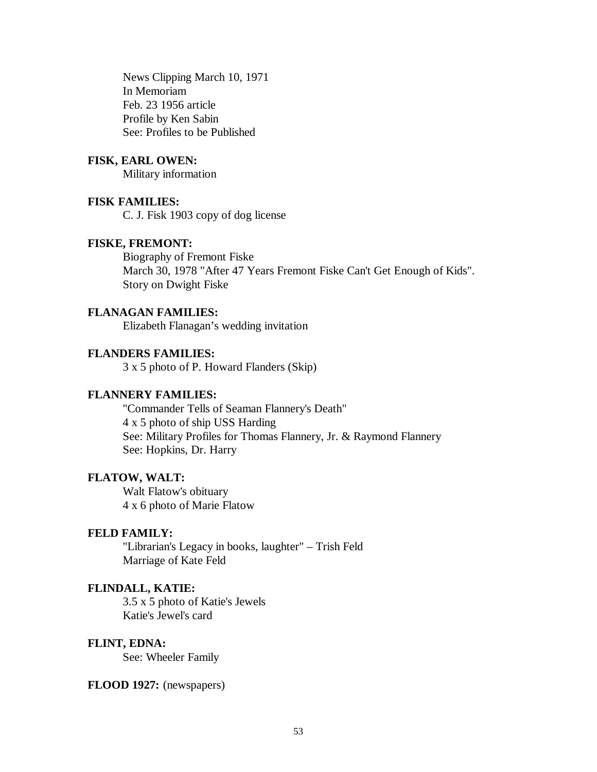News Clipping March 10, 1971 In Memoriam Feb. 23 1956 article Profile by Ken Sabin See: Profiles to be Published

## **FISK, EARL OWEN:**

Military information

### **FISK FAMILIES:**

C. J. Fisk 1903 copy of dog license

## **FISKE, FREMONT:**

Biography of Fremont Fiske March 30, 1978 "After 47 Years Fremont Fiske Can't Get Enough of Kids". Story on Dwight Fiske

## **FLANAGAN FAMILIES:**

Elizabeth Flanagan's wedding invitation

## **FLANDERS FAMILIES:**

3 x 5 photo of P. Howard Flanders (Skip)

#### **FLANNERY FAMILIES:**

"Commander Tells of Seaman Flannery's Death" 4 x 5 photo of ship USS Harding See: Military Profiles for Thomas Flannery, Jr. & Raymond Flannery See: Hopkins, Dr. Harry

## **FLATOW, WALT:**

Walt Flatow's obituary 4 x 6 photo of Marie Flatow

### **FELD FAMILY:**

"Librarian's Legacy in books, laughter" – Trish Feld Marriage of Kate Feld

### **FLINDALL, KATIE:**

3.5 x 5 photo of Katie's Jewels Katie's Jewel's card

#### **FLINT, EDNA:**

See: Wheeler Family

#### **FLOOD 1927:** (newspapers)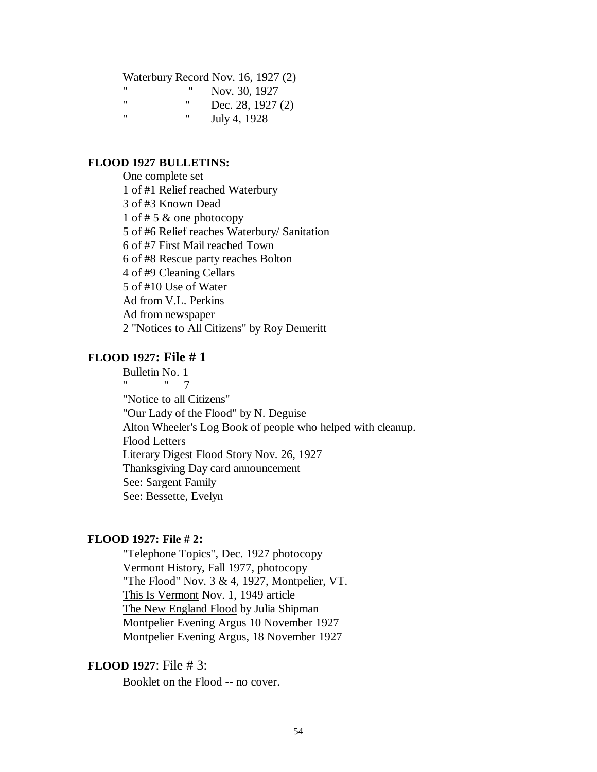#### Waterbury Record Nov. 16, 1927 (2)

| " | " | Nov. 30, 1927     |
|---|---|-------------------|
| " | " | Dec. 28, 1927 (2) |
| " | " | July 4, 1928      |

### **FLOOD 1927 BULLETINS:**

One complete set 1 of #1 Relief reached Waterbury 3 of #3 Known Dead 1 of # 5 & one photocopy 5 of #6 Relief reaches Waterbury/ Sanitation 6 of #7 First Mail reached Town 6 of #8 Rescue party reaches Bolton 4 of #9 Cleaning Cellars 5 of #10 Use of Water Ad from V.L. Perkins Ad from newspaper 2 "Notices to All Citizens" by Roy Demeritt

# **FLOOD 1927: File # 1**

Bulletin No. 1 " " 7 "Notice to all Citizens" "Our Lady of the Flood" by N. Deguise Alton Wheeler's Log Book of people who helped with cleanup. Flood Letters Literary Digest Flood Story Nov. 26, 1927 Thanksgiving Day card announcement See: Sargent Family See: Bessette, Evelyn

### **FLOOD 1927: File # 2:**

"Telephone Topics", Dec. 1927 photocopy Vermont History, Fall 1977, photocopy "The Flood" Nov. 3 & 4, 1927, Montpelier, VT. This Is Vermont Nov. 1, 1949 article The New England Flood by Julia Shipman Montpelier Evening Argus 10 November 1927 Montpelier Evening Argus, 18 November 1927

# **FLOOD 1927**: File # 3:

Booklet on the Flood -- no cover.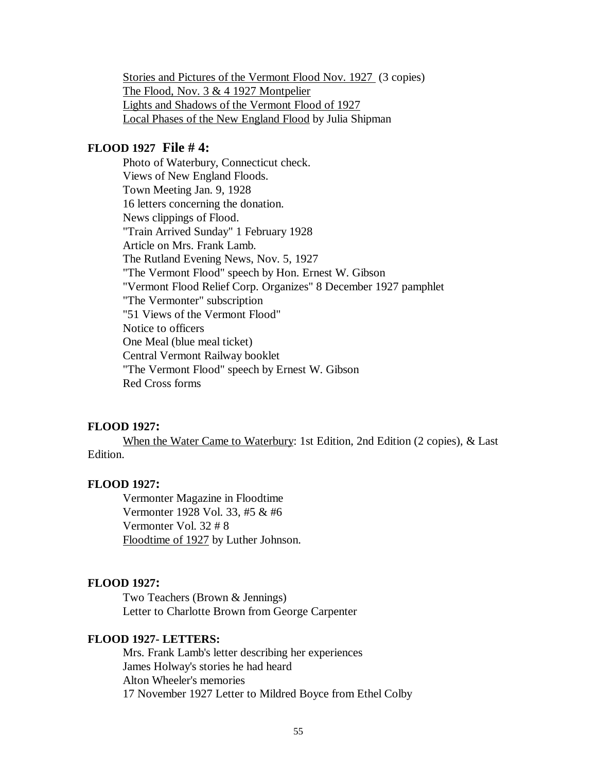Stories and Pictures of the Vermont Flood Nov. 1927 (3 copies) The Flood, Nov. 3 & 4 1927 Montpelier Lights and Shadows of the Vermont Flood of 1927 Local Phases of the New England Flood by Julia Shipman

## **FLOOD 1927 File # 4:**

Photo of Waterbury, Connecticut check. Views of New England Floods. Town Meeting Jan. 9, 1928 16 letters concerning the donation. News clippings of Flood. "Train Arrived Sunday" 1 February 1928 Article on Mrs. Frank Lamb. The Rutland Evening News, Nov. 5, 1927 "The Vermont Flood" speech by Hon. Ernest W. Gibson "Vermont Flood Relief Corp. Organizes" 8 December 1927 pamphlet "The Vermonter" subscription "51 Views of the Vermont Flood" Notice to officers One Meal (blue meal ticket) Central Vermont Railway booklet "The Vermont Flood" speech by Ernest W. Gibson Red Cross forms

### **FLOOD 1927:**

When the Water Came to Waterbury: 1st Edition, 2nd Edition (2 copies), & Last Edition.

### **FLOOD 1927:**

Vermonter Magazine in Floodtime Vermonter 1928 Vol. 33, #5 & #6 Vermonter Vol. 32 # 8 Floodtime of 1927 by Luther Johnson.

#### **FLOOD 1927:**

Two Teachers (Brown & Jennings) Letter to Charlotte Brown from George Carpenter

## **FLOOD 1927- LETTERS:**

Mrs. Frank Lamb's letter describing her experiences James Holway's stories he had heard Alton Wheeler's memories 17 November 1927 Letter to Mildred Boyce from Ethel Colby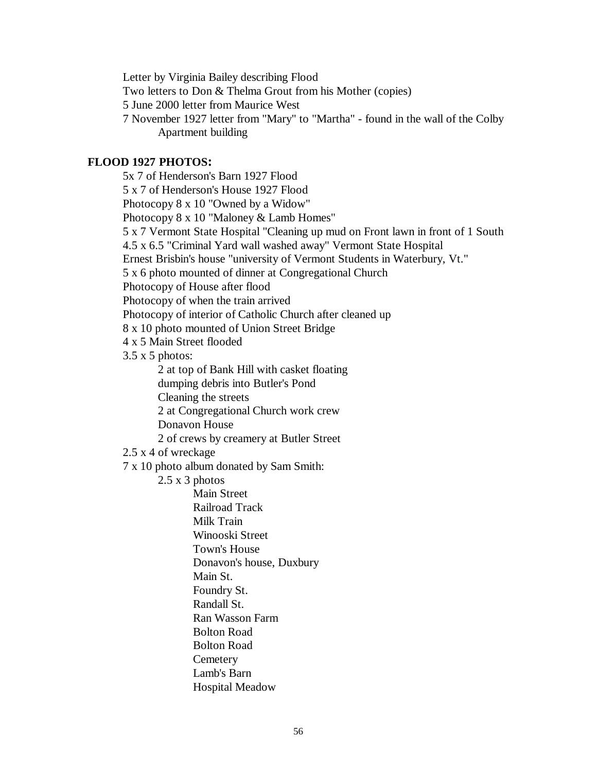Letter by Virginia Bailey describing Flood Two letters to Don & Thelma Grout from his Mother (copies) 5 June 2000 letter from Maurice West 7 November 1927 letter from "Mary" to "Martha" - found in the wall of the Colby Apartment building

## **FLOOD 1927 PHOTOS:**

5x 7 of Henderson's Barn 1927 Flood 5 x 7 of Henderson's House 1927 Flood Photocopy 8 x 10 "Owned by a Widow" Photocopy 8 x 10 "Maloney & Lamb Homes" 5 x 7 Vermont State Hospital "Cleaning up mud on Front lawn in front of 1 South 4.5 x 6.5 "Criminal Yard wall washed away" Vermont State Hospital Ernest Brisbin's house "university of Vermont Students in Waterbury, Vt." 5 x 6 photo mounted of dinner at Congregational Church Photocopy of House after flood Photocopy of when the train arrived Photocopy of interior of Catholic Church after cleaned up 8 x 10 photo mounted of Union Street Bridge 4 x 5 Main Street flooded  $3.5 \times 5$  photos: 2 at top of Bank Hill with casket floating dumping debris into Butler's Pond Cleaning the streets 2 at Congregational Church work crew Donavon House 2 of crews by creamery at Butler Street 2.5 x 4 of wreckage 7 x 10 photo album donated by Sam Smith: 2.5 x 3 photos Main Street Railroad Track Milk Train Winooski Street Town's House Donavon's house, Duxbury Main St. Foundry St. Randall St. Ran Wasson Farm Bolton Road Bolton Road **Cemetery** Lamb's Barn

Hospital Meadow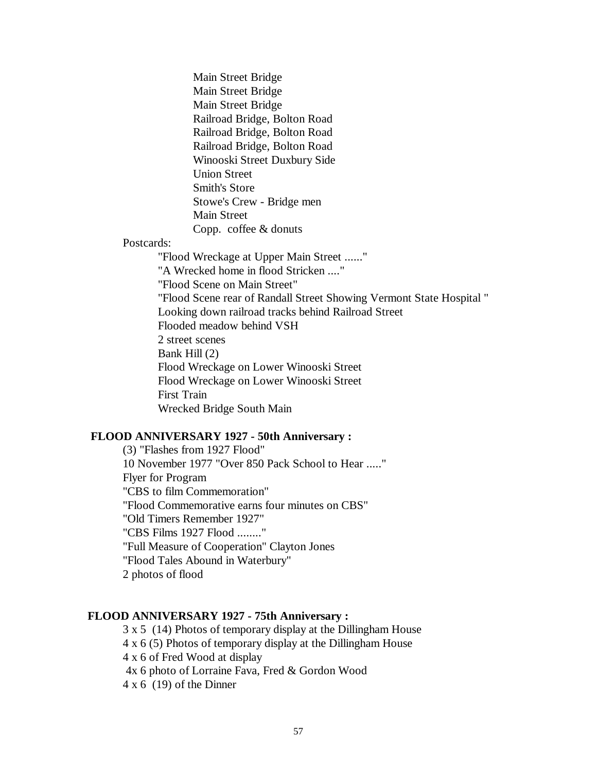Main Street Bridge Main Street Bridge Main Street Bridge Railroad Bridge, Bolton Road Railroad Bridge, Bolton Road Railroad Bridge, Bolton Road Winooski Street Duxbury Side Union Street Smith's Store Stowe's Crew - Bridge men Main Street Copp. coffee & donuts

Postcards:

"Flood Wreckage at Upper Main Street ......" "A Wrecked home in flood Stricken ...." "Flood Scene on Main Street" "Flood Scene rear of Randall Street Showing Vermont State Hospital " Looking down railroad tracks behind Railroad Street Flooded meadow behind VSH 2 street scenes Bank Hill (2) Flood Wreckage on Lower Winooski Street Flood Wreckage on Lower Winooski Street First Train Wrecked Bridge South Main

### **FLOOD ANNIVERSARY 1927 - 50th Anniversary :**

(3) "Flashes from 1927 Flood" 10 November 1977 "Over 850 Pack School to Hear ....." Flyer for Program "CBS to film Commemoration" "Flood Commemorative earns four minutes on CBS" "Old Timers Remember 1927" "CBS Films 1927 Flood ........" "Full Measure of Cooperation" Clayton Jones "Flood Tales Abound in Waterbury" 2 photos of flood

### **FLOOD ANNIVERSARY 1927 - 75th Anniversary :**

3 x 5 (14) Photos of temporary display at the Dillingham House 4 x 6 (5) Photos of temporary display at the Dillingham House 4 x 6 of Fred Wood at display 4x 6 photo of Lorraine Fava, Fred & Gordon Wood  $4 \times 6$  (19) of the Dinner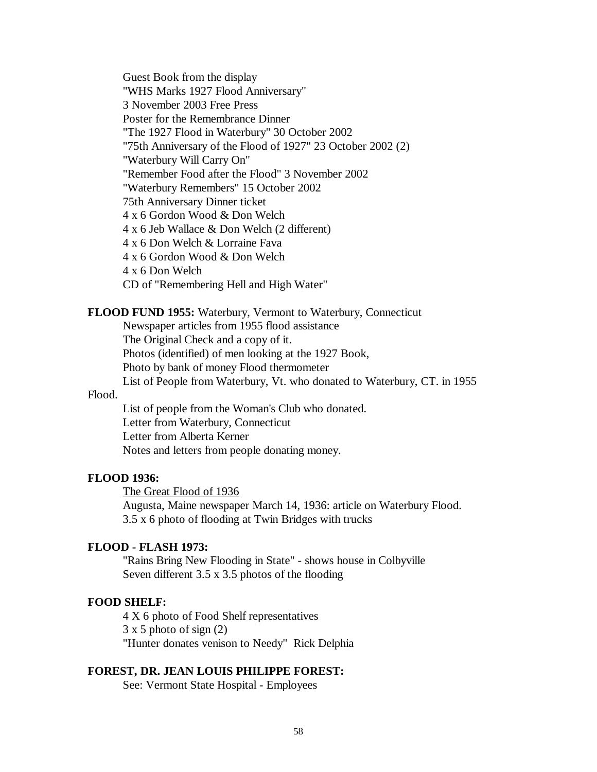Guest Book from the display "WHS Marks 1927 Flood Anniversary" 3 November 2003 Free Press Poster for the Remembrance Dinner "The 1927 Flood in Waterbury" 30 October 2002 "75th Anniversary of the Flood of 1927" 23 October 2002 (2) "Waterbury Will Carry On" "Remember Food after the Flood" 3 November 2002 "Waterbury Remembers" 15 October 2002 75th Anniversary Dinner ticket 4 x 6 Gordon Wood & Don Welch 4 x 6 Jeb Wallace & Don Welch (2 different) 4 x 6 Don Welch & Lorraine Fava 4 x 6 Gordon Wood & Don Welch 4 x 6 Don Welch CD of "Remembering Hell and High Water"

### **FLOOD FUND 1955:** Waterbury, Vermont to Waterbury, Connecticut

Newspaper articles from 1955 flood assistance

The Original Check and a copy of it.

Photos (identified) of men looking at the 1927 Book,

Photo by bank of money Flood thermometer

List of People from Waterbury, Vt. who donated to Waterbury, CT. in 1955

#### Flood.

List of people from the Woman's Club who donated. Letter from Waterbury, Connecticut Letter from Alberta Kerner Notes and letters from people donating money.

### **FLOOD 1936:**

The Great Flood of 1936

Augusta, Maine newspaper March 14, 1936: article on Waterbury Flood. 3.5 x 6 photo of flooding at Twin Bridges with trucks

## **FLOOD - FLASH 1973:**

"Rains Bring New Flooding in State" - shows house in Colbyville Seven different 3.5 x 3.5 photos of the flooding

### **FOOD SHELF:**

4 X 6 photo of Food Shelf representatives 3 x 5 photo of sign (2) "Hunter donates venison to Needy" Rick Delphia

## **FOREST, DR. JEAN LOUIS PHILIPPE FOREST:**

See: Vermont State Hospital - Employees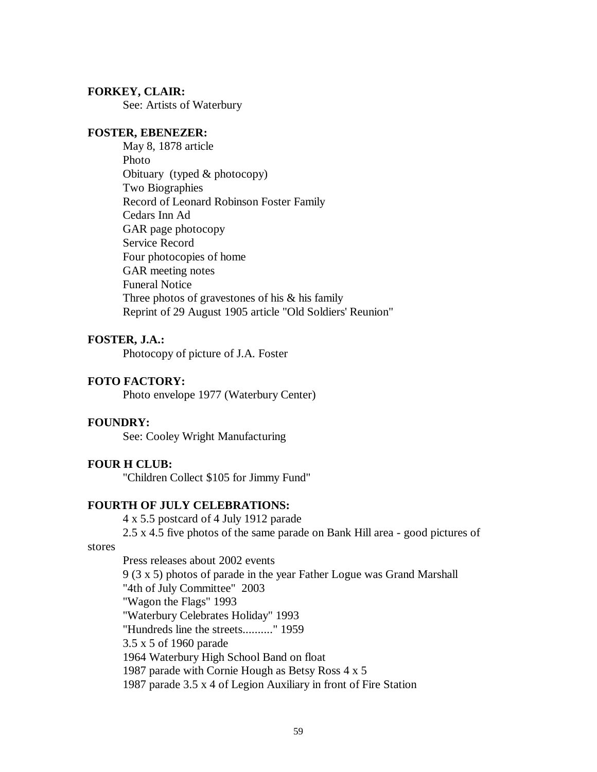### **FORKEY, CLAIR:**

See: Artists of Waterbury

### **FOSTER, EBENEZER:**

May 8, 1878 article Photo Obituary (typed & photocopy) Two Biographies Record of Leonard Robinson Foster Family Cedars Inn Ad GAR page photocopy Service Record Four photocopies of home GAR meeting notes Funeral Notice Three photos of gravestones of his & his family Reprint of 29 August 1905 article "Old Soldiers' Reunion"

# **FOSTER, J.A.:**

Photocopy of picture of J.A. Foster

## **FOTO FACTORY:**

Photo envelope 1977 (Waterbury Center)

### **FOUNDRY:**

See: Cooley Wright Manufacturing

### **FOUR H CLUB:**

"Children Collect \$105 for Jimmy Fund"

## **FOURTH OF JULY CELEBRATIONS:**

4 x 5.5 postcard of 4 July 1912 parade 2.5 x 4.5 five photos of the same parade on Bank Hill area - good pictures of

#### stores

Press releases about 2002 events 9 (3 x 5) photos of parade in the year Father Logue was Grand Marshall "4th of July Committee" 2003 "Wagon the Flags" 1993 "Waterbury Celebrates Holiday" 1993 "Hundreds line the streets.........." 1959 3.5 x 5 of 1960 parade 1964 Waterbury High School Band on float 1987 parade with Cornie Hough as Betsy Ross 4 x 5 1987 parade 3.5 x 4 of Legion Auxiliary in front of Fire Station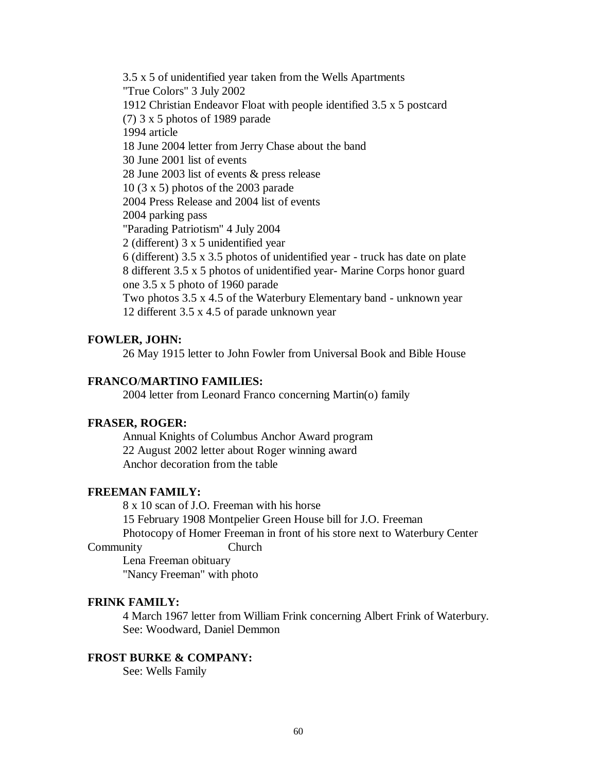3.5 x 5 of unidentified year taken from the Wells Apartments "True Colors" 3 July 2002 1912 Christian Endeavor Float with people identified 3.5 x 5 postcard (7) 3 x 5 photos of 1989 parade 1994 article 18 June 2004 letter from Jerry Chase about the band 30 June 2001 list of events 28 June 2003 list of events & press release 10 (3 x 5) photos of the 2003 parade 2004 Press Release and 2004 list of events 2004 parking pass "Parading Patriotism" 4 July 2004 2 (different) 3 x 5 unidentified year 6 (different) 3.5 x 3.5 photos of unidentified year - truck has date on plate 8 different 3.5 x 5 photos of unidentified year- Marine Corps honor guard one 3.5 x 5 photo of 1960 parade Two photos 3.5 x 4.5 of the Waterbury Elementary band - unknown year 12 different 3.5 x 4.5 of parade unknown year

## **FOWLER, JOHN:**

26 May 1915 letter to John Fowler from Universal Book and Bible House

### **FRANCO**/**MARTINO FAMILIES:**

2004 letter from Leonard Franco concerning Martin(o) family

### **FRASER, ROGER:**

Annual Knights of Columbus Anchor Award program 22 August 2002 letter about Roger winning award Anchor decoration from the table

### **FREEMAN FAMILY:**

8 x 10 scan of J.O. Freeman with his horse 15 February 1908 Montpelier Green House bill for J.O. Freeman Photocopy of Homer Freeman in front of his store next to Waterbury Center

#### Community Church

Lena Freeman obituary "Nancy Freeman" with photo

## **FRINK FAMILY:**

4 March 1967 letter from William Frink concerning Albert Frink of Waterbury. See: Woodward, Daniel Demmon

#### **FROST BURKE & COMPANY:**

See: Wells Family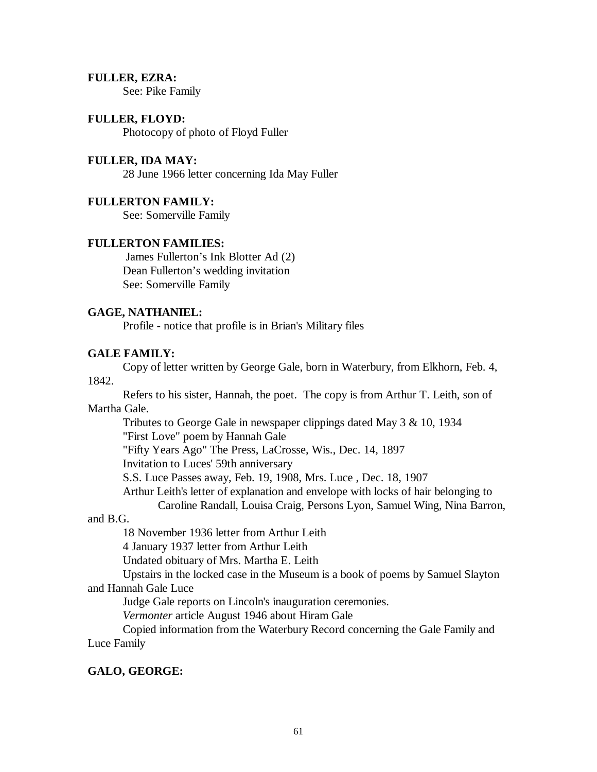## **FULLER, EZRA:**

See: Pike Family

# **FULLER, FLOYD:**

Photocopy of photo of Floyd Fuller

# **FULLER, IDA MAY:**

28 June 1966 letter concerning Ida May Fuller

## **FULLERTON FAMILY:**

See: Somerville Family

## **FULLERTON FAMILIES:**

James Fullerton's Ink Blotter Ad (2) Dean Fullerton's wedding invitation See: Somerville Family

## **GAGE, NATHANIEL:**

Profile - notice that profile is in Brian's Military files

# **GALE FAMILY:**

Copy of letter written by George Gale, born in Waterbury, from Elkhorn, Feb. 4, 1842.

Refers to his sister, Hannah, the poet. The copy is from Arthur T. Leith, son of Martha Gale.

Tributes to George Gale in newspaper clippings dated May 3 & 10, 1934

"First Love" poem by Hannah Gale

"Fifty Years Ago" The Press, LaCrosse, Wis., Dec. 14, 1897

Invitation to Luces' 59th anniversary

S.S. Luce Passes away, Feb. 19, 1908, Mrs. Luce , Dec. 18, 1907

Arthur Leith's letter of explanation and envelope with locks of hair belonging to

Caroline Randall, Louisa Craig, Persons Lyon, Samuel Wing, Nina Barron,

## and B.G.

18 November 1936 letter from Arthur Leith

4 January 1937 letter from Arthur Leith

Undated obituary of Mrs. Martha E. Leith

Upstairs in the locked case in the Museum is a book of poems by Samuel Slayton and Hannah Gale Luce

Judge Gale reports on Lincoln's inauguration ceremonies.

*Vermonter* article August 1946 about Hiram Gale

Copied information from the Waterbury Record concerning the Gale Family and Luce Family

# **GALO, GEORGE:**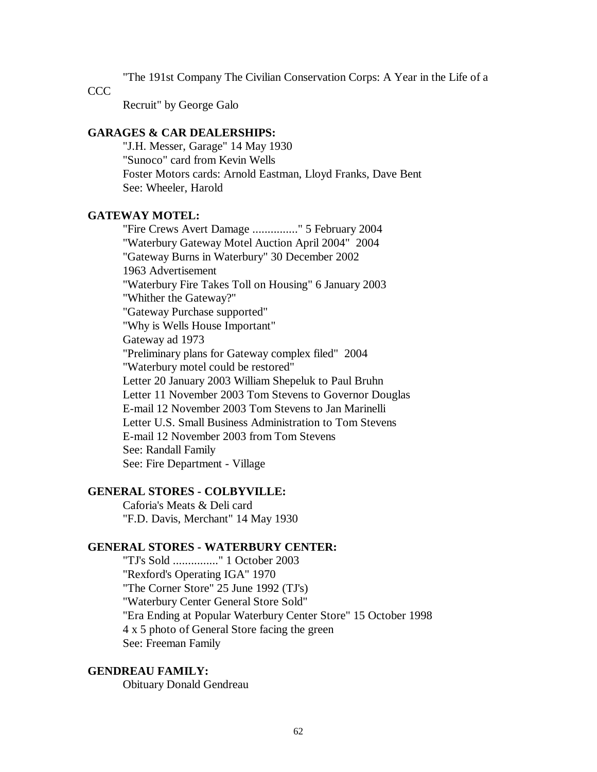"The 191st Company The Civilian Conservation Corps: A Year in the Life of a

CCC.

Recruit" by George Galo

### **GARAGES & CAR DEALERSHIPS:**

"J.H. Messer, Garage" 14 May 1930 "Sunoco" card from Kevin Wells Foster Motors cards: Arnold Eastman, Lloyd Franks, Dave Bent See: Wheeler, Harold

# **GATEWAY MOTEL:**

"Fire Crews Avert Damage ..............." 5 February 2004 "Waterbury Gateway Motel Auction April 2004" 2004 "Gateway Burns in Waterbury" 30 December 2002 1963 Advertisement "Waterbury Fire Takes Toll on Housing" 6 January 2003 "Whither the Gateway?" "Gateway Purchase supported" "Why is Wells House Important" Gateway ad 1973 "Preliminary plans for Gateway complex filed" 2004 "Waterbury motel could be restored" Letter 20 January 2003 William Shepeluk to Paul Bruhn Letter 11 November 2003 Tom Stevens to Governor Douglas E-mail 12 November 2003 Tom Stevens to Jan Marinelli Letter U.S. Small Business Administration to Tom Stevens E-mail 12 November 2003 from Tom Stevens See: Randall Family See: Fire Department - Village

## **GENERAL STORES - COLBYVILLE:**

Caforia's Meats & Deli card "F.D. Davis, Merchant" 14 May 1930

# **GENERAL STORES - WATERBURY CENTER:**

"TJ's Sold ..............." 1 October 2003 "Rexford's Operating IGA" 1970 "The Corner Store" 25 June 1992 (TJ's) "Waterbury Center General Store Sold" "Era Ending at Popular Waterbury Center Store" 15 October 1998 4 x 5 photo of General Store facing the green See: Freeman Family

### **GENDREAU FAMILY:**

Obituary Donald Gendreau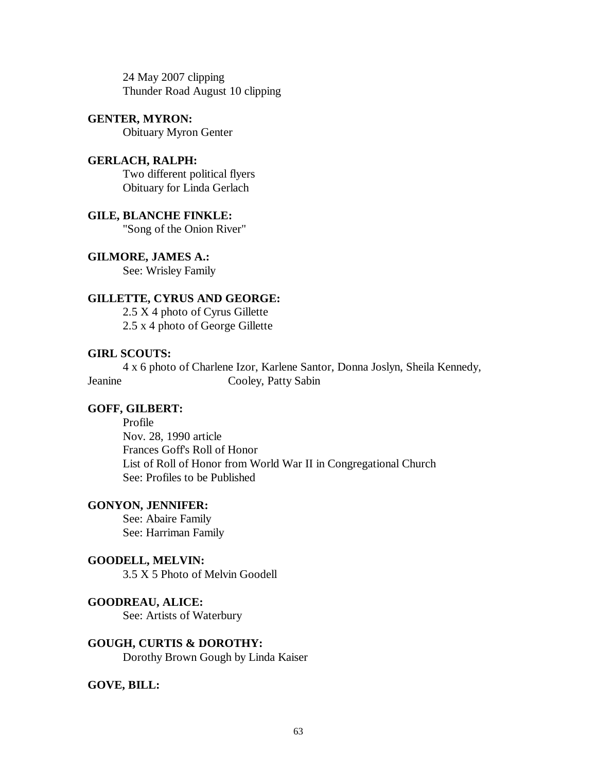24 May 2007 clipping Thunder Road August 10 clipping

## **GENTER, MYRON:** Obituary Myron Genter

**GERLACH, RALPH:** Two different political flyers Obituary for Linda Gerlach

**GILE, BLANCHE FINKLE:** "Song of the Onion River"

**GILMORE, JAMES A.:** See: Wrisley Family

## **GILLETTE, CYRUS AND GEORGE:**

2.5 X 4 photo of Cyrus Gillette 2.5 x 4 photo of George Gillette

## **GIRL SCOUTS:**

4 x 6 photo of Charlene Izor, Karlene Santor, Donna Joslyn, Sheila Kennedy, Jeanine Cooley, Patty Sabin

## **GOFF, GILBERT:**

Profile Nov. 28, 1990 article Frances Goff's Roll of Honor List of Roll of Honor from World War II in Congregational Church See: Profiles to be Published

### **GONYON, JENNIFER:**

See: Abaire Family See: Harriman Family

### **GOODELL, MELVIN:**

3.5 X 5 Photo of Melvin Goodell

## **GOODREAU, ALICE:**

See: Artists of Waterbury

**GOUGH, CURTIS & DOROTHY:** Dorothy Brown Gough by Linda Kaiser

## **GOVE, BILL:**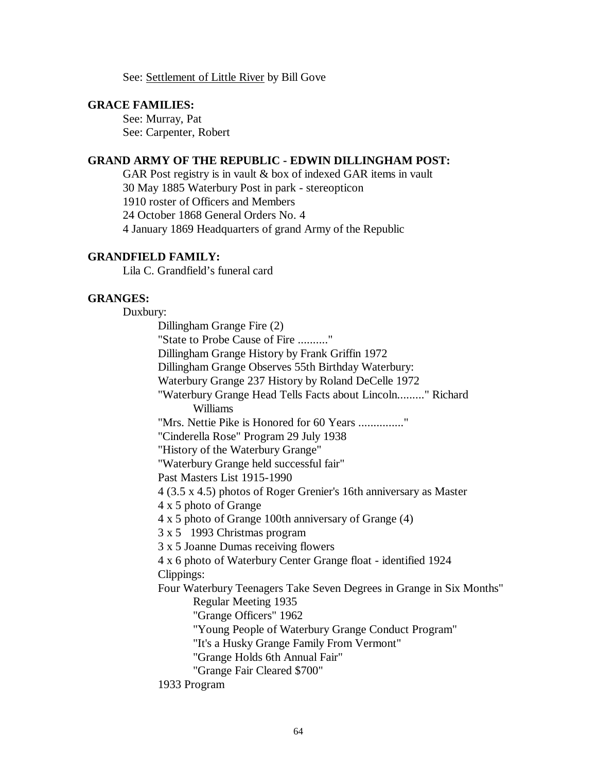See: Settlement of Little River by Bill Gove

### **GRACE FAMILIES:**

See: Murray, Pat See: Carpenter, Robert

## **GRAND ARMY OF THE REPUBLIC - EDWIN DILLINGHAM POST:**

GAR Post registry is in vault & box of indexed GAR items in vault 30 May 1885 Waterbury Post in park - stereopticon 1910 roster of Officers and Members 24 October 1868 General Orders No. 4 4 January 1869 Headquarters of grand Army of the Republic

## **GRANDFIELD FAMILY:**

Lila C. Grandfield's funeral card

### **GRANGES:**

Duxbury:

Dillingham Grange Fire (2) "State to Probe Cause of Fire .........." Dillingham Grange History by Frank Griffin 1972 Dillingham Grange Observes 55th Birthday Waterbury: Waterbury Grange 237 History by Roland DeCelle 1972 "Waterbury Grange Head Tells Facts about Lincoln........." Richard Williams "Mrs. Nettie Pike is Honored for 60 Years ..............." "Cinderella Rose" Program 29 July 1938 "History of the Waterbury Grange" "Waterbury Grange held successful fair" Past Masters List 1915-1990 4 (3.5 x 4.5) photos of Roger Grenier's 16th anniversary as Master 4 x 5 photo of Grange 4 x 5 photo of Grange 100th anniversary of Grange (4) 3 x 5 1993 Christmas program 3 x 5 Joanne Dumas receiving flowers 4 x 6 photo of Waterbury Center Grange float - identified 1924 Clippings: Four Waterbury Teenagers Take Seven Degrees in Grange in Six Months" Regular Meeting 1935 "Grange Officers" 1962 "Young People of Waterbury Grange Conduct Program" "It's a Husky Grange Family From Vermont" "Grange Holds 6th Annual Fair" "Grange Fair Cleared \$700" 1933 Program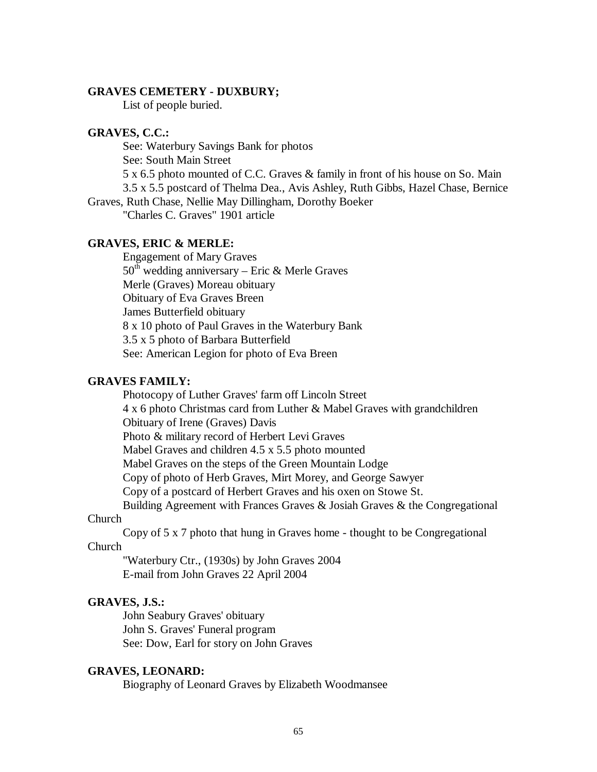### **GRAVES CEMETERY - DUXBURY;**

List of people buried.

### **GRAVES, C.C.:**

See: Waterbury Savings Bank for photos

See: South Main Street

5 x 6.5 photo mounted of C.C. Graves & family in front of his house on So. Main

3.5 x 5.5 postcard of Thelma Dea., Avis Ashley, Ruth Gibbs, Hazel Chase, Bernice

Graves, Ruth Chase, Nellie May Dillingham, Dorothy Boeker

"Charles C. Graves" 1901 article

# **GRAVES, ERIC & MERLE:**

Engagement of Mary Graves  $50<sup>th</sup>$  wedding anniversary – Eric & Merle Graves Merle (Graves) Moreau obituary Obituary of Eva Graves Breen James Butterfield obituary 8 x 10 photo of Paul Graves in the Waterbury Bank 3.5 x 5 photo of Barbara Butterfield See: American Legion for photo of Eva Breen

# **GRAVES FAMILY:**

Photocopy of Luther Graves' farm off Lincoln Street 4 x 6 photo Christmas card from Luther & Mabel Graves with grandchildren Obituary of Irene (Graves) Davis Photo & military record of Herbert Levi Graves Mabel Graves and children 4.5 x 5.5 photo mounted Mabel Graves on the steps of the Green Mountain Lodge Copy of photo of Herb Graves, Mirt Morey, and George Sawyer Copy of a postcard of Herbert Graves and his oxen on Stowe St. Building Agreement with Frances Graves & Josiah Graves & the Congregational

# Church

Copy of 5 x 7 photo that hung in Graves home - thought to be Congregational Church

"Waterbury Ctr., (1930s) by John Graves 2004 E-mail from John Graves 22 April 2004

#### **GRAVES, J.S.:**

John Seabury Graves' obituary John S. Graves' Funeral program See: Dow, Earl for story on John Graves

### **GRAVES, LEONARD:**

Biography of Leonard Graves by Elizabeth Woodmansee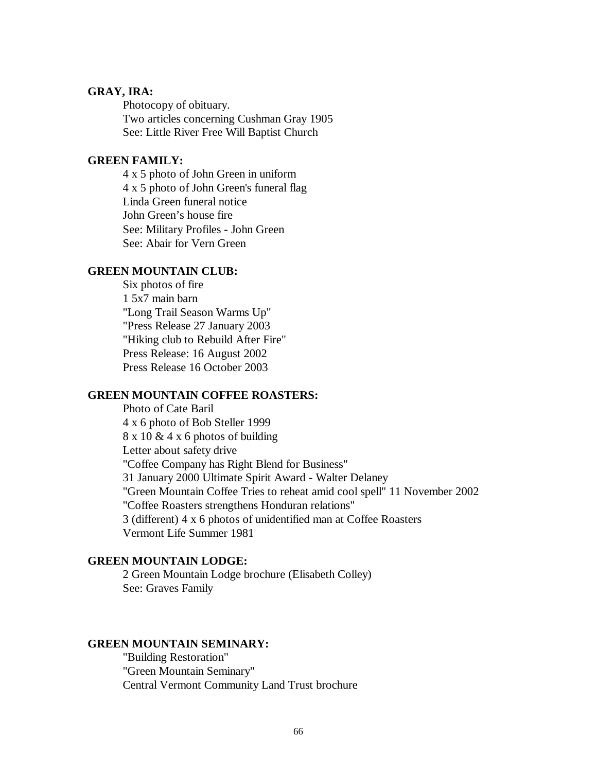# **GRAY, IRA:**

Photocopy of obituary. Two articles concerning Cushman Gray 1905 See: Little River Free Will Baptist Church

# **GREEN FAMILY:**

4 x 5 photo of John Green in uniform 4 x 5 photo of John Green's funeral flag Linda Green funeral notice John Green's house fire See: Military Profiles **-** John Green See: Abair for Vern Green

### **GREEN MOUNTAIN CLUB:**

Six photos of fire 1 5x7 main barn "Long Trail Season Warms Up" "Press Release 27 January 2003 "Hiking club to Rebuild After Fire" Press Release: 16 August 2002 Press Release 16 October 2003

### **GREEN MOUNTAIN COFFEE ROASTERS:**

Photo of Cate Baril 4 x 6 photo of Bob Steller 1999 8 x 10 & 4 x 6 photos of building Letter about safety drive "Coffee Company has Right Blend for Business" 31 January 2000 Ultimate Spirit Award - Walter Delaney "Green Mountain Coffee Tries to reheat amid cool spell" 11 November 2002 "Coffee Roasters strengthens Honduran relations" 3 (different) 4 x 6 photos of unidentified man at Coffee Roasters Vermont Life Summer 1981

### **GREEN MOUNTAIN LODGE:**

2 Green Mountain Lodge brochure (Elisabeth Colley) See: Graves Family

#### **GREEN MOUNTAIN SEMINARY:**

"Building Restoration" "Green Mountain Seminary" Central Vermont Community Land Trust brochure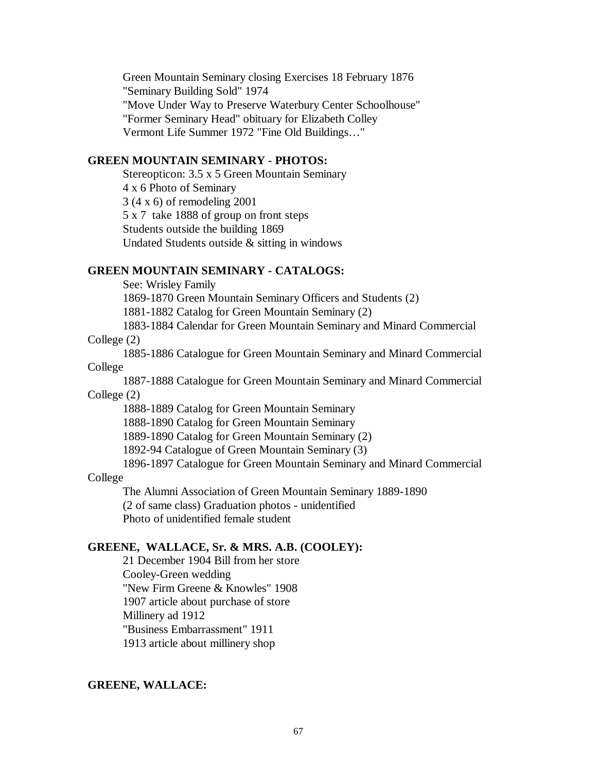Green Mountain Seminary closing Exercises 18 February 1876 "Seminary Building Sold" 1974 "Move Under Way to Preserve Waterbury Center Schoolhouse" "Former Seminary Head" obituary for Elizabeth Colley Vermont Life Summer 1972 "Fine Old Buildings…"

## **GREEN MOUNTAIN SEMINARY - PHOTOS:**

Stereopticon: 3.5 x 5 Green Mountain Seminary 4 x 6 Photo of Seminary 3 (4 x 6) of remodeling 2001 5 x 7 take 1888 of group on front steps Students outside the building 1869 Undated Students outside & sitting in windows

### **GREEN MOUNTAIN SEMINARY - CATALOGS:**

See: Wrisley Family

1869-1870 Green Mountain Seminary Officers and Students (2)

1881-1882 Catalog for Green Mountain Seminary (2)

1883-1884 Calendar for Green Mountain Seminary and Minard Commercial

## College (2)

1885-1886 Catalogue for Green Mountain Seminary and Minard Commercial College

1887-1888 Catalogue for Green Mountain Seminary and Minard Commercial College (2)

1888-1889 Catalog for Green Mountain Seminary

1888-1890 Catalog for Green Mountain Seminary

1889-1890 Catalog for Green Mountain Seminary (2)

1892-94 Catalogue of Green Mountain Seminary (3)

1896-1897 Catalogue for Green Mountain Seminary and Minard Commercial

#### College

The Alumni Association of Green Mountain Seminary 1889-1890 (2 of same class) Graduation photos - unidentified Photo of unidentified female student

## **GREENE, WALLACE, Sr. & MRS. A.B. (COOLEY):**

21 December 1904 Bill from her store Cooley-Green wedding "New Firm Greene & Knowles" 1908 1907 article about purchase of store Millinery ad 1912 "Business Embarrassment" 1911 1913 article about millinery shop

#### **GREENE, WALLACE:**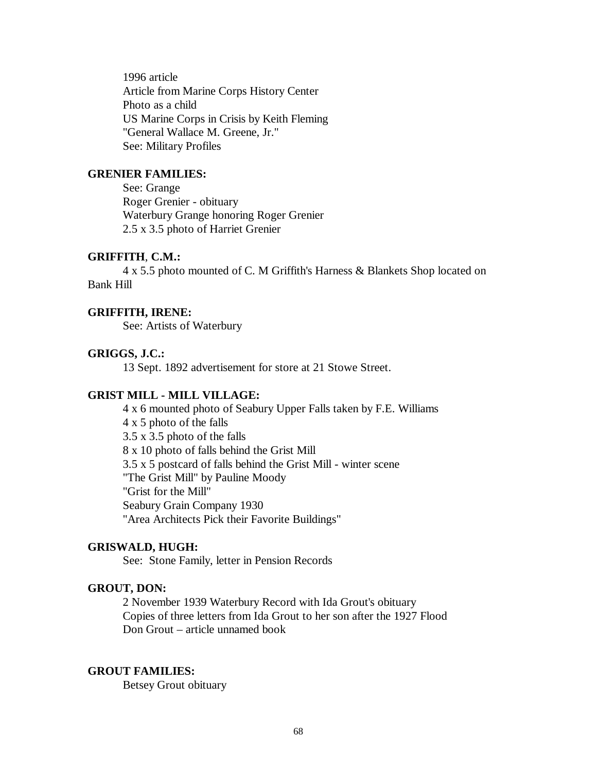1996 article Article from Marine Corps History Center Photo as a child US Marine Corps in Crisis by Keith Fleming "General Wallace M. Greene, Jr." See: Military Profiles

## **GRENIER FAMILIES:**

See: Grange Roger Grenier - obituary Waterbury Grange honoring Roger Grenier 2.5 x 3.5 photo of Harriet Grenier

## **GRIFFITH**, **C.M.:**

4 x 5.5 photo mounted of C. M Griffith's Harness & Blankets Shop located on Bank Hill

### **GRIFFITH, IRENE:**

See: Artists of Waterbury

### **GRIGGS, J.C.:**

13 Sept. 1892 advertisement for store at 21 Stowe Street.

#### **GRIST MILL - MILL VILLAGE:**

4 x 6 mounted photo of Seabury Upper Falls taken by F.E. Williams 4 x 5 photo of the falls 3.5 x 3.5 photo of the falls 8 x 10 photo of falls behind the Grist Mill 3.5 x 5 postcard of falls behind the Grist Mill - winter scene "The Grist Mill" by Pauline Moody "Grist for the Mill" Seabury Grain Company 1930 "Area Architects Pick their Favorite Buildings"

#### **GRISWALD, HUGH:**

See: Stone Family, letter in Pension Records

### **GROUT, DON:**

2 November 1939 Waterbury Record with Ida Grout's obituary Copies of three letters from Ida Grout to her son after the 1927 Flood Don Grout – article unnamed book

#### **GROUT FAMILIES:**

Betsey Grout obituary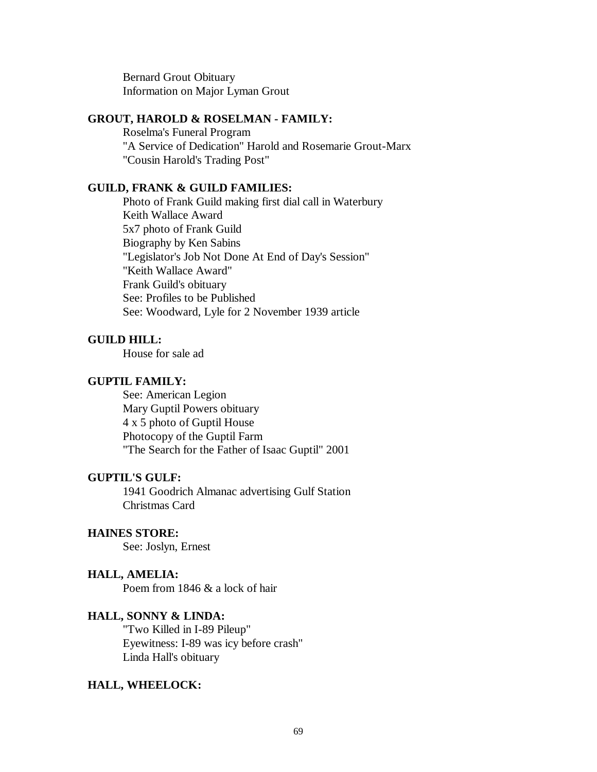Bernard Grout Obituary Information on Major Lyman Grout

### **GROUT, HAROLD & ROSELMAN - FAMILY:**

Roselma's Funeral Program "A Service of Dedication" Harold and Rosemarie Grout-Marx "Cousin Harold's Trading Post"

### **GUILD, FRANK & GUILD FAMILIES:**

Photo of Frank Guild making first dial call in Waterbury Keith Wallace Award 5x7 photo of Frank Guild Biography by Ken Sabins "Legislator's Job Not Done At End of Day's Session" "Keith Wallace Award" Frank Guild's obituary See: Profiles to be Published See: Woodward, Lyle for 2 November 1939 article

## **GUILD HILL:**

House for sale ad

## **GUPTIL FAMILY:**

See: American Legion Mary Guptil Powers obituary 4 x 5 photo of Guptil House Photocopy of the Guptil Farm "The Search for the Father of Isaac Guptil" 2001

## **GUPTIL'S GULF:**

1941 Goodrich Almanac advertising Gulf Station Christmas Card

## **HAINES STORE:**

See: Joslyn, Ernest

### **HALL, AMELIA:**

Poem from 1846 & a lock of hair

### **HALL, SONNY & LINDA:**

"Two Killed in I-89 Pileup" Eyewitness: I-89 was icy before crash" Linda Hall's obituary

## **HALL, WHEELOCK:**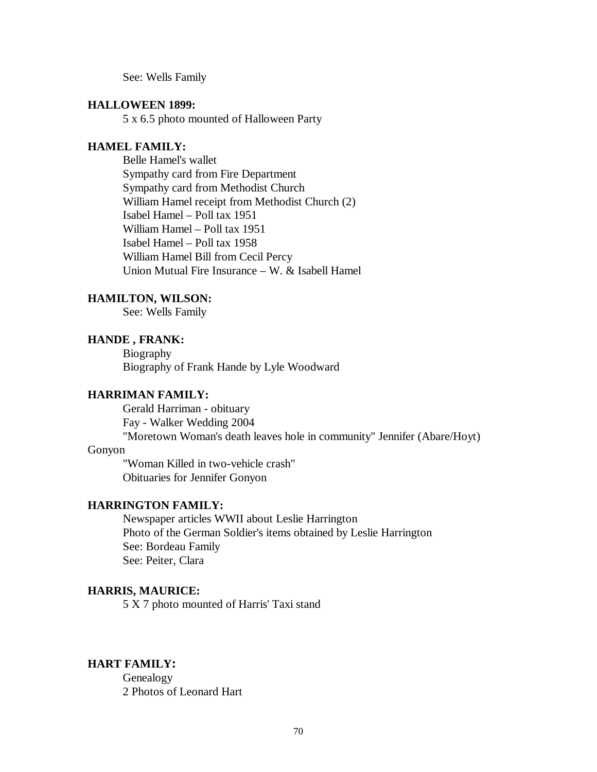See: Wells Family

### **HALLOWEEN 1899:**

5 x 6.5 photo mounted of Halloween Party

### **HAMEL FAMILY:**

Belle Hamel's wallet Sympathy card from Fire Department Sympathy card from Methodist Church William Hamel receipt from Methodist Church (2) Isabel Hamel – Poll tax 1951 William Hamel – Poll tax 1951 Isabel Hamel – Poll tax 1958 William Hamel Bill from Cecil Percy Union Mutual Fire Insurance – W.  $&$  Isabell Hamel

### **HAMILTON, WILSON:**

See: Wells Family

# **HANDE , FRANK:**

Biography Biography of Frank Hande by Lyle Woodward

## **HARRIMAN FAMILY:**

Gerald Harriman - obituary Fay - Walker Wedding 2004 "Moretown Woman's death leaves hole in community" Jennifer (Abare/Hoyt)

## Gonyon

"Woman Killed in two-vehicle crash" Obituaries for Jennifer Gonyon

## **HARRINGTON FAMILY:**

Newspaper articles WWII about Leslie Harrington Photo of the German Soldier's items obtained by Leslie Harrington See: Bordeau Family See: Peiter, Clara

### **HARRIS, MAURICE:**

5 X 7 photo mounted of Harris' Taxi stand

# **HART FAMILY:**

Genealogy 2 Photos of Leonard Hart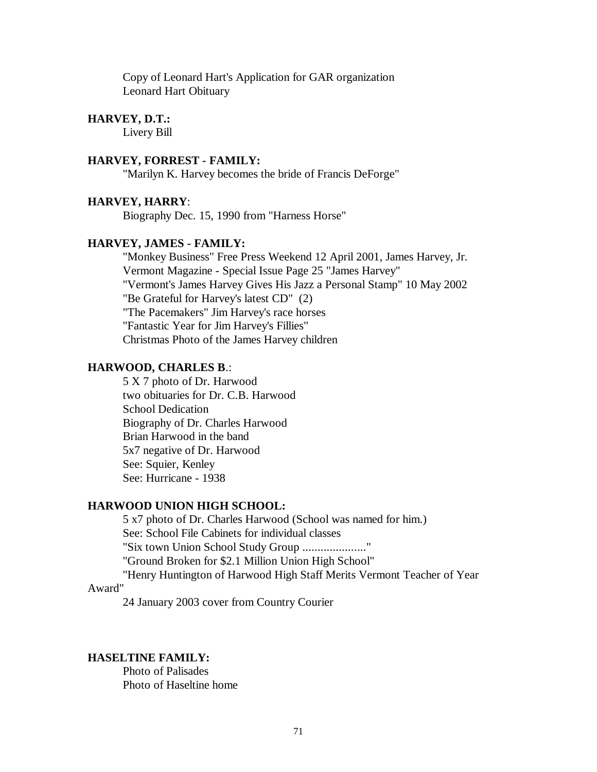Copy of Leonard Hart's Application for GAR organization Leonard Hart Obituary

## **HARVEY, D.T.:**

Livery Bill

## **HARVEY, FORREST - FAMILY:**

"Marilyn K. Harvey becomes the bride of Francis DeForge"

### **HARVEY, HARRY**:

Biography Dec. 15, 1990 from "Harness Horse"

## **HARVEY, JAMES - FAMILY:**

"Monkey Business" Free Press Weekend 12 April 2001, James Harvey, Jr. Vermont Magazine - Special Issue Page 25 "James Harvey" "Vermont's James Harvey Gives His Jazz a Personal Stamp" 10 May 2002 "Be Grateful for Harvey's latest CD" (2) "The Pacemakers" Jim Harvey's race horses "Fantastic Year for Jim Harvey's Fillies" Christmas Photo of the James Harvey children

#### **HARWOOD, CHARLES B**.:

5 X 7 photo of Dr. Harwood two obituaries for Dr. C.B. Harwood School Dedication Biography of Dr. Charles Harwood Brian Harwood in the band 5x7 negative of Dr. Harwood See: Squier, Kenley See: Hurricane - 1938

## **HARWOOD UNION HIGH SCHOOL:**

5 x7 photo of Dr. Charles Harwood (School was named for him.) See: School File Cabinets for individual classes "Six town Union School Study Group ......................" "Ground Broken for \$2.1 Million Union High School" "Henry Huntington of Harwood High Staff Merits Vermont Teacher of Year

#### Award"

24 January 2003 cover from Country Courier

## **HASELTINE FAMILY:**

Photo of Palisades Photo of Haseltine home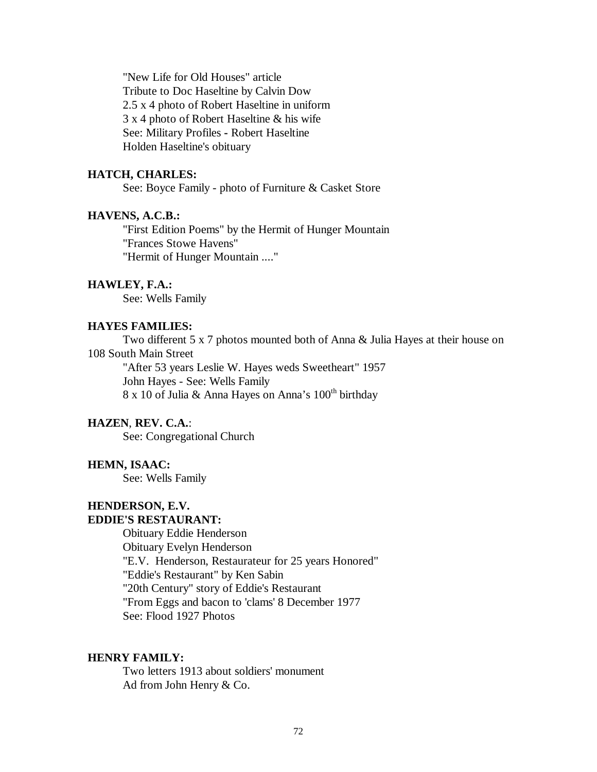"New Life for Old Houses" article Tribute to Doc Haseltine by Calvin Dow 2.5 x 4 photo of Robert Haseltine in uniform 3 x 4 photo of Robert Haseltine & his wife See: Military Profiles **-** Robert Haseltine Holden Haseltine's obituary

### **HATCH, CHARLES:**

See: Boyce Family - photo of Furniture & Casket Store

## **HAVENS, A.C.B.:**

"First Edition Poems" by the Hermit of Hunger Mountain "Frances Stowe Havens" "Hermit of Hunger Mountain ...."

### **HAWLEY, F.A.:**

See: Wells Family

### **HAYES FAMILIES:**

Two different 5 x 7 photos mounted both of Anna & Julia Hayes at their house on 108 South Main Street "After 53 years Leslie W. Hayes weds Sweetheart" 1957

John Hayes - See: Wells Family 8 x 10 of Julia & Anna Hayes on Anna's  $100^{\text{th}}$  birthday

## **HAZEN**, **REV. C.A.**:

See: Congregational Church

### **HEMN, ISAAC:**

See: Wells Family

### **HENDERSON, E.V. EDDIE'S RESTAURANT:**

Obituary Eddie Henderson Obituary Evelyn Henderson "E.V. Henderson, Restaurateur for 25 years Honored" "Eddie's Restaurant" by Ken Sabin "20th Century" story of Eddie's Restaurant "From Eggs and bacon to 'clams' 8 December 1977 See: Flood 1927 Photos

## **HENRY FAMILY:**

Two letters 1913 about soldiers' monument Ad from John Henry & Co.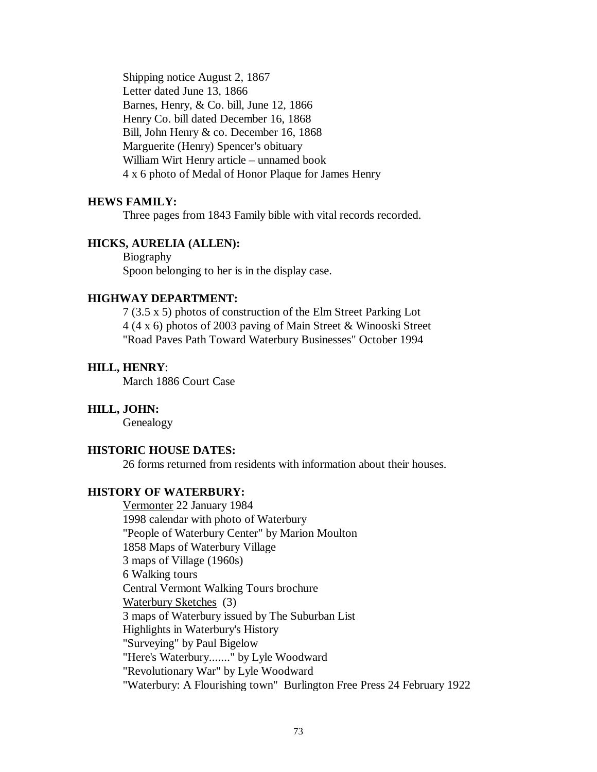Shipping notice August 2, 1867 Letter dated June 13, 1866 Barnes, Henry, & Co. bill, June 12, 1866 Henry Co. bill dated December 16, 1868 Bill, John Henry & co. December 16, 1868 Marguerite (Henry) Spencer's obituary William Wirt Henry article – unnamed book 4 x 6 photo of Medal of Honor Plaque for James Henry

# **HEWS FAMILY:**

Three pages from 1843 Family bible with vital records recorded.

# **HICKS, AURELIA (ALLEN):**

Biography Spoon belonging to her is in the display case.

# **HIGHWAY DEPARTMENT:**

7 (3.5 x 5) photos of construction of the Elm Street Parking Lot 4 (4 x 6) photos of 2003 paving of Main Street & Winooski Street "Road Paves Path Toward Waterbury Businesses" October 1994

# **HILL, HENRY**:

March 1886 Court Case

## **HILL, JOHN:**

Genealogy

# **HISTORIC HOUSE DATES:**

26 forms returned from residents with information about their houses.

#### **HISTORY OF WATERBURY:**

Vermonter 22 January 1984 1998 calendar with photo of Waterbury "People of Waterbury Center" by Marion Moulton 1858 Maps of Waterbury Village 3 maps of Village (1960s) 6 Walking tours Central Vermont Walking Tours brochure Waterbury Sketches (3) 3 maps of Waterbury issued by The Suburban List Highlights in Waterbury's History "Surveying" by Paul Bigelow "Here's Waterbury......." by Lyle Woodward "Revolutionary War" by Lyle Woodward "Waterbury: A Flourishing town" Burlington Free Press 24 February 1922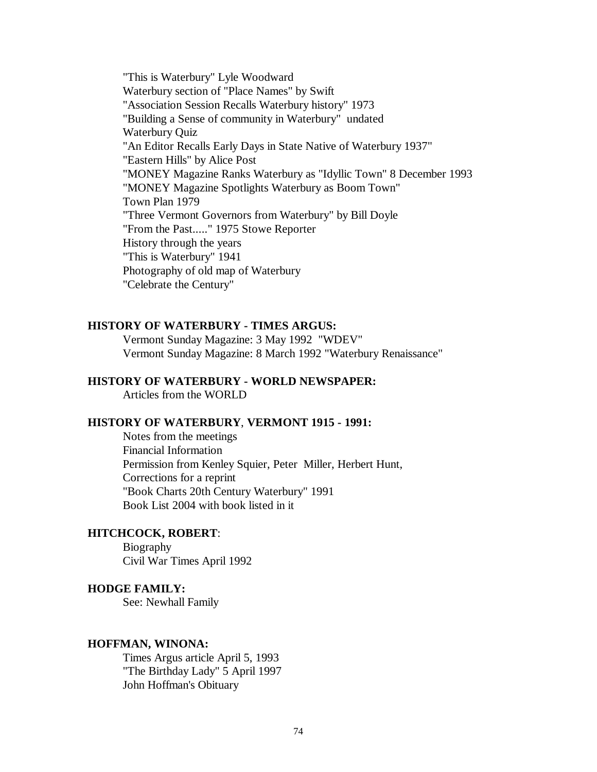"This is Waterbury" Lyle Woodward Waterbury section of "Place Names" by Swift "Association Session Recalls Waterbury history" 1973 "Building a Sense of community in Waterbury" undated Waterbury Quiz "An Editor Recalls Early Days in State Native of Waterbury 1937" "Eastern Hills" by Alice Post "MONEY Magazine Ranks Waterbury as "Idyllic Town" 8 December 1993 "MONEY Magazine Spotlights Waterbury as Boom Town" Town Plan 1979 "Three Vermont Governors from Waterbury" by Bill Doyle "From the Past....." 1975 Stowe Reporter History through the years "This is Waterbury" 1941 Photography of old map of Waterbury "Celebrate the Century"

## **HISTORY OF WATERBURY - TIMES ARGUS:**

Vermont Sunday Magazine: 3 May 1992 "WDEV" Vermont Sunday Magazine: 8 March 1992 "Waterbury Renaissance"

# **HISTORY OF WATERBURY - WORLD NEWSPAPER:**

Articles from the WORLD

#### **HISTORY OF WATERBURY**, **VERMONT 1915 - 1991:**

Notes from the meetings Financial Information Permission from Kenley Squier, Peter Miller, Herbert Hunt, Corrections for a reprint "Book Charts 20th Century Waterbury" 1991 Book List 2004 with book listed in it

# **HITCHCOCK, ROBERT**:

Biography Civil War Times April 1992

### **HODGE FAMILY:**

See: Newhall Family

#### **HOFFMAN, WINONA:**

Times Argus article April 5, 1993 "The Birthday Lady" 5 April 1997 John Hoffman's Obituary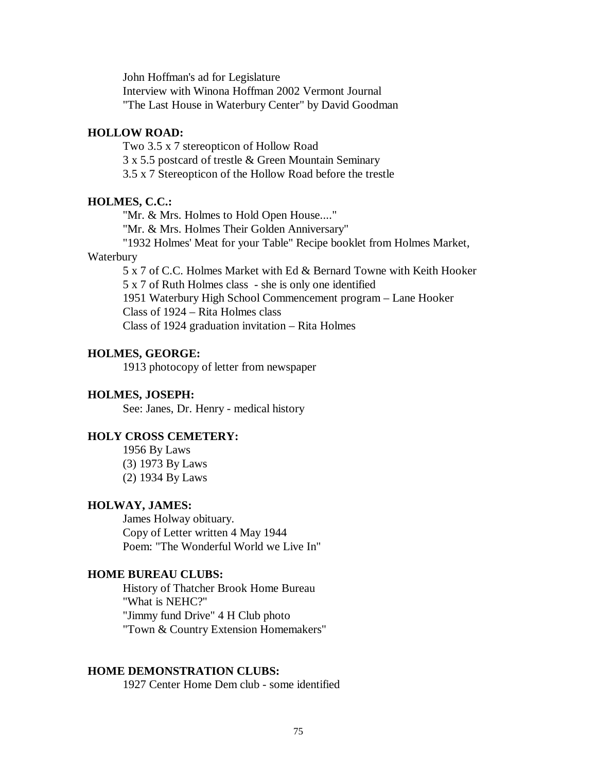John Hoffman's ad for Legislature Interview with Winona Hoffman 2002 Vermont Journal "The Last House in Waterbury Center" by David Goodman

#### **HOLLOW ROAD:**

Two 3.5 x 7 stereopticon of Hollow Road

3 x 5.5 postcard of trestle & Green Mountain Seminary

3.5 x 7 Stereopticon of the Hollow Road before the trestle

#### **HOLMES, C.C.:**

"Mr. & Mrs. Holmes to Hold Open House...."

"Mr. & Mrs. Holmes Their Golden Anniversary"

"1932 Holmes' Meat for your Table" Recipe booklet from Holmes Market,

## Waterbury

5 x 7 of C.C. Holmes Market with Ed & Bernard Towne with Keith Hooker 5 x 7 of Ruth Holmes class - she is only one identified 1951 Waterbury High School Commencement program – Lane Hooker Class of 1924 – Rita Holmes class

Class of 1924 graduation invitation – Rita Holmes

# **HOLMES, GEORGE:**

1913 photocopy of letter from newspaper

#### **HOLMES, JOSEPH:**

See: Janes, Dr. Henry - medical history

# **HOLY CROSS CEMETERY:**

1956 By Laws (3) 1973 By Laws (2) 1934 By Laws

## **HOLWAY, JAMES:**

James Holway obituary. Copy of Letter written 4 May 1944 Poem: "The Wonderful World we Live In"

#### **HOME BUREAU CLUBS:**

History of Thatcher Brook Home Bureau "What is NEHC?" "Jimmy fund Drive" 4 H Club photo "Town & Country Extension Homemakers"

# **HOME DEMONSTRATION CLUBS:**

1927 Center Home Dem club - some identified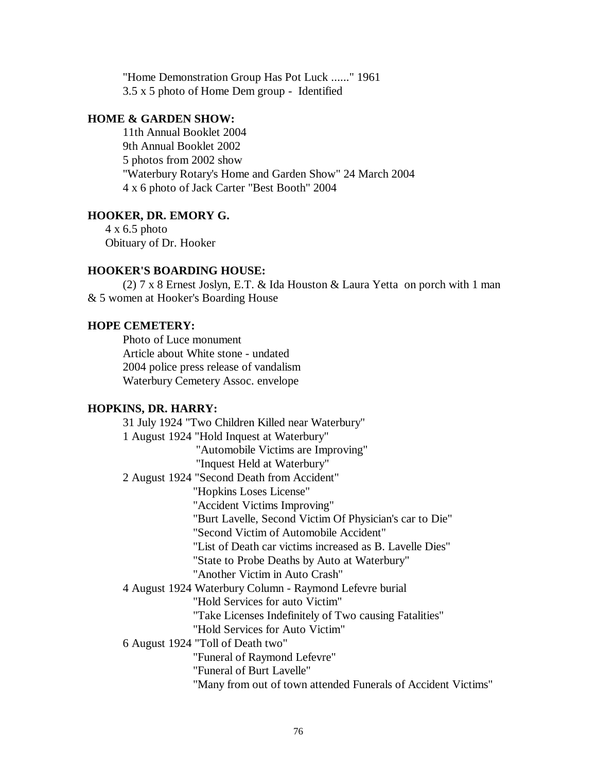"Home Demonstration Group Has Pot Luck ......" 1961 3.5 x 5 photo of Home Dem group - Identified

# **HOME & GARDEN SHOW:**

11th Annual Booklet 2004 9th Annual Booklet 2002 5 photos from 2002 show "Waterbury Rotary's Home and Garden Show" 24 March 2004 4 x 6 photo of Jack Carter "Best Booth" 2004

# **HOOKER, DR. EMORY G.**

4 x 6.5 photo Obituary of Dr. Hooker

# **HOOKER'S BOARDING HOUSE:**

(2) 7 x 8 Ernest Joslyn, E.T. & Ida Houston & Laura Yetta on porch with 1 man & 5 women at Hooker's Boarding House

## **HOPE CEMETERY:**

Photo of Luce monument Article about White stone - undated 2004 police press release of vandalism Waterbury Cemetery Assoc. envelope

# **HOPKINS, DR. HARRY:**

31 July 1924 "Two Children Killed near Waterbury" 1 August 1924 "Hold Inquest at Waterbury" "Automobile Victims are Improving" "Inquest Held at Waterbury" 2 August 1924 "Second Death from Accident" "Hopkins Loses License" "Accident Victims Improving" "Burt Lavelle, Second Victim Of Physician's car to Die" "Second Victim of Automobile Accident" "List of Death car victims increased as B. Lavelle Dies" "State to Probe Deaths by Auto at Waterbury" "Another Victim in Auto Crash" 4 August 1924 Waterbury Column - Raymond Lefevre burial "Hold Services for auto Victim" "Take Licenses Indefinitely of Two causing Fatalities" "Hold Services for Auto Victim" 6 August 1924 "Toll of Death two" "Funeral of Raymond Lefevre" "Funeral of Burt Lavelle" "Many from out of town attended Funerals of Accident Victims"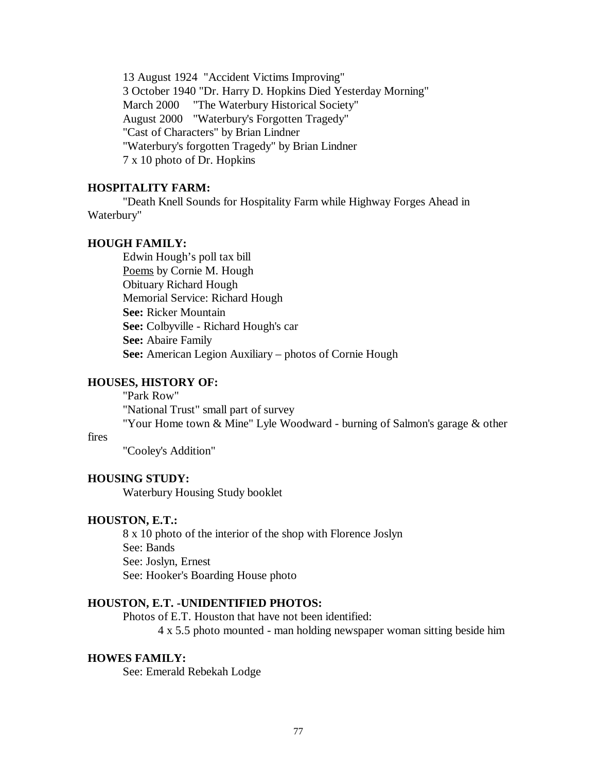13 August 1924 "Accident Victims Improving" 3 October 1940 "Dr. Harry D. Hopkins Died Yesterday Morning" March 2000 "The Waterbury Historical Society" August 2000 "Waterbury's Forgotten Tragedy" "Cast of Characters" by Brian Lindner "Waterbury's forgotten Tragedy" by Brian Lindner 7 x 10 photo of Dr. Hopkins

# **HOSPITALITY FARM:**

"Death Knell Sounds for Hospitality Farm while Highway Forges Ahead in Waterbury"

# **HOUGH FAMILY:**

Edwin Hough's poll tax bill Poems by Cornie M. Hough Obituary Richard Hough Memorial Service: Richard Hough **See:** Ricker Mountain **See:** Colbyville - Richard Hough's car **See:** Abaire Family **See:** American Legion Auxiliary – photos of Cornie Hough

#### **HOUSES, HISTORY OF:**

"Park Row" "National Trust" small part of survey "Your Home town & Mine" Lyle Woodward - burning of Salmon's garage & other

## fires

"Cooley's Addition"

#### **HOUSING STUDY:**

Waterbury Housing Study booklet

#### **HOUSTON, E.T.:**

8 x 10 photo of the interior of the shop with Florence Joslyn See: Bands See: Joslyn, Ernest See: Hooker's Boarding House photo

## **HOUSTON, E.T. -UNIDENTIFIED PHOTOS:**

Photos of E.T. Houston that have not been identified:

4 x 5.5 photo mounted - man holding newspaper woman sitting beside him

#### **HOWES FAMILY:**

See: Emerald Rebekah Lodge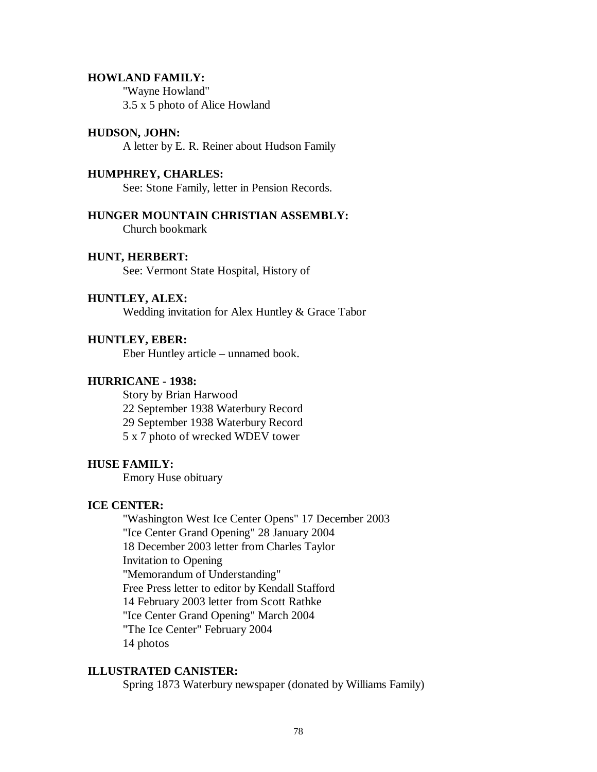#### **HOWLAND FAMILY:**

"Wayne Howland" 3.5 x 5 photo of Alice Howland

## **HUDSON, JOHN:**

A letter by E. R. Reiner about Hudson Family

## **HUMPHREY, CHARLES:**

See: Stone Family, letter in Pension Records.

**HUNGER MOUNTAIN CHRISTIAN ASSEMBLY:** Church bookmark

# **HUNT, HERBERT:**

See: Vermont State Hospital, History of

# **HUNTLEY, ALEX:**

Wedding invitation for Alex Huntley & Grace Tabor

# **HUNTLEY, EBER:**

Eber Huntley article – unnamed book.

## **HURRICANE - 1938:**

Story by Brian Harwood 22 September 1938 Waterbury Record 29 September 1938 Waterbury Record 5 x 7 photo of wrecked WDEV tower

#### **HUSE FAMILY:**

Emory Huse obituary

# **ICE CENTER:**

"Washington West Ice Center Opens" 17 December 2003 "Ice Center Grand Opening" 28 January 2004 18 December 2003 letter from Charles Taylor Invitation to Opening "Memorandum of Understanding" Free Press letter to editor by Kendall Stafford 14 February 2003 letter from Scott Rathke "Ice Center Grand Opening" March 2004 "The Ice Center" February 2004 14 photos

# **ILLUSTRATED CANISTER:**

Spring 1873 Waterbury newspaper (donated by Williams Family)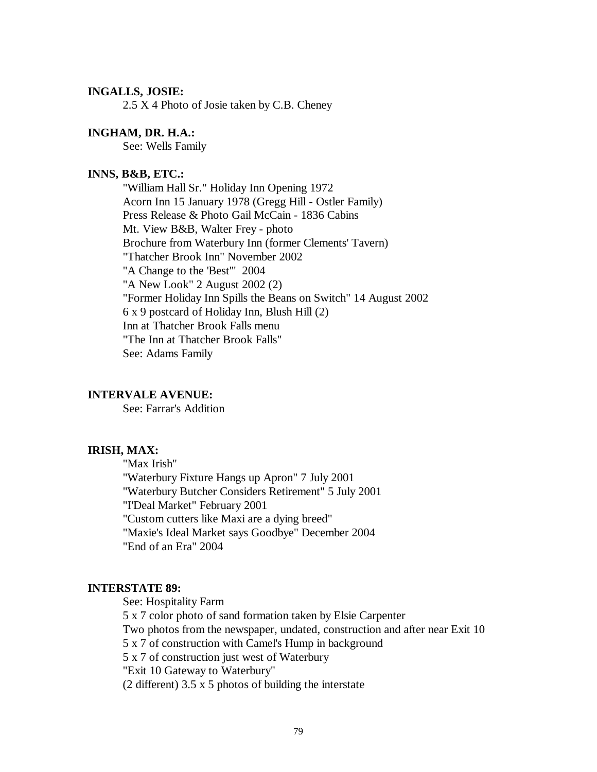## **INGALLS, JOSIE:**

2.5 X 4 Photo of Josie taken by C.B. Cheney

# **INGHAM, DR. H.A.:**

See: Wells Family

# **INNS, B&B, ETC.:**

"William Hall Sr." Holiday Inn Opening 1972 Acorn Inn 15 January 1978 (Gregg Hill - Ostler Family) Press Release & Photo Gail McCain - 1836 Cabins Mt. View B&B, Walter Frey - photo Brochure from Waterbury Inn (former Clements' Tavern) "Thatcher Brook Inn" November 2002 "A Change to the 'Best'" 2004 "A New Look" 2 August 2002 (2) "Former Holiday Inn Spills the Beans on Switch" 14 August 2002 6 x 9 postcard of Holiday Inn, Blush Hill (2) Inn at Thatcher Brook Falls menu "The Inn at Thatcher Brook Falls" See: Adams Family

#### **INTERVALE AVENUE:**

See: Farrar's Addition

## **IRISH, MAX:**

"Max Irish" "Waterbury Fixture Hangs up Apron" 7 July 2001 "Waterbury Butcher Considers Retirement" 5 July 2001 "I'Deal Market" February 2001 "Custom cutters like Maxi are a dying breed" "Maxie's Ideal Market says Goodbye" December 2004 "End of an Era" 2004

#### **INTERSTATE 89:**

See: Hospitality Farm

5 x 7 color photo of sand formation taken by Elsie Carpenter

Two photos from the newspaper, undated, construction and after near Exit 10

5 x 7 of construction with Camel's Hump in background

5 x 7 of construction just west of Waterbury

"Exit 10 Gateway to Waterbury"

(2 different) 3.5 x 5 photos of building the interstate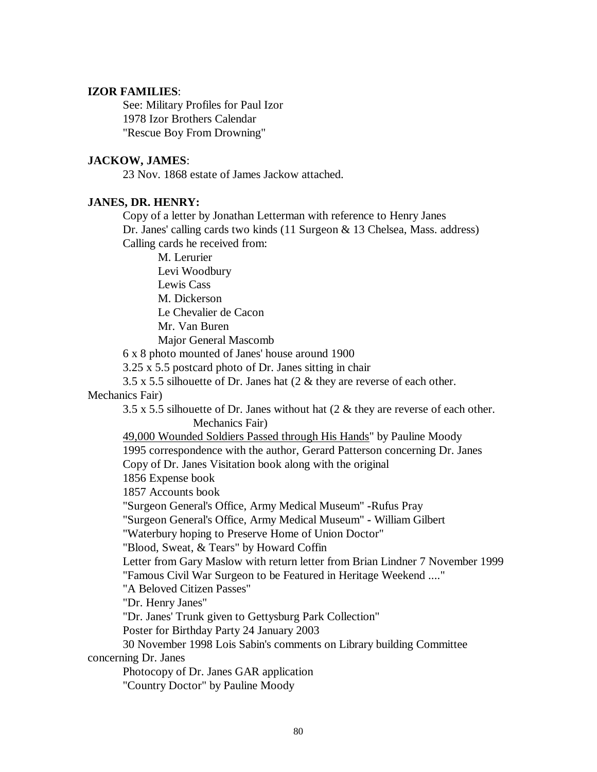# **IZOR FAMILIES**:

See: Military Profiles for Paul Izor 1978 Izor Brothers Calendar "Rescue Boy From Drowning"

# **JACKOW, JAMES**:

23 Nov. 1868 estate of James Jackow attached.

## **JANES, DR. HENRY:**

Copy of a letter by Jonathan Letterman with reference to Henry Janes Dr. Janes' calling cards two kinds (11 Surgeon & 13 Chelsea, Mass. address) Calling cards he received from:

M. Lerurier

Levi Woodbury

Lewis Cass

M. Dickerson

Le Chevalier de Cacon

Mr. Van Buren

Major General Mascomb

6 x 8 photo mounted of Janes' house around 1900

3.25 x 5.5 postcard photo of Dr. Janes sitting in chair

3.5 x 5.5 silhouette of Dr. Janes hat (2 & they are reverse of each other.

# Mechanics Fair)

3.5 x 5.5 silhouette of Dr. Janes without hat (2 & they are reverse of each other. Mechanics Fair)

49,000 Wounded Soldiers Passed through His Hands" by Pauline Moody

1995 correspondence with the author, Gerard Patterson concerning Dr. Janes

Copy of Dr. Janes Visitation book along with the original

1856 Expense book

1857 Accounts book

"Surgeon General's Office, Army Medical Museum" **-**Rufus Pray

"Surgeon General's Office, Army Medical Museum" **-** William Gilbert

"Waterbury hoping to Preserve Home of Union Doctor"

"Blood, Sweat, & Tears" by Howard Coffin

Letter from Gary Maslow with return letter from Brian Lindner 7 November 1999

"Famous Civil War Surgeon to be Featured in Heritage Weekend ...."

"A Beloved Citizen Passes"

"Dr. Henry Janes"

"Dr. Janes' Trunk given to Gettysburg Park Collection"

Poster for Birthday Party 24 January 2003

30 November 1998 Lois Sabin's comments on Library building Committee concerning Dr. Janes

Photocopy of Dr. Janes GAR application "Country Doctor" by Pauline Moody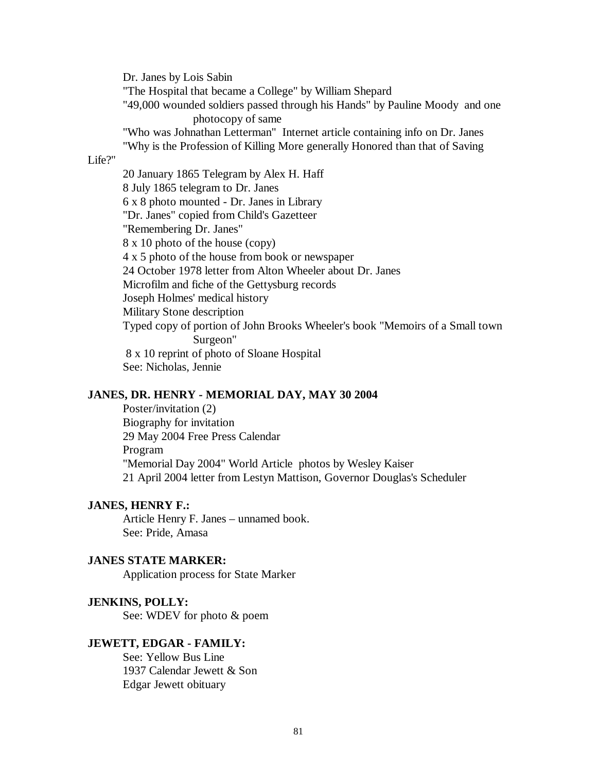Dr. Janes by Lois Sabin

"The Hospital that became a College" by William Shepard

"49,000 wounded soldiers passed through his Hands" by Pauline Moody and one photocopy of same

"Who was Johnathan Letterman" Internet article containing info on Dr. Janes "Why is the Profession of Killing More generally Honored than that of Saving

#### Life?"

20 January 1865 Telegram by Alex H. Haff 8 July 1865 telegram to Dr. Janes 6 x 8 photo mounted - Dr. Janes in Library "Dr. Janes" copied from Child's Gazetteer "Remembering Dr. Janes" 8 x 10 photo of the house (copy) 4 x 5 photo of the house from book or newspaper 24 October 1978 letter from Alton Wheeler about Dr. Janes Microfilm and fiche of the Gettysburg records Joseph Holmes' medical history Military Stone description Typed copy of portion of John Brooks Wheeler's book "Memoirs of a Small town Surgeon" 8 x 10 reprint of photo of Sloane Hospital See: Nicholas, Jennie

# **JANES, DR. HENRY - MEMORIAL DAY, MAY 30 2004**

Poster/invitation (2) Biography for invitation 29 May 2004 Free Press Calendar Program "Memorial Day 2004" World Article photos by Wesley Kaiser 21 April 2004 letter from Lestyn Mattison, Governor Douglas's Scheduler

# **JANES, HENRY F.:**

Article Henry F. Janes – unnamed book. See: Pride, Amasa

#### **JANES STATE MARKER:**

Application process for State Marker

# **JENKINS, POLLY:**

See: WDEV for photo & poem

#### **JEWETT, EDGAR - FAMILY:**

See: Yellow Bus Line 1937 Calendar Jewett & Son Edgar Jewett obituary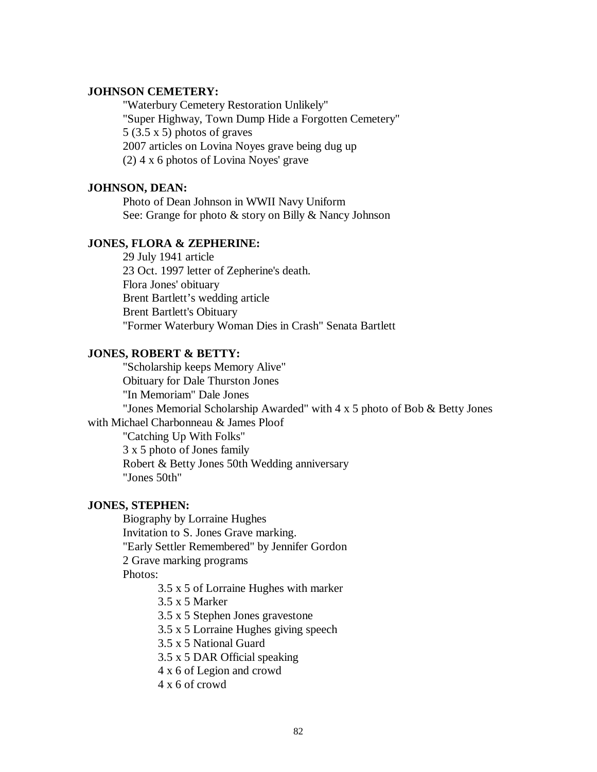# **JOHNSON CEMETERY:**

"Waterbury Cemetery Restoration Unlikely" "Super Highway, Town Dump Hide a Forgotten Cemetery" 5 (3.5 x 5) photos of graves 2007 articles on Lovina Noyes grave being dug up (2) 4 x 6 photos of Lovina Noyes' grave

## **JOHNSON, DEAN:**

Photo of Dean Johnson in WWII Navy Uniform See: Grange for photo & story on Billy & Nancy Johnson

# **JONES, FLORA & ZEPHERINE:**

29 July 1941 article 23 Oct. 1997 letter of Zepherine's death. Flora Jones' obituary Brent Bartlett's wedding article Brent Bartlett's Obituary "Former Waterbury Woman Dies in Crash" Senata Bartlett

# **JONES, ROBERT & BETTY:**

"Scholarship keeps Memory Alive" Obituary for Dale Thurston Jones "In Memoriam" Dale Jones "Jones Memorial Scholarship Awarded" with 4 x 5 photo of Bob & Betty Jones with Michael Charbonneau & James Ploof "Catching Up With Folks" 3 x 5 photo of Jones family Robert & Betty Jones 50th Wedding anniversary "Jones 50th"

# **JONES, STEPHEN:**

Biography by Lorraine Hughes Invitation to S. Jones Grave marking. "Early Settler Remembered" by Jennifer Gordon 2 Grave marking programs Photos:

3.5 x 5 of Lorraine Hughes with marker

3.5 x 5 Marker

3.5 x 5 Stephen Jones gravestone

3.5 x 5 Lorraine Hughes giving speech

3.5 x 5 National Guard

3.5 x 5 DAR Official speaking

4 x 6 of Legion and crowd

4 x 6 of crowd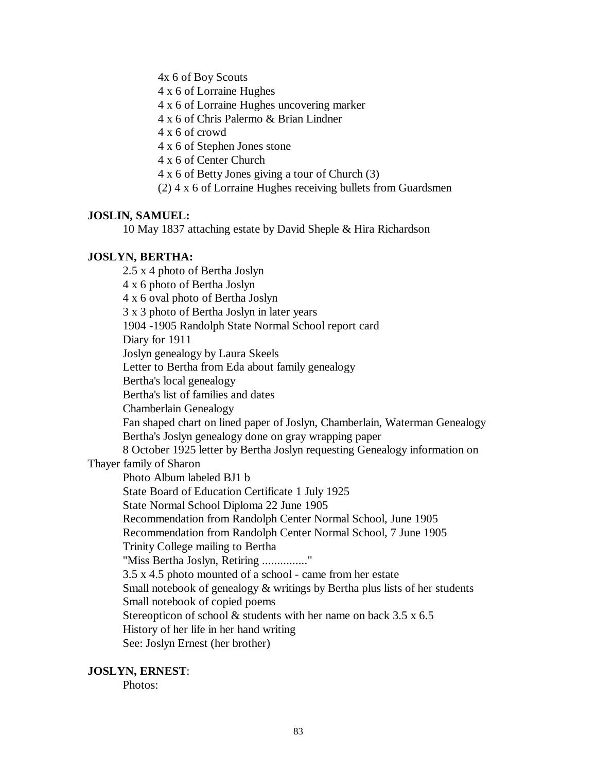4x 6 of Boy Scouts

4 x 6 of Lorraine Hughes

4 x 6 of Lorraine Hughes uncovering marker

4 x 6 of Chris Palermo & Brian Lindner

4 x 6 of crowd

4 x 6 of Stephen Jones stone

4 x 6 of Center Church

4 x 6 of Betty Jones giving a tour of Church (3)

(2) 4 x 6 of Lorraine Hughes receiving bullets from Guardsmen

# **JOSLIN, SAMUEL:**

10 May 1837 attaching estate by David Sheple & Hira Richardson

# **JOSLYN, BERTHA:**

2.5 x 4 photo of Bertha Joslyn 4 x 6 photo of Bertha Joslyn 4 x 6 oval photo of Bertha Joslyn 3 x 3 photo of Bertha Joslyn in later years 1904 -1905 Randolph State Normal School report card Diary for 1911 Joslyn genealogy by Laura Skeels Letter to Bertha from Eda about family genealogy Bertha's local genealogy Bertha's list of families and dates Chamberlain Genealogy Fan shaped chart on lined paper of Joslyn, Chamberlain, Waterman Genealogy Bertha's Joslyn genealogy done on gray wrapping paper 8 October 1925 letter by Bertha Joslyn requesting Genealogy information on Thayer family of Sharon Photo Album labeled BJ1 b State Board of Education Certificate 1 July 1925 State Normal School Diploma 22 June 1905 Recommendation from Randolph Center Normal School, June 1905 Recommendation from Randolph Center Normal School, 7 June 1905 Trinity College mailing to Bertha "Miss Bertha Joslyn, Retiring ..............." 3.5 x 4.5 photo mounted of a school - came from her estate Small notebook of genealogy  $&$  writings by Bertha plus lists of her students Small notebook of copied poems Stereopticon of school  $&$  students with her name on back 3.5 x 6.5 History of her life in her hand writing See: Joslyn Ernest (her brother)

## **JOSLYN, ERNEST**:

Photos: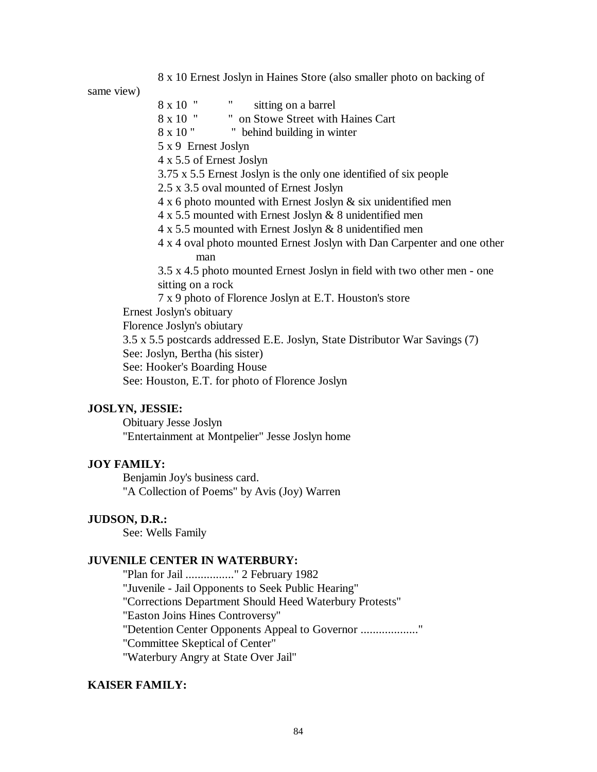8 x 10 Ernest Joslyn in Haines Store (also smaller photo on backing of

same view)

8 x 10 " sitting on a barrel 8 x 10 " " on Stowe Street with Haines Cart 8 x 10 " behind building in winter 5 x 9 Ernest Joslyn 4 x 5.5 of Ernest Joslyn 3.75 x 5.5 Ernest Joslyn is the only one identified of six people 2.5 x 3.5 oval mounted of Ernest Joslyn 4 x 6 photo mounted with Ernest Joslyn & six unidentified men 4 x 5.5 mounted with Ernest Joslyn & 8 unidentified men 4 x 5.5 mounted with Ernest Joslyn & 8 unidentified men 4 x 4 oval photo mounted Ernest Joslyn with Dan Carpenter and one other man 3.5 x 4.5 photo mounted Ernest Joslyn in field with two other men - one sitting on a rock 7 x 9 photo of Florence Joslyn at E.T. Houston's store Ernest Joslyn's obituary Florence Joslyn's obiutary 3.5 x 5.5 postcards addressed E.E. Joslyn, State Distributor War Savings (7) See: Joslyn, Bertha (his sister) See: Hooker's Boarding House See: Houston, E.T. for photo of Florence Joslyn

# **JOSLYN, JESSIE:**

Obituary Jesse Joslyn "Entertainment at Montpelier" Jesse Joslyn home

#### **JOY FAMILY:**

Benjamin Joy's business card. "A Collection of Poems" by Avis (Joy) Warren

## **JUDSON, D.R.:**

See: Wells Family

## **JUVENILE CENTER IN WATERBURY:**

"Plan for Jail ................" 2 February 1982 "Juvenile - Jail Opponents to Seek Public Hearing" "Corrections Department Should Heed Waterbury Protests" "Easton Joins Hines Controversy" "Detention Center Opponents Appeal to Governor ..................." "Committee Skeptical of Center" "Waterbury Angry at State Over Jail"

#### **KAISER FAMILY:**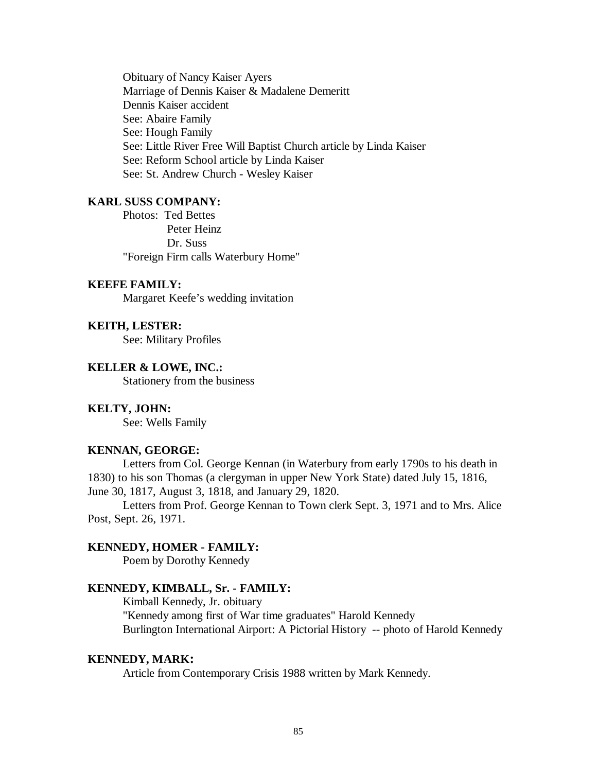Obituary of Nancy Kaiser Ayers Marriage of Dennis Kaiser & Madalene Demeritt Dennis Kaiser accident See: Abaire Family See: Hough Family See: Little River Free Will Baptist Church article by Linda Kaiser See: Reform School article by Linda Kaiser See: St. Andrew Church - Wesley Kaiser

## **KARL SUSS COMPANY:**

Photos: Ted Bettes Peter Heinz Dr. Suss "Foreign Firm calls Waterbury Home"

# **KEEFE FAMILY:**

Margaret Keefe's wedding invitation

## **KEITH, LESTER:**

See: Military Profiles

#### **KELLER & LOWE, INC.:**

Stationery from the business

### **KELTY, JOHN:**

See: Wells Family

# **KENNAN, GEORGE:**

Letters from Col. George Kennan (in Waterbury from early 1790s to his death in 1830) to his son Thomas (a clergyman in upper New York State) dated July 15, 1816, June 30, 1817, August 3, 1818, and January 29, 1820.

Letters from Prof. George Kennan to Town clerk Sept. 3, 1971 and to Mrs. Alice Post, Sept. 26, 1971.

# **KENNEDY, HOMER - FAMILY:**

Poem by Dorothy Kennedy

#### **KENNEDY, KIMBALL, Sr. - FAMILY:**

Kimball Kennedy, Jr. obituary "Kennedy among first of War time graduates" Harold Kennedy Burlington International Airport: A Pictorial History -- photo of Harold Kennedy

# **KENNEDY, MARK:**

Article from Contemporary Crisis 1988 written by Mark Kennedy.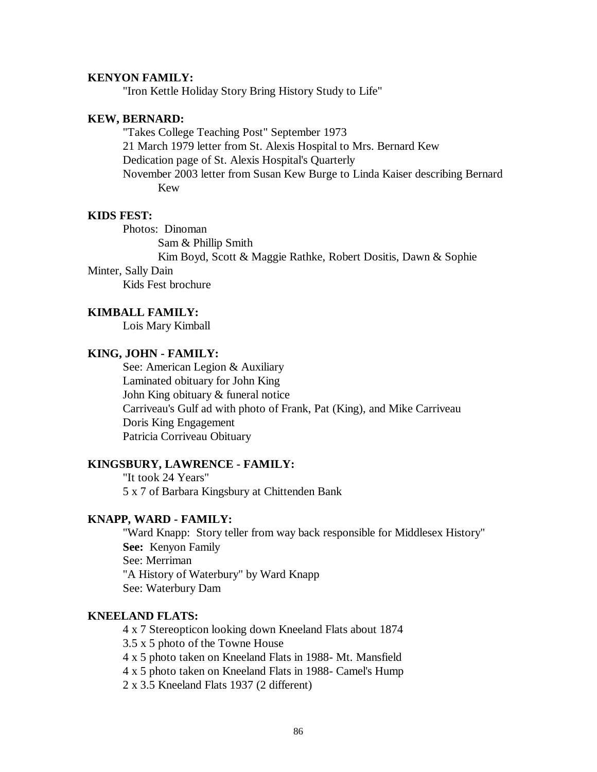# **KENYON FAMILY:**

"Iron Kettle Holiday Story Bring History Study to Life"

# **KEW, BERNARD:**

"Takes College Teaching Post" September 1973 21 March 1979 letter from St. Alexis Hospital to Mrs. Bernard Kew Dedication page of St. Alexis Hospital's Quarterly November 2003 letter from Susan Kew Burge to Linda Kaiser describing Bernard Kew

# **KIDS FEST:**

Photos: Dinoman Sam & Phillip Smith

Kim Boyd, Scott & Maggie Rathke, Robert Dositis, Dawn & Sophie

# Minter, Sally Dain

Kids Fest brochure

# **KIMBALL FAMILY:**

Lois Mary Kimball

# **KING, JOHN - FAMILY:**

See: American Legion & Auxiliary Laminated obituary for John King John King obituary & funeral notice Carriveau's Gulf ad with photo of Frank, Pat (King), and Mike Carriveau Doris King Engagement Patricia Corriveau Obituary

#### **KINGSBURY, LAWRENCE - FAMILY:**

"It took 24 Years" 5 x 7 of Barbara Kingsbury at Chittenden Bank

## **KNAPP, WARD - FAMILY:**

"Ward Knapp: Story teller from way back responsible for Middlesex History" **See:** Kenyon Family See: Merriman "A History of Waterbury" by Ward Knapp See: Waterbury Dam

# **KNEELAND FLATS:**

4 x 7 Stereopticon looking down Kneeland Flats about 1874 3.5 x 5 photo of the Towne House 4 x 5 photo taken on Kneeland Flats in 1988- Mt. Mansfield 4 x 5 photo taken on Kneeland Flats in 1988- Camel's Hump

2 x 3.5 Kneeland Flats 1937 (2 different)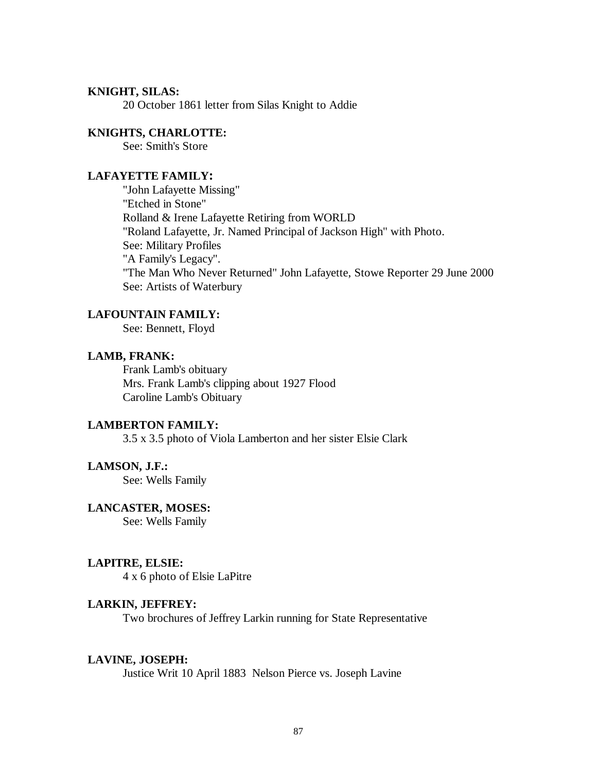## **KNIGHT, SILAS:**

20 October 1861 letter from Silas Knight to Addie

## **KNIGHTS, CHARLOTTE:**

See: Smith's Store

# **LAFAYETTE FAMILY:**

"John Lafayette Missing" "Etched in Stone" Rolland & Irene Lafayette Retiring from WORLD "Roland Lafayette, Jr. Named Principal of Jackson High" with Photo. See: Military Profiles "A Family's Legacy". "The Man Who Never Returned" John Lafayette, Stowe Reporter 29 June 2000 See: Artists of Waterbury

# **LAFOUNTAIN FAMILY:**

See: Bennett, Floyd

## **LAMB, FRANK:**

Frank Lamb's obituary Mrs. Frank Lamb's clipping about 1927 Flood Caroline Lamb's Obituary

# **LAMBERTON FAMILY:**

3.5 x 3.5 photo of Viola Lamberton and her sister Elsie Clark

# **LAMSON, J.F.:**

See: Wells Family

## **LANCASTER, MOSES:**

See: Wells Family

#### **LAPITRE, ELSIE:**

4 x 6 photo of Elsie LaPitre

#### **LARKIN, JEFFREY:**

Two brochures of Jeffrey Larkin running for State Representative

#### **LAVINE, JOSEPH:**

Justice Writ 10 April 1883 Nelson Pierce vs. Joseph Lavine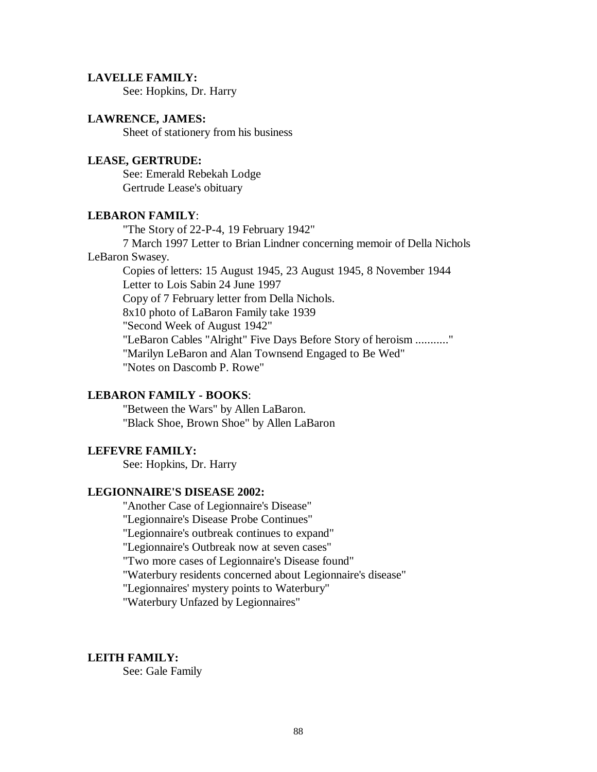#### **LAVELLE FAMILY:**

See: Hopkins, Dr. Harry

#### **LAWRENCE, JAMES:**

Sheet of stationery from his business

# **LEASE, GERTRUDE:**

See: Emerald Rebekah Lodge Gertrude Lease's obituary

# **LEBARON FAMILY**:

"The Story of 22-P-4, 19 February 1942"

7 March 1997 Letter to Brian Lindner concerning memoir of Della Nichols LeBaron Swasey.

Copies of letters: 15 August 1945, 23 August 1945, 8 November 1944 Letter to Lois Sabin 24 June 1997 Copy of 7 February letter from Della Nichols. 8x10 photo of LaBaron Family take 1939 "Second Week of August 1942" "LeBaron Cables "Alright" Five Days Before Story of heroism ..........." "Marilyn LeBaron and Alan Townsend Engaged to Be Wed" "Notes on Dascomb P. Rowe"

#### **LEBARON FAMILY - BOOKS**:

"Between the Wars" by Allen LaBaron. "Black Shoe, Brown Shoe" by Allen LaBaron

#### **LEFEVRE FAMILY:**

See: Hopkins, Dr. Harry

#### **LEGIONNAIRE'S DISEASE 2002:**

"Another Case of Legionnaire's Disease"

"Legionnaire's Disease Probe Continues"

"Legionnaire's outbreak continues to expand"

"Legionnaire's Outbreak now at seven cases"

"Two more cases of Legionnaire's Disease found"

"Waterbury residents concerned about Legionnaire's disease"

"Legionnaires' mystery points to Waterbury"

"Waterbury Unfazed by Legionnaires"

#### **LEITH FAMILY:**

See: Gale Family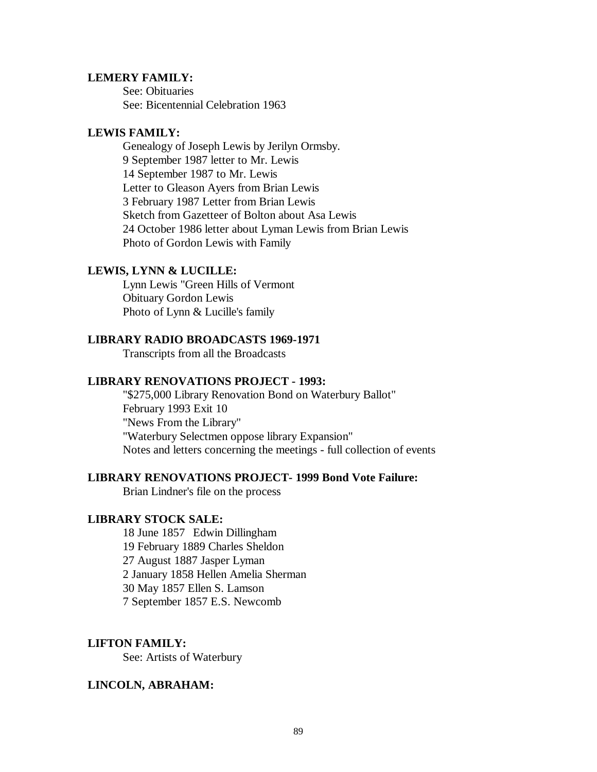## **LEMERY FAMILY:**

See: Obituaries See: Bicentennial Celebration 1963

## **LEWIS FAMILY:**

Genealogy of Joseph Lewis by Jerilyn Ormsby. 9 September 1987 letter to Mr. Lewis 14 September 1987 to Mr. Lewis Letter to Gleason Ayers from Brian Lewis 3 February 1987 Letter from Brian Lewis Sketch from Gazetteer of Bolton about Asa Lewis 24 October 1986 letter about Lyman Lewis from Brian Lewis Photo of Gordon Lewis with Family

# **LEWIS, LYNN & LUCILLE:**

Lynn Lewis "Green Hills of Vermont Obituary Gordon Lewis Photo of Lynn & Lucille's family

# **LIBRARY RADIO BROADCASTS 1969-1971**

Transcripts from all the Broadcasts

## **LIBRARY RENOVATIONS PROJECT - 1993:**

"\$275,000 Library Renovation Bond on Waterbury Ballot" February 1993 Exit 10 "News From the Library" "Waterbury Selectmen oppose library Expansion" Notes and letters concerning the meetings - full collection of events

# **LIBRARY RENOVATIONS PROJECT- 1999 Bond Vote Failure:**

Brian Lindner's file on the process

## **LIBRARY STOCK SALE:**

18 June 1857 Edwin Dillingham 19 February 1889 Charles Sheldon 27 August 1887 Jasper Lyman 2 January 1858 Hellen Amelia Sherman 30 May 1857 Ellen S. Lamson 7 September 1857 E.S. Newcomb

# **LIFTON FAMILY:**

See: Artists of Waterbury

#### **LINCOLN, ABRAHAM:**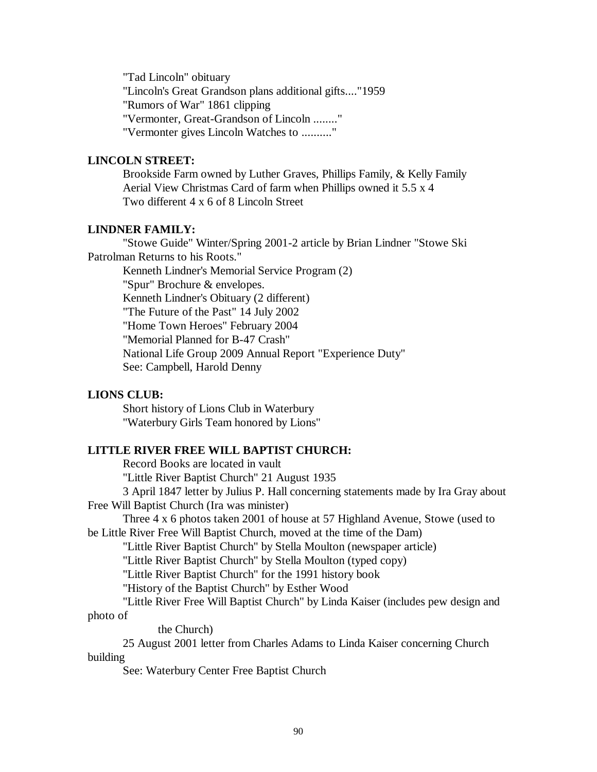"Tad Lincoln" obituary "Lincoln's Great Grandson plans additional gifts...."1959 "Rumors of War" 1861 clipping "Vermonter, Great-Grandson of Lincoln ........" "Vermonter gives Lincoln Watches to .........."

# **LINCOLN STREET:**

Brookside Farm owned by Luther Graves, Phillips Family, & Kelly Family Aerial View Christmas Card of farm when Phillips owned it 5.5 x 4 Two different 4 x 6 of 8 Lincoln Street

## **LINDNER FAMILY:**

"Stowe Guide" Winter/Spring 2001-2 article by Brian Lindner "Stowe Ski Patrolman Returns to his Roots."

Kenneth Lindner's Memorial Service Program (2) "Spur" Brochure & envelopes. Kenneth Lindner's Obituary (2 different) "The Future of the Past" 14 July 2002 "Home Town Heroes" February 2004 "Memorial Planned for B-47 Crash" National Life Group 2009 Annual Report "Experience Duty"

# See: Campbell, Harold Denny

#### **LIONS CLUB:**

Short history of Lions Club in Waterbury "Waterbury Girls Team honored by Lions"

# **LITTLE RIVER FREE WILL BAPTIST CHURCH:**

Record Books are located in vault

"Little River Baptist Church" 21 August 1935

3 April 1847 letter by Julius P. Hall concerning statements made by Ira Gray about Free Will Baptist Church (Ira was minister)

Three 4 x 6 photos taken 2001 of house at 57 Highland Avenue, Stowe (used to be Little River Free Will Baptist Church, moved at the time of the Dam)

"Little River Baptist Church" by Stella Moulton (newspaper article)

"Little River Baptist Church" by Stella Moulton (typed copy)

"Little River Baptist Church" for the 1991 history book

"History of the Baptist Church" by Esther Wood

"Little River Free Will Baptist Church" by Linda Kaiser (includes pew design and photo of

the Church)

25 August 2001 letter from Charles Adams to Linda Kaiser concerning Church building

See: Waterbury Center Free Baptist Church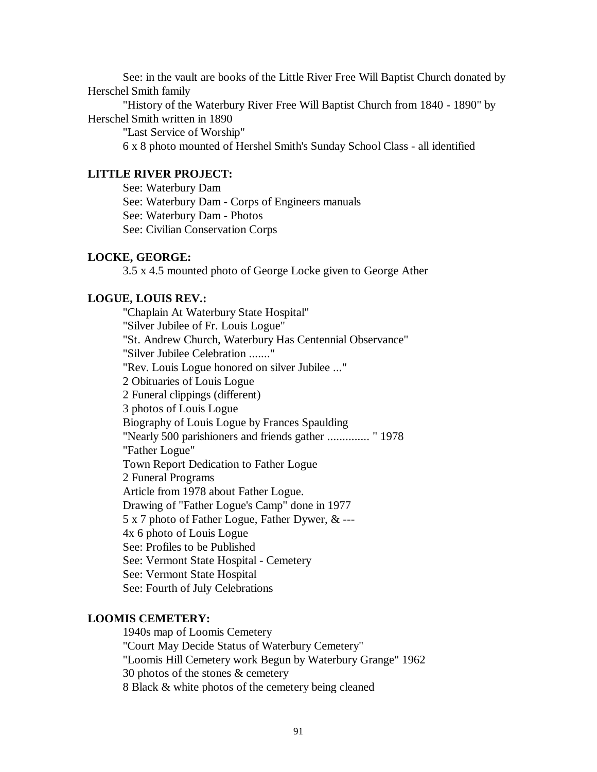See: in the vault are books of the Little River Free Will Baptist Church donated by Herschel Smith family

"History of the Waterbury River Free Will Baptist Church from 1840 - 1890" by Herschel Smith written in 1890

"Last Service of Worship"

6 x 8 photo mounted of Hershel Smith's Sunday School Class - all identified

# **LITTLE RIVER PROJECT:**

See: Waterbury Dam See: Waterbury Dam **-** Corps of Engineers manuals See: Waterbury Dam - Photos See: Civilian Conservation Corps

# **LOCKE, GEORGE:**

3.5 x 4.5 mounted photo of George Locke given to George Ather

# **LOGUE, LOUIS REV.:**

"Chaplain At Waterbury State Hospital" "Silver Jubilee of Fr. Louis Logue" "St. Andrew Church, Waterbury Has Centennial Observance" "Silver Jubilee Celebration ......." "Rev. Louis Logue honored on silver Jubilee ..." 2 Obituaries of Louis Logue 2 Funeral clippings (different) 3 photos of Louis Logue Biography of Louis Logue by Frances Spaulding "Nearly 500 parishioners and friends gather .............. " 1978 "Father Logue" Town Report Dedication to Father Logue 2 Funeral Programs Article from 1978 about Father Logue. Drawing of "Father Logue's Camp" done in 1977 5 x 7 photo of Father Logue, Father Dywer, & --- 4x 6 photo of Louis Logue See: Profiles to be Published See: Vermont State Hospital - Cemetery See: Vermont State Hospital See: Fourth of July Celebrations

# **LOOMIS CEMETERY:**

1940s map of Loomis Cemetery "Court May Decide Status of Waterbury Cemetery" "Loomis Hill Cemetery work Begun by Waterbury Grange" 1962 30 photos of the stones & cemetery 8 Black & white photos of the cemetery being cleaned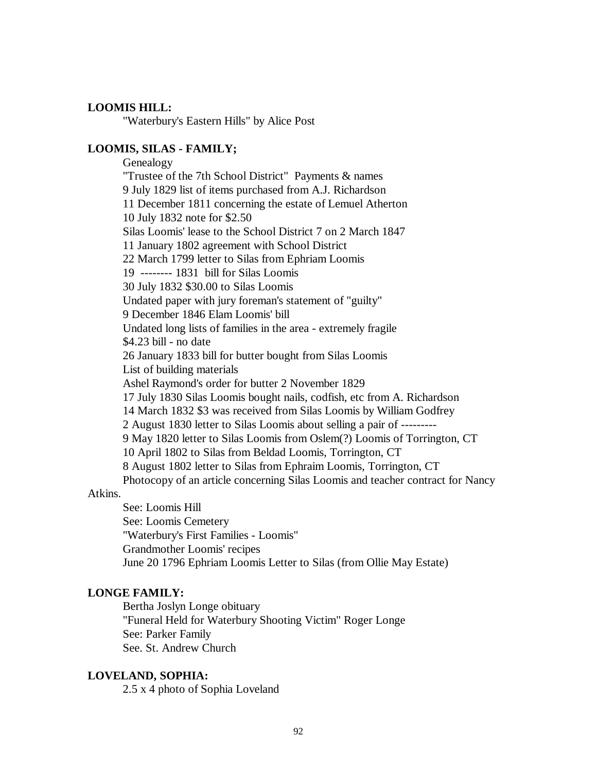# **LOOMIS HILL:**

"Waterbury's Eastern Hills" by Alice Post

# **LOOMIS, SILAS - FAMILY;**

Genealogy "Trustee of the 7th School District" Payments & names 9 July 1829 list of items purchased from A.J. Richardson 11 December 1811 concerning the estate of Lemuel Atherton 10 July 1832 note for \$2.50 Silas Loomis' lease to the School District 7 on 2 March 1847 11 January 1802 agreement with School District 22 March 1799 letter to Silas from Ephriam Loomis 19 -------- 1831 bill for Silas Loomis 30 July 1832 \$30.00 to Silas Loomis Undated paper with jury foreman's statement of "guilty" 9 December 1846 Elam Loomis' bill Undated long lists of families in the area - extremely fragile \$4.23 bill - no date 26 January 1833 bill for butter bought from Silas Loomis List of building materials Ashel Raymond's order for butter 2 November 1829 17 July 1830 Silas Loomis bought nails, codfish, etc from A. Richardson 14 March 1832 \$3 was received from Silas Loomis by William Godfrey 2 August 1830 letter to Silas Loomis about selling a pair of --------- 9 May 1820 letter to Silas Loomis from Oslem(?) Loomis of Torrington, CT 10 April 1802 to Silas from Beldad Loomis, Torrington, CT 8 August 1802 letter to Silas from Ephraim Loomis, Torrington, CT Photocopy of an article concerning Silas Loomis and teacher contract for Nancy

# Atkins.

See: Loomis Hill See: Loomis Cemetery "Waterbury's First Families - Loomis" Grandmother Loomis' recipes June 20 1796 Ephriam Loomis Letter to Silas (from Ollie May Estate)

## **LONGE FAMILY:**

Bertha Joslyn Longe obituary "Funeral Held for Waterbury Shooting Victim" Roger Longe See: Parker Family See. St. Andrew Church

# **LOVELAND, SOPHIA:**

2.5 x 4 photo of Sophia Loveland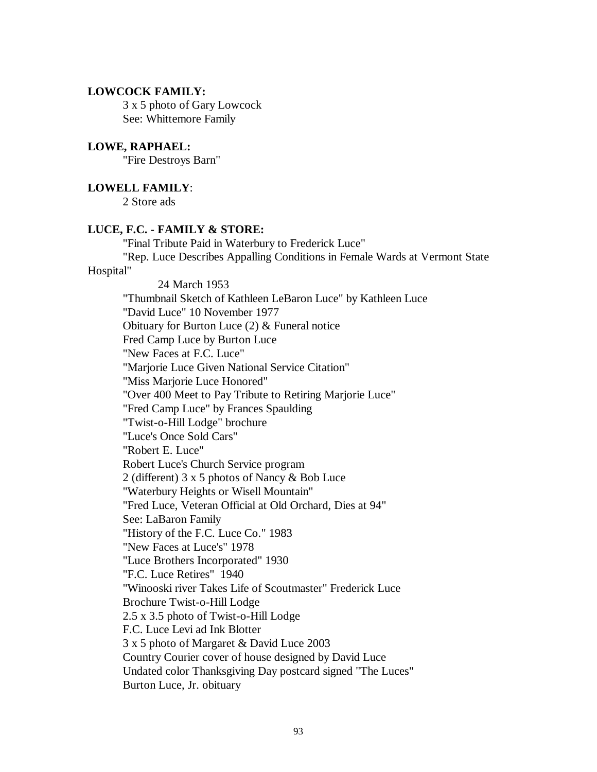# **LOWCOCK FAMILY:**

3 x 5 photo of Gary Lowcock See: Whittemore Family

# **LOWE, RAPHAEL:**

"Fire Destroys Barn"

## **LOWELL FAMILY**:

2 Store ads

#### **LUCE, F.C. - FAMILY & STORE:**

"Final Tribute Paid in Waterbury to Frederick Luce"

"Rep. Luce Describes Appalling Conditions in Female Wards at Vermont State Hospital"

24 March 1953 "Thumbnail Sketch of Kathleen LeBaron Luce" by Kathleen Luce "David Luce" 10 November 1977 Obituary for Burton Luce (2) & Funeral notice Fred Camp Luce by Burton Luce "New Faces at F.C. Luce" "Marjorie Luce Given National Service Citation" "Miss Marjorie Luce Honored" "Over 400 Meet to Pay Tribute to Retiring Marjorie Luce" "Fred Camp Luce" by Frances Spaulding "Twist-o-Hill Lodge" brochure "Luce's Once Sold Cars" "Robert E. Luce" Robert Luce's Church Service program 2 (different) 3 x 5 photos of Nancy & Bob Luce "Waterbury Heights or Wisell Mountain" "Fred Luce, Veteran Official at Old Orchard, Dies at 94" See: LaBaron Family "History of the F.C. Luce Co." 1983 "New Faces at Luce's" 1978 "Luce Brothers Incorporated" 1930 "F.C. Luce Retires" 1940 "Winooski river Takes Life of Scoutmaster" Frederick Luce Brochure Twist-o-Hill Lodge 2.5 x 3.5 photo of Twist-o-Hill Lodge F.C. Luce Levi ad Ink Blotter 3 x 5 photo of Margaret & David Luce 2003 Country Courier cover of house designed by David Luce Undated color Thanksgiving Day postcard signed "The Luces" Burton Luce, Jr. obituary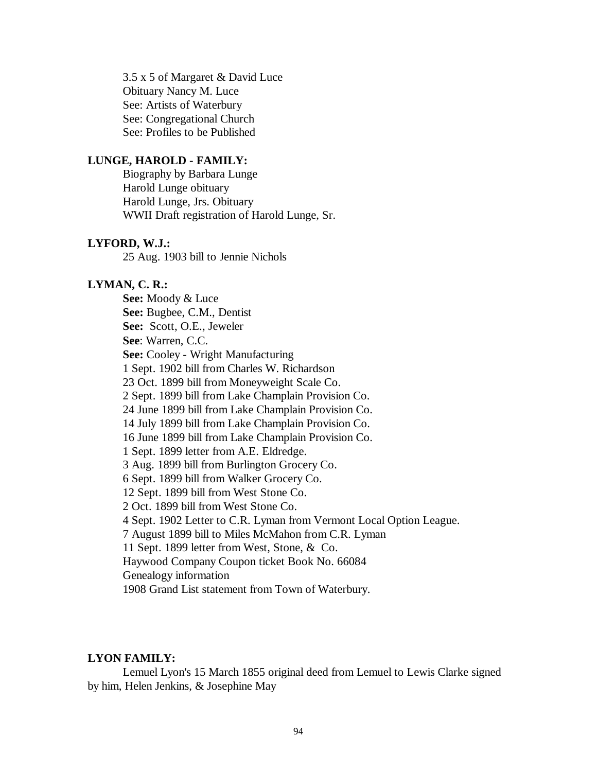3.5 x 5 of Margaret & David Luce Obituary Nancy M. Luce See: Artists of Waterbury See: Congregational Church See: Profiles to be Published

# **LUNGE, HAROLD - FAMILY:**

Biography by Barbara Lunge Harold Lunge obituary Harold Lunge, Jrs. Obituary WWII Draft registration of Harold Lunge, Sr.

#### **LYFORD, W.J.:**

25 Aug. 1903 bill to Jennie Nichols

## **LYMAN, C. R.:**

**See:** Moody & Luce **See:** Bugbee, C.M., Dentist **See:** Scott, O.E., Jeweler **See**: Warren, C.C. **See:** Cooley - Wright Manufacturing 1 Sept. 1902 bill from Charles W. Richardson 23 Oct. 1899 bill from Moneyweight Scale Co. 2 Sept. 1899 bill from Lake Champlain Provision Co. 24 June 1899 bill from Lake Champlain Provision Co. 14 July 1899 bill from Lake Champlain Provision Co. 16 June 1899 bill from Lake Champlain Provision Co. 1 Sept. 1899 letter from A.E. Eldredge. 3 Aug. 1899 bill from Burlington Grocery Co. 6 Sept. 1899 bill from Walker Grocery Co. 12 Sept. 1899 bill from West Stone Co. 2 Oct. 1899 bill from West Stone Co. 4 Sept. 1902 Letter to C.R. Lyman from Vermont Local Option League. 7 August 1899 bill to Miles McMahon from C.R. Lyman 11 Sept. 1899 letter from West, Stone, & Co. Haywood Company Coupon ticket Book No. 66084 Genealogy information 1908 Grand List statement from Town of Waterbury.

# **LYON FAMILY:**

Lemuel Lyon's 15 March 1855 original deed from Lemuel to Lewis Clarke signed by him, Helen Jenkins, & Josephine May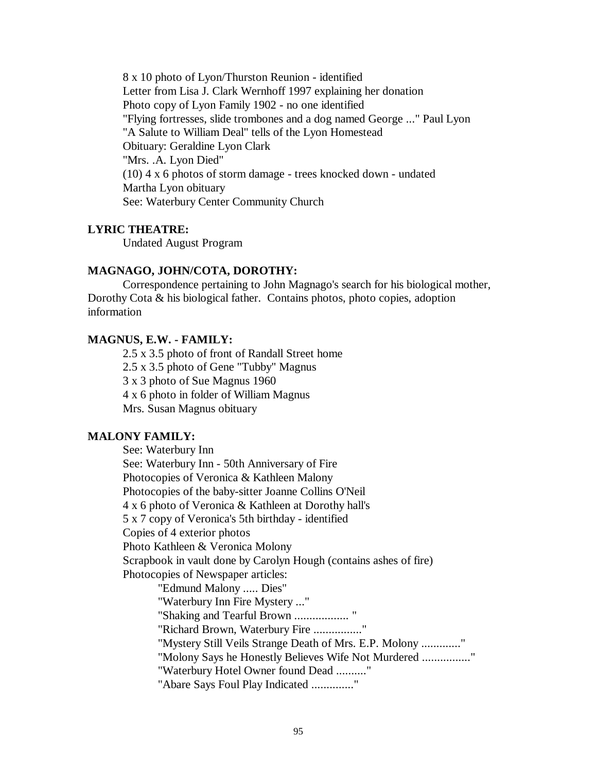8 x 10 photo of Lyon/Thurston Reunion - identified Letter from Lisa J. Clark Wernhoff 1997 explaining her donation Photo copy of Lyon Family 1902 - no one identified "Flying fortresses, slide trombones and a dog named George ..." Paul Lyon "A Salute to William Deal" tells of the Lyon Homestead Obituary: Geraldine Lyon Clark "Mrs. .A. Lyon Died" (10) 4 x 6 photos of storm damage - trees knocked down - undated Martha Lyon obituary See: Waterbury Center Community Church

#### **LYRIC THEATRE:**

Undated August Program

## **MAGNAGO, JOHN/COTA, DOROTHY:**

Correspondence pertaining to John Magnago's search for his biological mother, Dorothy Cota & his biological father. Contains photos, photo copies, adoption information

# **MAGNUS, E.W. - FAMILY:**

2.5 x 3.5 photo of front of Randall Street home 2.5 x 3.5 photo of Gene "Tubby" Magnus 3 x 3 photo of Sue Magnus 1960 4 x 6 photo in folder of William Magnus Mrs. Susan Magnus obituary

# **MALONY FAMILY:**

See: Waterbury Inn See: Waterbury Inn - 50th Anniversary of Fire Photocopies of Veronica & Kathleen Malony Photocopies of the baby-sitter Joanne Collins O'Neil 4 x 6 photo of Veronica & Kathleen at Dorothy hall's 5 x 7 copy of Veronica's 5th birthday - identified Copies of 4 exterior photos Photo Kathleen & Veronica Molony Scrapbook in vault done by Carolyn Hough (contains ashes of fire) Photocopies of Newspaper articles: "Edmund Malony ..... Dies" "Waterbury Inn Fire Mystery ..." "Shaking and Tearful Brown .................. " "Richard Brown, Waterbury Fire ................" "Mystery Still Veils Strange Death of Mrs. E.P. Molony ............." "Molony Says he Honestly Believes Wife Not Murdered ................." "Waterbury Hotel Owner found Dead .........." "Abare Says Foul Play Indicated .............."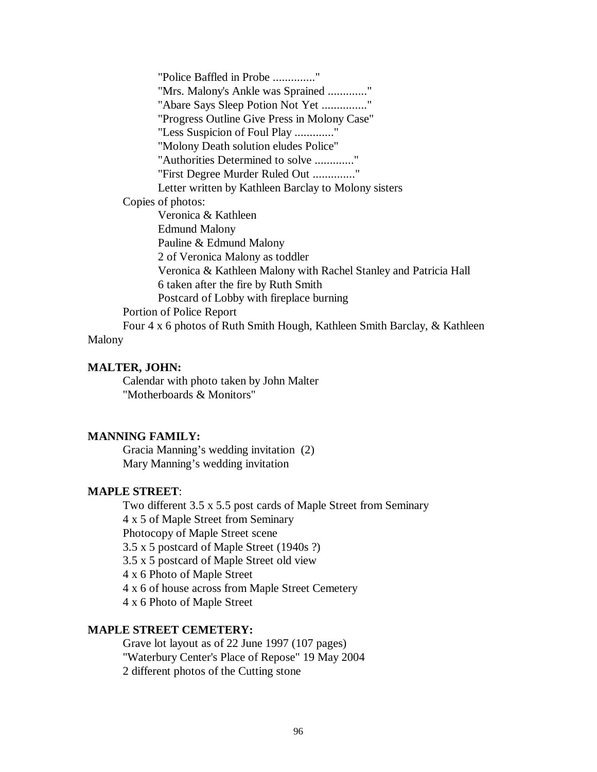"Police Baffled in Probe .............." "Mrs. Malony's Ankle was Sprained ............." "Abare Says Sleep Potion Not Yet ..............." "Progress Outline Give Press in Molony Case" "Less Suspicion of Foul Play ............." "Molony Death solution eludes Police" "Authorities Determined to solve ............." "First Degree Murder Ruled Out .............." Letter written by Kathleen Barclay to Molony sisters Copies of photos: Veronica & Kathleen Edmund Malony Pauline & Edmund Malony 2 of Veronica Malony as toddler Veronica & Kathleen Malony with Rachel Stanley and Patricia Hall 6 taken after the fire by Ruth Smith Postcard of Lobby with fireplace burning Portion of Police Report Four 4 x 6 photos of Ruth Smith Hough, Kathleen Smith Barclay, & Kathleen Malony

## **MALTER, JOHN:**

Calendar with photo taken by John Malter "Motherboards & Monitors"

## **MANNING FAMILY:**

Gracia Manning's wedding invitation (2) Mary Manning's wedding invitation

## **MAPLE STREET**:

Two different 3.5 x 5.5 post cards of Maple Street from Seminary 4 x 5 of Maple Street from Seminary Photocopy of Maple Street scene 3.5 x 5 postcard of Maple Street (1940s ?) 3.5 x 5 postcard of Maple Street old view 4 x 6 Photo of Maple Street 4 x 6 of house across from Maple Street Cemetery 4 x 6 Photo of Maple Street

# **MAPLE STREET CEMETERY:**

Grave lot layout as of 22 June 1997 (107 pages) "Waterbury Center's Place of Repose" 19 May 2004 2 different photos of the Cutting stone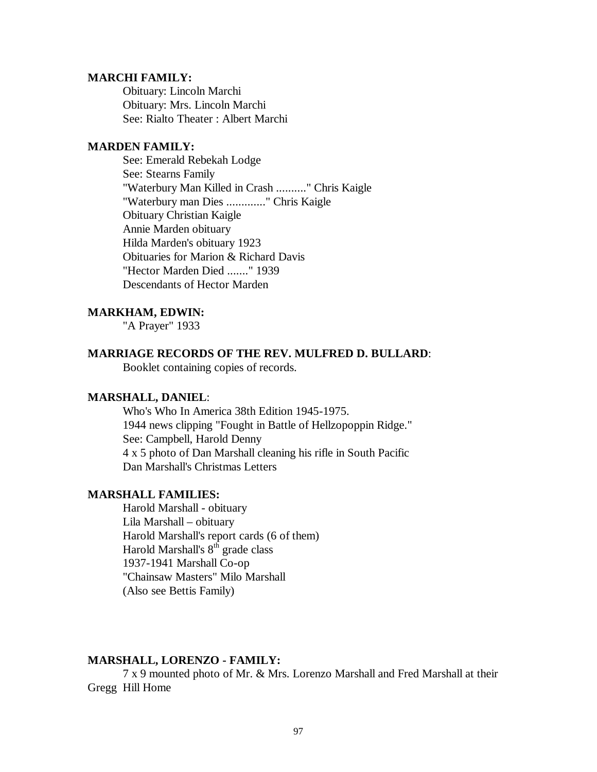#### **MARCHI FAMILY:**

Obituary: Lincoln Marchi Obituary: Mrs. Lincoln Marchi See: Rialto Theater : Albert Marchi

# **MARDEN FAMILY:**

See: Emerald Rebekah Lodge See: Stearns Family "Waterbury Man Killed in Crash .........." Chris Kaigle "Waterbury man Dies ............." Chris Kaigle Obituary Christian Kaigle Annie Marden obituary Hilda Marden's obituary 1923 Obituaries for Marion & Richard Davis "Hector Marden Died ......." 1939 Descendants of Hector Marden

## **MARKHAM, EDWIN:**

"A Prayer" 1933

# **MARRIAGE RECORDS OF THE REV. MULFRED D. BULLARD**:

Booklet containing copies of records.

# **MARSHALL, DANIEL**:

Who's Who In America 38th Edition 1945-1975. 1944 news clipping "Fought in Battle of Hellzopoppin Ridge." See: Campbell, Harold Denny 4 x 5 photo of Dan Marshall cleaning his rifle in South Pacific Dan Marshall's Christmas Letters

# **MARSHALL FAMILIES:**

Harold Marshall - obituary Lila Marshall – obituary Harold Marshall's report cards (6 of them) Harold Marshall's  $8<sup>th</sup>$  grade class 1937-1941 Marshall Co-op "Chainsaw Masters" Milo Marshall (Also see Bettis Family)

# **MARSHALL, LORENZO - FAMILY:**

7 x 9 mounted photo of Mr. & Mrs. Lorenzo Marshall and Fred Marshall at their Gregg Hill Home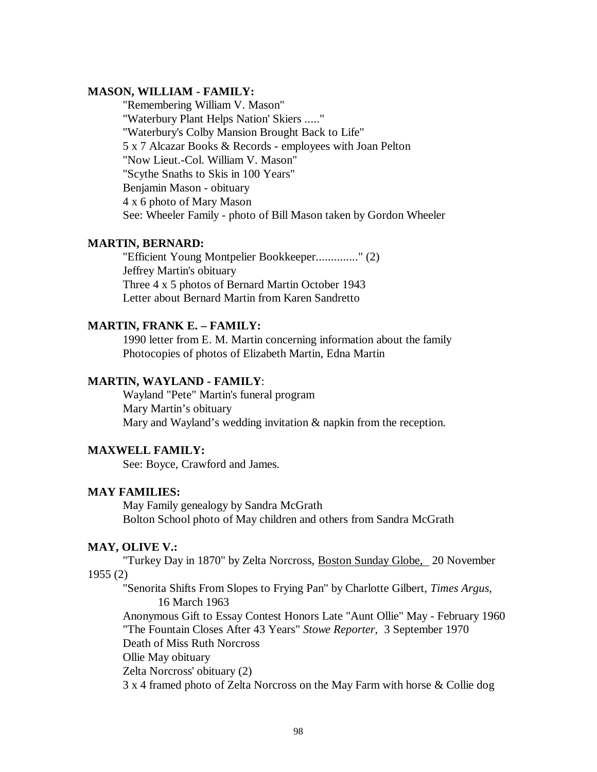# **MASON, WILLIAM - FAMILY:**

"Remembering William V. Mason" "Waterbury Plant Helps Nation' Skiers ....." "Waterbury's Colby Mansion Brought Back to Life" 5 x 7 Alcazar Books & Records - employees with Joan Pelton "Now Lieut.-Col. William V. Mason" "Scythe Snaths to Skis in 100 Years" Benjamin Mason - obituary 4 x 6 photo of Mary Mason See: Wheeler Family - photo of Bill Mason taken by Gordon Wheeler

# **MARTIN, BERNARD:**

"Efficient Young Montpelier Bookkeeper.............." (2) Jeffrey Martin's obituary Three 4 x 5 photos of Bernard Martin October 1943 Letter about Bernard Martin from Karen Sandretto

# **MARTIN, FRANK E. – FAMILY:**

1990 letter from E. M. Martin concerning information about the family Photocopies of photos of Elizabeth Martin, Edna Martin

# **MARTIN, WAYLAND - FAMILY**:

Wayland "Pete" Martin's funeral program Mary Martin's obituary Mary and Wayland's wedding invitation & napkin from the reception.

# **MAXWELL FAMILY:**

See: Boyce, Crawford and James.

#### **MAY FAMILIES:**

May Family genealogy by Sandra McGrath Bolton School photo of May children and others from Sandra McGrath

# **MAY, OLIVE V.:**

"Turkey Day in 1870" by Zelta Norcross, Boston Sunday Globe, 20 November 1955 (2)

"Senorita Shifts From Slopes to Frying Pan" by Charlotte Gilbert, *Times Argus*, 16 March 1963

Anonymous Gift to Essay Contest Honors Late "Aunt Ollie" May - February 1960 "The Fountain Closes After 43 Years" *Stowe Reporter,* 3 September 1970 Death of Miss Ruth Norcross Ollie May obituary

Zelta Norcross' obituary (2)

3 x 4 framed photo of Zelta Norcross on the May Farm with horse & Collie dog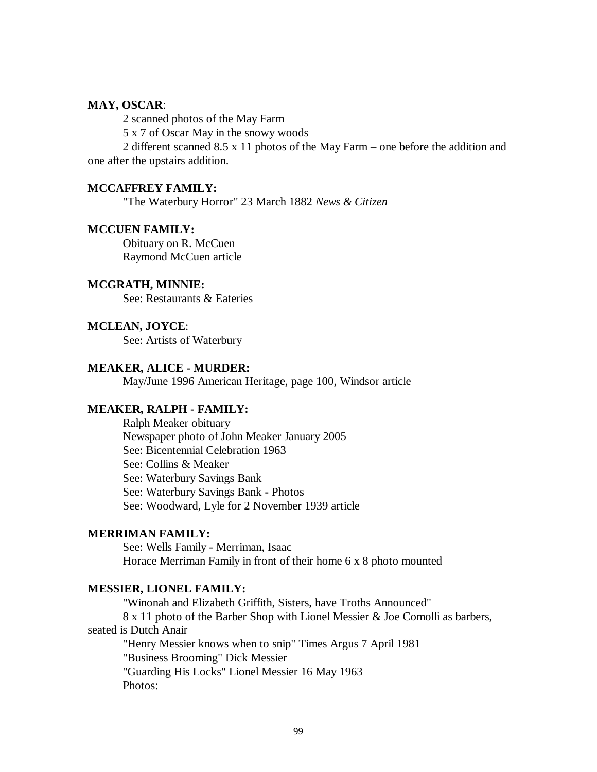# **MAY, OSCAR**:

2 scanned photos of the May Farm

5 x 7 of Oscar May in the snowy woods

2 different scanned 8.5 x 11 photos of the May Farm – one before the addition and one after the upstairs addition.

#### **MCCAFFREY FAMILY:**

"The Waterbury Horror" 23 March 1882 *News & Citizen*

## **MCCUEN FAMILY:**

Obituary on R. McCuen Raymond McCuen article

## **MCGRATH, MINNIE:**

See: Restaurants & Eateries

## **MCLEAN, JOYCE**:

See: Artists of Waterbury

## **MEAKER, ALICE - MURDER:**

May/June 1996 American Heritage, page 100, Windsor article

# **MEAKER, RALPH - FAMILY:**

Ralph Meaker obituary Newspaper photo of John Meaker January 2005 See: Bicentennial Celebration 1963 See: Collins & Meaker See: Waterbury Savings Bank See: Waterbury Savings Bank **-** Photos See: Woodward, Lyle for 2 November 1939 article

## **MERRIMAN FAMILY:**

See: Wells Family - Merriman, Isaac Horace Merriman Family in front of their home 6 x 8 photo mounted

#### **MESSIER, LIONEL FAMILY:**

"Winonah and Elizabeth Griffith, Sisters, have Troths Announced" 8 x 11 photo of the Barber Shop with Lionel Messier & Joe Comolli as barbers, seated is Dutch Anair "Henry Messier knows when to snip" Times Argus 7 April 1981 "Business Brooming" Dick Messier "Guarding His Locks" Lionel Messier 16 May 1963 Photos: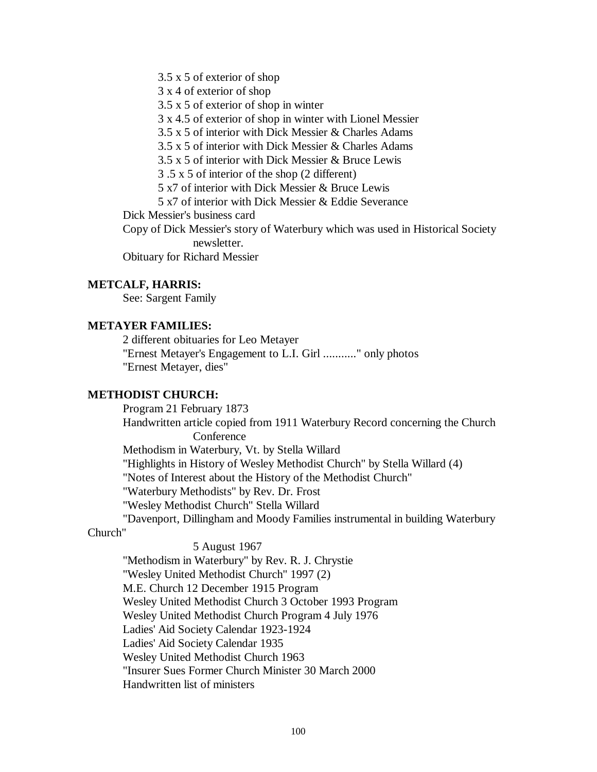3.5 x 5 of exterior of shop

3 x 4 of exterior of shop

3.5 x 5 of exterior of shop in winter

3 x 4.5 of exterior of shop in winter with Lionel Messier

3.5 x 5 of interior with Dick Messier & Charles Adams

3.5 x 5 of interior with Dick Messier & Charles Adams

3.5 x 5 of interior with Dick Messier & Bruce Lewis

3 .5 x 5 of interior of the shop (2 different)

5 x7 of interior with Dick Messier & Bruce Lewis

5 x7 of interior with Dick Messier & Eddie Severance

Dick Messier's business card

Copy of Dick Messier's story of Waterbury which was used in Historical Society newsletter.

Obituary for Richard Messier

## **METCALF, HARRIS:**

See: Sargent Family

# **METAYER FAMILIES:**

2 different obituaries for Leo Metayer "Ernest Metayer's Engagement to L.I. Girl ..........." only photos "Ernest Metayer, dies"

# **METHODIST CHURCH:**

Program 21 February 1873

Handwritten article copied from 1911 Waterbury Record concerning the Church **Conference** 

Methodism in Waterbury, Vt. by Stella Willard

"Highlights in History of Wesley Methodist Church" by Stella Willard (4)

"Notes of Interest about the History of the Methodist Church"

"Waterbury Methodists" by Rev. Dr. Frost

"Wesley Methodist Church" Stella Willard

"Davenport, Dillingham and Moody Families instrumental in building Waterbury

# Church"

5 August 1967 "Methodism in Waterbury" by Rev. R. J. Chrystie "Wesley United Methodist Church" 1997 (2) M.E. Church 12 December 1915 Program Wesley United Methodist Church 3 October 1993 Program Wesley United Methodist Church Program 4 July 1976 Ladies' Aid Society Calendar 1923-1924 Ladies' Aid Society Calendar 1935 Wesley United Methodist Church 1963 "Insurer Sues Former Church Minister 30 March 2000 Handwritten list of ministers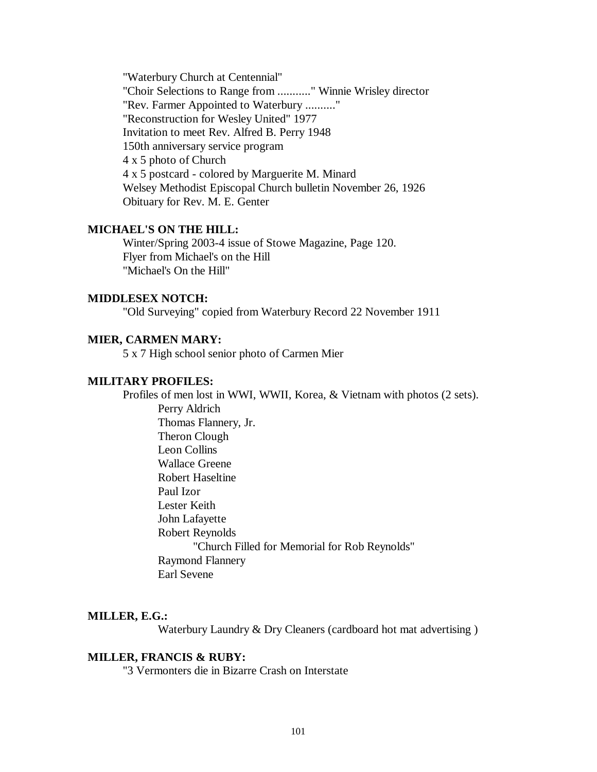"Waterbury Church at Centennial" "Choir Selections to Range from ..........." Winnie Wrisley director "Rev. Farmer Appointed to Waterbury .........." "Reconstruction for Wesley United" 1977 Invitation to meet Rev. Alfred B. Perry 1948 150th anniversary service program 4 x 5 photo of Church 4 x 5 postcard - colored by Marguerite M. Minard Welsey Methodist Episcopal Church bulletin November 26, 1926 Obituary for Rev. M. E. Genter

## **MICHAEL'S ON THE HILL:**

Winter/Spring 2003-4 issue of Stowe Magazine, Page 120. Flyer from Michael's on the Hill "Michael's On the Hill"

# **MIDDLESEX NOTCH:**

"Old Surveying" copied from Waterbury Record 22 November 1911

# **MIER, CARMEN MARY:**

5 x 7 High school senior photo of Carmen Mier

# **MILITARY PROFILES:**

Profiles of men lost in WWI, WWII, Korea, & Vietnam with photos (2 sets). Perry Aldrich Thomas Flannery, Jr. Theron Clough Leon Collins Wallace Greene Robert Haseltine Paul Izor Lester Keith John Lafayette Robert Reynolds "Church Filled for Memorial for Rob Reynolds" Raymond Flannery Earl Sevene

# **MILLER, E.G.:**

Waterbury Laundry & Dry Cleaners (cardboard hot mat advertising )

#### **MILLER, FRANCIS & RUBY:**

"3 Vermonters die in Bizarre Crash on Interstate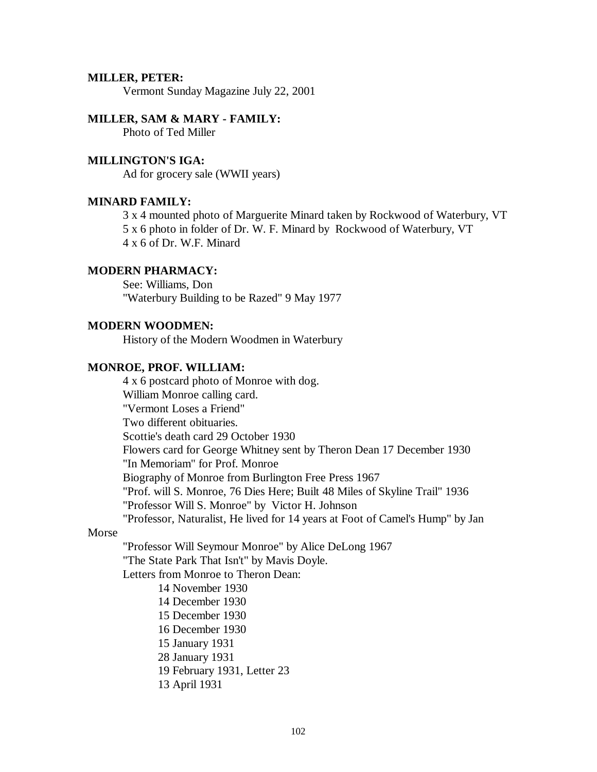## **MILLER, PETER:**

Vermont Sunday Magazine July 22, 2001

#### **MILLER, SAM & MARY - FAMILY:**

Photo of Ted Miller

# **MILLINGTON'S IGA:**

Ad for grocery sale (WWII years)

## **MINARD FAMILY:**

3 x 4 mounted photo of Marguerite Minard taken by Rockwood of Waterbury, VT 5 x 6 photo in folder of Dr. W. F. Minard by Rockwood of Waterbury, VT 4 x 6 of Dr. W.F. Minard

# **MODERN PHARMACY:**

See: Williams, Don "Waterbury Building to be Razed" 9 May 1977

## **MODERN WOODMEN:**

History of the Modern Woodmen in Waterbury

#### **MONROE, PROF. WILLIAM:**

4 x 6 postcard photo of Monroe with dog. William Monroe calling card. "Vermont Loses a Friend" Two different obituaries. Scottie's death card 29 October 1930 Flowers card for George Whitney sent by Theron Dean 17 December 1930 "In Memoriam" for Prof. Monroe Biography of Monroe from Burlington Free Press 1967 "Prof. will S. Monroe, 76 Dies Here; Built 48 Miles of Skyline Trail" 1936 "Professor Will S. Monroe" by Victor H. Johnson "Professor, Naturalist, He lived for 14 years at Foot of Camel's Hump" by Jan Morse "Professor Will Seymour Monroe" by Alice DeLong 1967 "The State Park That Isn't" by Mavis Doyle. Letters from Monroe to Theron Dean: 14 November 1930 14 December 1930 15 December 1930 16 December 1930 15 January 1931 28 January 1931 19 February 1931, Letter 23 13 April 1931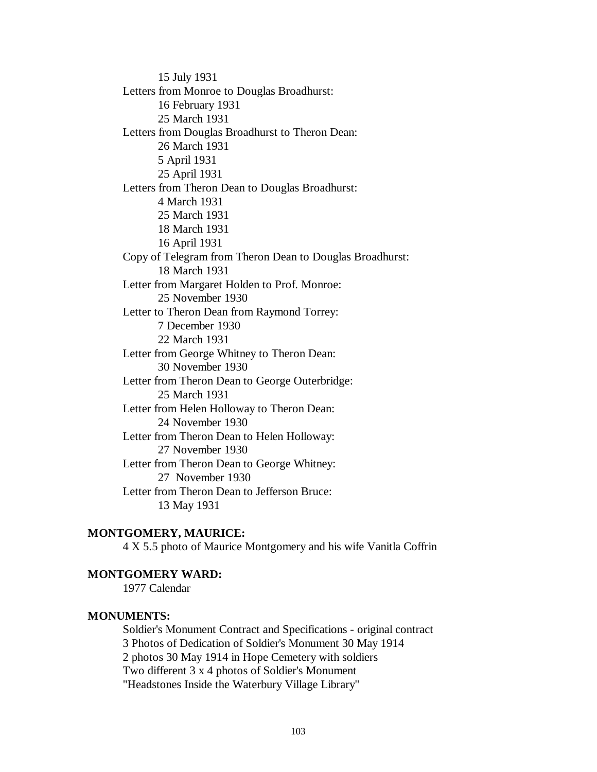15 July 1931 Letters from Monroe to Douglas Broadhurst: 16 February 1931 25 March 1931 Letters from Douglas Broadhurst to Theron Dean: 26 March 1931 5 April 1931 25 April 1931 Letters from Theron Dean to Douglas Broadhurst: 4 March 1931 25 March 1931 18 March 1931 16 April 1931 Copy of Telegram from Theron Dean to Douglas Broadhurst: 18 March 1931 Letter from Margaret Holden to Prof. Monroe: 25 November 1930 Letter to Theron Dean from Raymond Torrey: 7 December 1930 22 March 1931 Letter from George Whitney to Theron Dean: 30 November 1930 Letter from Theron Dean to George Outerbridge: 25 March 1931 Letter from Helen Holloway to Theron Dean: 24 November 1930 Letter from Theron Dean to Helen Holloway: 27 November 1930 Letter from Theron Dean to George Whitney: 27 November 1930 Letter from Theron Dean to Jefferson Bruce: 13 May 1931

# **MONTGOMERY, MAURICE:**

4 X 5.5 photo of Maurice Montgomery and his wife Vanitla Coffrin

# **MONTGOMERY WARD:**

1977 Calendar

## **MONUMENTS:**

Soldier's Monument Contract and Specifications - original contract 3 Photos of Dedication of Soldier's Monument 30 May 1914 2 photos 30 May 1914 in Hope Cemetery with soldiers Two different 3 x 4 photos of Soldier's Monument "Headstones Inside the Waterbury Village Library"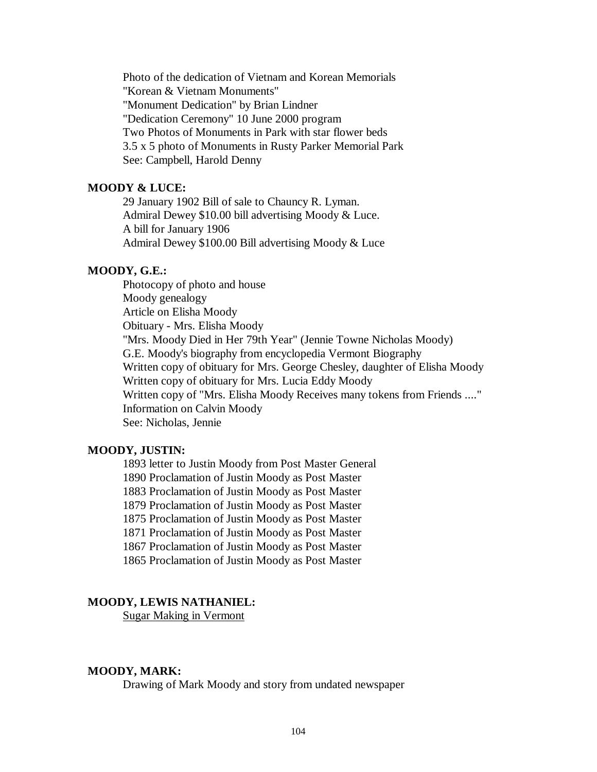Photo of the dedication of Vietnam and Korean Memorials "Korean & Vietnam Monuments" "Monument Dedication" by Brian Lindner "Dedication Ceremony" 10 June 2000 program Two Photos of Monuments in Park with star flower beds 3.5 x 5 photo of Monuments in Rusty Parker Memorial Park See: Campbell, Harold Denny

# **MOODY & LUCE:**

29 January 1902 Bill of sale to Chauncy R. Lyman. Admiral Dewey \$10.00 bill advertising Moody & Luce. A bill for January 1906 Admiral Dewey \$100.00 Bill advertising Moody & Luce

# **MOODY, G.E.:**

Photocopy of photo and house Moody genealogy Article on Elisha Moody Obituary - Mrs. Elisha Moody "Mrs. Moody Died in Her 79th Year" (Jennie Towne Nicholas Moody) G.E. Moody's biography from encyclopedia Vermont Biography Written copy of obituary for Mrs. George Chesley, daughter of Elisha Moody Written copy of obituary for Mrs. Lucia Eddy Moody Written copy of "Mrs. Elisha Moody Receives many tokens from Friends ...." Information on Calvin Moody See: Nicholas, Jennie

## **MOODY, JUSTIN:**

1893 letter to Justin Moody from Post Master General

1890 Proclamation of Justin Moody as Post Master

1883 Proclamation of Justin Moody as Post Master

1879 Proclamation of Justin Moody as Post Master

1875 Proclamation of Justin Moody as Post Master

1871 Proclamation of Justin Moody as Post Master

1867 Proclamation of Justin Moody as Post Master

1865 Proclamation of Justin Moody as Post Master

# **MOODY, LEWIS NATHANIEL:**

Sugar Making in Vermont

#### **MOODY, MARK:**

Drawing of Mark Moody and story from undated newspaper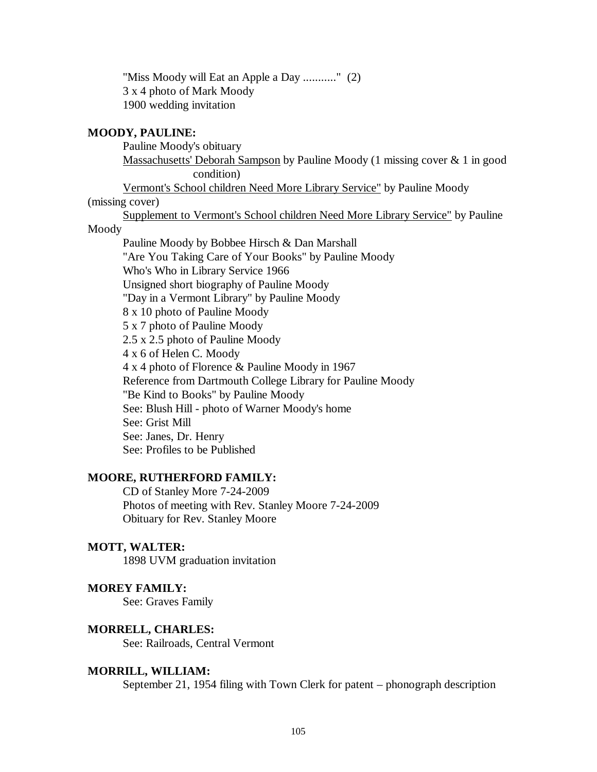"Miss Moody will Eat an Apple a Day ..........." (2) 3 x 4 photo of Mark Moody 1900 wedding invitation

## **MOODY, PAULINE:**

Pauline Moody's obituary

Massachusetts' Deborah Sampson by Pauline Moody (1 missing cover & 1 in good condition)

Vermont's School children Need More Library Service" by Pauline Moody

(missing cover)

Supplement to Vermont's School children Need More Library Service" by Pauline

# Moody

Pauline Moody by Bobbee Hirsch & Dan Marshall "Are You Taking Care of Your Books" by Pauline Moody Who's Who in Library Service 1966 Unsigned short biography of Pauline Moody "Day in a Vermont Library" by Pauline Moody 8 x 10 photo of Pauline Moody 5 x 7 photo of Pauline Moody 2.5 x 2.5 photo of Pauline Moody 4 x 6 of Helen C. Moody 4 x 4 photo of Florence & Pauline Moody in 1967 Reference from Dartmouth College Library for Pauline Moody "Be Kind to Books" by Pauline Moody See: Blush Hill - photo of Warner Moody's home See: Grist Mill See: Janes, Dr. Henry See: Profiles to be Published

# **MOORE, RUTHERFORD FAMILY:**

CD of Stanley More 7-24-2009 Photos of meeting with Rev. Stanley Moore 7-24-2009 Obituary for Rev. Stanley Moore

## **MOTT, WALTER:**

1898 UVM graduation invitation

#### **MOREY FAMILY:**

See: Graves Family

## **MORRELL, CHARLES:**

See: Railroads, Central Vermont

#### **MORRILL, WILLIAM:**

September 21, 1954 filing with Town Clerk for patent – phonograph description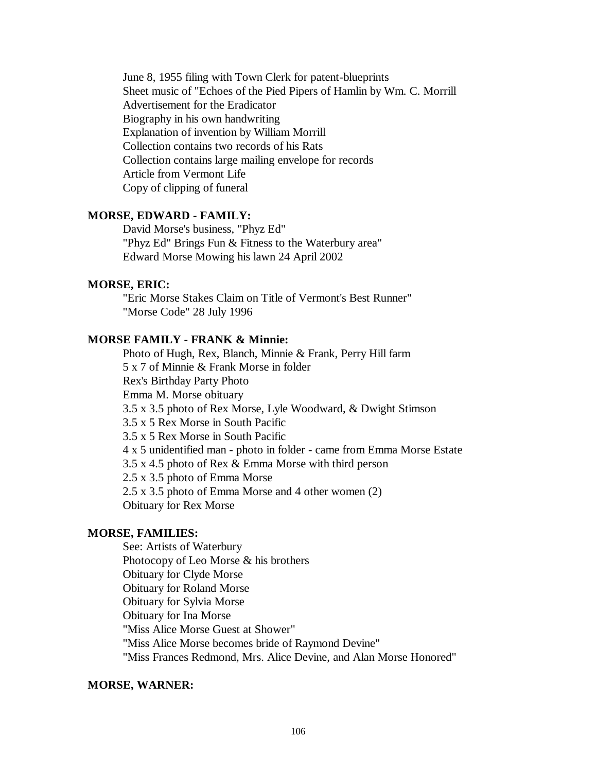June 8, 1955 filing with Town Clerk for patent-blueprints Sheet music of "Echoes of the Pied Pipers of Hamlin by Wm. C. Morrill Advertisement for the Eradicator Biography in his own handwriting Explanation of invention by William Morrill Collection contains two records of his Rats Collection contains large mailing envelope for records Article from Vermont Life Copy of clipping of funeral

## **MORSE, EDWARD - FAMILY:**

David Morse's business, "Phyz Ed" "Phyz Ed" Brings Fun & Fitness to the Waterbury area" Edward Morse Mowing his lawn 24 April 2002

# **MORSE, ERIC:**

"Eric Morse Stakes Claim on Title of Vermont's Best Runner" "Morse Code" 28 July 1996

# **MORSE FAMILY - FRANK & Minnie:**

Photo of Hugh, Rex, Blanch, Minnie & Frank, Perry Hill farm 5 x 7 of Minnie & Frank Morse in folder Rex's Birthday Party Photo Emma M. Morse obituary 3.5 x 3.5 photo of Rex Morse, Lyle Woodward, & Dwight Stimson 3.5 x 5 Rex Morse in South Pacific 3.5 x 5 Rex Morse in South Pacific 4 x 5 unidentified man - photo in folder - came from Emma Morse Estate 3.5 x 4.5 photo of Rex & Emma Morse with third person 2.5 x 3.5 photo of Emma Morse 2.5 x 3.5 photo of Emma Morse and 4 other women (2) Obituary for Rex Morse

# **MORSE, FAMILIES:**

See: Artists of Waterbury Photocopy of Leo Morse & his brothers Obituary for Clyde Morse Obituary for Roland Morse Obituary for Sylvia Morse Obituary for Ina Morse "Miss Alice Morse Guest at Shower" "Miss Alice Morse becomes bride of Raymond Devine" "Miss Frances Redmond, Mrs. Alice Devine, and Alan Morse Honored"

#### **MORSE, WARNER:**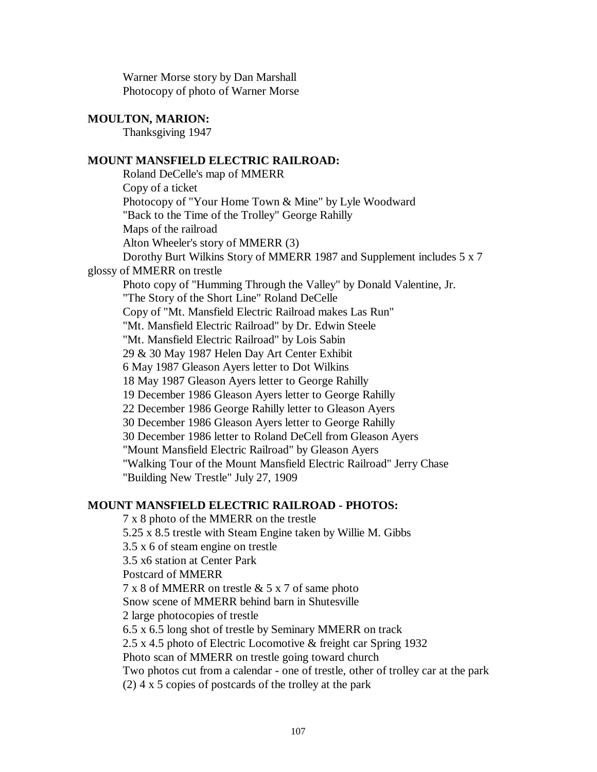Warner Morse story by Dan Marshall Photocopy of photo of Warner Morse

# **MOULTON, MARION:**

Thanksgiving 1947

# **MOUNT MANSFIELD ELECTRIC RAILROAD:**

Roland DeCelle's map of MMERR Copy of a ticket Photocopy of "Your Home Town & Mine" by Lyle Woodward "Back to the Time of the Trolley" George Rahilly Maps of the railroad Alton Wheeler's story of MMERR (3) Dorothy Burt Wilkins Story of MMERR 1987 and Supplement includes 5 x 7 glossy of MMERR on trestle Photo copy of "Humming Through the Valley" by Donald Valentine, Jr. "The Story of the Short Line" Roland DeCelle Copy of "Mt. Mansfield Electric Railroad makes Las Run" "Mt. Mansfield Electric Railroad" by Dr. Edwin Steele "Mt. Mansfield Electric Railroad" by Lois Sabin 29 & 30 May 1987 Helen Day Art Center Exhibit 6 May 1987 Gleason Ayers letter to Dot Wilkins 18 May 1987 Gleason Ayers letter to George Rahilly 19 December 1986 Gleason Ayers letter to George Rahilly 22 December 1986 George Rahilly letter to Gleason Ayers 30 December 1986 Gleason Ayers letter to George Rahilly 30 December 1986 letter to Roland DeCell from Gleason Ayers "Mount Mansfield Electric Railroad" by Gleason Ayers "Walking Tour of the Mount Mansfield Electric Railroad" Jerry Chase "Building New Trestle" July 27, 1909

# **MOUNT MANSFIELD ELECTRIC RAILROAD - PHOTOS:**

7 x 8 photo of the MMERR on the trestle 5.25 x 8.5 trestle with Steam Engine taken by Willie M. Gibbs 3.5 x 6 of steam engine on trestle 3.5 x6 station at Center Park Postcard of MMERR 7 x 8 of MMERR on trestle & 5 x 7 of same photo Snow scene of MMERR behind barn in Shutesville 2 large photocopies of trestle 6.5 x 6.5 long shot of trestle by Seminary MMERR on track 2.5 x 4.5 photo of Electric Locomotive & freight car Spring 1932 Photo scan of MMERR on trestle going toward church Two photos cut from a calendar - one of trestle, other of trolley car at the park (2) 4 x 5 copies of postcards of the trolley at the park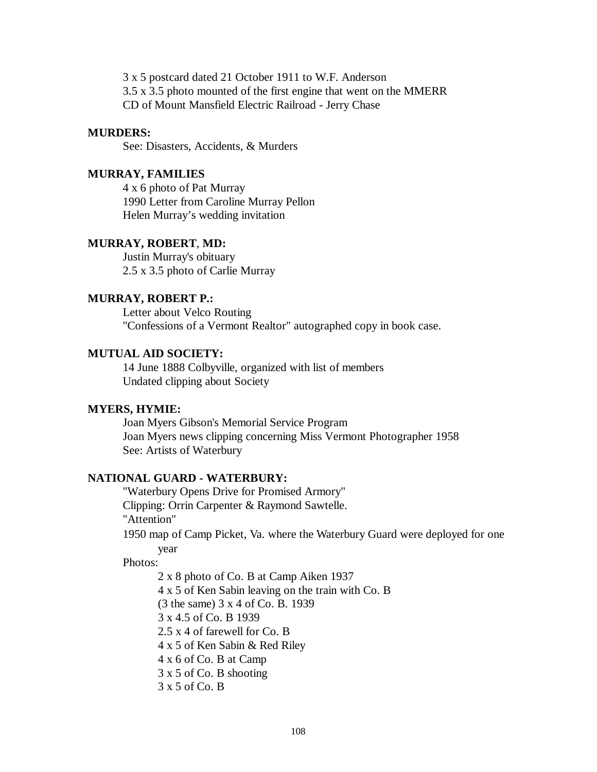3 x 5 postcard dated 21 October 1911 to W.F. Anderson 3.5 x 3.5 photo mounted of the first engine that went on the MMERR CD of Mount Mansfield Electric Railroad - Jerry Chase

#### **MURDERS:**

See: Disasters, Accidents, & Murders

# **MURRAY, FAMILIES**

4 x 6 photo of Pat Murray 1990 Letter from Caroline Murray Pellon Helen Murray's wedding invitation

# **MURRAY, ROBERT**, **MD:**

Justin Murray's obituary 2.5 x 3.5 photo of Carlie Murray

## **MURRAY, ROBERT P.:**

Letter about Velco Routing "Confessions of a Vermont Realtor" autographed copy in book case.

# **MUTUAL AID SOCIETY:**

14 June 1888 Colbyville, organized with list of members Undated clipping about Society

# **MYERS, HYMIE:**

Joan Myers Gibson's Memorial Service Program Joan Myers news clipping concerning Miss Vermont Photographer 1958 See: Artists of Waterbury

## **NATIONAL GUARD - WATERBURY:**

"Waterbury Opens Drive for Promised Armory" Clipping: Orrin Carpenter & Raymond Sawtelle. "Attention" 1950 map of Camp Picket, Va. where the Waterbury Guard were deployed for one year

# Photos:

2 x 8 photo of Co. B at Camp Aiken 1937 4 x 5 of Ken Sabin leaving on the train with Co. B (3 the same) 3 x 4 of Co. B. 1939 3 x 4.5 of Co. B 1939 2.5 x 4 of farewell for Co. B 4 x 5 of Ken Sabin & Red Riley 4 x 6 of Co. B at Camp 3 x 5 of Co. B shooting 3 x 5 of Co. B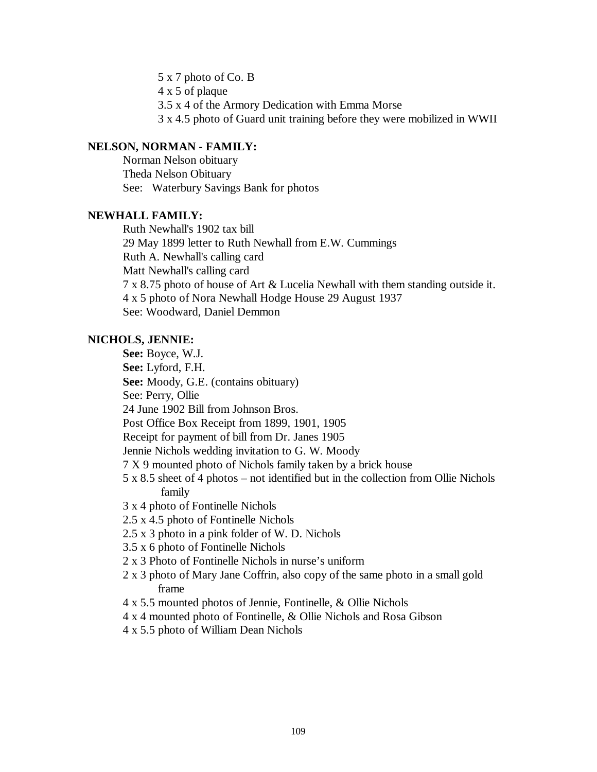5 x 7 photo of Co. B 4 x 5 of plaque 3.5 x 4 of the Armory Dedication with Emma Morse 3 x 4.5 photo of Guard unit training before they were mobilized in WWII

# **NELSON, NORMAN - FAMILY:**

Norman Nelson obituary Theda Nelson Obituary See: Waterbury Savings Bank for photos

# **NEWHALL FAMILY:**

Ruth Newhall's 1902 tax bill 29 May 1899 letter to Ruth Newhall from E.W. Cummings Ruth A. Newhall's calling card Matt Newhall's calling card 7 x 8.75 photo of house of Art & Lucelia Newhall with them standing outside it. 4 x 5 photo of Nora Newhall Hodge House 29 August 1937 See: Woodward, Daniel Demmon

# **NICHOLS, JENNIE:**

**See:** Boyce, W.J. **See:** Lyford, F.H. **See:** Moody, G.E. (contains obituary) See: Perry, Ollie 24 June 1902 Bill from Johnson Bros. Post Office Box Receipt from 1899, 1901, 1905 Receipt for payment of bill from Dr. Janes 1905 Jennie Nichols wedding invitation to G. W. Moody 7 X 9 mounted photo of Nichols family taken by a brick house 5 x 8.5 sheet of 4 photos – not identified but in the collection from Ollie Nichols family 3 x 4 photo of Fontinelle Nichols 2.5 x 4.5 photo of Fontinelle Nichols 2.5 x 3 photo in a pink folder of W. D. Nichols 3.5 x 6 photo of Fontinelle Nichols 2 x 3 Photo of Fontinelle Nichols in nurse's uniform 2 x 3 photo of Mary Jane Coffrin, also copy of the same photo in a small gold frame 4 x 5.5 mounted photos of Jennie, Fontinelle, & Ollie Nichols 4 x 4 mounted photo of Fontinelle, & Ollie Nichols and Rosa Gibson 4 x 5.5 photo of William Dean Nichols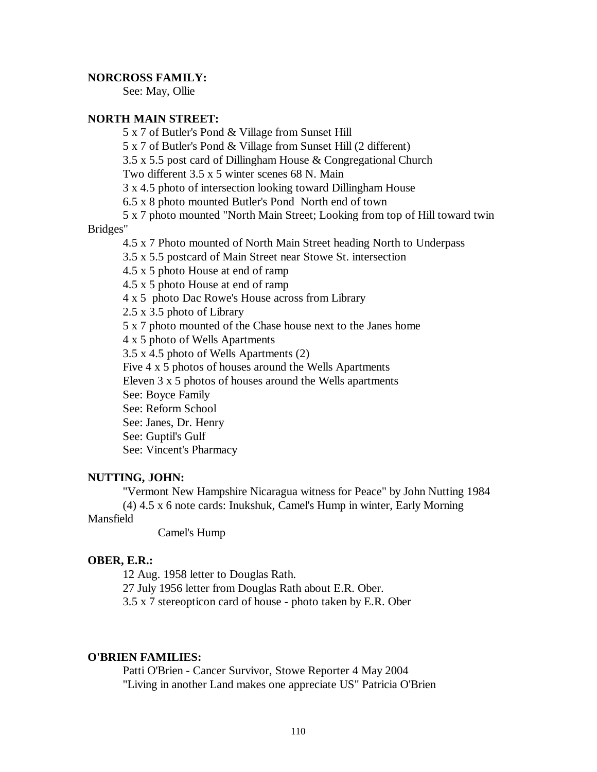#### **NORCROSS FAMILY:**

See: May, Ollie

# **NORTH MAIN STREET:**

- 5 x 7 of Butler's Pond & Village from Sunset Hill
- 5 x 7 of Butler's Pond & Village from Sunset Hill (2 different)
- 3.5 x 5.5 post card of Dillingham House & Congregational Church

Two different 3.5 x 5 winter scenes 68 N. Main

3 x 4.5 photo of intersection looking toward Dillingham House

- 6.5 x 8 photo mounted Butler's Pond North end of town
- 5 x 7 photo mounted "North Main Street; Looking from top of Hill toward twin

#### Bridges"

4.5 x 7 Photo mounted of North Main Street heading North to Underpass

3.5 x 5.5 postcard of Main Street near Stowe St. intersection

- 4.5 x 5 photo House at end of ramp
- 4.5 x 5 photo House at end of ramp
- 4 x 5 photo Dac Rowe's House across from Library

2.5 x 3.5 photo of Library

5 x 7 photo mounted of the Chase house next to the Janes home

4 x 5 photo of Wells Apartments

3.5 x 4.5 photo of Wells Apartments (2)

Five 4 x 5 photos of houses around the Wells Apartments

Eleven 3 x 5 photos of houses around the Wells apartments

See: Boyce Family

See: Reform School

See: Janes, Dr. Henry

See: Guptil's Gulf

See: Vincent's Pharmacy

#### **NUTTING, JOHN:**

"Vermont New Hampshire Nicaragua witness for Peace" by John Nutting 1984 (4) 4.5 x 6 note cards: Inukshuk, Camel's Hump in winter, Early Morning

# Mansfield

Camel's Hump

#### **OBER, E.R.:**

12 Aug. 1958 letter to Douglas Rath.

27 July 1956 letter from Douglas Rath about E.R. Ober.

3.5 x 7 stereopticon card of house - photo taken by E.R. Ober

# **O'BRIEN FAMILIES:**

Patti O'Brien - Cancer Survivor, Stowe Reporter 4 May 2004 "Living in another Land makes one appreciate US" Patricia O'Brien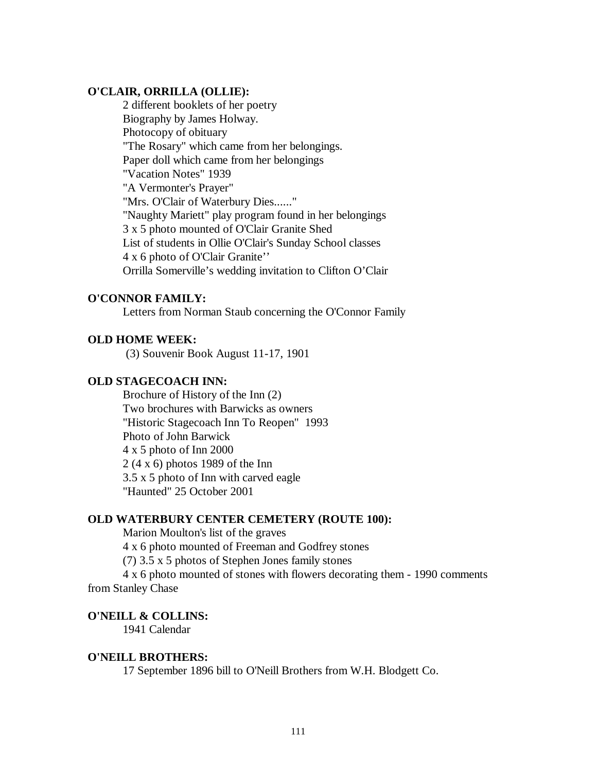# **O'CLAIR, ORRILLA (OLLIE):**

2 different booklets of her poetry Biography by James Holway. Photocopy of obituary "The Rosary" which came from her belongings. Paper doll which came from her belongings "Vacation Notes" 1939 "A Vermonter's Prayer" "Mrs. O'Clair of Waterbury Dies......" "Naughty Mariett" play program found in her belongings 3 x 5 photo mounted of O'Clair Granite Shed List of students in Ollie O'Clair's Sunday School classes 4 x 6 photo of O'Clair Granite'' Orrilla Somerville's wedding invitation to Clifton O'Clair

# **O'CONNOR FAMILY:**

Letters from Norman Staub concerning the O'Connor Family

# **OLD HOME WEEK:**

(3) Souvenir Book August 11-17, 1901

# **OLD STAGECOACH INN:**

Brochure of History of the Inn (2) Two brochures with Barwicks as owners "Historic Stagecoach Inn To Reopen" 1993 Photo of John Barwick 4 x 5 photo of Inn 2000 2 (4 x 6) photos 1989 of the Inn 3.5 x 5 photo of Inn with carved eagle "Haunted" 25 October 2001

## **OLD WATERBURY CENTER CEMETERY (ROUTE 100):**

Marion Moulton's list of the graves 4 x 6 photo mounted of Freeman and Godfrey stones (7) 3.5 x 5 photos of Stephen Jones family stones 4 x 6 photo mounted of stones with flowers decorating them - 1990 comments from Stanley Chase

# **O'NEILL & COLLINS:**

1941 Calendar

## **O'NEILL BROTHERS:**

17 September 1896 bill to O'Neill Brothers from W.H. Blodgett Co.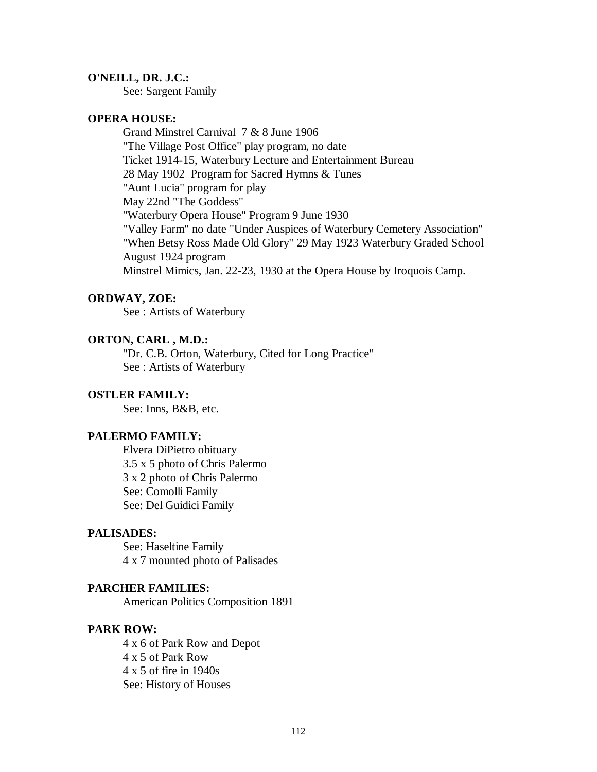#### **O'NEILL, DR. J.C.:**

See: Sargent Family

# **OPERA HOUSE:**

Grand Minstrel Carnival 7 & 8 June 1906 "The Village Post Office" play program, no date Ticket 1914-15, Waterbury Lecture and Entertainment Bureau 28 May 1902 Program for Sacred Hymns & Tunes "Aunt Lucia" program for play May 22nd "The Goddess" "Waterbury Opera House" Program 9 June 1930 "Valley Farm" no date "Under Auspices of Waterbury Cemetery Association" "When Betsy Ross Made Old Glory" 29 May 1923 Waterbury Graded School August 1924 program Minstrel Mimics, Jan. 22-23, 1930 at the Opera House by Iroquois Camp.

#### **ORDWAY, ZOE:**

See : Artists of Waterbury

# **ORTON, CARL , M.D.:**

"Dr. C.B. Orton, Waterbury, Cited for Long Practice" See : Artists of Waterbury

#### **OSTLER FAMILY:**

See: Inns, B&B, etc.

# **PALERMO FAMILY:**

Elvera DiPietro obituary 3.5 x 5 photo of Chris Palermo 3 x 2 photo of Chris Palermo See: Comolli Family See: Del Guidici Family

# **PALISADES:**

See: Haseltine Family 4 x 7 mounted photo of Palisades

#### **PARCHER FAMILIES:**

American Politics Composition 1891

#### **PARK ROW:**

4 x 6 of Park Row and Depot 4 x 5 of Park Row 4 x 5 of fire in 1940s See: History of Houses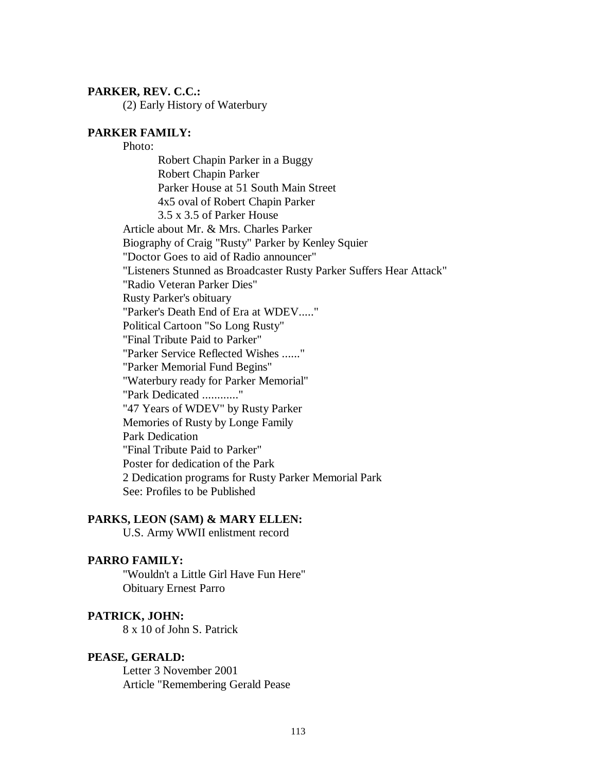#### **PARKER, REV. C.C.:**

(2) Early History of Waterbury

## **PARKER FAMILY:**

Photo: Robert Chapin Parker in a Buggy Robert Chapin Parker Parker House at 51 South Main Street 4x5 oval of Robert Chapin Parker 3.5 x 3.5 of Parker House Article about Mr. & Mrs. Charles Parker Biography of Craig "Rusty" Parker by Kenley Squier "Doctor Goes to aid of Radio announcer" "Listeners Stunned as Broadcaster Rusty Parker Suffers Hear Attack" "Radio Veteran Parker Dies" Rusty Parker's obituary "Parker's Death End of Era at WDEV....." Political Cartoon "So Long Rusty" "Final Tribute Paid to Parker" "Parker Service Reflected Wishes ......" "Parker Memorial Fund Begins" "Waterbury ready for Parker Memorial" "Park Dedicated ............" "47 Years of WDEV" by Rusty Parker Memories of Rusty by Longe Family Park Dedication "Final Tribute Paid to Parker" Poster for dedication of the Park 2 Dedication programs for Rusty Parker Memorial Park See: Profiles to be Published

## **PARKS, LEON (SAM) & MARY ELLEN:**

U.S. Army WWII enlistment record

# **PARRO FAMILY:**

"Wouldn't a Little Girl Have Fun Here" Obituary Ernest Parro

## **PATRICK, JOHN:**

8 x 10 of John S. Patrick

#### **PEASE, GERALD:**

Letter 3 November 2001 Article "Remembering Gerald Pease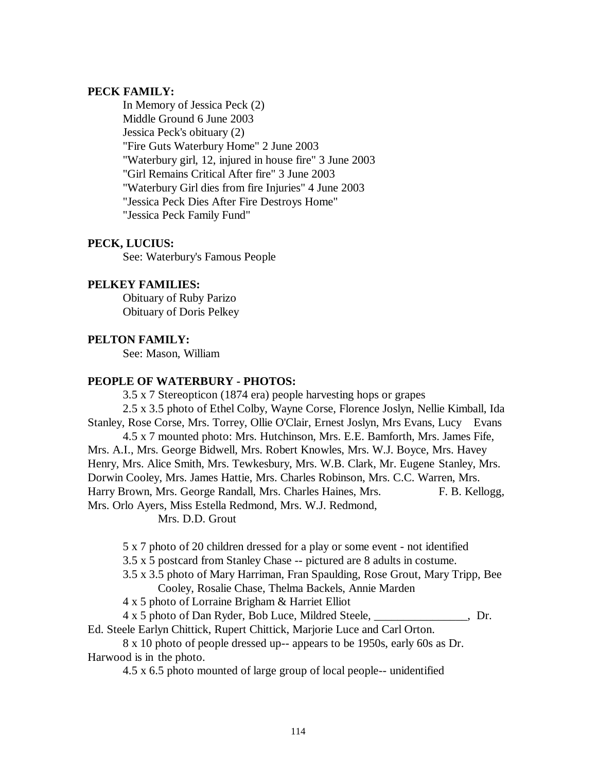# **PECK FAMILY:**

In Memory of Jessica Peck (2) Middle Ground 6 June 2003 Jessica Peck's obituary (2) "Fire Guts Waterbury Home" 2 June 2003 "Waterbury girl, 12, injured in house fire" 3 June 2003 "Girl Remains Critical After fire" 3 June 2003 "Waterbury Girl dies from fire Injuries" 4 June 2003 "Jessica Peck Dies After Fire Destroys Home" "Jessica Peck Family Fund"

# **PECK, LUCIUS:**

See: Waterbury's Famous People

# **PELKEY FAMILIES:**

Obituary of Ruby Parizo Obituary of Doris Pelkey

# **PELTON FAMILY:**

See: Mason, William

# **PEOPLE OF WATERBURY - PHOTOS:**

3.5 x 7 Stereopticon (1874 era) people harvesting hops or grapes 2.5 x 3.5 photo of Ethel Colby, Wayne Corse, Florence Joslyn, Nellie Kimball, Ida Stanley, Rose Corse, Mrs. Torrey, Ollie O'Clair, Ernest Joslyn, Mrs Evans, Lucy Evans 4.5 x 7 mounted photo: Mrs. Hutchinson, Mrs. E.E. Bamforth, Mrs. James Fife, Mrs. A.I., Mrs. George Bidwell, Mrs. Robert Knowles, Mrs. W.J. Boyce, Mrs. Havey Henry, Mrs. Alice Smith, Mrs. Tewkesbury, Mrs. W.B. Clark, Mr. Eugene Stanley, Mrs. Dorwin Cooley, Mrs. James Hattie, Mrs. Charles Robinson, Mrs. C.C. Warren, Mrs.

Harry Brown, Mrs. George Randall, Mrs. Charles Haines, Mrs. F. B. Kellogg, Mrs. Orlo Ayers, Miss Estella Redmond, Mrs. W.J. Redmond,

Mrs. D.D. Grout

5 x 7 photo of 20 children dressed for a play or some event - not identified

3.5 x 5 postcard from Stanley Chase -- pictured are 8 adults in costume.

3.5 x 3.5 photo of Mary Harriman, Fran Spaulding, Rose Grout, Mary Tripp, Bee Cooley, Rosalie Chase, Thelma Backels, Annie Marden

4 x 5 photo of Lorraine Brigham & Harriet Elliot

4 x 5 photo of Dan Ryder, Bob Luce, Mildred Steele, \_\_\_\_\_\_\_\_\_\_\_\_\_\_\_\_, Dr.

Ed. Steele Earlyn Chittick, Rupert Chittick, Marjorie Luce and Carl Orton.

8 x 10 photo of people dressed up-- appears to be 1950s, early 60s as Dr. Harwood is in the photo.

4.5 x 6.5 photo mounted of large group of local people-- unidentified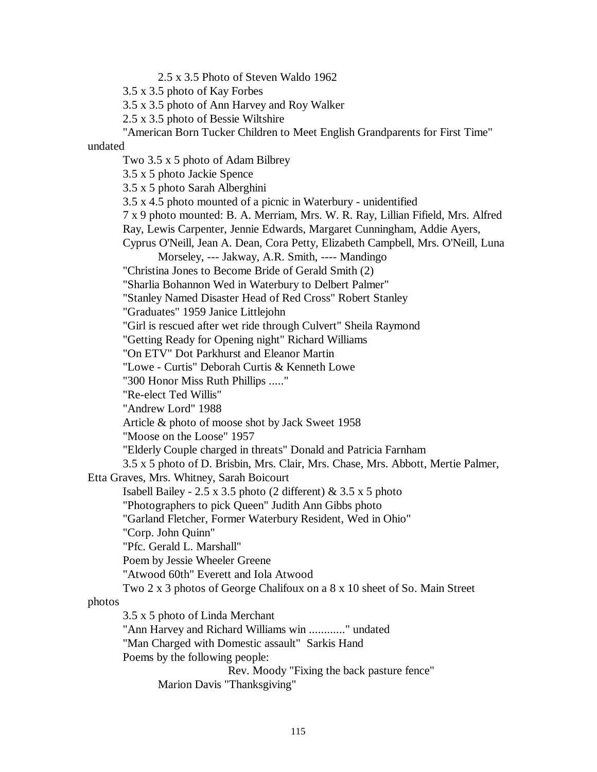2.5 x 3.5 Photo of Steven Waldo 1962

3.5 x 3.5 photo of Kay Forbes

3.5 x 3.5 photo of Ann Harvey and Roy Walker

2.5 x 3.5 photo of Bessie Wiltshire

"American Born Tucker Children to Meet English Grandparents for First Time"

undated

Two 3.5 x 5 photo of Adam Bilbrey

3.5 x 5 photo Jackie Spence 3.5 x 5 photo Sarah Alberghini 3.5 x 4.5 photo mounted of a picnic in Waterbury - unidentified

7 x 9 photo mounted: B. A. Merriam, Mrs. W. R. Ray, Lillian Fifield, Mrs. Alfred

Ray, Lewis Carpenter, Jennie Edwards, Margaret Cunningham, Addie Ayers,

Cyprus O'Neill, Jean A. Dean, Cora Petty, Elizabeth Campbell, Mrs. O'Neill, Luna

Morseley, --- Jakway, A.R. Smith, ---- Mandingo

"Christina Jones to Become Bride of Gerald Smith (2)

"Sharlia Bohannon Wed in Waterbury to Delbert Palmer"

"Stanley Named Disaster Head of Red Cross" Robert Stanley

"Graduates" 1959 Janice Littlejohn

"Girl is rescued after wet ride through Culvert" Sheila Raymond

"Getting Ready for Opening night" Richard Williams

"On ETV" Dot Parkhurst and Eleanor Martin

"Lowe - Curtis" Deborah Curtis & Kenneth Lowe

"300 Honor Miss Ruth Phillips ....."

"Re-elect Ted Willis"

"Andrew Lord" 1988

Article & photo of moose shot by Jack Sweet 1958

"Moose on the Loose" 1957

"Elderly Couple charged in threats" Donald and Patricia Farnham

3.5 x 5 photo of D. Brisbin, Mrs. Clair, Mrs. Chase, Mrs. Abbott, Mertie Palmer,

Etta Graves, Mrs. Whitney, Sarah Boicourt

Isabell Bailey -  $2.5 \times 3.5$  photo (2 different) &  $3.5 \times 5$  photo

"Photographers to pick Queen" Judith Ann Gibbs photo

"Garland Fletcher, Former Waterbury Resident, Wed in Ohio"

"Corp. John Quinn"

"Pfc. Gerald L. Marshall"

Poem by Jessie Wheeler Greene

"Atwood 60th" Everett and Iola Atwood

Two 2 x 3 photos of George Chalifoux on a 8 x 10 sheet of So. Main Street

photos

3.5 x 5 photo of Linda Merchant

"Ann Harvey and Richard Williams win ............" undated

"Man Charged with Domestic assault" Sarkis Hand

Poems by the following people:

Rev. Moody "Fixing the back pasture fence"

Marion Davis "Thanksgiving"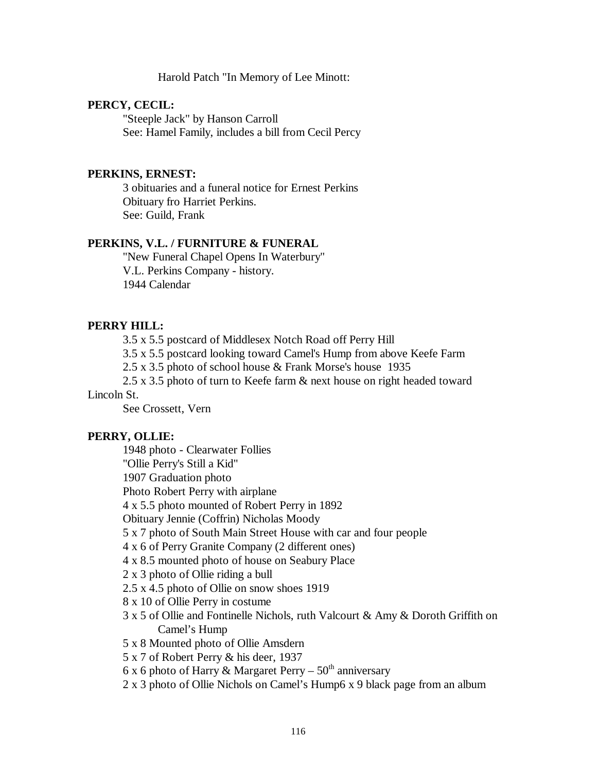#### Harold Patch "In Memory of Lee Minott:

#### **PERCY, CECIL:**

"Steeple Jack" by Hanson Carroll See: Hamel Family, includes a bill from Cecil Percy

# **PERKINS, ERNEST:**

3 obituaries and a funeral notice for Ernest Perkins Obituary fro Harriet Perkins. See: Guild, Frank

# **PERKINS, V.L. / FURNITURE & FUNERAL**

"New Funeral Chapel Opens In Waterbury" V.L. Perkins Company - history. 1944 Calendar

#### **PERRY HILL:**

3.5 x 5.5 postcard of Middlesex Notch Road off Perry Hill

3.5 x 5.5 postcard looking toward Camel's Hump from above Keefe Farm

2.5 x 3.5 photo of school house & Frank Morse's house 1935

2.5 x 3.5 photo of turn to Keefe farm & next house on right headed toward Lincoln St.

See Crossett, Vern

## **PERRY, OLLIE:**

1948 photo - Clearwater Follies "Ollie Perry's Still a Kid" 1907 Graduation photo Photo Robert Perry with airplane 4 x 5.5 photo mounted of Robert Perry in 1892 Obituary Jennie (Coffrin) Nicholas Moody 5 x 7 photo of South Main Street House with car and four people 4 x 6 of Perry Granite Company (2 different ones) 4 x 8.5 mounted photo of house on Seabury Place 2 x 3 photo of Ollie riding a bull 2.5 x 4.5 photo of Ollie on snow shoes 1919 8 x 10 of Ollie Perry in costume 3 x 5 of Ollie and Fontinelle Nichols, ruth Valcourt & Amy & Doroth Griffith on Camel's Hump 5 x 8 Mounted photo of Ollie Amsdern 5 x 7 of Robert Perry & his deer, 1937 6 x 6 photo of Harry & Margaret Perry –  $50<sup>th</sup>$  anniversary 2 x 3 photo of Ollie Nichols on Camel's Hump6 x 9 black page from an album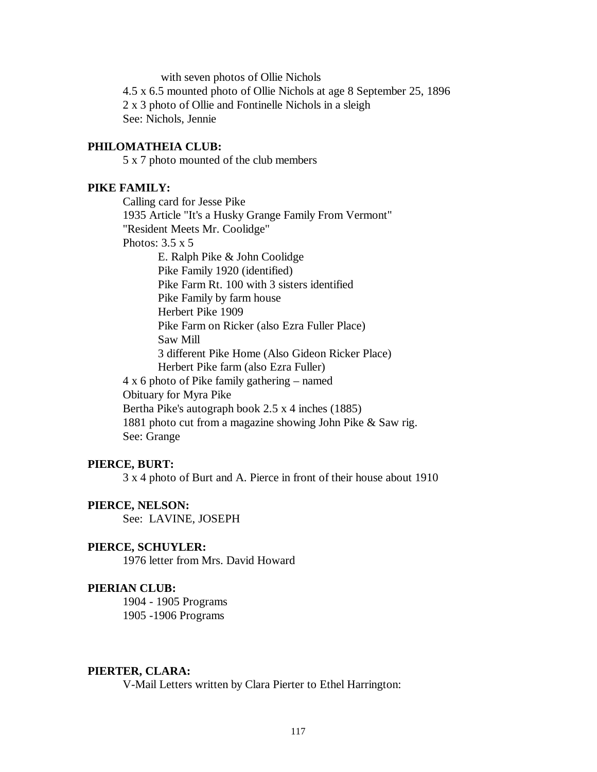with seven photos of Ollie Nichols

4.5 x 6.5 mounted photo of Ollie Nichols at age 8 September 25, 1896 2 x 3 photo of Ollie and Fontinelle Nichols in a sleigh See: Nichols, Jennie

# **PHILOMATHEIA CLUB:**

5 x 7 photo mounted of the club members

## **PIKE FAMILY:**

Calling card for Jesse Pike 1935 Article "It's a Husky Grange Family From Vermont" "Resident Meets Mr. Coolidge" Photos: 3.5 x 5 E. Ralph Pike & John Coolidge Pike Family 1920 (identified) Pike Farm Rt. 100 with 3 sisters identified Pike Family by farm house Herbert Pike 1909 Pike Farm on Ricker (also Ezra Fuller Place) Saw Mill 3 different Pike Home (Also Gideon Ricker Place) Herbert Pike farm (also Ezra Fuller) 4 x 6 photo of Pike family gathering – named Obituary for Myra Pike Bertha Pike's autograph book 2.5 x 4 inches (1885) 1881 photo cut from a magazine showing John Pike & Saw rig. See: Grange

#### **PIERCE, BURT:**

3 x 4 photo of Burt and A. Pierce in front of their house about 1910

#### **PIERCE, NELSON:**

See: LAVINE, JOSEPH

## **PIERCE, SCHUYLER:**

1976 letter from Mrs. David Howard

#### **PIERIAN CLUB:**

1904 - 1905 Programs 1905 -1906 Programs

#### **PIERTER, CLARA:**

V-Mail Letters written by Clara Pierter to Ethel Harrington: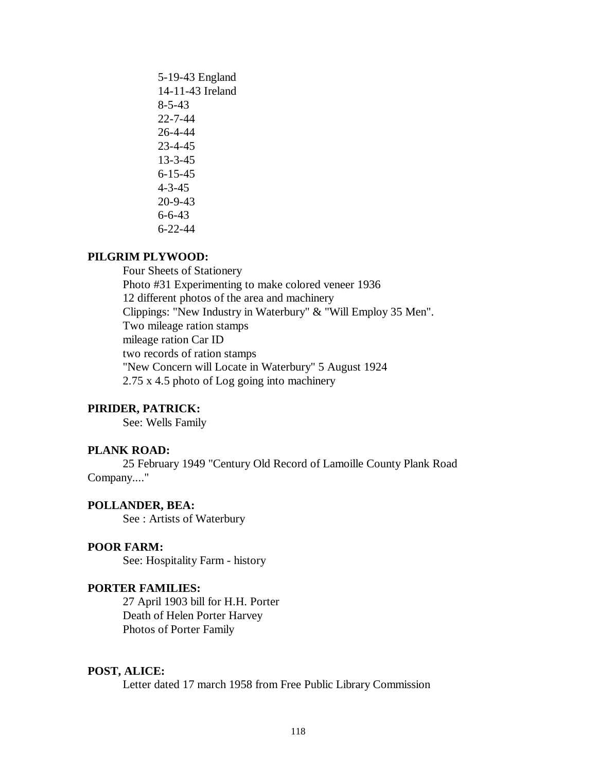5-19-43 England 14-11-43 Ireland 8-5-43 22-7-44 26-4-44 23-4-45 13-3-45 6-15-45 4-3-45 20-9-43 6-6-43 6-22-44

# **PILGRIM PLYWOOD:**

Four Sheets of Stationery Photo #31 Experimenting to make colored veneer 1936 12 different photos of the area and machinery Clippings: "New Industry in Waterbury" & "Will Employ 35 Men". Two mileage ration stamps mileage ration Car ID two records of ration stamps "New Concern will Locate in Waterbury" 5 August 1924 2.75 x 4.5 photo of Log going into machinery

# **PIRIDER, PATRICK:**

See: Wells Family

#### **PLANK ROAD:**

25 February 1949 "Century Old Record of Lamoille County Plank Road Company...."

# **POLLANDER, BEA:**

See : Artists of Waterbury

## **POOR FARM:**

See: Hospitality Farm - history

#### **PORTER FAMILIES:**

27 April 1903 bill for H.H. Porter Death of Helen Porter Harvey Photos of Porter Family

# **POST, ALICE:**

Letter dated 17 march 1958 from Free Public Library Commission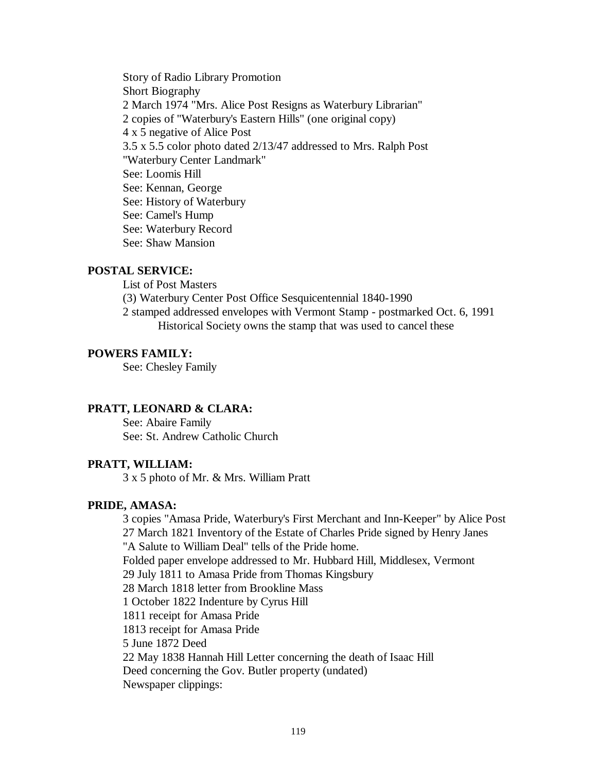Story of Radio Library Promotion Short Biography 2 March 1974 "Mrs. Alice Post Resigns as Waterbury Librarian" 2 copies of "Waterbury's Eastern Hills" (one original copy) 4 x 5 negative of Alice Post 3.5 x 5.5 color photo dated 2/13/47 addressed to Mrs. Ralph Post "Waterbury Center Landmark" See: Loomis Hill See: Kennan, George See: History of Waterbury See: Camel's Hump See: Waterbury Record See: Shaw Mansion

## **POSTAL SERVICE:**

List of Post Masters

(3) Waterbury Center Post Office Sesquicentennial 1840-1990

2 stamped addressed envelopes with Vermont Stamp - postmarked Oct. 6, 1991 Historical Society owns the stamp that was used to cancel these

# **POWERS FAMILY:**

See: Chesley Family

#### **PRATT, LEONARD & CLARA:**

See: Abaire Family See: St. Andrew Catholic Church

## **PRATT, WILLIAM:**

3 x 5 photo of Mr. & Mrs. William Pratt

# **PRIDE, AMASA:**

3 copies "Amasa Pride, Waterbury's First Merchant and Inn-Keeper" by Alice Post 27 March 1821 Inventory of the Estate of Charles Pride signed by Henry Janes "A Salute to William Deal" tells of the Pride home. Folded paper envelope addressed to Mr. Hubbard Hill, Middlesex, Vermont 29 July 1811 to Amasa Pride from Thomas Kingsbury 28 March 1818 letter from Brookline Mass 1 October 1822 Indenture by Cyrus Hill 1811 receipt for Amasa Pride 1813 receipt for Amasa Pride 5 June 1872 Deed 22 May 1838 Hannah Hill Letter concerning the death of Isaac Hill Deed concerning the Gov. Butler property (undated) Newspaper clippings: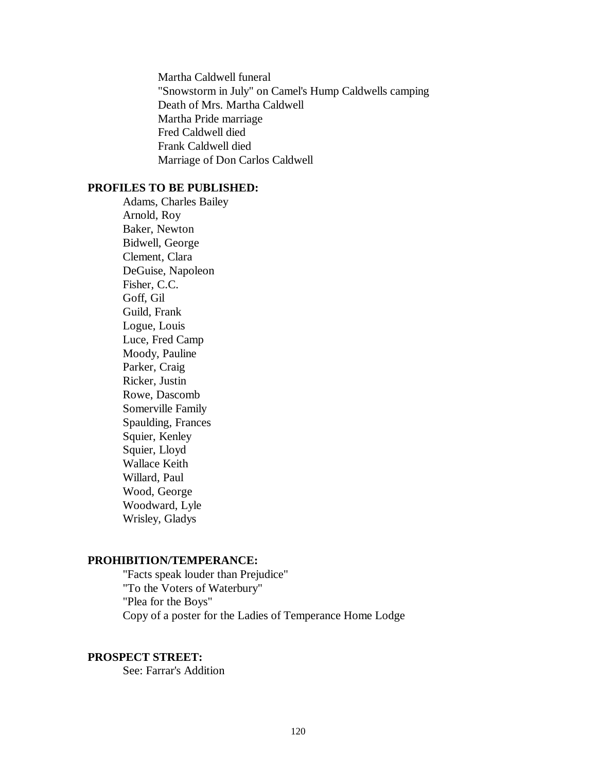Martha Caldwell funeral "Snowstorm in July" on Camel's Hump Caldwells camping Death of Mrs. Martha Caldwell Martha Pride marriage Fred Caldwell died Frank Caldwell died Marriage of Don Carlos Caldwell

# **PROFILES TO BE PUBLISHED:**

Adams, Charles Bailey Arnold, Roy Baker, Newton Bidwell, George Clement, Clara DeGuise, Napoleon Fisher, C.C. Goff, Gil Guild, Frank Logue, Louis Luce, Fred Camp Moody, Pauline Parker, Craig Ricker, Justin Rowe, Dascomb Somerville Family Spaulding, Frances Squier, Kenley Squier, Lloyd Wallace Keith Willard, Paul Wood, George Woodward, Lyle Wrisley, Gladys

# **PROHIBITION/TEMPERANCE:**

"Facts speak louder than Prejudice" "To the Voters of Waterbury" "Plea for the Boys" Copy of a poster for the Ladies of Temperance Home Lodge

# **PROSPECT STREET:**

See: Farrar's Addition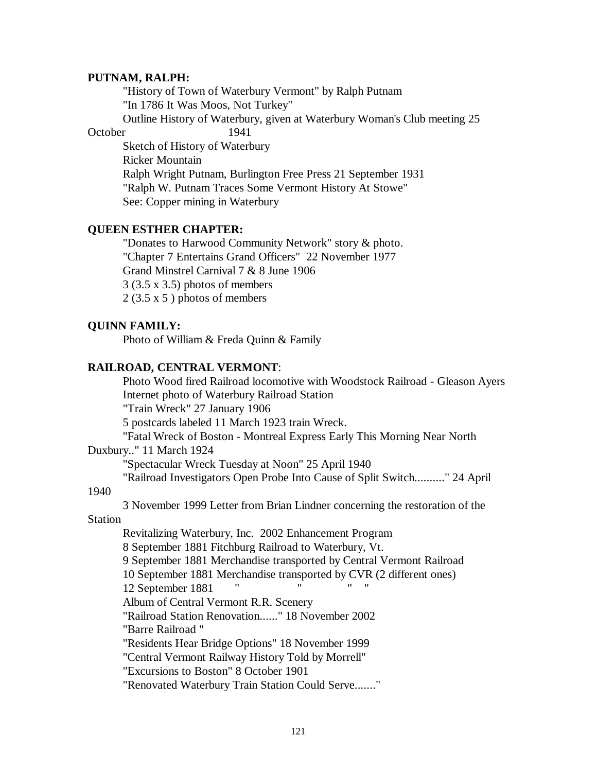## **PUTNAM, RALPH:**

"History of Town of Waterbury Vermont" by Ralph Putnam "In 1786 It Was Moos, Not Turkey" Outline History of Waterbury, given at Waterbury Woman's Club meeting 25

October 1941

Sketch of History of Waterbury Ricker Mountain Ralph Wright Putnam, Burlington Free Press 21 September 1931 "Ralph W. Putnam Traces Some Vermont History At Stowe" See: Copper mining in Waterbury

# **QUEEN ESTHER CHAPTER:**

"Donates to Harwood Community Network" story & photo. "Chapter 7 Entertains Grand Officers" 22 November 1977 Grand Minstrel Carnival 7 & 8 June 1906 3 (3.5 x 3.5) photos of members  $2(3.5 \times 5)$  photos of members

# **QUINN FAMILY:**

Photo of William & Freda Quinn & Family

#### **RAILROAD, CENTRAL VERMONT**:

Photo Wood fired Railroad locomotive with Woodstock Railroad - Gleason Ayers Internet photo of Waterbury Railroad Station

"Train Wreck" 27 January 1906

5 postcards labeled 11 March 1923 train Wreck.

"Fatal Wreck of Boston - Montreal Express Early This Morning Near North Duxbury.." 11 March 1924

"Spectacular Wreck Tuesday at Noon" 25 April 1940

"Railroad Investigators Open Probe Into Cause of Split Switch.........." 24 April

# 1940

3 November 1999 Letter from Brian Lindner concerning the restoration of the

Station

Revitalizing Waterbury, Inc. 2002 Enhancement Program 8 September 1881 Fitchburg Railroad to Waterbury, Vt. 9 September 1881 Merchandise transported by Central Vermont Railroad 10 September 1881 Merchandise transported by CVR (2 different ones) 12 September 1881 Album of Central Vermont R.R. Scenery "Railroad Station Renovation......" 18 November 2002 "Barre Railroad " "Residents Hear Bridge Options" 18 November 1999 "Central Vermont Railway History Told by Morrell" "Excursions to Boston" 8 October 1901 "Renovated Waterbury Train Station Could Serve......."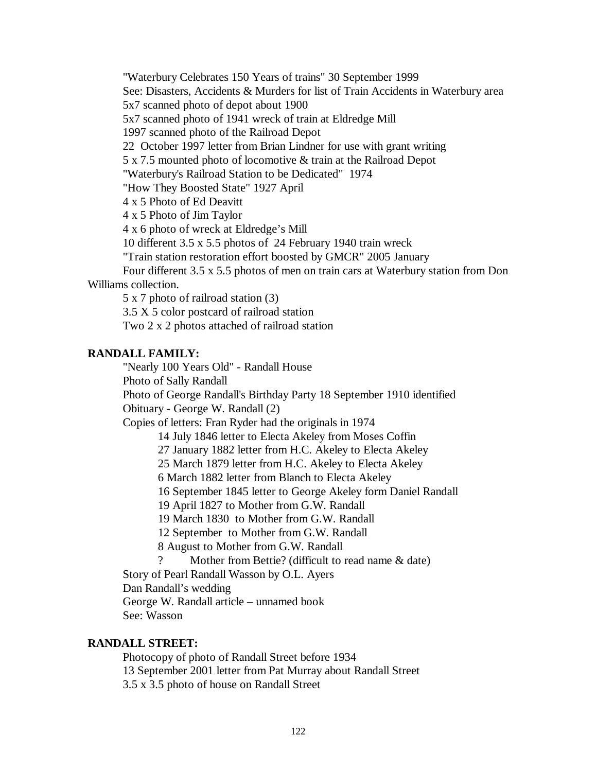"Waterbury Celebrates 150 Years of trains" 30 September 1999

See: Disasters, Accidents & Murders for list of Train Accidents in Waterbury area

5x7 scanned photo of depot about 1900

5x7 scanned photo of 1941 wreck of train at Eldredge Mill

1997 scanned photo of the Railroad Depot

22 October 1997 letter from Brian Lindner for use with grant writing

5 x 7.5 mounted photo of locomotive & train at the Railroad Depot

"Waterbury's Railroad Station to be Dedicated" 1974

"How They Boosted State" 1927 April

4 x 5 Photo of Ed Deavitt

4 x 5 Photo of Jim Taylor

4 x 6 photo of wreck at Eldredge's Mill

10 different 3.5 x 5.5 photos of 24 February 1940 train wreck

"Train station restoration effort boosted by GMCR" 2005 January

Four different 3.5 x 5.5 photos of men on train cars at Waterbury station from Don Williams collection.

5 x 7 photo of railroad station (3)

3.5 X 5 color postcard of railroad station

Two 2 x 2 photos attached of railroad station

# **RANDALL FAMILY:**

"Nearly 100 Years Old" - Randall House

Photo of Sally Randall

Photo of George Randall's Birthday Party 18 September 1910 identified Obituary - George W. Randall (2)

Copies of letters: Fran Ryder had the originals in 1974

14 July 1846 letter to Electa Akeley from Moses Coffin

27 January 1882 letter from H.C. Akeley to Electa Akeley

25 March 1879 letter from H.C. Akeley to Electa Akeley

6 March 1882 letter from Blanch to Electa Akeley

16 September 1845 letter to George Akeley form Daniel Randall

19 April 1827 to Mother from G.W. Randall

19 March 1830 to Mother from G.W. Randall

12 September to Mother from G.W. Randall

8 August to Mother from G.W. Randall

Mother from Bettie? (difficult to read name & date)

Story of Pearl Randall Wasson by O.L. Ayers

Dan Randall's wedding

George W. Randall article – unnamed book

See: Wasson

# **RANDALL STREET:**

Photocopy of photo of Randall Street before 1934 13 September 2001 letter from Pat Murray about Randall Street 3.5 x 3.5 photo of house on Randall Street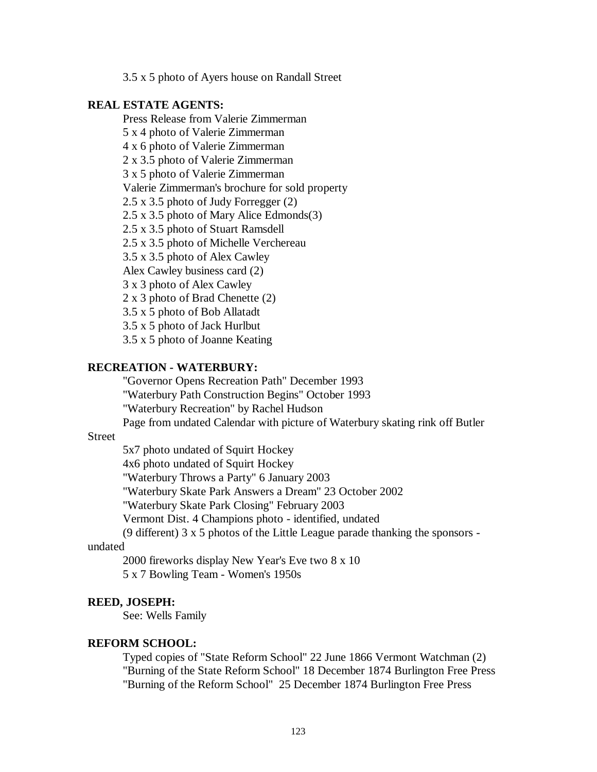3.5 x 5 photo of Ayers house on Randall Street

#### **REAL ESTATE AGENTS:**

Press Release from Valerie Zimmerman

5 x 4 photo of Valerie Zimmerman

4 x 6 photo of Valerie Zimmerman

2 x 3.5 photo of Valerie Zimmerman

3 x 5 photo of Valerie Zimmerman

Valerie Zimmerman's brochure for sold property

2.5 x 3.5 photo of Judy Forregger (2)

2.5 x 3.5 photo of Mary Alice Edmonds(3)

2.5 x 3.5 photo of Stuart Ramsdell

2.5 x 3.5 photo of Michelle Verchereau

3.5 x 3.5 photo of Alex Cawley

Alex Cawley business card (2)

3 x 3 photo of Alex Cawley

2 x 3 photo of Brad Chenette (2)

3.5 x 5 photo of Bob Allatadt

3.5 x 5 photo of Jack Hurlbut

3.5 x 5 photo of Joanne Keating

# **RECREATION - WATERBURY:**

"Governor Opens Recreation Path" December 1993

"Waterbury Path Construction Begins" October 1993

"Waterbury Recreation" by Rachel Hudson

Page from undated Calendar with picture of Waterbury skating rink off Butler

# **Street**

5x7 photo undated of Squirt Hockey

4x6 photo undated of Squirt Hockey

"Waterbury Throws a Party" 6 January 2003

"Waterbury Skate Park Answers a Dream" 23 October 2002

"Waterbury Skate Park Closing" February 2003

Vermont Dist. 4 Champions photo - identified, undated

(9 different) 3 x 5 photos of the Little League parade thanking the sponsors -

# undated

2000 fireworks display New Year's Eve two 8 x 10 5 x 7 Bowling Team - Women's 1950s

#### **REED, JOSEPH:**

See: Wells Family

# **REFORM SCHOOL:**

Typed copies of "State Reform School" 22 June 1866 Vermont Watchman (2) "Burning of the State Reform School" 18 December 1874 Burlington Free Press "Burning of the Reform School" 25 December 1874 Burlington Free Press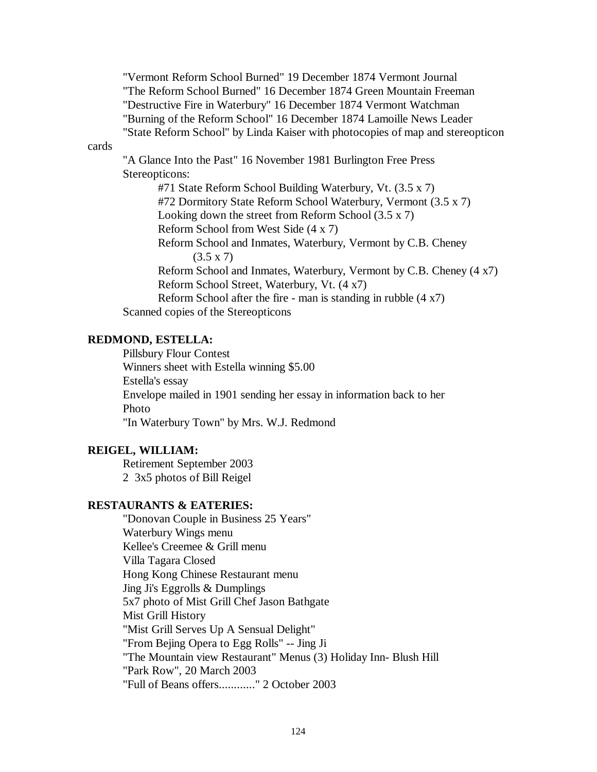"Vermont Reform School Burned" 19 December 1874 Vermont Journal "The Reform School Burned" 16 December 1874 Green Mountain Freeman "Destructive Fire in Waterbury" 16 December 1874 Vermont Watchman "Burning of the Reform School" 16 December 1874 Lamoille News Leader "State Reform School" by Linda Kaiser with photocopies of map and stereopticon

cards

"A Glance Into the Past" 16 November 1981 Burlington Free Press Stereopticons:

#71 State Reform School Building Waterbury, Vt. (3.5 x 7) #72 Dormitory State Reform School Waterbury, Vermont (3.5 x 7) Looking down the street from Reform School (3.5 x 7) Reform School from West Side (4 x 7) Reform School and Inmates, Waterbury, Vermont by C.B. Cheney  $(3.5 \times 7)$ Reform School and Inmates, Waterbury, Vermont by C.B. Cheney (4 x7) Reform School Street, Waterbury, Vt. (4 x7) Reform School after the fire - man is standing in rubble (4 x7) Scanned copies of the Stereopticons

# **REDMOND, ESTELLA:**

Pillsbury Flour Contest Winners sheet with Estella winning \$5.00 Estella's essay Envelope mailed in 1901 sending her essay in information back to her Photo "In Waterbury Town" by Mrs. W.J. Redmond

# **REIGEL, WILLIAM:**

Retirement September 2003 2 3x5 photos of Bill Reigel

# **RESTAURANTS & EATERIES:**

"Donovan Couple in Business 25 Years" Waterbury Wings menu Kellee's Creemee & Grill menu Villa Tagara Closed Hong Kong Chinese Restaurant menu Jing Ji's Eggrolls & Dumplings 5x7 photo of Mist Grill Chef Jason Bathgate Mist Grill History "Mist Grill Serves Up A Sensual Delight" "From Bejing Opera to Egg Rolls" -- Jing Ji "The Mountain view Restaurant" Menus (3) Holiday Inn- Blush Hill "Park Row", 20 March 2003 "Full of Beans offers............" 2 October 2003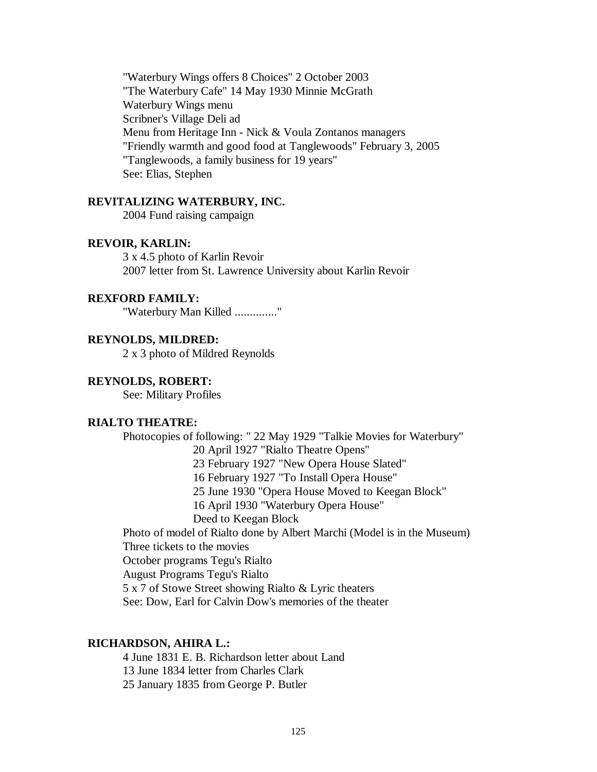"Waterbury Wings offers 8 Choices" 2 October 2003 "The Waterbury Cafe" 14 May 1930 Minnie McGrath Waterbury Wings menu Scribner's Village Deli ad Menu from Heritage Inn - Nick & Voula Zontanos managers "Friendly warmth and good food at Tanglewoods" February 3, 2005 "Tanglewoods, a family business for 19 years" See: Elias, Stephen

#### **REVITALIZING WATERBURY, INC.**

2004 Fund raising campaign

# **REVOIR, KARLIN:**

3 x 4.5 photo of Karlin Revoir 2007 letter from St. Lawrence University about Karlin Revoir

## **REXFORD FAMILY:**

"Waterbury Man Killed .............."

# **REYNOLDS, MILDRED:**

2 x 3 photo of Mildred Reynolds

## **REYNOLDS, ROBERT:**

See: Military Profiles

#### **RIALTO THEATRE:**

Photocopies of following: " 22 May 1929 "Talkie Movies for Waterbury"

20 April 1927 "Rialto Theatre Opens"

23 February 1927 "New Opera House Slated"

16 February 1927 "To Install Opera House"

25 June 1930 "Opera House Moved to Keegan Block"

16 April 1930 "Waterbury Opera House"

Deed to Keegan Block

Photo of model of Rialto done by Albert Marchi (Model is in the Museum) Three tickets to the movies

October programs Tegu's Rialto

August Programs Tegu's Rialto

5 x 7 of Stowe Street showing Rialto & Lyric theaters

See: Dow, Earl for Calvin Dow's memories of the theater

#### **RICHARDSON, AHIRA L.:**

4 June 1831 E. B. Richardson letter about Land 13 June 1834 letter from Charles Clark 25 January 1835 from George P. Butler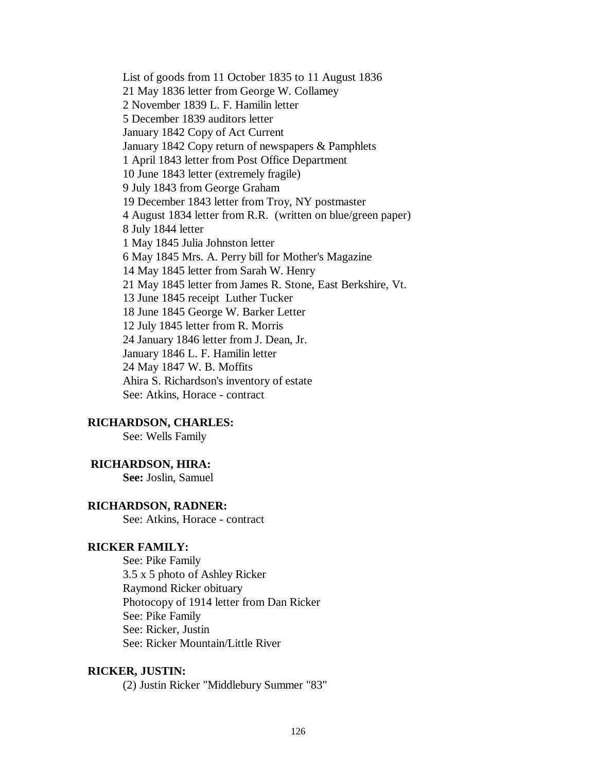List of goods from 11 October 1835 to 11 August 1836 21 May 1836 letter from George W. Collamey 2 November 1839 L. F. Hamilin letter 5 December 1839 auditors letter January 1842 Copy of Act Current January 1842 Copy return of newspapers & Pamphlets 1 April 1843 letter from Post Office Department 10 June 1843 letter (extremely fragile) 9 July 1843 from George Graham 19 December 1843 letter from Troy, NY postmaster 4 August 1834 letter from R.R. (written on blue/green paper) 8 July 1844 letter 1 May 1845 Julia Johnston letter 6 May 1845 Mrs. A. Perry bill for Mother's Magazine 14 May 1845 letter from Sarah W. Henry 21 May 1845 letter from James R. Stone, East Berkshire, Vt. 13 June 1845 receipt Luther Tucker 18 June 1845 George W. Barker Letter 12 July 1845 letter from R. Morris 24 January 1846 letter from J. Dean, Jr. January 1846 L. F. Hamilin letter 24 May 1847 W. B. Moffits Ahira S. Richardson's inventory of estate See: Atkins, Horace - contract

#### **RICHARDSON, CHARLES:**

See: Wells Family

#### **RICHARDSON, HIRA:**

**See:** Joslin, Samuel

#### **RICHARDSON, RADNER:**

See: Atkins, Horace - contract

# **RICKER FAMILY:**

See: Pike Family 3.5 x 5 photo of Ashley Ricker Raymond Ricker obituary Photocopy of 1914 letter from Dan Ricker See: Pike Family See: Ricker, Justin See: Ricker Mountain/Little River

#### **RICKER, JUSTIN:**

(2) Justin Ricker "Middlebury Summer "83"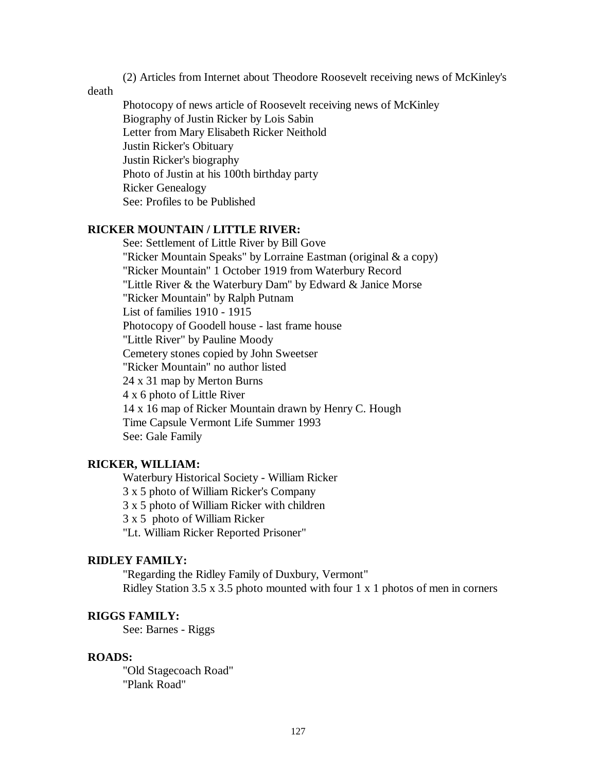(2) Articles from Internet about Theodore Roosevelt receiving news of McKinley's

death

Photocopy of news article of Roosevelt receiving news of McKinley Biography of Justin Ricker by Lois Sabin Letter from Mary Elisabeth Ricker Neithold Justin Ricker's Obituary Justin Ricker's biography Photo of Justin at his 100th birthday party Ricker Genealogy See: Profiles to be Published

# **RICKER MOUNTAIN / LITTLE RIVER:**

See: Settlement of Little River by Bill Gove "Ricker Mountain Speaks" by Lorraine Eastman (original & a copy) "Ricker Mountain" 1 October 1919 from Waterbury Record "Little River & the Waterbury Dam" by Edward & Janice Morse "Ricker Mountain" by Ralph Putnam List of families 1910 - 1915 Photocopy of Goodell house - last frame house "Little River" by Pauline Moody Cemetery stones copied by John Sweetser "Ricker Mountain" no author listed 24 x 31 map by Merton Burns 4 x 6 photo of Little River 14 x 16 map of Ricker Mountain drawn by Henry C. Hough Time Capsule Vermont Life Summer 1993 See: Gale Family

# **RICKER, WILLIAM:**

Waterbury Historical Society - William Ricker 3 x 5 photo of William Ricker's Company 3 x 5 photo of William Ricker with children 3 x 5 photo of William Ricker "Lt. William Ricker Reported Prisoner"

## **RIDLEY FAMILY:**

"Regarding the Ridley Family of Duxbury, Vermont" Ridley Station 3.5 x 3.5 photo mounted with four 1 x 1 photos of men in corners

# **RIGGS FAMILY:**

See: Barnes - Riggs

#### **ROADS:**

"Old Stagecoach Road" "Plank Road"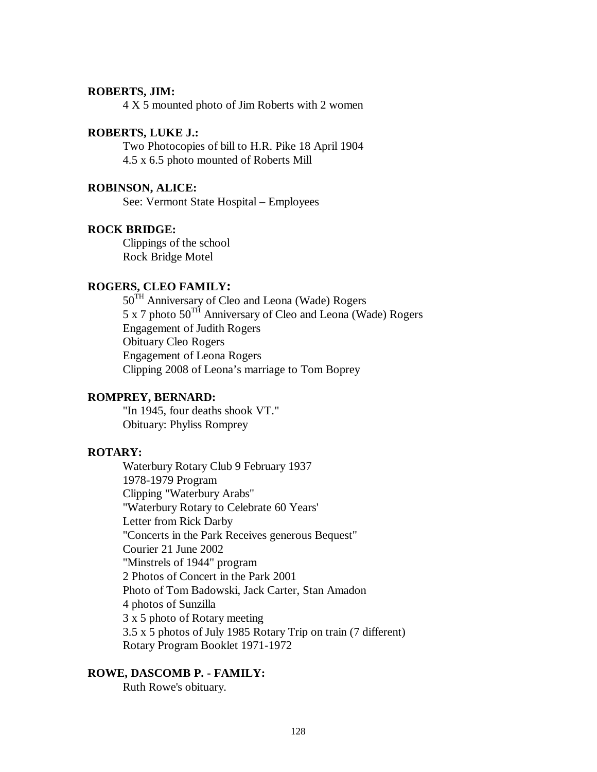## **ROBERTS, JIM:**

4 X 5 mounted photo of Jim Roberts with 2 women

## **ROBERTS, LUKE J.:**

Two Photocopies of bill to H.R. Pike 18 April 1904 4.5 x 6.5 photo mounted of Roberts Mill

# **ROBINSON, ALICE:**

See: Vermont State Hospital – Employees

#### **ROCK BRIDGE:**

Clippings of the school Rock Bridge Motel

# **ROGERS, CLEO FAMILY:**

50<sup>TH</sup> Anniversary of Cleo and Leona (Wade) Rogers 5 x 7 photo  $50^{TH}$  Anniversary of Cleo and Leona (Wade) Rogers Engagement of Judith Rogers Obituary Cleo Rogers Engagement of Leona Rogers Clipping 2008 of Leona's marriage to Tom Boprey

# **ROMPREY, BERNARD:**

"In 1945, four deaths shook VT." Obituary: Phyliss Romprey

## **ROTARY:**

Waterbury Rotary Club 9 February 1937 1978-1979 Program Clipping "Waterbury Arabs" "Waterbury Rotary to Celebrate 60 Years' Letter from Rick Darby "Concerts in the Park Receives generous Bequest" Courier 21 June 2002 "Minstrels of 1944" program 2 Photos of Concert in the Park 2001 Photo of Tom Badowski, Jack Carter, Stan Amadon 4 photos of Sunzilla 3 x 5 photo of Rotary meeting 3.5 x 5 photos of July 1985 Rotary Trip on train (7 different) Rotary Program Booklet 1971-1972

# **ROWE, DASCOMB P. - FAMILY:**

Ruth Rowe's obituary.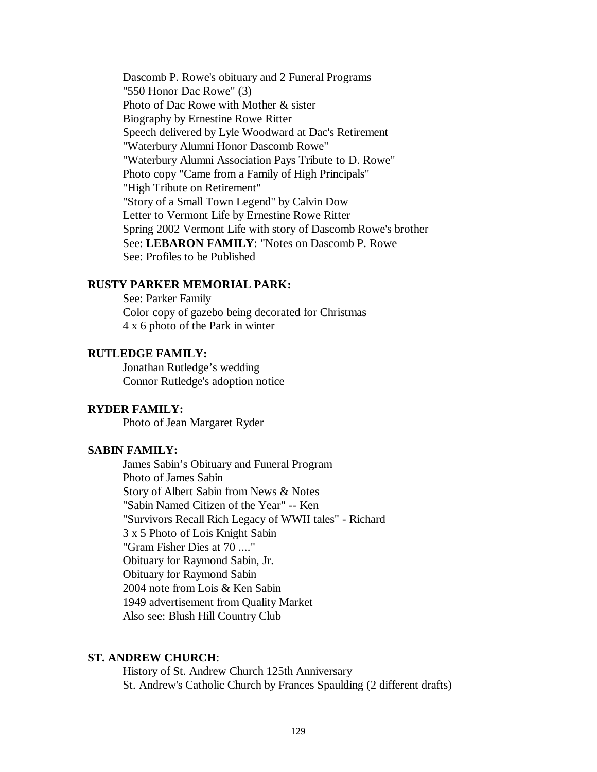Dascomb P. Rowe's obituary and 2 Funeral Programs "550 Honor Dac Rowe" (3) Photo of Dac Rowe with Mother & sister Biography by Ernestine Rowe Ritter Speech delivered by Lyle Woodward at Dac's Retirement "Waterbury Alumni Honor Dascomb Rowe" "Waterbury Alumni Association Pays Tribute to D. Rowe" Photo copy "Came from a Family of High Principals" "High Tribute on Retirement" "Story of a Small Town Legend" by Calvin Dow Letter to Vermont Life by Ernestine Rowe Ritter Spring 2002 Vermont Life with story of Dascomb Rowe's brother See: **LEBARON FAMILY**: "Notes on Dascomb P. Rowe See: Profiles to be Published

# **RUSTY PARKER MEMORIAL PARK:**

See: Parker Family Color copy of gazebo being decorated for Christmas 4 x 6 photo of the Park in winter

# **RUTLEDGE FAMILY:**

Jonathan Rutledge's wedding Connor Rutledge's adoption notice

## **RYDER FAMILY:**

Photo of Jean Margaret Ryder

## **SABIN FAMILY:**

James Sabin's Obituary and Funeral Program Photo of James Sabin Story of Albert Sabin from News & Notes "Sabin Named Citizen of the Year" -- Ken "Survivors Recall Rich Legacy of WWII tales" - Richard 3 x 5 Photo of Lois Knight Sabin "Gram Fisher Dies at 70 ...." Obituary for Raymond Sabin, Jr. Obituary for Raymond Sabin 2004 note from Lois & Ken Sabin 1949 advertisement from Quality Market Also see: Blush Hill Country Club

#### **ST. ANDREW CHURCH**:

History of St. Andrew Church 125th Anniversary St. Andrew's Catholic Church by Frances Spaulding (2 different drafts)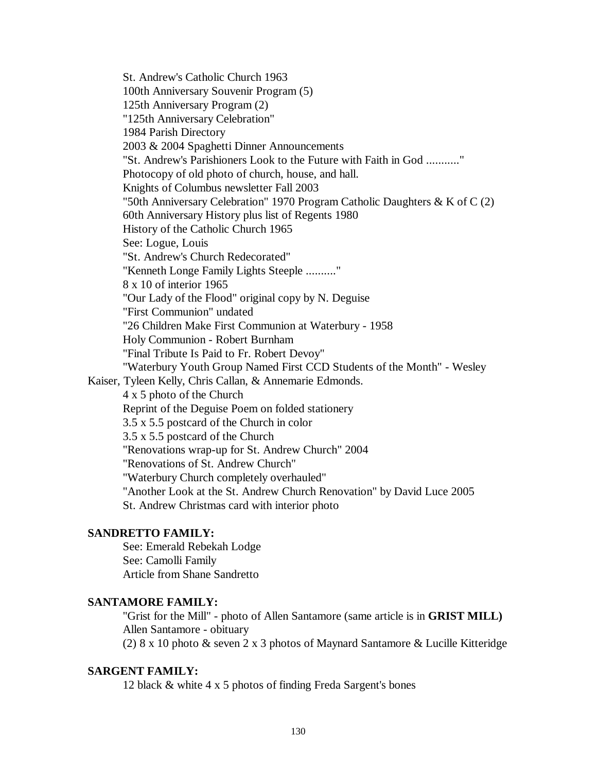St. Andrew's Catholic Church 1963 100th Anniversary Souvenir Program (5) 125th Anniversary Program (2) "125th Anniversary Celebration" 1984 Parish Directory 2003 & 2004 Spaghetti Dinner Announcements "St. Andrew's Parishioners Look to the Future with Faith in God ..........." Photocopy of old photo of church, house, and hall. Knights of Columbus newsletter Fall 2003 "50th Anniversary Celebration" 1970 Program Catholic Daughters & K of C (2) 60th Anniversary History plus list of Regents 1980 History of the Catholic Church 1965 See: Logue, Louis "St. Andrew's Church Redecorated" "Kenneth Longe Family Lights Steeple .........." 8 x 10 of interior 1965 "Our Lady of the Flood" original copy by N. Deguise "First Communion" undated "26 Children Make First Communion at Waterbury - 1958 Holy Communion - Robert Burnham "Final Tribute Is Paid to Fr. Robert Devoy" "Waterbury Youth Group Named First CCD Students of the Month" - Wesley Kaiser, Tyleen Kelly, Chris Callan, & Annemarie Edmonds. 4 x 5 photo of the Church Reprint of the Deguise Poem on folded stationery 3.5 x 5.5 postcard of the Church in color 3.5 x 5.5 postcard of the Church "Renovations wrap-up for St. Andrew Church" 2004 "Renovations of St. Andrew Church" "Waterbury Church completely overhauled" "Another Look at the St. Andrew Church Renovation" by David Luce 2005 St. Andrew Christmas card with interior photo

# **SANDRETTO FAMILY:**

See: Emerald Rebekah Lodge See: Camolli Family Article from Shane Sandretto

# **SANTAMORE FAMILY:**

"Grist for the Mill" - photo of Allen Santamore (same article is in **GRIST MILL)** Allen Santamore - obituary (2) 8 x 10 photo & seven 2 x 3 photos of Maynard Santamore & Lucille Kitteridge

# **SARGENT FAMILY:**

12 black & white 4 x 5 photos of finding Freda Sargent's bones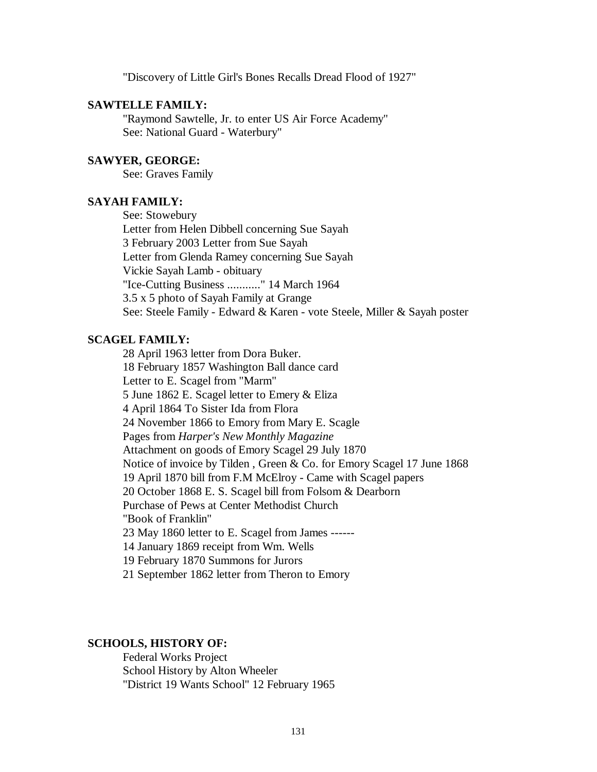"Discovery of Little Girl's Bones Recalls Dread Flood of 1927"

#### **SAWTELLE FAMILY:**

"Raymond Sawtelle, Jr. to enter US Air Force Academy" See: National Guard - Waterbury"

# **SAWYER, GEORGE:**

See: Graves Family

#### **SAYAH FAMILY:**

See: Stowebury Letter from Helen Dibbell concerning Sue Sayah 3 February 2003 Letter from Sue Sayah Letter from Glenda Ramey concerning Sue Sayah Vickie Sayah Lamb - obituary "Ice-Cutting Business ..........." 14 March 1964 3.5 x 5 photo of Sayah Family at Grange See: Steele Family - Edward & Karen - vote Steele, Miller & Sayah poster

# **SCAGEL FAMILY:**

28 April 1963 letter from Dora Buker. 18 February 1857 Washington Ball dance card Letter to E. Scagel from "Marm" 5 June 1862 E. Scagel letter to Emery & Eliza 4 April 1864 To Sister Ida from Flora 24 November 1866 to Emory from Mary E. Scagle Pages from *Harper's New Monthly Magazine* Attachment on goods of Emory Scagel 29 July 1870 Notice of invoice by Tilden , Green & Co. for Emory Scagel 17 June 1868 19 April 1870 bill from F.M McElroy - Came with Scagel papers 20 October 1868 E. S. Scagel bill from Folsom & Dearborn Purchase of Pews at Center Methodist Church "Book of Franklin" 23 May 1860 letter to E. Scagel from James ------ 14 January 1869 receipt from Wm. Wells 19 February 1870 Summons for Jurors 21 September 1862 letter from Theron to Emory

# **SCHOOLS, HISTORY OF:**

Federal Works Project School History by Alton Wheeler "District 19 Wants School" 12 February 1965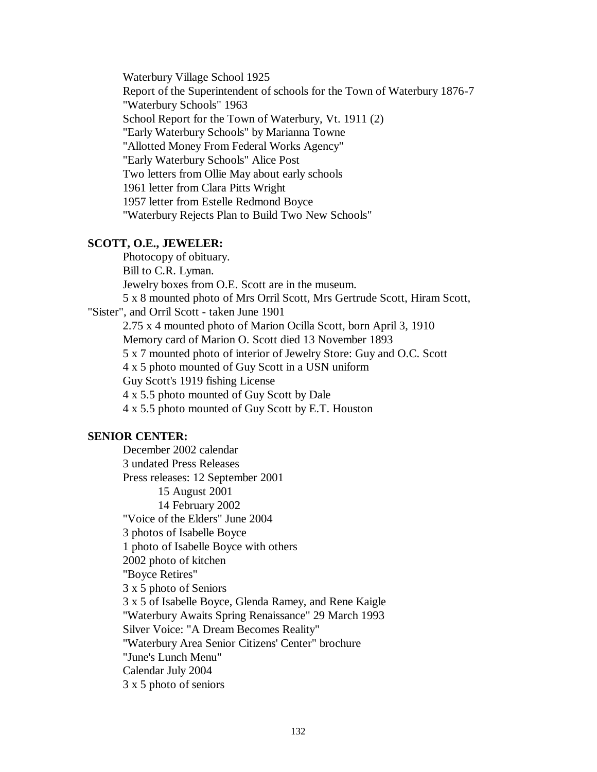Waterbury Village School 1925 Report of the Superintendent of schools for the Town of Waterbury 1876-7 "Waterbury Schools" 1963 School Report for the Town of Waterbury, Vt. 1911 (2) "Early Waterbury Schools" by Marianna Towne "Allotted Money From Federal Works Agency" "Early Waterbury Schools" Alice Post Two letters from Ollie May about early schools 1961 letter from Clara Pitts Wright 1957 letter from Estelle Redmond Boyce "Waterbury Rejects Plan to Build Two New Schools"

# **SCOTT, O.E., JEWELER:**

Photocopy of obituary. Bill to C.R. Lyman. Jewelry boxes from O.E. Scott are in the museum. 5 x 8 mounted photo of Mrs Orril Scott, Mrs Gertrude Scott, Hiram Scott, "Sister", and Orril Scott - taken June 1901 2.75 x 4 mounted photo of Marion Ocilla Scott, born April 3, 1910 Memory card of Marion O. Scott died 13 November 1893 5 x 7 mounted photo of interior of Jewelry Store: Guy and O.C. Scott 4 x 5 photo mounted of Guy Scott in a USN uniform Guy Scott's 1919 fishing License 4 x 5.5 photo mounted of Guy Scott by Dale 4 x 5.5 photo mounted of Guy Scott by E.T. Houston

# **SENIOR CENTER:**

December 2002 calendar 3 undated Press Releases Press releases: 12 September 2001 15 August 2001 14 February 2002 "Voice of the Elders" June 2004 3 photos of Isabelle Boyce 1 photo of Isabelle Boyce with others 2002 photo of kitchen "Boyce Retires" 3 x 5 photo of Seniors 3 x 5 of Isabelle Boyce, Glenda Ramey, and Rene Kaigle "Waterbury Awaits Spring Renaissance" 29 March 1993 Silver Voice: "A Dream Becomes Reality" "Waterbury Area Senior Citizens' Center" brochure "June's Lunch Menu" Calendar July 2004 3 x 5 photo of seniors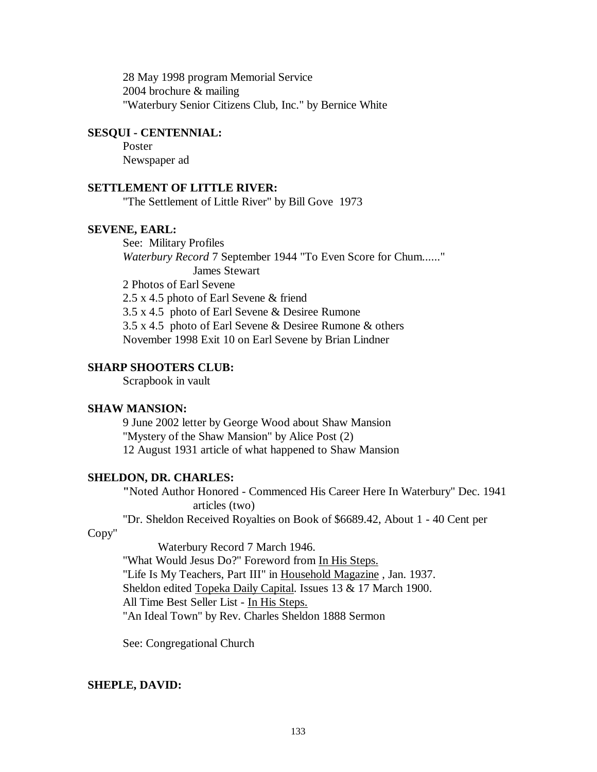28 May 1998 program Memorial Service 2004 brochure & mailing "Waterbury Senior Citizens Club, Inc." by Bernice White

# **SESQUI - CENTENNIAL:**

Poster Newspaper ad

## **SETTLEMENT OF LITTLE RIVER:**

"The Settlement of Little River" by Bill Gove 1973

#### **SEVENE, EARL:**

See: Military Profiles *Waterbury Record* 7 September 1944 "To Even Score for Chum......" James Stewart 2 Photos of Earl Sevene 2.5 x 4.5 photo of Earl Sevene & friend 3.5 x 4.5 photo of Earl Sevene & Desiree Rumone 3.5 x 4.5 photo of Earl Sevene & Desiree Rumone & others November 1998 Exit 10 on Earl Sevene by Brian Lindner

#### **SHARP SHOOTERS CLUB:**

Scrapbook in vault

## **SHAW MANSION:**

9 June 2002 letter by George Wood about Shaw Mansion "Mystery of the Shaw Mansion" by Alice Post (2) 12 August 1931 article of what happened to Shaw Mansion

#### **SHELDON, DR. CHARLES:**

**"**Noted Author Honored - Commenced His Career Here In Waterbury" Dec. 1941 articles (two)

"Dr. Sheldon Received Royalties on Book of \$6689.42, About 1 - 40 Cent per

# Copy"

Waterbury Record 7 March 1946. "What Would Jesus Do?" Foreword from In His Steps. "Life Is My Teachers, Part III" in Household Magazine, Jan. 1937. Sheldon edited Topeka Daily Capital. Issues 13 & 17 March 1900. All Time Best Seller List - In His Steps. "An Ideal Town" by Rev. Charles Sheldon 1888 Sermon

See: Congregational Church

#### **SHEPLE, DAVID:**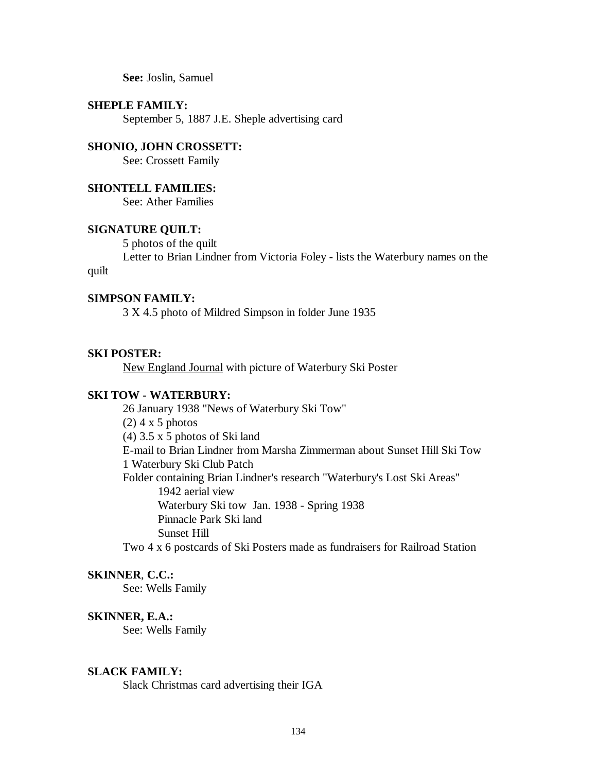**See:** Joslin, Samuel

#### **SHEPLE FAMILY:**

September 5, 1887 J.E. Sheple advertising card

## **SHONIO, JOHN CROSSETT:**

See: Crossett Family

## **SHONTELL FAMILIES:**

See: Ather Families

## **SIGNATURE QUILT:**

5 photos of the quilt

Letter to Brian Lindner from Victoria Foley - lists the Waterbury names on the

## quilt

#### **SIMPSON FAMILY:**

3 X 4.5 photo of Mildred Simpson in folder June 1935

# **SKI POSTER:**

New England Journal with picture of Waterbury Ski Poster

#### **SKI TOW - WATERBURY:**

26 January 1938 "News of Waterbury Ski Tow"  $(2)$  4 x 5 photos (4) 3.5 x 5 photos of Ski land E-mail to Brian Lindner from Marsha Zimmerman about Sunset Hill Ski Tow 1 Waterbury Ski Club Patch Folder containing Brian Lindner's research "Waterbury's Lost Ski Areas" 1942 aerial view Waterbury Ski tow Jan. 1938 - Spring 1938 Pinnacle Park Ski land Sunset Hill

# Two 4 x 6 postcards of Ski Posters made as fundraisers for Railroad Station

# **SKINNER**, **C.C.:**

See: Wells Family

## **SKINNER, E.A.:**

See: Wells Family

#### **SLACK FAMILY:**

Slack Christmas card advertising their IGA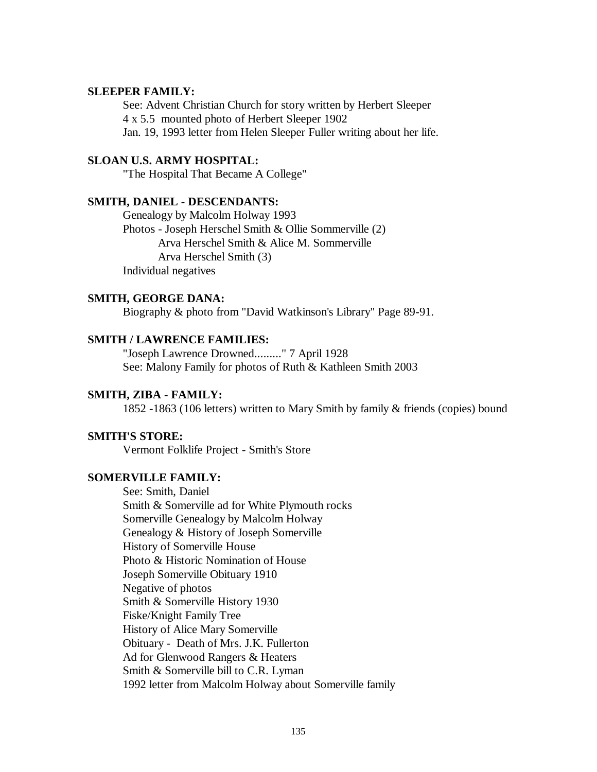# **SLEEPER FAMILY:**

See: Advent Christian Church for story written by Herbert Sleeper 4 x 5.5 mounted photo of Herbert Sleeper 1902 Jan. 19, 1993 letter from Helen Sleeper Fuller writing about her life.

# **SLOAN U.S. ARMY HOSPITAL:**

"The Hospital That Became A College"

#### **SMITH, DANIEL - DESCENDANTS:**

Genealogy by Malcolm Holway 1993 Photos - Joseph Herschel Smith & Ollie Sommerville (2) Arva Herschel Smith & Alice M. Sommerville Arva Herschel Smith (3) Individual negatives

#### **SMITH, GEORGE DANA:**

Biography & photo from "David Watkinson's Library" Page 89-91.

## **SMITH / LAWRENCE FAMILIES:**

"Joseph Lawrence Drowned........." 7 April 1928 See: Malony Family for photos of Ruth & Kathleen Smith 2003

## **SMITH, ZIBA - FAMILY:**

1852 -1863 (106 letters) written to Mary Smith by family & friends (copies) bound

## **SMITH'S STORE:**

Vermont Folklife Project - Smith's Store

# **SOMERVILLE FAMILY:**

See: Smith, Daniel Smith & Somerville ad for White Plymouth rocks Somerville Genealogy by Malcolm Holway Genealogy & History of Joseph Somerville History of Somerville House Photo & Historic Nomination of House Joseph Somerville Obituary 1910 Negative of photos Smith & Somerville History 1930 Fiske/Knight Family Tree History of Alice Mary Somerville Obituary - Death of Mrs. J.K. Fullerton Ad for Glenwood Rangers & Heaters Smith & Somerville bill to C.R. Lyman 1992 letter from Malcolm Holway about Somerville family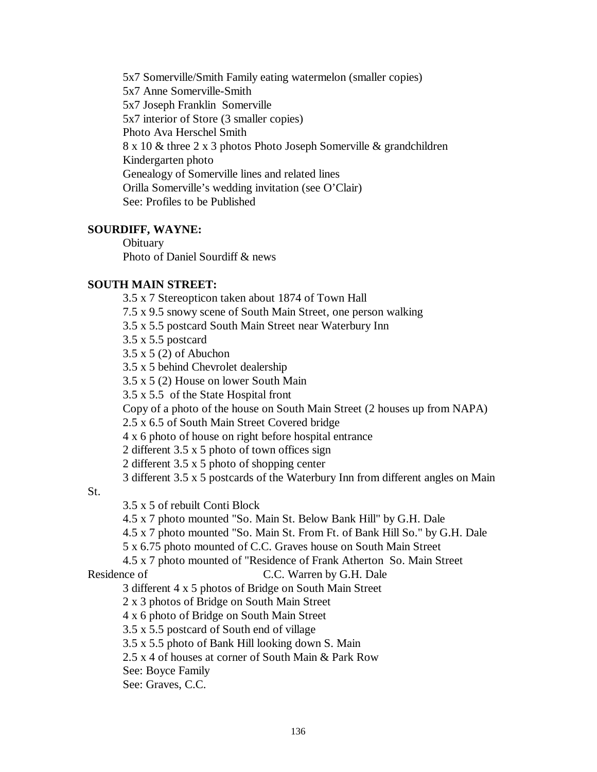5x7 Somerville/Smith Family eating watermelon (smaller copies) 5x7 Anne Somerville-Smith 5x7 Joseph Franklin Somerville 5x7 interior of Store (3 smaller copies) Photo Ava Herschel Smith 8 x 10 & three 2 x 3 photos Photo Joseph Somerville & grandchildren Kindergarten photo Genealogy of Somerville lines and related lines Orilla Somerville's wedding invitation (see O'Clair) See: Profiles to be Published

# **SOURDIFF, WAYNE:**

**Obituary** Photo of Daniel Sourdiff & news

# **SOUTH MAIN STREET:**

3.5 x 7 Stereopticon taken about 1874 of Town Hall 7.5 x 9.5 snowy scene of South Main Street, one person walking 3.5 x 5.5 postcard South Main Street near Waterbury Inn 3.5 x 5.5 postcard 3.5 x 5 (2) of Abuchon 3.5 x 5 behind Chevrolet dealership 3.5 x 5 (2) House on lower South Main 3.5 x 5.5 of the State Hospital front Copy of a photo of the house on South Main Street (2 houses up from NAPA) 2.5 x 6.5 of South Main Street Covered bridge 4 x 6 photo of house on right before hospital entrance 2 different 3.5 x 5 photo of town offices sign 2 different 3.5 x 5 photo of shopping center 3 different 3.5 x 5 postcards of the Waterbury Inn from different angles on Main 3.5 x 5 of rebuilt Conti Block 4.5 x 7 photo mounted "So. Main St. Below Bank Hill" by G.H. Dale 4.5 x 7 photo mounted "So. Main St. From Ft. of Bank Hill So." by G.H. Dale

5 x 6.75 photo mounted of C.C. Graves house on South Main Street

4.5 x 7 photo mounted of "Residence of Frank Atherton So. Main Street

Residence of C.C. Warren by G.H. Dale

St.

3 different 4 x 5 photos of Bridge on South Main Street

2 x 3 photos of Bridge on South Main Street

4 x 6 photo of Bridge on South Main Street

3.5 x 5.5 postcard of South end of village

3.5 x 5.5 photo of Bank Hill looking down S. Main

2.5 x 4 of houses at corner of South Main & Park Row

See: Boyce Family

See: Graves, C.C.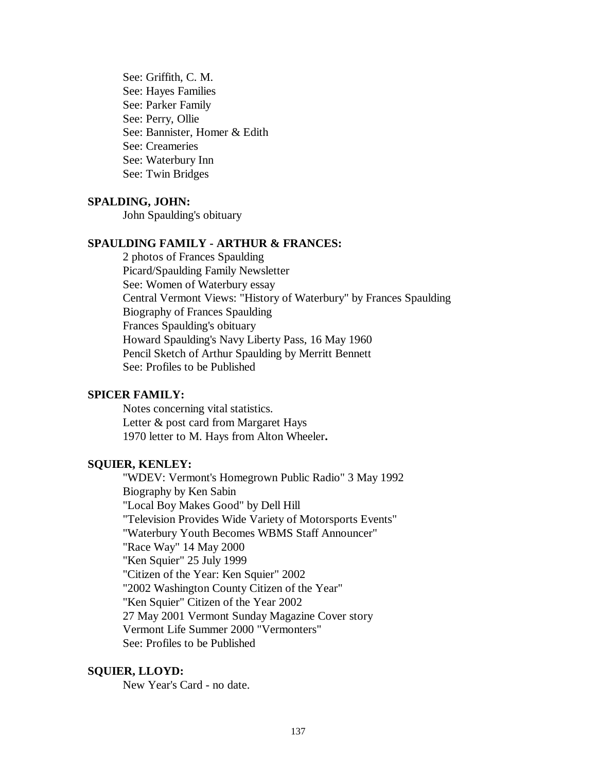See: Griffith, C. M. See: Hayes Families See: Parker Family See: Perry, Ollie See: Bannister, Homer & Edith See: Creameries See: Waterbury Inn See: Twin Bridges

## **SPALDING, JOHN:**

John Spaulding's obituary

# **SPAULDING FAMILY - ARTHUR & FRANCES:**

2 photos of Frances Spaulding Picard/Spaulding Family Newsletter See: Women of Waterbury essay Central Vermont Views: "History of Waterbury" by Frances Spaulding Biography of Frances Spaulding Frances Spaulding's obituary Howard Spaulding's Navy Liberty Pass, 16 May 1960 Pencil Sketch of Arthur Spaulding by Merritt Bennett See: Profiles to be Published

#### **SPICER FAMILY:**

Notes concerning vital statistics. Letter & post card from Margaret Hays 1970 letter to M. Hays from Alton Wheeler**.**

## **SQUIER, KENLEY:**

"WDEV: Vermont's Homegrown Public Radio" 3 May 1992 Biography by Ken Sabin "Local Boy Makes Good" by Dell Hill "Television Provides Wide Variety of Motorsports Events" "Waterbury Youth Becomes WBMS Staff Announcer" "Race Way" 14 May 2000 "Ken Squier" 25 July 1999 "Citizen of the Year: Ken Squier" 2002 "2002 Washington County Citizen of the Year" "Ken Squier" Citizen of the Year 2002 27 May 2001 Vermont Sunday Magazine Cover story Vermont Life Summer 2000 "Vermonters" See: Profiles to be Published

#### **SQUIER, LLOYD:**

New Year's Card - no date.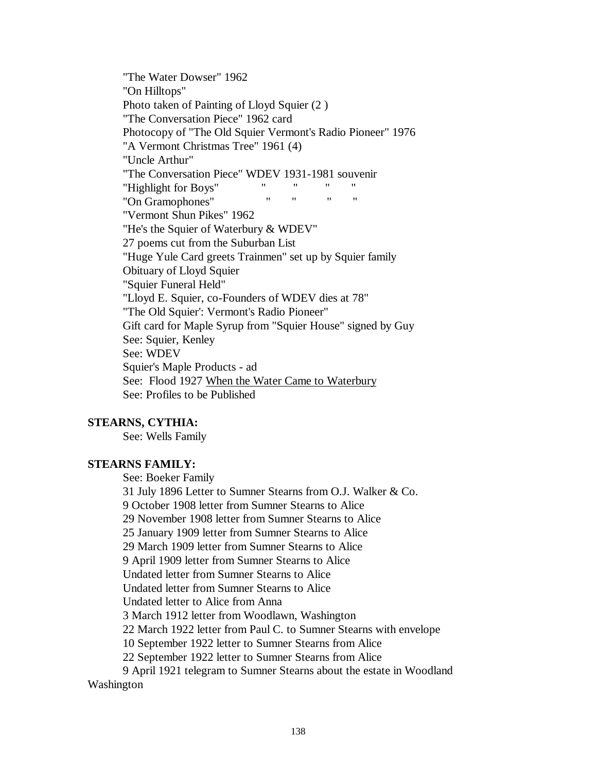"The Water Dowser" 1962 "On Hilltops" Photo taken of Painting of Lloyd Squier (2 ) "The Conversation Piece" 1962 card Photocopy of "The Old Squier Vermont's Radio Pioneer" 1976 "A Vermont Christmas Tree" 1961 (4) "Uncle Arthur" "The Conversation Piece" WDEV 1931-1981 souvenir "Highlight for Boys" " " " " "On Gramophones" "Vermont Shun Pikes" 1962 "He's the Squier of Waterbury & WDEV" 27 poems cut from the Suburban List "Huge Yule Card greets Trainmen" set up by Squier family Obituary of Lloyd Squier "Squier Funeral Held" "Lloyd E. Squier, co-Founders of WDEV dies at 78" "The Old Squier': Vermont's Radio Pioneer" Gift card for Maple Syrup from "Squier House" signed by Guy See: Squier, Kenley See: WDEV Squier's Maple Products - ad See: Flood 1927 When the Water Came to Waterbury See: Profiles to be Published

# **STEARNS, CYTHIA:**

See: Wells Family

## **STEARNS FAMILY:**

See: Boeker Family

31 July 1896 Letter to Sumner Stearns from O.J. Walker & Co. 9 October 1908 letter from Sumner Stearns to Alice 29 November 1908 letter from Sumner Stearns to Alice 25 January 1909 letter from Sumner Stearns to Alice 29 March 1909 letter from Sumner Stearns to Alice 9 April 1909 letter from Sumner Stearns to Alice Undated letter from Sumner Stearns to Alice Undated letter from Sumner Stearns to Alice Undated letter to Alice from Anna 3 March 1912 letter from Woodlawn, Washington 22 March 1922 letter from Paul C. to Sumner Stearns with envelope 10 September 1922 letter to Sumner Stearns from Alice 22 September 1922 letter to Sumner Stearns from Alice 9 April 1921 telegram to Sumner Stearns about the estate in Woodland Washington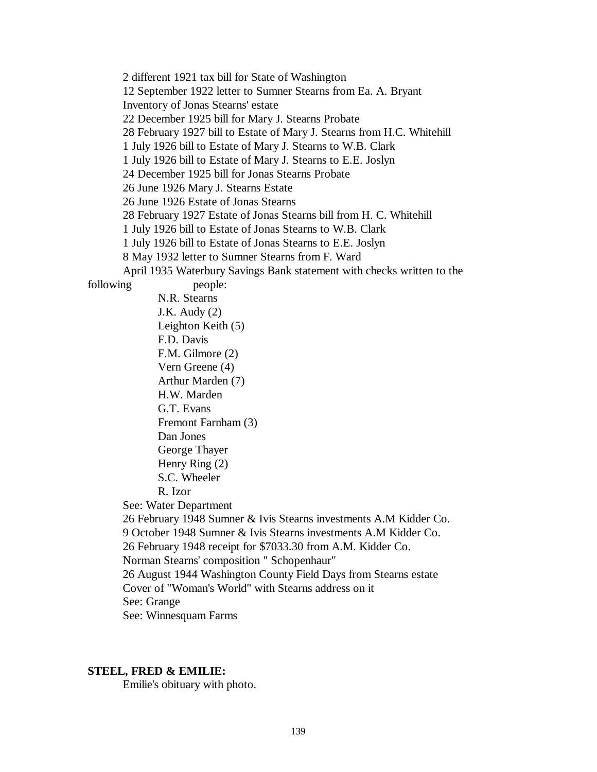2 different 1921 tax bill for State of Washington 12 September 1922 letter to Sumner Stearns from Ea. A. Bryant Inventory of Jonas Stearns' estate 22 December 1925 bill for Mary J. Stearns Probate 28 February 1927 bill to Estate of Mary J. Stearns from H.C. Whitehill 1 July 1926 bill to Estate of Mary J. Stearns to W.B. Clark 1 July 1926 bill to Estate of Mary J. Stearns to E.E. Joslyn 24 December 1925 bill for Jonas Stearns Probate 26 June 1926 Mary J. Stearns Estate 26 June 1926 Estate of Jonas Stearns 28 February 1927 Estate of Jonas Stearns bill from H. C. Whitehill 1 July 1926 bill to Estate of Jonas Stearns to W.B. Clark 1 July 1926 bill to Estate of Jonas Stearns to E.E. Joslyn 8 May 1932 letter to Sumner Stearns from F. Ward April 1935 Waterbury Savings Bank statement with checks written to the following people: N.R. Stearns J.K. Audy (2) Leighton Keith (5) F.D. Davis F.M. Gilmore (2) Vern Greene (4) Arthur Marden (7) H.W. Marden G.T. Evans Fremont Farnham (3) Dan Jones George Thayer Henry Ring (2) S.C. Wheeler R. Izor See: Water Department 26 February 1948 Sumner & Ivis Stearns investments A.M Kidder Co. 9 October 1948 Sumner & Ivis Stearns investments A.M Kidder Co. 26 February 1948 receipt for \$7033.30 from A.M. Kidder Co.

Norman Stearns' composition " Schopenhaur"

26 August 1944 Washington County Field Days from Stearns estate Cover of "Woman's World" with Stearns address on it

See: Grange

See: Winnesquam Farms

# **STEEL, FRED & EMILIE:**

Emilie's obituary with photo.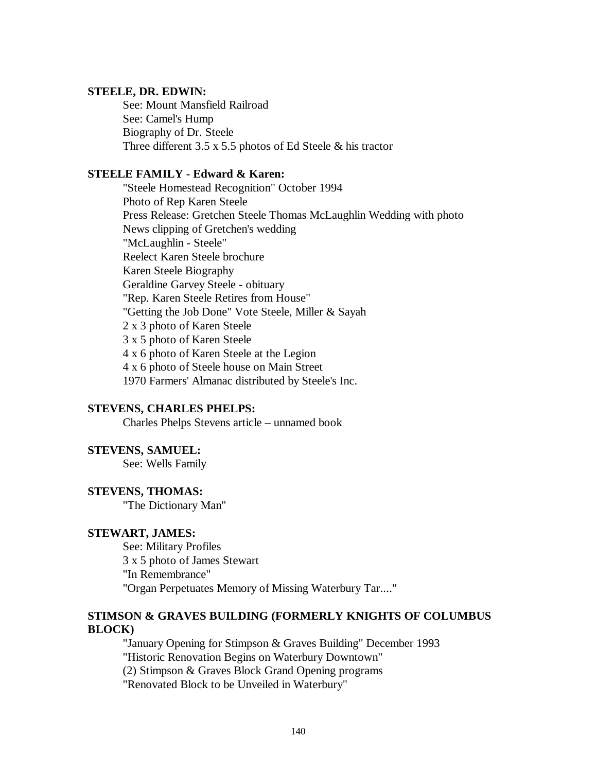#### **STEELE, DR. EDWIN:**

See: Mount Mansfield Railroad See: Camel's Hump Biography of Dr. Steele Three different  $3.5 \times 5.5$  photos of Ed Steele & his tractor

# **STEELE FAMILY - Edward & Karen:**

"Steele Homestead Recognition" October 1994 Photo of Rep Karen Steele Press Release: Gretchen Steele Thomas McLaughlin Wedding with photo News clipping of Gretchen's wedding "McLaughlin - Steele" Reelect Karen Steele brochure Karen Steele Biography Geraldine Garvey Steele - obituary "Rep. Karen Steele Retires from House" "Getting the Job Done" Vote Steele, Miller & Sayah 2 x 3 photo of Karen Steele 3 x 5 photo of Karen Steele 4 x 6 photo of Karen Steele at the Legion 4 x 6 photo of Steele house on Main Street 1970 Farmers' Almanac distributed by Steele's Inc.

## **STEVENS, CHARLES PHELPS:**

Charles Phelps Stevens article – unnamed book

#### **STEVENS, SAMUEL:**

See: Wells Family

#### **STEVENS, THOMAS:**

"The Dictionary Man"

## **STEWART, JAMES:**

See: Military Profiles 3 x 5 photo of James Stewart "In Remembrance" "Organ Perpetuates Memory of Missing Waterbury Tar...."

# **STIMSON & GRAVES BUILDING (FORMERLY KNIGHTS OF COLUMBUS BLOCK)**

"January Opening for Stimpson & Graves Building" December 1993 "Historic Renovation Begins on Waterbury Downtown" (2) Stimpson & Graves Block Grand Opening programs "Renovated Block to be Unveiled in Waterbury"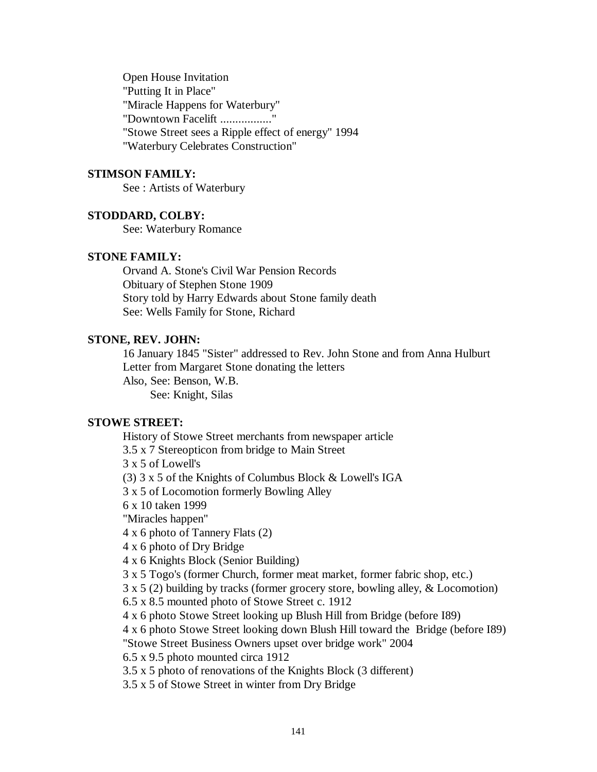Open House Invitation "Putting It in Place" "Miracle Happens for Waterbury" "Downtown Facelift .................." "Stowe Street sees a Ripple effect of energy" 1994 "Waterbury Celebrates Construction"

#### **STIMSON FAMILY:**

See : Artists of Waterbury

# **STODDARD, COLBY:**

See: Waterbury Romance

# **STONE FAMILY:**

Orvand A. Stone's Civil War Pension Records Obituary of Stephen Stone 1909 Story told by Harry Edwards about Stone family death See: Wells Family for Stone, Richard

# **STONE, REV. JOHN:**

16 January 1845 "Sister" addressed to Rev. John Stone and from Anna Hulburt Letter from Margaret Stone donating the letters Also, See: Benson, W.B. See: Knight, Silas

## **STOWE STREET:**

History of Stowe Street merchants from newspaper article

3.5 x 7 Stereopticon from bridge to Main Street

3 x 5 of Lowell's

(3) 3 x 5 of the Knights of Columbus Block & Lowell's IGA

3 x 5 of Locomotion formerly Bowling Alley

6 x 10 taken 1999

"Miracles happen"

4 x 6 photo of Tannery Flats (2)

4 x 6 photo of Dry Bridge

4 x 6 Knights Block (Senior Building)

3 x 5 Togo's (former Church, former meat market, former fabric shop, etc.)

3 x 5 (2) building by tracks (former grocery store, bowling alley, & Locomotion)

6.5 x 8.5 mounted photo of Stowe Street c. 1912

4 x 6 photo Stowe Street looking up Blush Hill from Bridge (before I89)

4 x 6 photo Stowe Street looking down Blush Hill toward the Bridge (before I89)

"Stowe Street Business Owners upset over bridge work" 2004

6.5 x 9.5 photo mounted circa 1912

3.5 x 5 photo of renovations of the Knights Block (3 different)

3.5 x 5 of Stowe Street in winter from Dry Bridge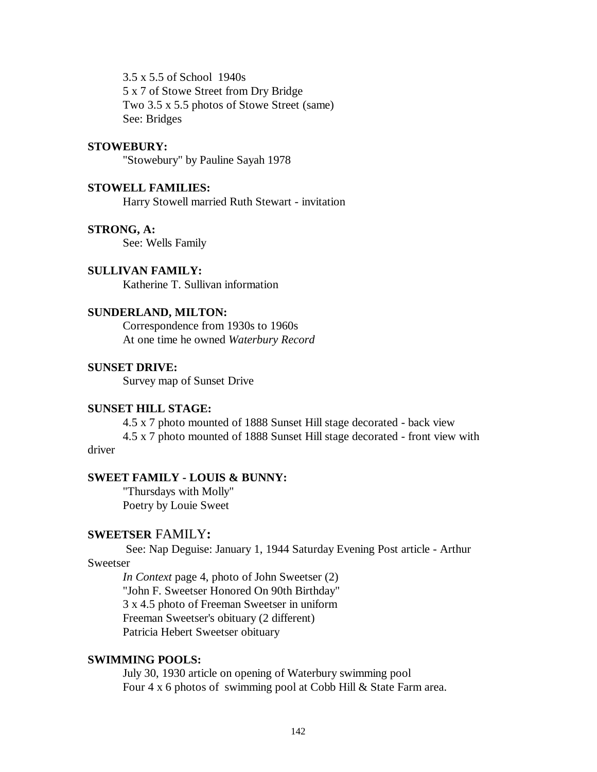3.5 x 5.5 of School 1940s 5 x 7 of Stowe Street from Dry Bridge Two 3.5 x 5.5 photos of Stowe Street (same) See: Bridges

#### **STOWEBURY:**

"Stowebury" by Pauline Sayah 1978

## **STOWELL FAMILIES:**

Harry Stowell married Ruth Stewart - invitation

#### **STRONG, A:**

See: Wells Family

## **SULLIVAN FAMILY:**

Katherine T. Sullivan information

#### **SUNDERLAND, MILTON:**

Correspondence from 1930s to 1960s At one time he owned *Waterbury Record*

#### **SUNSET DRIVE:**

Survey map of Sunset Drive

# **SUNSET HILL STAGE:**

4.5 x 7 photo mounted of 1888 Sunset Hill stage decorated - back view 4.5 x 7 photo mounted of 1888 Sunset Hill stage decorated - front view with driver

## **SWEET FAMILY - LOUIS & BUNNY:**

"Thursdays with Molly" Poetry by Louie Sweet

# **SWEETSER** FAMILY**:**

 See: Nap Deguise: January 1, 1944 Saturday Evening Post article - Arthur Sweetser

*In Context* page 4, photo of John Sweetser (2) "John F. Sweetser Honored On 90th Birthday" 3 x 4.5 photo of Freeman Sweetser in uniform Freeman Sweetser's obituary (2 different) Patricia Hebert Sweetser obituary

## **SWIMMING POOLS:**

July 30, 1930 article on opening of Waterbury swimming pool Four 4 x 6 photos of swimming pool at Cobb Hill & State Farm area.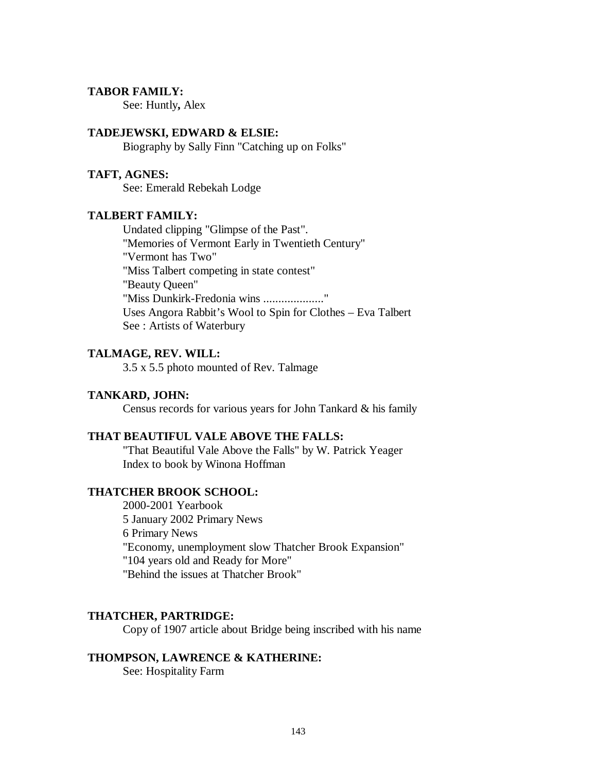# **TABOR FAMILY:**

See: Huntly**,** Alex

## **TADEJEWSKI, EDWARD & ELSIE:**

Biography by Sally Finn "Catching up on Folks"

## **TAFT, AGNES:**

See: Emerald Rebekah Lodge

# **TALBERT FAMILY:**

Undated clipping "Glimpse of the Past". "Memories of Vermont Early in Twentieth Century" "Vermont has Two" "Miss Talbert competing in state contest" "Beauty Queen" "Miss Dunkirk-Fredonia wins ...................." Uses Angora Rabbit's Wool to Spin for Clothes – Eva Talbert See : Artists of Waterbury

# **TALMAGE, REV. WILL:**

3.5 x 5.5 photo mounted of Rev. Talmage

#### **TANKARD, JOHN:**

Census records for various years for John Tankard & his family

# **THAT BEAUTIFUL VALE ABOVE THE FALLS:**

"That Beautiful Vale Above the Falls" by W. Patrick Yeager Index to book by Winona Hoffman

#### **THATCHER BROOK SCHOOL:**

2000-2001 Yearbook 5 January 2002 Primary News 6 Primary News "Economy, unemployment slow Thatcher Brook Expansion" "104 years old and Ready for More" "Behind the issues at Thatcher Brook"

# **THATCHER, PARTRIDGE:**

Copy of 1907 article about Bridge being inscribed with his name

#### **THOMPSON, LAWRENCE & KATHERINE:**

See: Hospitality Farm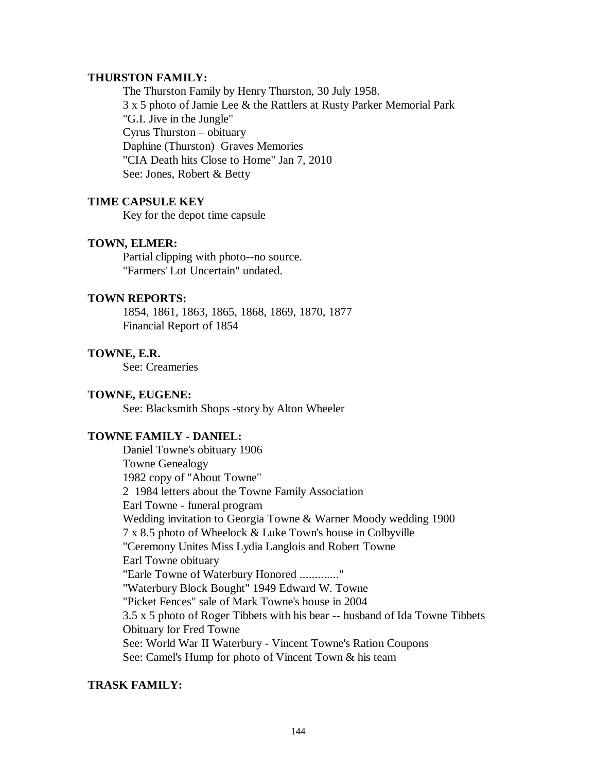## **THURSTON FAMILY:**

The Thurston Family by Henry Thurston, 30 July 1958. 3 x 5 photo of Jamie Lee & the Rattlers at Rusty Parker Memorial Park "G.I. Jive in the Jungle" Cyrus Thurston – obituary Daphine (Thurston) Graves Memories "CIA Death hits Close to Home" Jan 7, 2010 See: Jones, Robert & Betty

# **TIME CAPSULE KEY**

Key for the depot time capsule

## **TOWN, ELMER:**

Partial clipping with photo--no source. "Farmers' Lot Uncertain" undated.

# **TOWN REPORTS:**

1854, 1861, 1863, 1865, 1868, 1869, 1870, 1877 Financial Report of 1854

# **TOWNE, E.R.**

See: Creameries

## **TOWNE, EUGENE:**

See: Blacksmith Shops -story by Alton Wheeler

# **TOWNE FAMILY - DANIEL:**

Daniel Towne's obituary 1906 Towne Genealogy 1982 copy of "About Towne" 2 1984 letters about the Towne Family Association Earl Towne - funeral program Wedding invitation to Georgia Towne & Warner Moody wedding 1900 7 x 8.5 photo of Wheelock & Luke Town's house in Colbyville "Ceremony Unites Miss Lydia Langlois and Robert Towne Earl Towne obituary "Earle Towne of Waterbury Honored ............." "Waterbury Block Bought" 1949 Edward W. Towne "Picket Fences" sale of Mark Towne's house in 2004 3.5 x 5 photo of Roger Tibbets with his bear -- husband of Ida Towne Tibbets Obituary for Fred Towne See: World War II Waterbury - Vincent Towne's Ration Coupons See: Camel's Hump for photo of Vincent Town & his team

# **TRASK FAMILY:**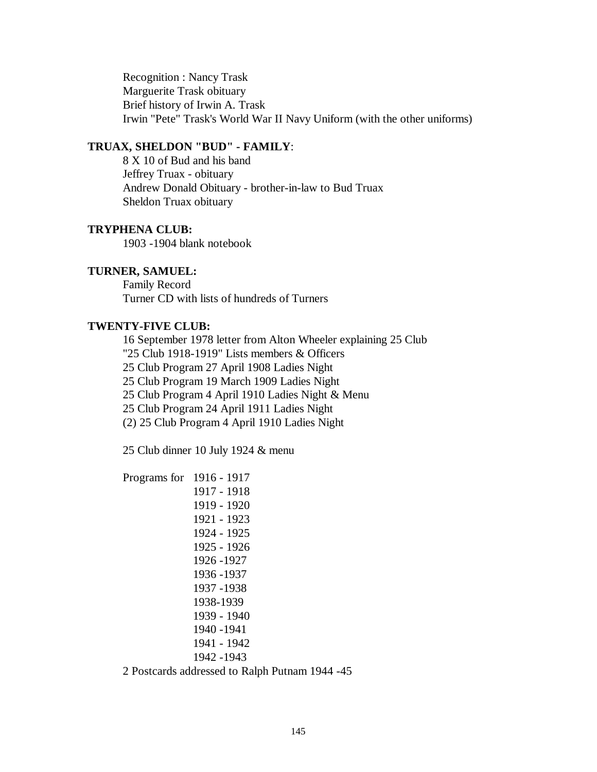Recognition : Nancy Trask Marguerite Trask obituary Brief history of Irwin A. Trask Irwin "Pete" Trask's World War II Navy Uniform (with the other uniforms)

## **TRUAX, SHELDON "BUD" - FAMILY**:

8 X 10 of Bud and his band Jeffrey Truax - obituary Andrew Donald Obituary - brother-in-law to Bud Truax Sheldon Truax obituary

### **TRYPHENA CLUB:**

1903 -1904 blank notebook

### **TURNER, SAMUEL:**

Family Record Turner CD with lists of hundreds of Turners

# **TWENTY-FIVE CLUB:**

16 September 1978 letter from Alton Wheeler explaining 25 Club "25 Club 1918-1919" Lists members & Officers 25 Club Program 27 April 1908 Ladies Night 25 Club Program 19 March 1909 Ladies Night 25 Club Program 4 April 1910 Ladies Night & Menu 25 Club Program 24 April 1911 Ladies Night (2) 25 Club Program 4 April 1910 Ladies Night

25 Club dinner 10 July 1924 & menu

Programs for 1916 - 1917 1917 - 1918 1919 - 1920 1921 - 1923 1924 - 1925 1925 - 1926 1926 -1927 1936 -1937 1937 -1938 1938-1939 1939 - 1940 1940 -1941 1941 - 1942 1942 -1943

2 Postcards addressed to Ralph Putnam 1944 -45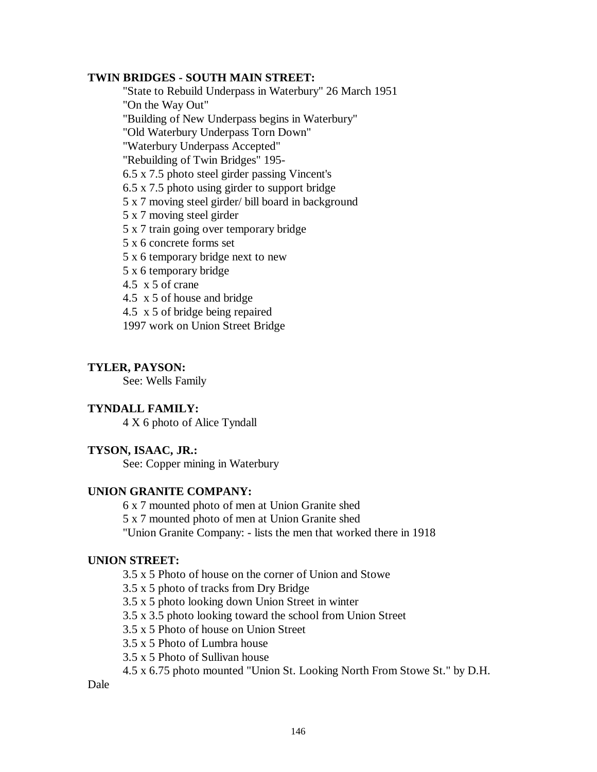## **TWIN BRIDGES - SOUTH MAIN STREET:**

"State to Rebuild Underpass in Waterbury" 26 March 1951 "On the Way Out"

"Building of New Underpass begins in Waterbury"

"Old Waterbury Underpass Torn Down"

"Waterbury Underpass Accepted"

"Rebuilding of Twin Bridges" 195-

6.5 x 7.5 photo steel girder passing Vincent's

6.5 x 7.5 photo using girder to support bridge

5 x 7 moving steel girder/ bill board in background

5 x 7 moving steel girder

5 x 7 train going over temporary bridge

5 x 6 concrete forms set

5 x 6 temporary bridge next to new

5 x 6 temporary bridge

4.5 x 5 of crane

4.5 x 5 of house and bridge

4.5 x 5 of bridge being repaired

1997 work on Union Street Bridge

# **TYLER, PAYSON:**

See: Wells Family

# **TYNDALL FAMILY:**

4 X 6 photo of Alice Tyndall

# **TYSON, ISAAC, JR.:**

See: Copper mining in Waterbury

## **UNION GRANITE COMPANY:**

6 x 7 mounted photo of men at Union Granite shed

5 x 7 mounted photo of men at Union Granite shed

"Union Granite Company: - lists the men that worked there in 1918

# **UNION STREET:**

3.5 x 5 Photo of house on the corner of Union and Stowe

3.5 x 5 photo of tracks from Dry Bridge

3.5 x 5 photo looking down Union Street in winter

3.5 x 3.5 photo looking toward the school from Union Street

3.5 x 5 Photo of house on Union Street

3.5 x 5 Photo of Lumbra house

3.5 x 5 Photo of Sullivan house

4.5 x 6.75 photo mounted "Union St. Looking North From Stowe St." by D.H.

Dale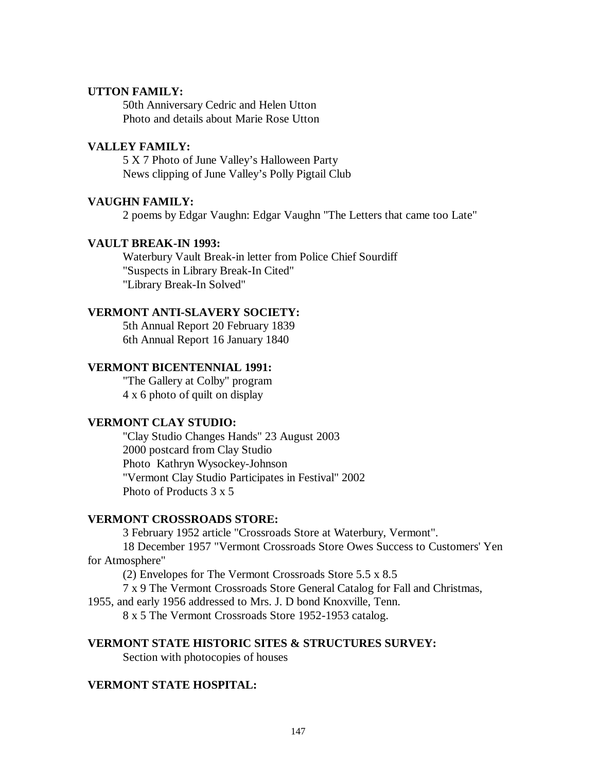## **UTTON FAMILY:**

50th Anniversary Cedric and Helen Utton Photo and details about Marie Rose Utton

## **VALLEY FAMILY:**

5 X 7 Photo of June Valley's Halloween Party News clipping of June Valley's Polly Pigtail Club

## **VAUGHN FAMILY:**

2 poems by Edgar Vaughn: Edgar Vaughn "The Letters that came too Late"

## **VAULT BREAK-IN 1993:**

Waterbury Vault Break-in letter from Police Chief Sourdiff "Suspects in Library Break-In Cited" "Library Break-In Solved"

## **VERMONT ANTI-SLAVERY SOCIETY:**

5th Annual Report 20 February 1839 6th Annual Report 16 January 1840

## **VERMONT BICENTENNIAL 1991:**

"The Gallery at Colby" program 4 x 6 photo of quilt on display

## **VERMONT CLAY STUDIO:**

"Clay Studio Changes Hands" 23 August 2003 2000 postcard from Clay Studio Photo Kathryn Wysockey-Johnson "Vermont Clay Studio Participates in Festival" 2002 Photo of Products 3 x 5

### **VERMONT CROSSROADS STORE:**

3 February 1952 article "Crossroads Store at Waterbury, Vermont". 18 December 1957 "Vermont Crossroads Store Owes Success to Customers' Yen for Atmosphere"

(2) Envelopes for The Vermont Crossroads Store 5.5 x 8.5

7 x 9 The Vermont Crossroads Store General Catalog for Fall and Christmas,

1955, and early 1956 addressed to Mrs. J. D bond Knoxville, Tenn.

8 x 5 The Vermont Crossroads Store 1952-1953 catalog.

## **VERMONT STATE HISTORIC SITES & STRUCTURES SURVEY:**

Section with photocopies of houses

### **VERMONT STATE HOSPITAL:**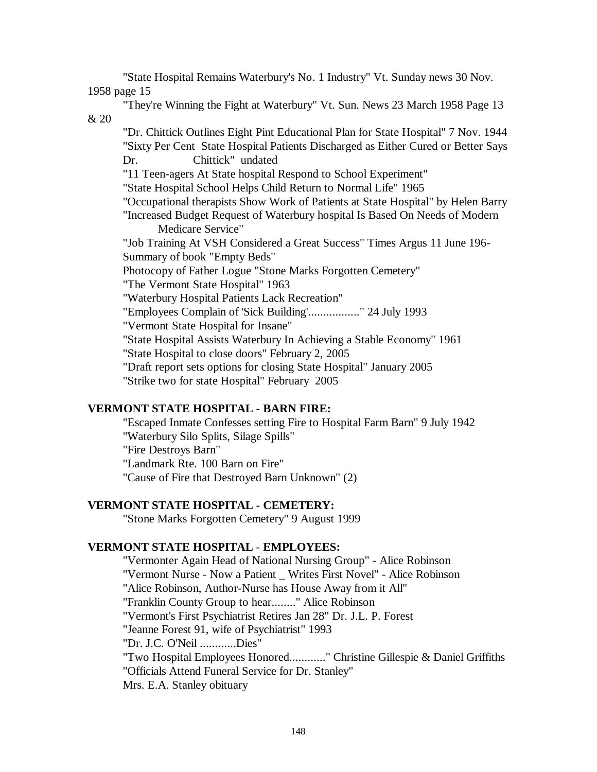"State Hospital Remains Waterbury's No. 1 Industry" Vt. Sunday news 30 Nov. 1958 page 15 "They're Winning the Fight at Waterbury" Vt. Sun. News 23 March 1958 Page 13 & 20 "Dr. Chittick Outlines Eight Pint Educational Plan for State Hospital" 7 Nov. 1944 "Sixty Per Cent State Hospital Patients Discharged as Either Cured or Better Says Dr. Chittick" undated "11 Teen-agers At State hospital Respond to School Experiment" "State Hospital School Helps Child Return to Normal Life" 1965 "Occupational therapists Show Work of Patients at State Hospital" by Helen Barry "Increased Budget Request of Waterbury hospital Is Based On Needs of Modern Medicare Service" "Job Training At VSH Considered a Great Success" Times Argus 11 June 196- Summary of book "Empty Beds" Photocopy of Father Logue "Stone Marks Forgotten Cemetery" "The Vermont State Hospital" 1963 "Waterbury Hospital Patients Lack Recreation" "Employees Complain of 'Sick Building'................." 24 July 1993 "Vermont State Hospital for Insane" "State Hospital Assists Waterbury In Achieving a Stable Economy" 1961 "State Hospital to close doors" February 2, 2005 "Draft report sets options for closing State Hospital" January 2005 "Strike two for state Hospital" February 2005

# **VERMONT STATE HOSPITAL - BARN FIRE:**

"Escaped Inmate Confesses setting Fire to Hospital Farm Barn" 9 July 1942 "Waterbury Silo Splits, Silage Spills" "Fire Destroys Barn" "Landmark Rte. 100 Barn on Fire" "Cause of Fire that Destroyed Barn Unknown" (2)

# **VERMONT STATE HOSPITAL - CEMETERY:**

"Stone Marks Forgotten Cemetery" 9 August 1999

## **VERMONT STATE HOSPITAL** - **EMPLOYEES:**

"Vermonter Again Head of National Nursing Group" - Alice Robinson "Vermont Nurse - Now a Patient \_ Writes First Novel" - Alice Robinson "Alice Robinson, Author-Nurse has House Away from it All" "Franklin County Group to hear........" Alice Robinson "Vermont's First Psychiatrist Retires Jan 28" Dr. J.L. P. Forest "Jeanne Forest 91, wife of Psychiatrist" 1993 "Dr. J.C. O'Neil ............Dies" "Two Hospital Employees Honored............" Christine Gillespie & Daniel Griffiths "Officials Attend Funeral Service for Dr. Stanley" Mrs. E.A. Stanley obituary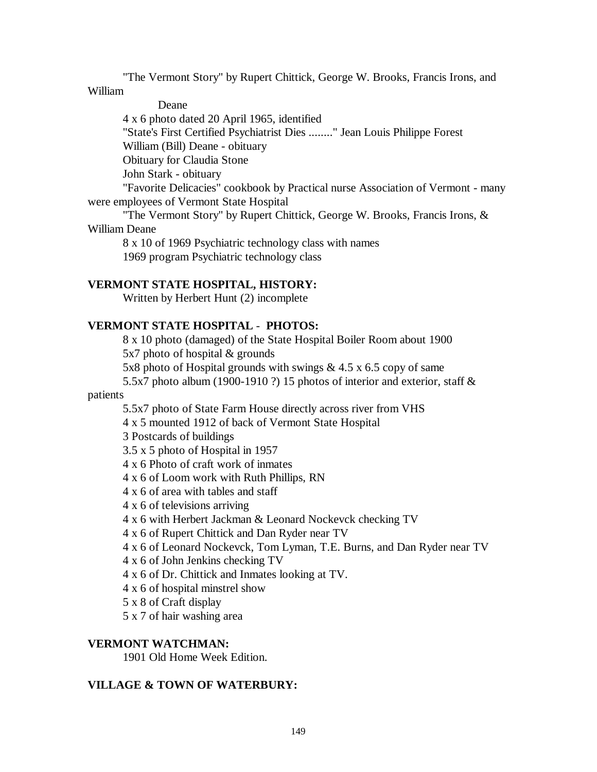"The Vermont Story" by Rupert Chittick, George W. Brooks, Francis Irons, and William

Deane

4 x 6 photo dated 20 April 1965, identified

"State's First Certified Psychiatrist Dies ........" Jean Louis Philippe Forest

William (Bill) Deane - obituary

Obituary for Claudia Stone

John Stark - obituary

"Favorite Delicacies" cookbook by Practical nurse Association of Vermont - many were employees of Vermont State Hospital

"The Vermont Story" by Rupert Chittick, George W. Brooks, Francis Irons, & William Deane

8 x 10 of 1969 Psychiatric technology class with names 1969 program Psychiatric technology class

# **VERMONT STATE HOSPITAL, HISTORY:**

Written by Herbert Hunt (2) incomplete

# **VERMONT STATE HOSPITAL** - **PHOTOS:**

8 x 10 photo (damaged) of the State Hospital Boiler Room about 1900

5x7 photo of hospital & grounds

5x8 photo of Hospital grounds with swings & 4.5 x 6.5 copy of same

5.5x7 photo album (1900-1910 ?) 15 photos of interior and exterior, staff &

patients

5.5x7 photo of State Farm House directly across river from VHS

4 x 5 mounted 1912 of back of Vermont State Hospital

3 Postcards of buildings

- 3.5 x 5 photo of Hospital in 1957
- 4 x 6 Photo of craft work of inmates
- 4 x 6 of Loom work with Ruth Phillips, RN
- 4 x 6 of area with tables and staff
- 4 x 6 of televisions arriving
- 4 x 6 with Herbert Jackman & Leonard Nockevck checking TV
- 4 x 6 of Rupert Chittick and Dan Ryder near TV
- 4 x 6 of Leonard Nockevck, Tom Lyman, T.E. Burns, and Dan Ryder near TV

4 x 6 of John Jenkins checking TV

- 4 x 6 of Dr. Chittick and Inmates looking at TV.
- 4 x 6 of hospital minstrel show
- 5 x 8 of Craft display
- 5 x 7 of hair washing area

# **VERMONT WATCHMAN:**

1901 Old Home Week Edition.

# **VILLAGE & TOWN OF WATERBURY:**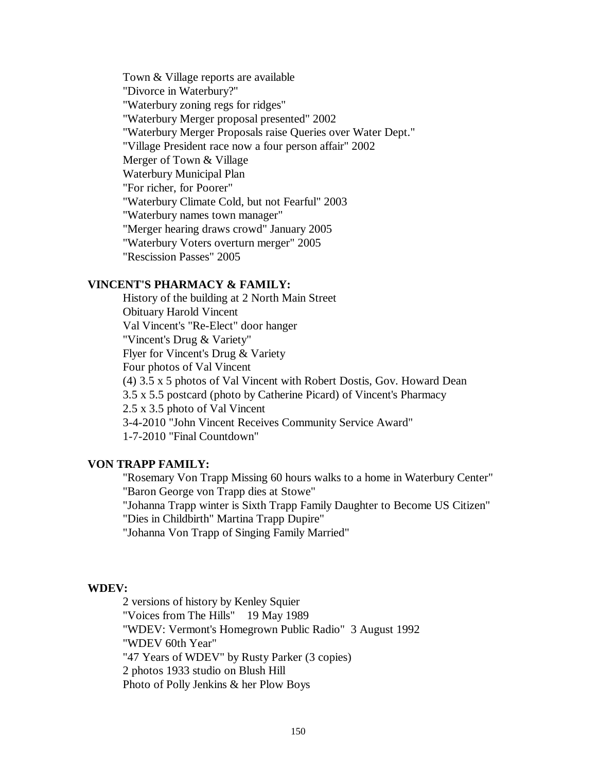Town & Village reports are available "Divorce in Waterbury?" "Waterbury zoning regs for ridges" "Waterbury Merger proposal presented" 2002 "Waterbury Merger Proposals raise Queries over Water Dept." "Village President race now a four person affair" 2002 Merger of Town & Village Waterbury Municipal Plan "For richer, for Poorer" "Waterbury Climate Cold, but not Fearful" 2003 "Waterbury names town manager" "Merger hearing draws crowd" January 2005 "Waterbury Voters overturn merger" 2005 "Rescission Passes" 2005

## **VINCENT'S PHARMACY & FAMILY:**

History of the building at 2 North Main Street Obituary Harold Vincent Val Vincent's "Re-Elect" door hanger "Vincent's Drug & Variety" Flyer for Vincent's Drug & Variety Four photos of Val Vincent (4) 3.5 x 5 photos of Val Vincent with Robert Dostis, Gov. Howard Dean 3.5 x 5.5 postcard (photo by Catherine Picard) of Vincent's Pharmacy 2.5 x 3.5 photo of Val Vincent 3-4-2010 "John Vincent Receives Community Service Award" 1-7-2010 "Final Countdown"

### **VON TRAPP FAMILY:**

"Rosemary Von Trapp Missing 60 hours walks to a home in Waterbury Center" "Baron George von Trapp dies at Stowe"

"Johanna Trapp winter is Sixth Trapp Family Daughter to Become US Citizen" "Dies in Childbirth" Martina Trapp Dupire"

"Johanna Von Trapp of Singing Family Married"

#### **WDEV:**

2 versions of history by Kenley Squier "Voices from The Hills" 19 May 1989 "WDEV: Vermont's Homegrown Public Radio" 3 August 1992 "WDEV 60th Year" "47 Years of WDEV" by Rusty Parker (3 copies) 2 photos 1933 studio on Blush Hill Photo of Polly Jenkins & her Plow Boys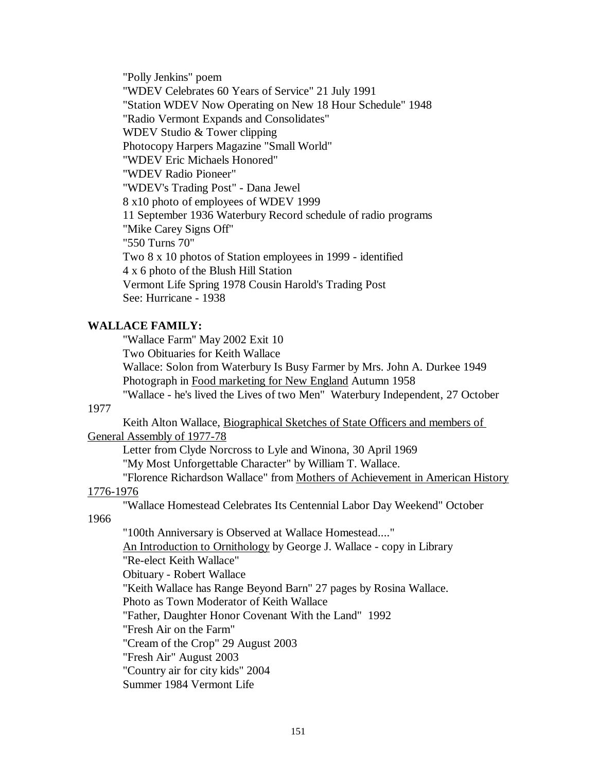"Polly Jenkins" poem "WDEV Celebrates 60 Years of Service" 21 July 1991 "Station WDEV Now Operating on New 18 Hour Schedule" 1948 "Radio Vermont Expands and Consolidates" WDEV Studio & Tower clipping Photocopy Harpers Magazine "Small World" "WDEV Eric Michaels Honored" "WDEV Radio Pioneer" "WDEV's Trading Post" - Dana Jewel 8 x10 photo of employees of WDEV 1999 11 September 1936 Waterbury Record schedule of radio programs "Mike Carey Signs Off" "550 Turns 70" Two 8 x 10 photos of Station employees in 1999 - identified 4 x 6 photo of the Blush Hill Station Vermont Life Spring 1978 Cousin Harold's Trading Post See: Hurricane - 1938

### **WALLACE FAMILY:**

"Wallace Farm" May 2002 Exit 10

Two Obituaries for Keith Wallace

Wallace: Solon from Waterbury Is Busy Farmer by Mrs. John A. Durkee 1949 Photograph in Food marketing for New England Autumn 1958

"Wallace - he's lived the Lives of two Men" Waterbury Independent, 27 October

### 1977

Keith Alton Wallace, Biographical Sketches of State Officers and members of General Assembly of 1977-78

Letter from Clyde Norcross to Lyle and Winona, 30 April 1969 "My Most Unforgettable Character" by William T. Wallace.

"Florence Richardson Wallace" from Mothers of Achievement in American History 1776-1976

"Wallace Homestead Celebrates Its Centennial Labor Day Weekend" October

1966

"100th Anniversary is Observed at Wallace Homestead...." An Introduction to Ornithology by George J. Wallace - copy in Library "Re-elect Keith Wallace" Obituary - Robert Wallace "Keith Wallace has Range Beyond Barn" 27 pages by Rosina Wallace. Photo as Town Moderator of Keith Wallace "Father, Daughter Honor Covenant With the Land" 1992 "Fresh Air on the Farm" "Cream of the Crop" 29 August 2003 "Fresh Air" August 2003 "Country air for city kids" 2004 Summer 1984 Vermont Life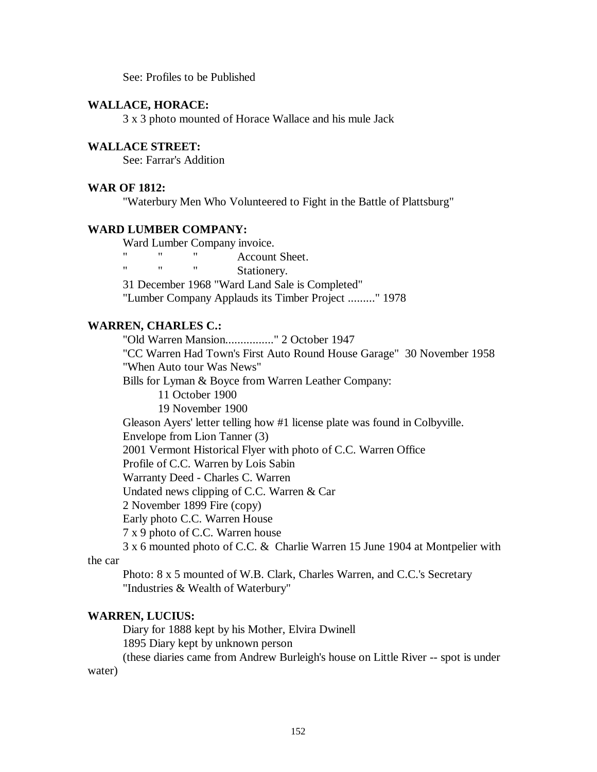See: Profiles to be Published

#### **WALLACE, HORACE:**

3 x 3 photo mounted of Horace Wallace and his mule Jack

### **WALLACE STREET:**

See: Farrar's Addition

### **WAR OF 1812:**

"Waterbury Men Who Volunteered to Fight in the Battle of Plattsburg"

#### **WARD LUMBER COMPANY:**

Ward Lumber Company invoice.

" Account Sheet.

Stationery.

31 December 1968 "Ward Land Sale is Completed"

"Lumber Company Applauds its Timber Project ........." 1978

## **WARREN, CHARLES C.:**

"Old Warren Mansion................" 2 October 1947

"CC Warren Had Town's First Auto Round House Garage" 30 November 1958 "When Auto tour Was News"

Bills for Lyman & Boyce from Warren Leather Company:

11 October 1900

19 November 1900

Gleason Ayers' letter telling how #1 license plate was found in Colbyville.

Envelope from Lion Tanner (3)

2001 Vermont Historical Flyer with photo of C.C. Warren Office

Profile of C.C. Warren by Lois Sabin

Warranty Deed - Charles C. Warren

Undated news clipping of C.C. Warren & Car

2 November 1899 Fire (copy)

Early photo C.C. Warren House

7 x 9 photo of C.C. Warren house

3 x 6 mounted photo of C.C. & Charlie Warren 15 June 1904 at Montpelier with

the car

Photo: 8 x 5 mounted of W.B. Clark, Charles Warren, and C.C.'s Secretary "Industries & Wealth of Waterbury"

### **WARREN, LUCIUS:**

Diary for 1888 kept by his Mother, Elvira Dwinell 1895 Diary kept by unknown person (these diaries came from Andrew Burleigh's house on Little River -- spot is under water)

152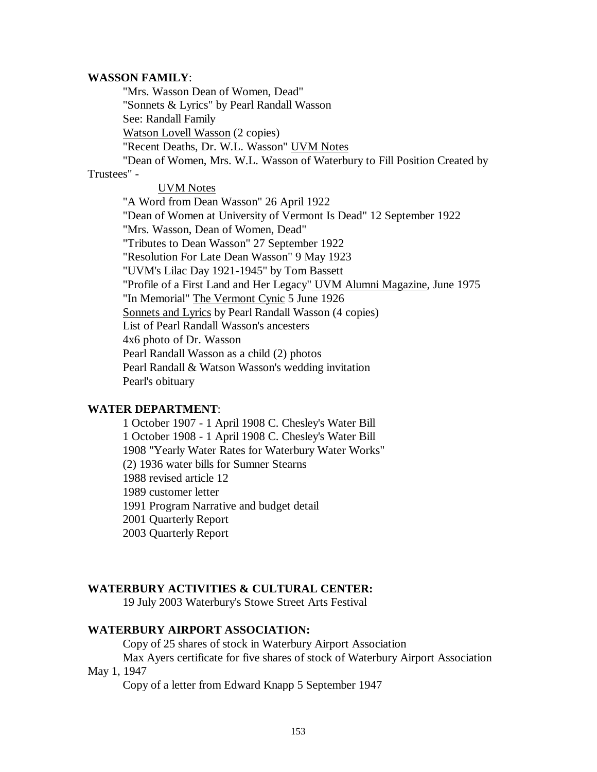#### **WASSON FAMILY**:

"Mrs. Wasson Dean of Women, Dead" "Sonnets & Lyrics" by Pearl Randall Wasson See: Randall Family Watson Lovell Wasson (2 copies) "Recent Deaths, Dr. W.L. Wasson" UVM Notes "Dean of Women, Mrs. W.L. Wasson of Waterbury to Fill Position Created by Trustees" - UVM Notes "A Word from Dean Wasson" 26 April 1922 "Dean of Women at University of Vermont Is Dead" 12 September 1922 "Mrs. Wasson, Dean of Women, Dead" "Tributes to Dean Wasson" 27 September 1922 "Resolution For Late Dean Wasson" 9 May 1923 "UVM's Lilac Day 1921-1945" by Tom Bassett "Profile of a First Land and Her Legacy" UVM Alumni Magazine, June 1975 "In Memorial" The Vermont Cynic 5 June 1926 Sonnets and Lyrics by Pearl Randall Wasson (4 copies) List of Pearl Randall Wasson's ancesters 4x6 photo of Dr. Wasson Pearl Randall Wasson as a child (2) photos Pearl Randall & Watson Wasson's wedding invitation Pearl's obituary

### **WATER DEPARTMENT**:

1 October 1907 - 1 April 1908 C. Chesley's Water Bill 1 October 1908 - 1 April 1908 C. Chesley's Water Bill 1908 "Yearly Water Rates for Waterbury Water Works" (2) 1936 water bills for Sumner Stearns 1988 revised article 12 1989 customer letter 1991 Program Narrative and budget detail 2001 Quarterly Report 2003 Quarterly Report

## **WATERBURY ACTIVITIES & CULTURAL CENTER:**

19 July 2003 Waterbury's Stowe Street Arts Festival

## **WATERBURY AIRPORT ASSOCIATION:**

Copy of 25 shares of stock in Waterbury Airport Association

Max Ayers certificate for five shares of stock of Waterbury Airport Association May 1, 1947

Copy of a letter from Edward Knapp 5 September 1947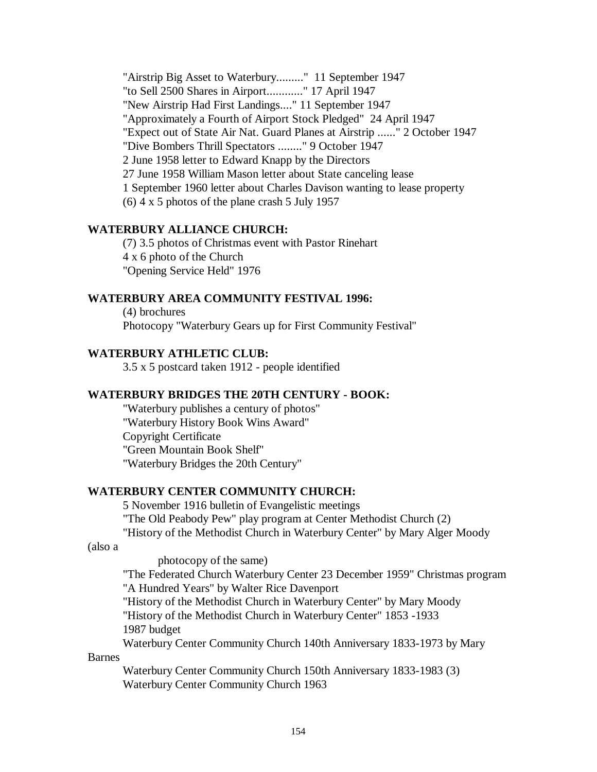"Airstrip Big Asset to Waterbury........." 11 September 1947 "to Sell 2500 Shares in Airport............" 17 April 1947 "New Airstrip Had First Landings...." 11 September 1947 "Approximately a Fourth of Airport Stock Pledged" 24 April 1947 "Expect out of State Air Nat. Guard Planes at Airstrip ......" 2 October 1947 "Dive Bombers Thrill Spectators ........" 9 October 1947 2 June 1958 letter to Edward Knapp by the Directors 27 June 1958 William Mason letter about State canceling lease 1 September 1960 letter about Charles Davison wanting to lease property (6) 4 x 5 photos of the plane crash 5 July 1957

### **WATERBURY ALLIANCE CHURCH:**

(7) 3.5 photos of Christmas event with Pastor Rinehart 4 x 6 photo of the Church "Opening Service Held" 1976

### **WATERBURY AREA COMMUNITY FESTIVAL 1996:**

(4) brochures Photocopy "Waterbury Gears up for First Community Festival"

## **WATERBURY ATHLETIC CLUB:**

3.5 x 5 postcard taken 1912 - people identified

### **WATERBURY BRIDGES THE 20TH CENTURY - BOOK:**

"Waterbury publishes a century of photos" "Waterbury History Book Wins Award" Copyright Certificate "Green Mountain Book Shelf" "Waterbury Bridges the 20th Century"

### **WATERBURY CENTER COMMUNITY CHURCH:**

5 November 1916 bulletin of Evangelistic meetings "The Old Peabody Pew" play program at Center Methodist Church (2) "History of the Methodist Church in Waterbury Center" by Mary Alger Moody

#### (also a

photocopy of the same)

"The Federated Church Waterbury Center 23 December 1959" Christmas program "A Hundred Years" by Walter Rice Davenport

"History of the Methodist Church in Waterbury Center" by Mary Moody "History of the Methodist Church in Waterbury Center" 1853 -1933 1987 budget

Waterbury Center Community Church 140th Anniversary 1833-1973 by Mary

### Barnes

Waterbury Center Community Church 150th Anniversary 1833-1983 (3) Waterbury Center Community Church 1963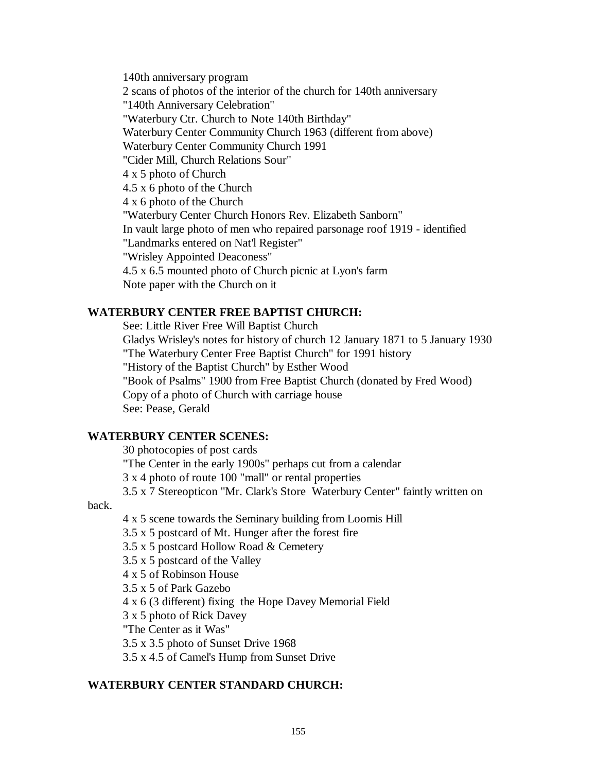140th anniversary program 2 scans of photos of the interior of the church for 140th anniversary "140th Anniversary Celebration" "Waterbury Ctr. Church to Note 140th Birthday" Waterbury Center Community Church 1963 (different from above) Waterbury Center Community Church 1991 "Cider Mill, Church Relations Sour" 4 x 5 photo of Church 4.5 x 6 photo of the Church 4 x 6 photo of the Church "Waterbury Center Church Honors Rev. Elizabeth Sanborn" In vault large photo of men who repaired parsonage roof 1919 - identified "Landmarks entered on Nat'l Register" "Wrisley Appointed Deaconess" 4.5 x 6.5 mounted photo of Church picnic at Lyon's farm Note paper with the Church on it

### **WATERBURY CENTER FREE BAPTIST CHURCH:**

See: Little River Free Will Baptist Church Gladys Wrisley's notes for history of church 12 January 1871 to 5 January 1930 "The Waterbury Center Free Baptist Church" for 1991 history "History of the Baptist Church" by Esther Wood "Book of Psalms" 1900 from Free Baptist Church (donated by Fred Wood) Copy of a photo of Church with carriage house See: Pease, Gerald

### **WATERBURY CENTER SCENES:**

30 photocopies of post cards

"The Center in the early 1900s" perhaps cut from a calendar

3 x 4 photo of route 100 "mall" or rental properties

3.5 x 7 Stereopticon "Mr. Clark's Store Waterbury Center" faintly written on

back.

4 x 5 scene towards the Seminary building from Loomis Hill

3.5 x 5 postcard of Mt. Hunger after the forest fire

3.5 x 5 postcard Hollow Road & Cemetery

3.5 x 5 postcard of the Valley

4 x 5 of Robinson House

3.5 x 5 of Park Gazebo

4 x 6 (3 different) fixing the Hope Davey Memorial Field

3 x 5 photo of Rick Davey

"The Center as it Was"

3.5 x 3.5 photo of Sunset Drive 1968

3.5 x 4.5 of Camel's Hump from Sunset Drive

### **WATERBURY CENTER STANDARD CHURCH:**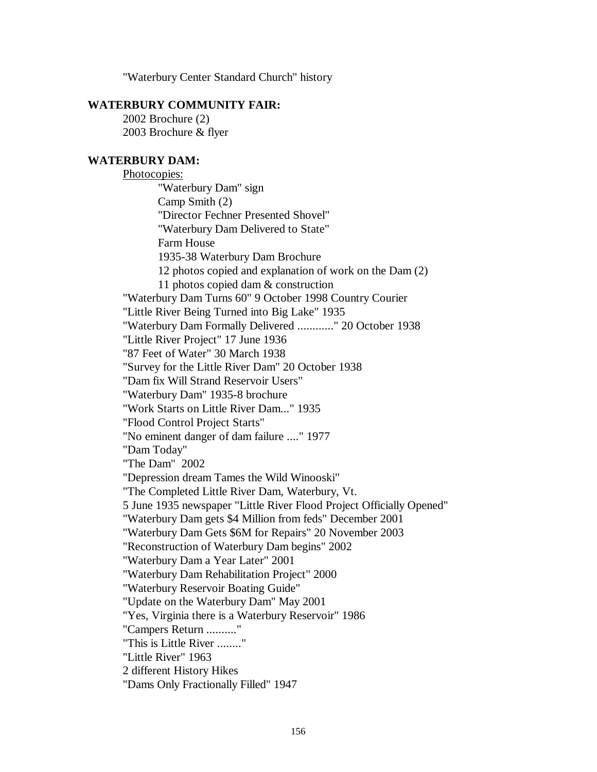"Waterbury Center Standard Church" history

## **WATERBURY COMMUNITY FAIR:**

2002 Brochure (2) 2003 Brochure & flyer

### **WATERBURY DAM:**

Photocopies: "Waterbury Dam" sign Camp Smith (2) "Director Fechner Presented Shovel" "Waterbury Dam Delivered to State" Farm House 1935-38 Waterbury Dam Brochure 12 photos copied and explanation of work on the Dam (2) 11 photos copied dam & construction "Waterbury Dam Turns 60" 9 October 1998 Country Courier "Little River Being Turned into Big Lake" 1935 "Waterbury Dam Formally Delivered ............" 20 October 1938 "Little River Project" 17 June 1936 "87 Feet of Water" 30 March 1938 "Survey for the Little River Dam" 20 October 1938 "Dam fix Will Strand Reservoir Users" "Waterbury Dam" 1935-8 brochure "Work Starts on Little River Dam..." 1935 "Flood Control Project Starts" "No eminent danger of dam failure ...." 1977 "Dam Today" "The Dam" 2002 "Depression dream Tames the Wild Winooski" "The Completed Little River Dam, Waterbury, Vt. 5 June 1935 newspaper "Little River Flood Project Officially Opened" "Waterbury Dam gets \$4 Million from feds" December 2001 "Waterbury Dam Gets \$6M for Repairs" 20 November 2003 "Reconstruction of Waterbury Dam begins" 2002 "Waterbury Dam a Year Later" 2001 "Waterbury Dam Rehabilitation Project" 2000 "Waterbury Reservoir Boating Guide" "Update on the Waterbury Dam" May 2001 "Yes, Virginia there is a Waterbury Reservoir" 1986 "Campers Return .........." "This is Little River ........" "Little River" 1963 2 different History Hikes "Dams Only Fractionally Filled" 1947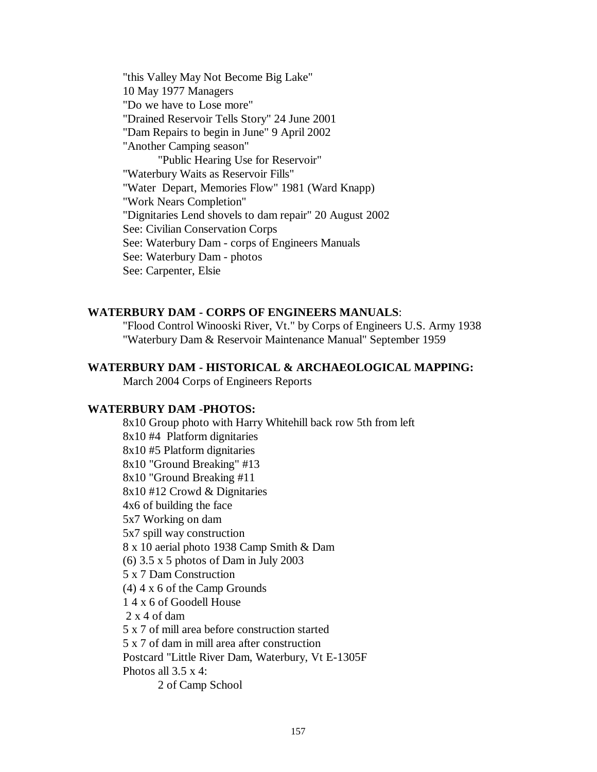"this Valley May Not Become Big Lake" 10 May 1977 Managers "Do we have to Lose more" "Drained Reservoir Tells Story" 24 June 2001 "Dam Repairs to begin in June" 9 April 2002 "Another Camping season" "Public Hearing Use for Reservoir" "Waterbury Waits as Reservoir Fills" "Water Depart, Memories Flow" 1981 (Ward Knapp) "Work Nears Completion" "Dignitaries Lend shovels to dam repair" 20 August 2002 See: Civilian Conservation Corps See: Waterbury Dam - corps of Engineers Manuals See: Waterbury Dam - photos See: Carpenter, Elsie

## **WATERBURY DAM - CORPS OF ENGINEERS MANUALS**:

"Flood Control Winooski River, Vt." by Corps of Engineers U.S. Army 1938 "Waterbury Dam & Reservoir Maintenance Manual" September 1959

## **WATERBURY DAM - HISTORICAL & ARCHAEOLOGICAL MAPPING:**

March 2004 Corps of Engineers Reports

#### **WATERBURY DAM -PHOTOS:**

8x10 Group photo with Harry Whitehill back row 5th from left 8x10 #4 Platform dignitaries 8x10 #5 Platform dignitaries 8x10 "Ground Breaking" #13 8x10 "Ground Breaking #11 8x10 #12 Crowd & Dignitaries 4x6 of building the face 5x7 Working on dam 5x7 spill way construction 8 x 10 aerial photo 1938 Camp Smith & Dam (6) 3.5 x 5 photos of Dam in July 2003 5 x 7 Dam Construction (4) 4 x 6 of the Camp Grounds 1 4 x 6 of Goodell House 2 x 4 of dam 5 x 7 of mill area before construction started 5 x 7 of dam in mill area after construction Postcard "Little River Dam, Waterbury, Vt E-1305F Photos all 3.5 x 4:

2 of Camp School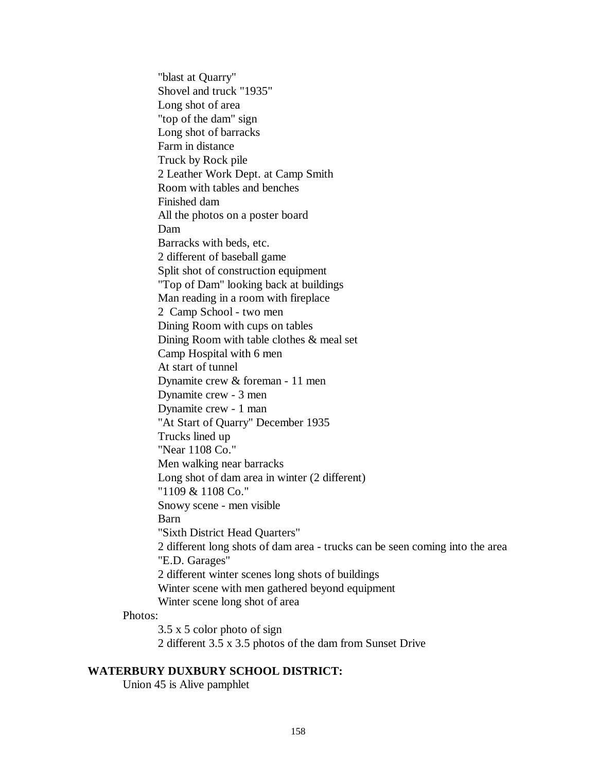"blast at Quarry" Shovel and truck "1935" Long shot of area "top of the dam" sign Long shot of barracks Farm in distance Truck by Rock pile 2 Leather Work Dept. at Camp Smith Room with tables and benches Finished dam All the photos on a poster board Dam Barracks with beds, etc. 2 different of baseball game Split shot of construction equipment "Top of Dam" looking back at buildings Man reading in a room with fireplace 2 Camp School - two men Dining Room with cups on tables Dining Room with table clothes & meal set Camp Hospital with 6 men At start of tunnel Dynamite crew & foreman - 11 men Dynamite crew - 3 men Dynamite crew - 1 man "At Start of Quarry" December 1935 Trucks lined up "Near 1108 Co." Men walking near barracks Long shot of dam area in winter (2 different) "1109 & 1108 Co." Snowy scene - men visible Barn "Sixth District Head Quarters" 2 different long shots of dam area - trucks can be seen coming into the area "E.D. Garages" 2 different winter scenes long shots of buildings Winter scene with men gathered beyond equipment Winter scene long shot of area

### Photos:

3.5 x 5 color photo of sign 2 different 3.5 x 3.5 photos of the dam from Sunset Drive

## **WATERBURY DUXBURY SCHOOL DISTRICT:**

Union 45 is Alive pamphlet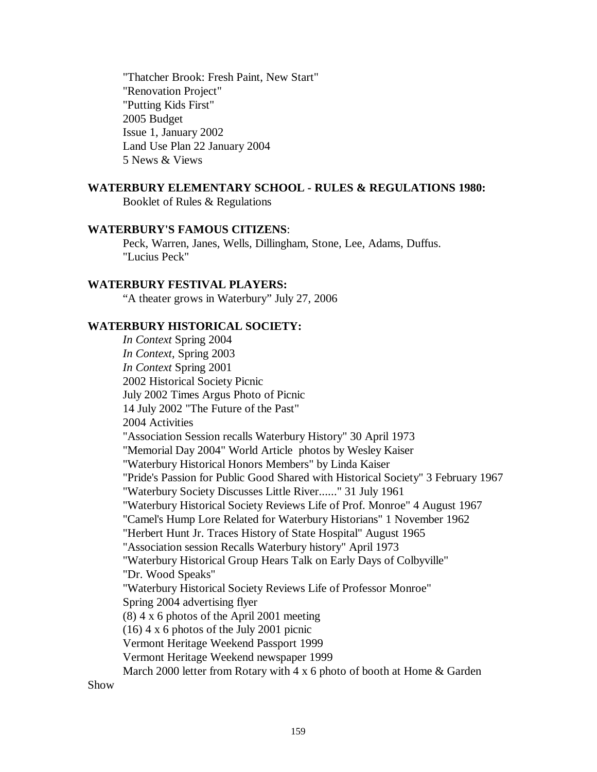"Thatcher Brook: Fresh Paint, New Start" "Renovation Project" "Putting Kids First" 2005 Budget Issue 1, January 2002 Land Use Plan 22 January 2004 5 News & Views

## **WATERBURY ELEMENTARY SCHOOL - RULES & REGULATIONS 1980:**

Booklet of Rules & Regulations

#### **WATERBURY'S FAMOUS CITIZENS**:

Peck, Warren, Janes, Wells, Dillingham, Stone, Lee, Adams, Duffus. "Lucius Peck"

## **WATERBURY FESTIVAL PLAYERS:**

"A theater grows in Waterbury" July 27, 2006

## **WATERBURY HISTORICAL SOCIETY:**

*In Context* Spring 2004 *In Context*, Spring 2003 *In Context* Spring 2001 2002 Historical Society Picnic July 2002 Times Argus Photo of Picnic 14 July 2002 "The Future of the Past" 2004 Activities "Association Session recalls Waterbury History" 30 April 1973 "Memorial Day 2004" World Article photos by Wesley Kaiser "Waterbury Historical Honors Members" by Linda Kaiser "Pride's Passion for Public Good Shared with Historical Society" 3 February 1967 "Waterbury Society Discusses Little River......" 31 July 1961 "Waterbury Historical Society Reviews Life of Prof. Monroe" 4 August 1967 "Camel's Hump Lore Related for Waterbury Historians" 1 November 1962 "Herbert Hunt Jr. Traces History of State Hospital" August 1965 "Association session Recalls Waterbury history" April 1973 "Waterbury Historical Group Hears Talk on Early Days of Colbyville" "Dr. Wood Speaks" "Waterbury Historical Society Reviews Life of Professor Monroe" Spring 2004 advertising flyer (8) 4 x 6 photos of the April 2001 meeting (16) 4 x 6 photos of the July 2001 picnic Vermont Heritage Weekend Passport 1999 Vermont Heritage Weekend newspaper 1999 March 2000 letter from Rotary with 4 x 6 photo of booth at Home & Garden

Show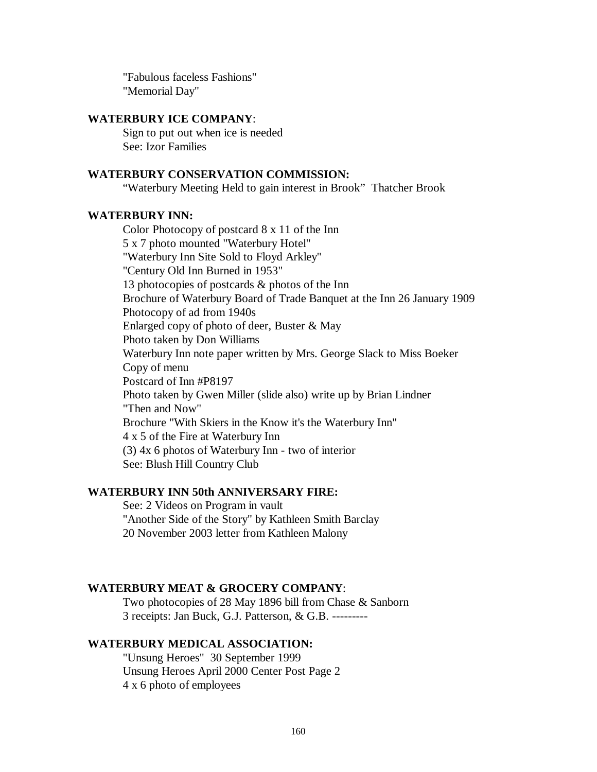"Fabulous faceless Fashions" "Memorial Day"

## **WATERBURY ICE COMPANY**:

Sign to put out when ice is needed See: Izor Families

## **WATERBURY CONSERVATION COMMISSION:**

"Waterbury Meeting Held to gain interest in Brook" Thatcher Brook

## **WATERBURY INN:**

Color Photocopy of postcard 8 x 11 of the Inn 5 x 7 photo mounted "Waterbury Hotel" "Waterbury Inn Site Sold to Floyd Arkley" "Century Old Inn Burned in 1953" 13 photocopies of postcards & photos of the Inn Brochure of Waterbury Board of Trade Banquet at the Inn 26 January 1909 Photocopy of ad from 1940s Enlarged copy of photo of deer, Buster & May Photo taken by Don Williams Waterbury Inn note paper written by Mrs. George Slack to Miss Boeker Copy of menu Postcard of Inn #P8197 Photo taken by Gwen Miller (slide also) write up by Brian Lindner "Then and Now" Brochure "With Skiers in the Know it's the Waterbury Inn" 4 x 5 of the Fire at Waterbury Inn (3) 4x 6 photos of Waterbury Inn - two of interior See: Blush Hill Country Club

### **WATERBURY INN 50th ANNIVERSARY FIRE:**

See: 2 Videos on Program in vault "Another Side of the Story" by Kathleen Smith Barclay 20 November 2003 letter from Kathleen Malony

### **WATERBURY MEAT & GROCERY COMPANY**:

Two photocopies of 28 May 1896 bill from Chase & Sanborn 3 receipts: Jan Buck, G.J. Patterson, & G.B. ---------

#### **WATERBURY MEDICAL ASSOCIATION:**

"Unsung Heroes" 30 September 1999 Unsung Heroes April 2000 Center Post Page 2 4 x 6 photo of employees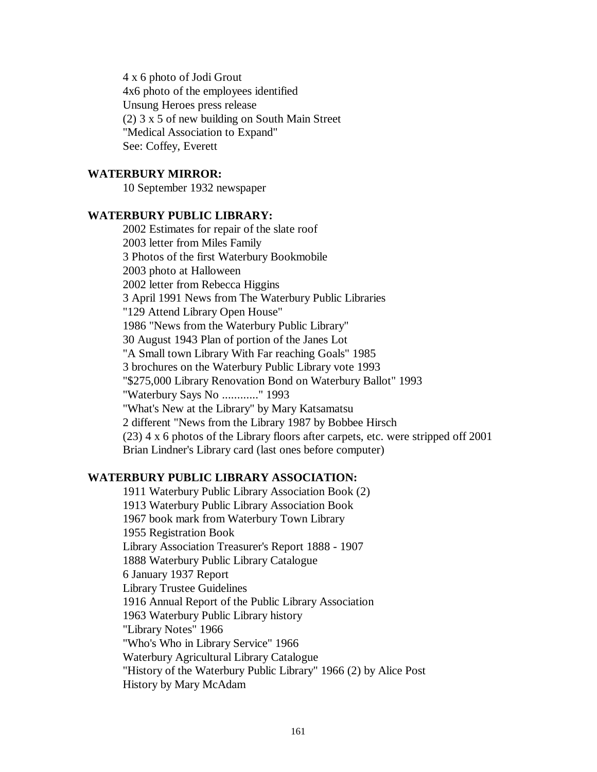4 x 6 photo of Jodi Grout 4x6 photo of the employees identified Unsung Heroes press release (2) 3 x 5 of new building on South Main Street "Medical Association to Expand" See: Coffey, Everett

### **WATERBURY MIRROR:**

10 September 1932 newspaper

## **WATERBURY PUBLIC LIBRARY:**

2002 Estimates for repair of the slate roof 2003 letter from Miles Family 3 Photos of the first Waterbury Bookmobile 2003 photo at Halloween 2002 letter from Rebecca Higgins 3 April 1991 News from The Waterbury Public Libraries "129 Attend Library Open House" 1986 "News from the Waterbury Public Library" 30 August 1943 Plan of portion of the Janes Lot "A Small town Library With Far reaching Goals" 1985 3 brochures on the Waterbury Public Library vote 1993 "\$275,000 Library Renovation Bond on Waterbury Ballot" 1993 "Waterbury Says No ............" 1993 "What's New at the Library" by Mary Katsamatsu 2 different "News from the Library 1987 by Bobbee Hirsch (23) 4 x 6 photos of the Library floors after carpets, etc. were stripped off 2001 Brian Lindner's Library card (last ones before computer)

### **WATERBURY PUBLIC LIBRARY ASSOCIATION:**

1911 Waterbury Public Library Association Book (2) 1913 Waterbury Public Library Association Book 1967 book mark from Waterbury Town Library 1955 Registration Book Library Association Treasurer's Report 1888 - 1907 1888 Waterbury Public Library Catalogue 6 January 1937 Report Library Trustee Guidelines 1916 Annual Report of the Public Library Association 1963 Waterbury Public Library history "Library Notes" 1966 "Who's Who in Library Service" 1966 Waterbury Agricultural Library Catalogue "History of the Waterbury Public Library" 1966 (2) by Alice Post History by Mary McAdam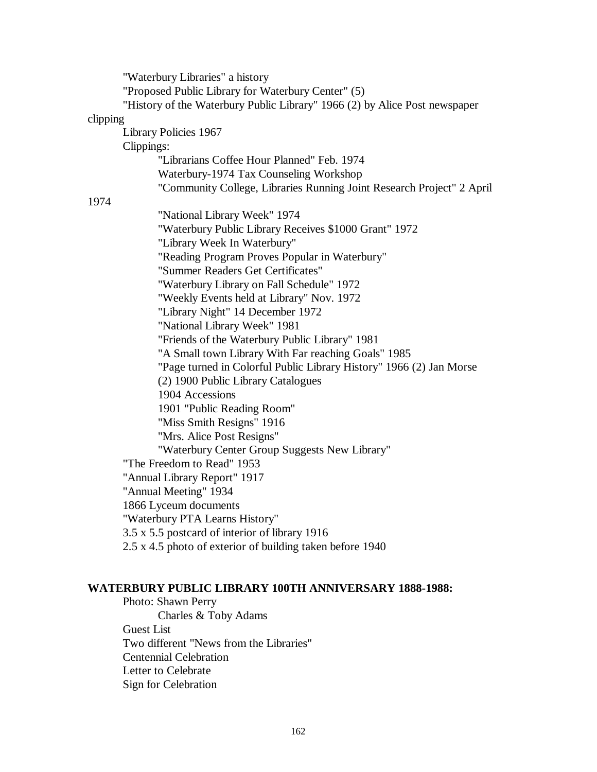"Waterbury Libraries" a history "Proposed Public Library for Waterbury Center" (5) "History of the Waterbury Public Library" 1966 (2) by Alice Post newspaper clipping Library Policies 1967 Clippings: "Librarians Coffee Hour Planned" Feb. 1974 Waterbury-1974 Tax Counseling Workshop "Community College, Libraries Running Joint Research Project" 2 April 1974 "National Library Week" 1974 "Waterbury Public Library Receives \$1000 Grant" 1972 "Library Week In Waterbury" "Reading Program Proves Popular in Waterbury" "Summer Readers Get Certificates" "Waterbury Library on Fall Schedule" 1972 "Weekly Events held at Library" Nov. 1972 "Library Night" 14 December 1972 "National Library Week" 1981 "Friends of the Waterbury Public Library" 1981 "A Small town Library With Far reaching Goals" 1985 "Page turned in Colorful Public Library History" 1966 (2) Jan Morse (2) 1900 Public Library Catalogues 1904 Accessions 1901 "Public Reading Room" "Miss Smith Resigns" 1916 "Mrs. Alice Post Resigns" "Waterbury Center Group Suggests New Library" "The Freedom to Read" 1953 "Annual Library Report" 1917 "Annual Meeting" 1934 1866 Lyceum documents "Waterbury PTA Learns History" 3.5 x 5.5 postcard of interior of library 1916 2.5 x 4.5 photo of exterior of building taken before 1940

### **WATERBURY PUBLIC LIBRARY 100TH ANNIVERSARY 1888-1988:**

Photo: Shawn Perry Charles & Toby Adams Guest List Two different "News from the Libraries" Centennial Celebration Letter to Celebrate Sign for Celebration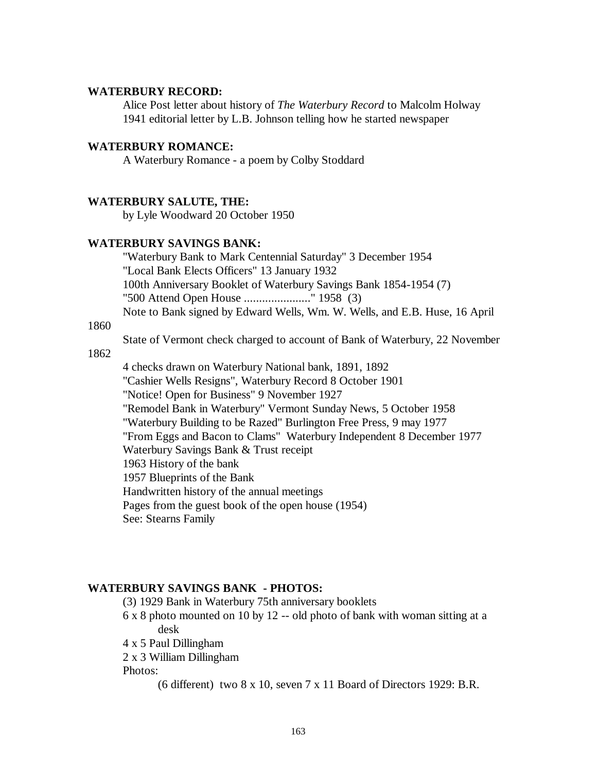## **WATERBURY RECORD:**

Alice Post letter about history of *The Waterbury Record* to Malcolm Holway 1941 editorial letter by L.B. Johnson telling how he started newspaper

### **WATERBURY ROMANCE:**

A Waterbury Romance - a poem by Colby Stoddard

#### **WATERBURY SALUTE, THE:**

by Lyle Woodward 20 October 1950

### **WATERBURY SAVINGS BANK:**

"Waterbury Bank to Mark Centennial Saturday" 3 December 1954 "Local Bank Elects Officers" 13 January 1932 100th Anniversary Booklet of Waterbury Savings Bank 1854-1954 (7) "500 Attend Open House ......................" 1958 (3) Note to Bank signed by Edward Wells, Wm. W. Wells, and E.B. Huse, 16 April

### 1860

State of Vermont check charged to account of Bank of Waterbury, 22 November

#### 1862

4 checks drawn on Waterbury National bank, 1891, 1892 "Cashier Wells Resigns", Waterbury Record 8 October 1901 "Notice! Open for Business" 9 November 1927 "Remodel Bank in Waterbury" Vermont Sunday News, 5 October 1958 "Waterbury Building to be Razed" Burlington Free Press, 9 may 1977 "From Eggs and Bacon to Clams" Waterbury Independent 8 December 1977 Waterbury Savings Bank & Trust receipt 1963 History of the bank 1957 Blueprints of the Bank Handwritten history of the annual meetings Pages from the guest book of the open house (1954) See: Stearns Family

#### **WATERBURY SAVINGS BANK - PHOTOS:**

- (3) 1929 Bank in Waterbury 75th anniversary booklets
- 6 x 8 photo mounted on 10 by 12 -- old photo of bank with woman sitting at a desk
- 4 x 5 Paul Dillingham
- 2 x 3 William Dillingham

Photos:

(6 different) two 8 x 10, seven 7 x 11 Board of Directors 1929: B.R.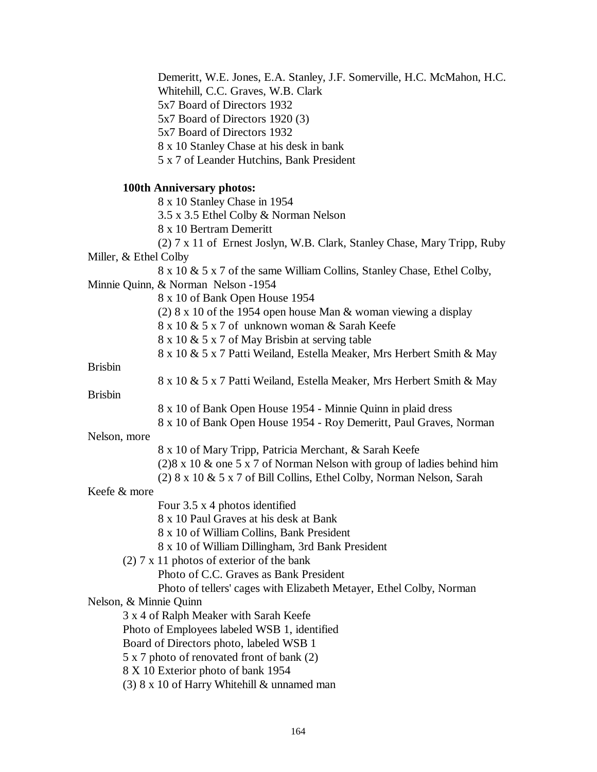Demeritt, W.E. Jones, E.A. Stanley, J.F. Somerville, H.C. McMahon, H.C. Whitehill, C.C. Graves, W.B. Clark 5x7 Board of Directors 1932 5x7 Board of Directors 1920 (3) 5x7 Board of Directors 1932 8 x 10 Stanley Chase at his desk in bank 5 x 7 of Leander Hutchins, Bank President **100th Anniversary photos:** 8 x 10 Stanley Chase in 1954 3.5 x 3.5 Ethel Colby & Norman Nelson 8 x 10 Bertram Demeritt (2) 7 x 11 of Ernest Joslyn, W.B. Clark, Stanley Chase, Mary Tripp, Ruby Miller, & Ethel Colby 8 x 10 & 5 x 7 of the same William Collins, Stanley Chase, Ethel Colby, Minnie Quinn, & Norman Nelson -1954 8 x 10 of Bank Open House 1954 (2) 8 x 10 of the 1954 open house Man & woman viewing a display 8 x 10 & 5 x 7 of unknown woman & Sarah Keefe 8 x 10 & 5 x 7 of May Brisbin at serving table 8 x 10 & 5 x 7 Patti Weiland, Estella Meaker, Mrs Herbert Smith & May Brisbin 8 x 10 & 5 x 7 Patti Weiland, Estella Meaker, Mrs Herbert Smith & May Brisbin 8 x 10 of Bank Open House 1954 - Minnie Quinn in plaid dress 8 x 10 of Bank Open House 1954 - Roy Demeritt, Paul Graves, Norman Nelson, more 8 x 10 of Mary Tripp, Patricia Merchant, & Sarah Keefe (2)8 x 10 & one 5 x 7 of Norman Nelson with group of ladies behind him (2)  $8 \times 10 \& 5 \times 7$  of Bill Collins, Ethel Colby, Norman Nelson, Sarah Keefe & more Four 3.5 x 4 photos identified 8 x 10 Paul Graves at his desk at Bank 8 x 10 of William Collins, Bank President 8 x 10 of William Dillingham, 3rd Bank President (2) 7 x 11 photos of exterior of the bank Photo of C.C. Graves as Bank President Photo of tellers' cages with Elizabeth Metayer, Ethel Colby, Norman Nelson, & Minnie Quinn 3 x 4 of Ralph Meaker with Sarah Keefe Photo of Employees labeled WSB 1, identified Board of Directors photo, labeled WSB 1 5 x 7 photo of renovated front of bank (2) 8 X 10 Exterior photo of bank 1954 (3) 8 x 10 of Harry Whitehill & unnamed man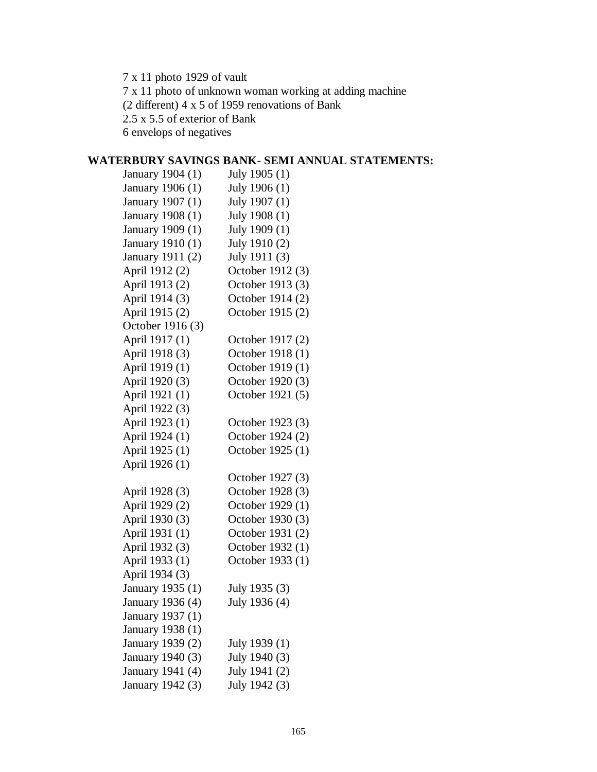7 x 11 photo 1929 of vault 7 x 11 photo of unknown woman working at adding machine (2 different) 4 x 5 of 1959 renovations of Bank 2.5 x 5.5 of exterior of Bank 6 envelops of negatives

# **WATERBURY SAVINGS BANK**- **SEMI ANNUAL STATEMENTS:**

| January 1904 (1) | July 1905 (1)    |
|------------------|------------------|
| January 1906 (1) | July 1906 (1)    |
| January 1907 (1) | July 1907 (1)    |
| January 1908 (1) | July 1908 (1)    |
| January 1909 (1) | July 1909 (1)    |
| January 1910 (1) | July 1910 (2)    |
| January 1911 (2) | July 1911 (3)    |
| April 1912 (2)   | October 1912 (3) |
| April 1913 (2)   | October 1913 (3) |
| April 1914 (3)   | October 1914 (2) |
| April 1915 (2)   | October 1915 (2) |
| October 1916 (3) |                  |
| April 1917 (1)   | October 1917 (2) |
| April 1918 (3)   | October 1918 (1) |
| April 1919 (1)   | October 1919 (1) |
| April 1920 (3)   | October 1920 (3) |
| April 1921 (1)   | October 1921 (5) |
| April 1922 (3)   |                  |
| April 1923 (1)   | October 1923 (3) |
| April 1924 (1)   | October 1924 (2) |
| April 1925 (1)   | October 1925 (1) |
| April 1926 (1)   |                  |
|                  | October 1927 (3) |
| April 1928 (3)   | October 1928 (3) |
| April 1929 (2)   | October 1929 (1) |
| April 1930 (3)   | October 1930 (3) |
| April 1931 (1)   | October 1931 (2) |
| April 1932 (3)   | October 1932 (1) |
| April 1933 (1)   | October 1933 (1) |
| April 1934 (3)   |                  |
| January 1935 (1) | July 1935 (3)    |
| January 1936 (4) | July 1936 (4)    |
| January 1937 (1) |                  |
| January 1938 (1) |                  |
| January 1939 (2) | July 1939 (1)    |
| January 1940 (3) | July 1940 (3)    |
| January 1941 (4) | July 1941 (2)    |
| January 1942 (3) | July 1942 (3)    |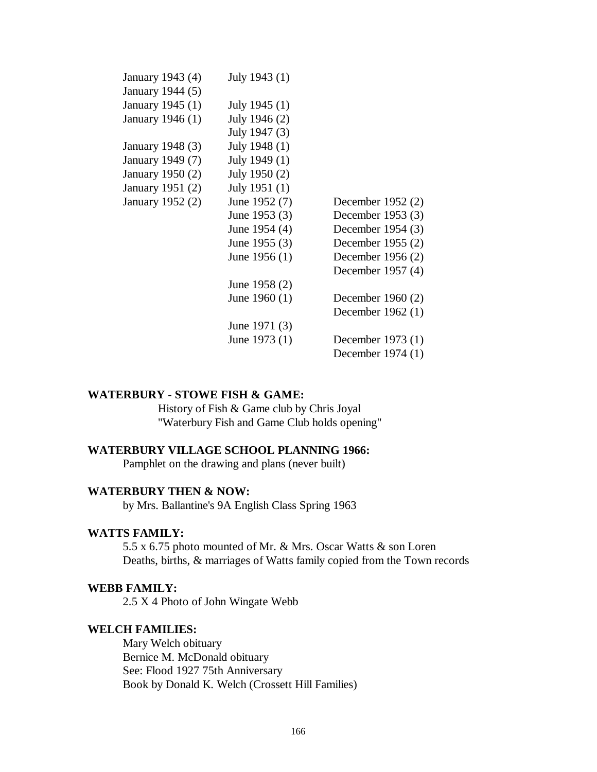| January 1943 (4) | July 1943 (1)   |                     |
|------------------|-----------------|---------------------|
| January 1944 (5) |                 |                     |
| January 1945 (1) | July 1945 (1)   |                     |
| January 1946 (1) | July 1946 (2)   |                     |
|                  | July 1947 (3)   |                     |
| January 1948 (3) | July 1948 (1)   |                     |
| January 1949 (7) | July 1949 (1)   |                     |
| January 1950 (2) | July 1950 (2)   |                     |
| January 1951 (2) | July 1951 (1)   |                     |
| January 1952 (2) | June 1952 (7)   | December 1952 $(2)$ |
|                  | June 1953 $(3)$ | December 1953 $(3)$ |
|                  | June 1954 (4)   | December 1954 $(3)$ |
|                  | June $1955(3)$  | December 1955 $(2)$ |
|                  | June 1956 $(1)$ | December 1956 $(2)$ |
|                  |                 | December 1957 (4)   |
|                  | June 1958 (2)   |                     |
|                  | June $1960(1)$  | December 1960 $(2)$ |
|                  |                 | December $1962(1)$  |
|                  | June 1971 (3)   |                     |
|                  | June $1973(1)$  | December 1973 (1)   |
|                  |                 | December 1974 (1)   |
|                  |                 |                     |

### **WATERBURY - STOWE FISH & GAME:**

History of Fish & Game club by Chris Joyal "Waterbury Fish and Game Club holds opening"

## **WATERBURY VILLAGE SCHOOL PLANNING 1966:**

Pamphlet on the drawing and plans (never built)

#### **WATERBURY THEN & NOW:**

by Mrs. Ballantine's 9A English Class Spring 1963

## **WATTS FAMILY:**

5.5 x 6.75 photo mounted of Mr. & Mrs. Oscar Watts & son Loren Deaths, births, & marriages of Watts family copied from the Town records

#### **WEBB FAMILY:**

2.5 X 4 Photo of John Wingate Webb

## **WELCH FAMILIES:**

Mary Welch obituary Bernice M. McDonald obituary See: Flood 1927 75th Anniversary Book by Donald K. Welch (Crossett Hill Families)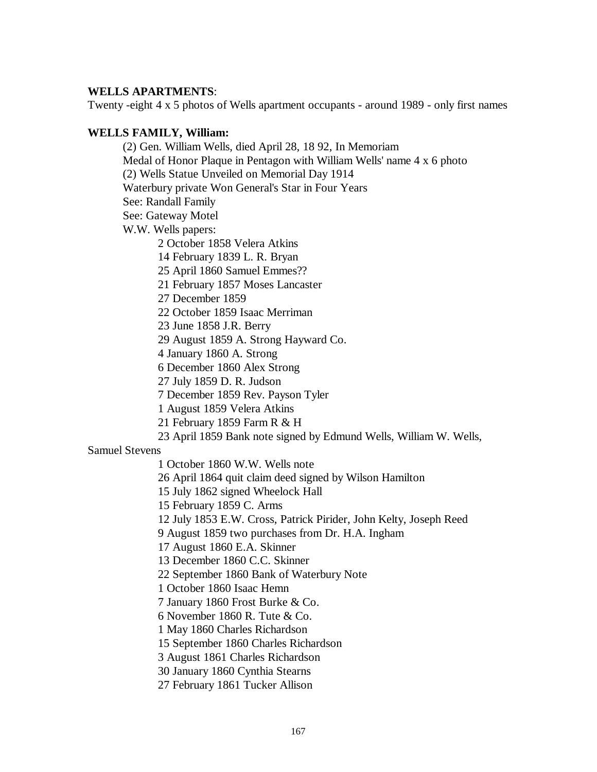## **WELLS APARTMENTS**:

Twenty -eight 4 x 5 photos of Wells apartment occupants - around 1989 - only first names

## **WELLS FAMILY, William:**

(2) Gen. William Wells, died April 28, 18 92, In Memoriam Medal of Honor Plaque in Pentagon with William Wells' name 4 x 6 photo (2) Wells Statue Unveiled on Memorial Day 1914 Waterbury private Won General's Star in Four Years See: Randall Family See: Gateway Motel W.W. Wells papers: 2 October 1858 Velera Atkins 14 February 1839 L. R. Bryan 25 April 1860 Samuel Emmes?? 21 February 1857 Moses Lancaster 27 December 1859 22 October 1859 Isaac Merriman 23 June 1858 J.R. Berry 29 August 1859 A. Strong Hayward Co. 4 January 1860 A. Strong 6 December 1860 Alex Strong 27 July 1859 D. R. Judson 7 December 1859 Rev. Payson Tyler 1 August 1859 Velera Atkins 21 February 1859 Farm R & H

23 April 1859 Bank note signed by Edmund Wells, William W. Wells,

### Samuel Stevens

1 October 1860 W.W. Wells note

26 April 1864 quit claim deed signed by Wilson Hamilton

15 July 1862 signed Wheelock Hall

15 February 1859 C. Arms

12 July 1853 E.W. Cross, Patrick Pirider, John Kelty, Joseph Reed

9 August 1859 two purchases from Dr. H.A. Ingham

17 August 1860 E.A. Skinner

13 December 1860 C.C. Skinner

22 September 1860 Bank of Waterbury Note

1 October 1860 Isaac Hemn

7 January 1860 Frost Burke & Co.

6 November 1860 R. Tute & Co.

1 May 1860 Charles Richardson

15 September 1860 Charles Richardson

3 August 1861 Charles Richardson

30 January 1860 Cynthia Stearns

27 February 1861 Tucker Allison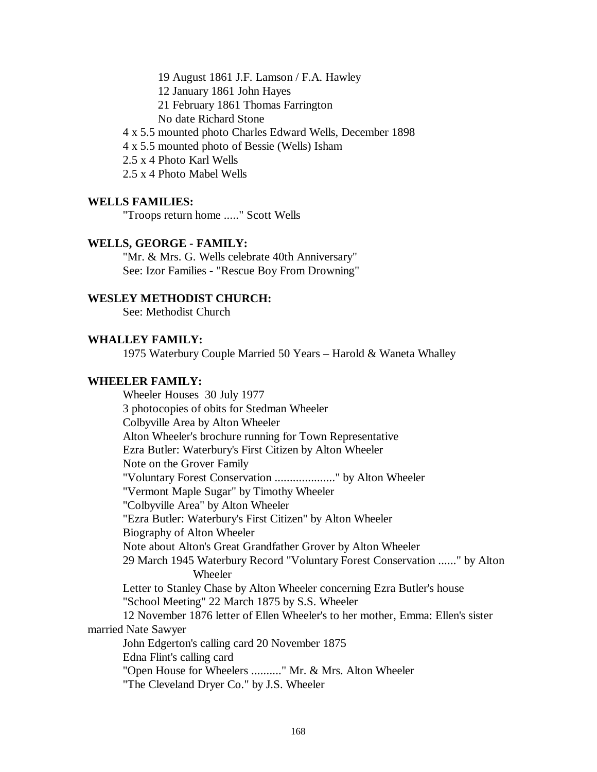19 August 1861 J.F. Lamson / F.A. Hawley

12 January 1861 John Hayes

21 February 1861 Thomas Farrington

No date Richard Stone

4 x 5.5 mounted photo Charles Edward Wells, December 1898

4 x 5.5 mounted photo of Bessie (Wells) Isham

2.5 x 4 Photo Karl Wells

2.5 x 4 Photo Mabel Wells

#### **WELLS FAMILIES:**

"Troops return home ....." Scott Wells

## **WELLS, GEORGE - FAMILY:**

"Mr. & Mrs. G. Wells celebrate 40th Anniversary" See: Izor Families - "Rescue Boy From Drowning"

### **WESLEY METHODIST CHURCH:**

See: Methodist Church

## **WHALLEY FAMILY:**

1975 Waterbury Couple Married 50 Years – Harold & Waneta Whalley

## **WHEELER FAMILY:**

Wheeler Houses 30 July 1977 3 photocopies of obits for Stedman Wheeler Colbyville Area by Alton Wheeler Alton Wheeler's brochure running for Town Representative Ezra Butler: Waterbury's First Citizen by Alton Wheeler Note on the Grover Family "Voluntary Forest Conservation ...................." by Alton Wheeler "Vermont Maple Sugar" by Timothy Wheeler "Colbyville Area" by Alton Wheeler "Ezra Butler: Waterbury's First Citizen" by Alton Wheeler Biography of Alton Wheeler Note about Alton's Great Grandfather Grover by Alton Wheeler 29 March 1945 Waterbury Record "Voluntary Forest Conservation ......" by Alton Wheeler Letter to Stanley Chase by Alton Wheeler concerning Ezra Butler's house "School Meeting" 22 March 1875 by S.S. Wheeler 12 November 1876 letter of Ellen Wheeler's to her mother, Emma: Ellen's sister married Nate Sawyer John Edgerton's calling card 20 November 1875 Edna Flint's calling card "Open House for Wheelers .........." Mr. & Mrs. Alton Wheeler "The Cleveland Dryer Co." by J.S. Wheeler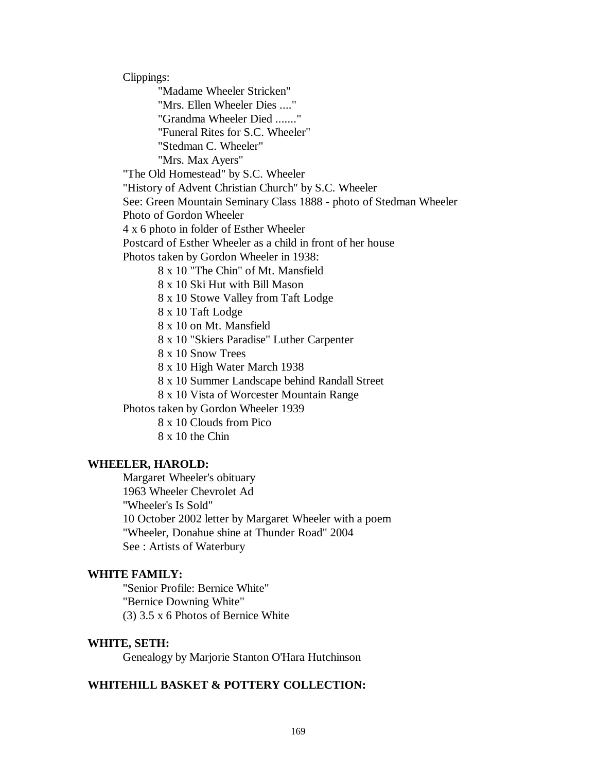Clippings: "Madame Wheeler Stricken" "Mrs. Ellen Wheeler Dies ...." "Grandma Wheeler Died ......." "Funeral Rites for S.C. Wheeler" "Stedman C. Wheeler" "Mrs. Max Ayers" "The Old Homestead" by S.C. Wheeler "History of Advent Christian Church" by S.C. Wheeler See: Green Mountain Seminary Class 1888 - photo of Stedman Wheeler Photo of Gordon Wheeler 4 x 6 photo in folder of Esther Wheeler Postcard of Esther Wheeler as a child in front of her house Photos taken by Gordon Wheeler in 1938: 8 x 10 "The Chin" of Mt. Mansfield 8 x 10 Ski Hut with Bill Mason 8 x 10 Stowe Valley from Taft Lodge 8 x 10 Taft Lodge 8 x 10 on Mt. Mansfield 8 x 10 "Skiers Paradise" Luther Carpenter 8 x 10 Snow Trees 8 x 10 High Water March 1938 8 x 10 Summer Landscape behind Randall Street 8 x 10 Vista of Worcester Mountain Range Photos taken by Gordon Wheeler 1939 8 x 10 Clouds from Pico 8 x 10 the Chin

### **WHEELER, HAROLD:**

Margaret Wheeler's obituary 1963 Wheeler Chevrolet Ad "Wheeler's Is Sold" 10 October 2002 letter by Margaret Wheeler with a poem "Wheeler, Donahue shine at Thunder Road" 2004 See : Artists of Waterbury

### **WHITE FAMILY:**

"Senior Profile: Bernice White" "Bernice Downing White" (3) 3.5 x 6 Photos of Bernice White

## **WHITE, SETH:**

Genealogy by Marjorie Stanton O'Hara Hutchinson

### **WHITEHILL BASKET & POTTERY COLLECTION:**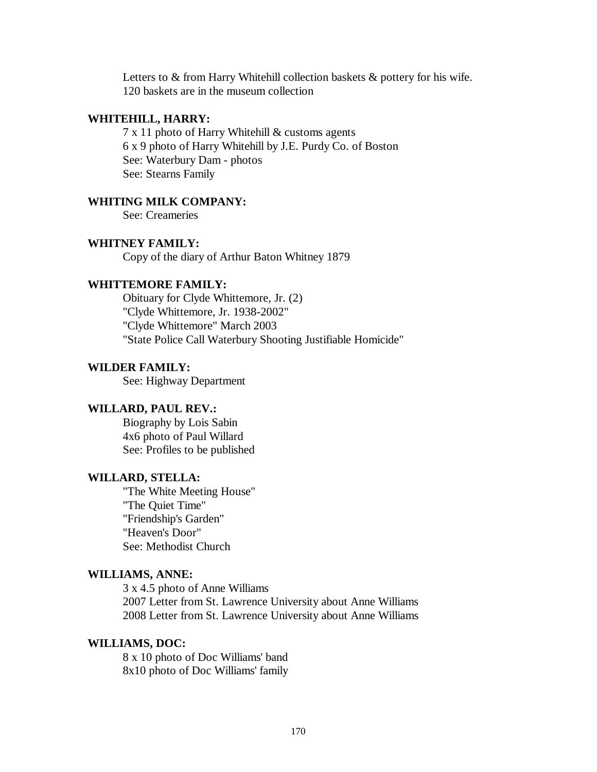Letters to & from Harry Whitehill collection baskets & pottery for his wife. 120 baskets are in the museum collection

## **WHITEHILL, HARRY:**

7 x 11 photo of Harry Whitehill & customs agents 6 x 9 photo of Harry Whitehill by J.E. Purdy Co. of Boston See: Waterbury Dam - photos See: Stearns Family

### **WHITING MILK COMPANY:**

See: Creameries

## **WHITNEY FAMILY:**

Copy of the diary of Arthur Baton Whitney 1879

### **WHITTEMORE FAMILY:**

Obituary for Clyde Whittemore, Jr. (2) "Clyde Whittemore, Jr. 1938-2002" "Clyde Whittemore" March 2003 "State Police Call Waterbury Shooting Justifiable Homicide"

#### **WILDER FAMILY:**

See: Highway Department

## **WILLARD, PAUL REV.:**

Biography by Lois Sabin 4x6 photo of Paul Willard See: Profiles to be published

## **WILLARD, STELLA:**

"The White Meeting House" "The Quiet Time" "Friendship's Garden" "Heaven's Door" See: Methodist Church

#### **WILLIAMS, ANNE:**

3 x 4.5 photo of Anne Williams 2007 Letter from St. Lawrence University about Anne Williams 2008 Letter from St. Lawrence University about Anne Williams

## **WILLIAMS, DOC:**

8 x 10 photo of Doc Williams' band 8x10 photo of Doc Williams' family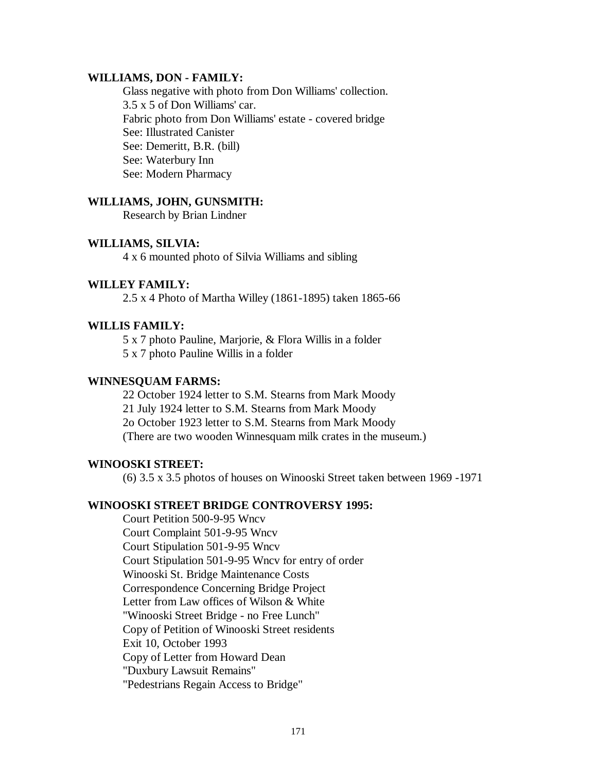#### **WILLIAMS, DON - FAMILY:**

Glass negative with photo from Don Williams' collection. 3.5 x 5 of Don Williams' car. Fabric photo from Don Williams' estate - covered bridge See: Illustrated Canister See: Demeritt, B.R. (bill) See: Waterbury Inn See: Modern Pharmacy

#### **WILLIAMS, JOHN, GUNSMITH:**

Research by Brian Lindner

#### **WILLIAMS, SILVIA:**

4 x 6 mounted photo of Silvia Williams and sibling

## **WILLEY FAMILY:**

2.5 x 4 Photo of Martha Willey (1861-1895) taken 1865-66

### **WILLIS FAMILY:**

5 x 7 photo Pauline, Marjorie, & Flora Willis in a folder 5 x 7 photo Pauline Willis in a folder

## **WINNESQUAM FARMS:**

22 October 1924 letter to S.M. Stearns from Mark Moody 21 July 1924 letter to S.M. Stearns from Mark Moody 2o October 1923 letter to S.M. Stearns from Mark Moody (There are two wooden Winnesquam milk crates in the museum.)

### **WINOOSKI STREET:**

(6) 3.5 x 3.5 photos of houses on Winooski Street taken between 1969 -1971

## **WINOOSKI STREET BRIDGE CONTROVERSY 1995:**

Court Petition 500-9-95 Wncv Court Complaint 501-9-95 Wncv Court Stipulation 501-9-95 Wncv Court Stipulation 501-9-95 Wncv for entry of order Winooski St. Bridge Maintenance Costs Correspondence Concerning Bridge Project Letter from Law offices of Wilson & White "Winooski Street Bridge - no Free Lunch" Copy of Petition of Winooski Street residents Exit 10, October 1993 Copy of Letter from Howard Dean "Duxbury Lawsuit Remains" "Pedestrians Regain Access to Bridge"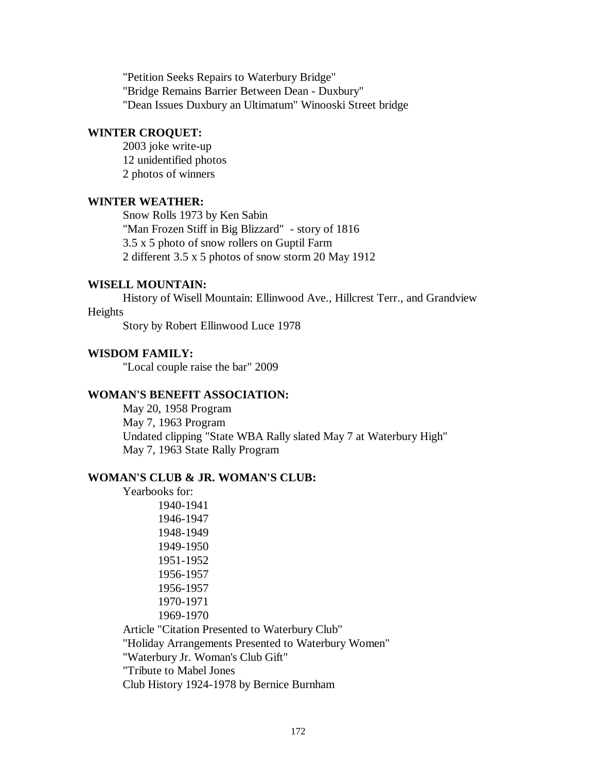"Petition Seeks Repairs to Waterbury Bridge" "Bridge Remains Barrier Between Dean - Duxbury" "Dean Issues Duxbury an Ultimatum" Winooski Street bridge

### **WINTER CROQUET:**

2003 joke write-up 12 unidentified photos 2 photos of winners

### **WINTER WEATHER:**

Snow Rolls 1973 by Ken Sabin "Man Frozen Stiff in Big Blizzard" - story of 1816 3.5 x 5 photo of snow rollers on Guptil Farm 2 different 3.5 x 5 photos of snow storm 20 May 1912

## **WISELL MOUNTAIN:**

History of Wisell Mountain: Ellinwood Ave., Hillcrest Terr., and Grandview Heights

Story by Robert Ellinwood Luce 1978

## **WISDOM FAMILY:**

"Local couple raise the bar" 2009

#### **WOMAN'S BENEFIT ASSOCIATION:**

May 20, 1958 Program May 7, 1963 Program Undated clipping "State WBA Rally slated May 7 at Waterbury High" May 7, 1963 State Rally Program

## **WOMAN'S CLUB & JR. WOMAN'S CLUB:**

Yearbooks for: 1940-1941 1946-1947 1948-1949 1949-1950 1951-1952 1956-1957 1956-1957 1970-1971 1969-1970 Article "Citation Presented to Waterbury Club"

"Holiday Arrangements Presented to Waterbury Women"

"Waterbury Jr. Woman's Club Gift"

"Tribute to Mabel Jones

Club History 1924-1978 by Bernice Burnham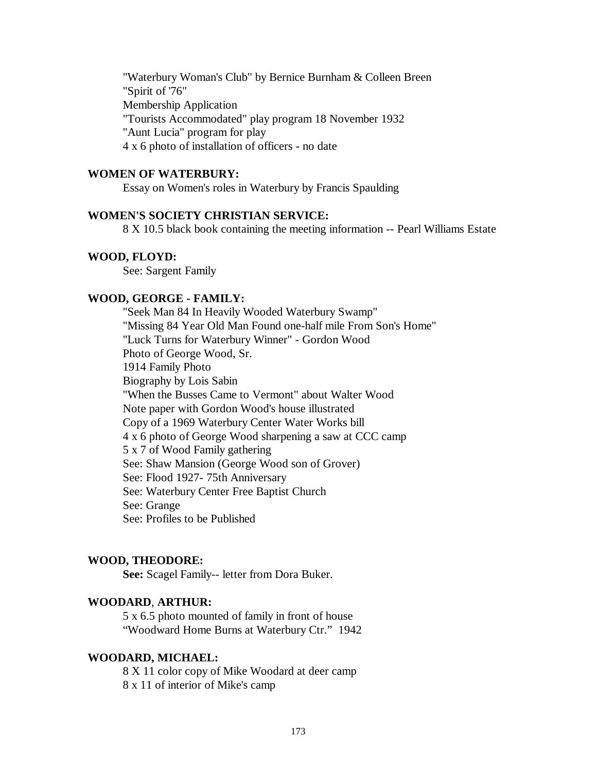"Waterbury Woman's Club" by Bernice Burnham & Colleen Breen "Spirit of '76" Membership Application "Tourists Accommodated" play program 18 November 1932 "Aunt Lucia" program for play 4 x 6 photo of installation of officers - no date

## **WOMEN OF WATERBURY:**

Essay on Women's roles in Waterbury by Francis Spaulding

## **WOMEN'S SOCIETY CHRISTIAN SERVICE:**

8 X 10.5 black book containing the meeting information -- Pearl Williams Estate

### **WOOD, FLOYD:**

See: Sargent Family

## **WOOD, GEORGE - FAMILY:**

"Seek Man 84 In Heavily Wooded Waterbury Swamp" "Missing 84 Year Old Man Found one-half mile From Son's Home" "Luck Turns for Waterbury Winner" - Gordon Wood Photo of George Wood, Sr. 1914 Family Photo Biography by Lois Sabin "When the Busses Came to Vermont" about Walter Wood Note paper with Gordon Wood's house illustrated Copy of a 1969 Waterbury Center Water Works bill 4 x 6 photo of George Wood sharpening a saw at CCC camp 5 x 7 of Wood Family gathering See: Shaw Mansion (George Wood son of Grover) See: Flood 1927- 75th Anniversary See: Waterbury Center Free Baptist Church See: Grange See: Profiles to be Published

### **WOOD, THEODORE:**

**See:** Scagel Family-- letter from Dora Buker.

## **WOODARD**, **ARTHUR:**

5 x 6.5 photo mounted of family in front of house "Woodward Home Burns at Waterbury Ctr." 1942

## **WOODARD, MICHAEL:**

8 X 11 color copy of Mike Woodard at deer camp 8 x 11 of interior of Mike's camp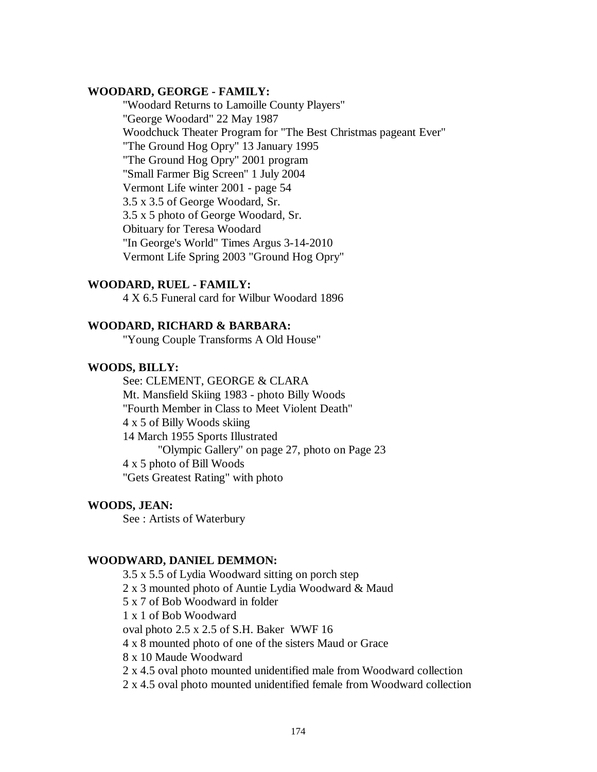### **WOODARD, GEORGE - FAMILY:**

"Woodard Returns to Lamoille County Players" "George Woodard" 22 May 1987 Woodchuck Theater Program for "The Best Christmas pageant Ever" "The Ground Hog Opry" 13 January 1995 "The Ground Hog Opry" 2001 program "Small Farmer Big Screen" 1 July 2004 Vermont Life winter 2001 - page 54 3.5 x 3.5 of George Woodard, Sr. 3.5 x 5 photo of George Woodard, Sr. Obituary for Teresa Woodard "In George's World" Times Argus 3-14-2010 Vermont Life Spring 2003 "Ground Hog Opry"

## **WOODARD, RUEL - FAMILY:**

4 X 6.5 Funeral card for Wilbur Woodard 1896

### **WOODARD, RICHARD & BARBARA:**

"Young Couple Transforms A Old House"

#### **WOODS, BILLY:**

See: CLEMENT, GEORGE & CLARA Mt. Mansfield Skiing 1983 - photo Billy Woods "Fourth Member in Class to Meet Violent Death" 4 x 5 of Billy Woods skiing 14 March 1955 Sports Illustrated "Olympic Gallery" on page 27, photo on Page 23 4 x 5 photo of Bill Woods "Gets Greatest Rating" with photo

### **WOODS, JEAN:**

See : Artists of Waterbury

### **WOODWARD, DANIEL DEMMON:**

3.5 x 5.5 of Lydia Woodward sitting on porch step 2 x 3 mounted photo of Auntie Lydia Woodward & Maud 5 x 7 of Bob Woodward in folder 1 x 1 of Bob Woodward oval photo 2.5 x 2.5 of S.H. Baker WWF 16 4 x 8 mounted photo of one of the sisters Maud or Grace 8 x 10 Maude Woodward 2 x 4.5 oval photo mounted unidentified male from Woodward collection 2 x 4.5 oval photo mounted unidentified female from Woodward collection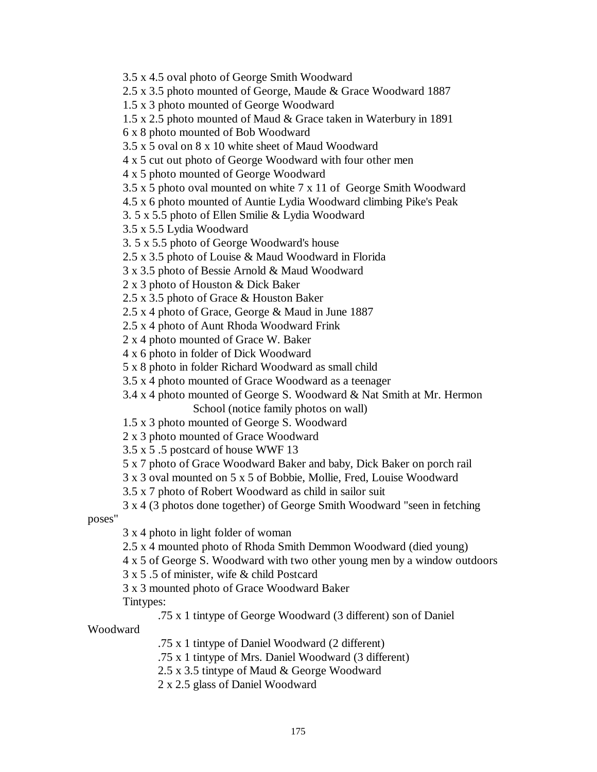3.5 x 4.5 oval photo of George Smith Woodward

2.5 x 3.5 photo mounted of George, Maude & Grace Woodward 1887

- 1.5 x 3 photo mounted of George Woodward
- 1.5 x 2.5 photo mounted of Maud & Grace taken in Waterbury in 1891
- 6 x 8 photo mounted of Bob Woodward
- 3.5 x 5 oval on 8 x 10 white sheet of Maud Woodward
- 4 x 5 cut out photo of George Woodward with four other men

4 x 5 photo mounted of George Woodward

3.5 x 5 photo oval mounted on white 7 x 11 of George Smith Woodward

4.5 x 6 photo mounted of Auntie Lydia Woodward climbing Pike's Peak

3. 5 x 5.5 photo of Ellen Smilie & Lydia Woodward

3.5 x 5.5 Lydia Woodward

3. 5 x 5.5 photo of George Woodward's house

2.5 x 3.5 photo of Louise & Maud Woodward in Florida

- 3 x 3.5 photo of Bessie Arnold & Maud Woodward
- 2 x 3 photo of Houston & Dick Baker
- 2.5 x 3.5 photo of Grace & Houston Baker

2.5 x 4 photo of Grace, George & Maud in June 1887

2.5 x 4 photo of Aunt Rhoda Woodward Frink

2 x 4 photo mounted of Grace W. Baker

4 x 6 photo in folder of Dick Woodward

5 x 8 photo in folder Richard Woodward as small child

3.5 x 4 photo mounted of Grace Woodward as a teenager

3.4 x 4 photo mounted of George S. Woodward & Nat Smith at Mr. Hermon School (notice family photos on wall)

1.5 x 3 photo mounted of George S. Woodward

2 x 3 photo mounted of Grace Woodward

3.5 x 5 .5 postcard of house WWF 13

5 x 7 photo of Grace Woodward Baker and baby, Dick Baker on porch rail

3 x 3 oval mounted on 5 x 5 of Bobbie, Mollie, Fred, Louise Woodward

3.5 x 7 photo of Robert Woodward as child in sailor suit

3 x 4 (3 photos done together) of George Smith Woodward "seen in fetching

poses"

3 x 4 photo in light folder of woman

2.5 x 4 mounted photo of Rhoda Smith Demmon Woodward (died young)

4 x 5 of George S. Woodward with two other young men by a window outdoors

3 x 5 .5 of minister, wife & child Postcard

3 x 3 mounted photo of Grace Woodward Baker

Tintypes:

.75 x 1 tintype of George Woodward (3 different) son of Daniel

Woodward

.75 x 1 tintype of Daniel Woodward (2 different)

.75 x 1 tintype of Mrs. Daniel Woodward (3 different)

2.5 x 3.5 tintype of Maud & George Woodward

2 x 2.5 glass of Daniel Woodward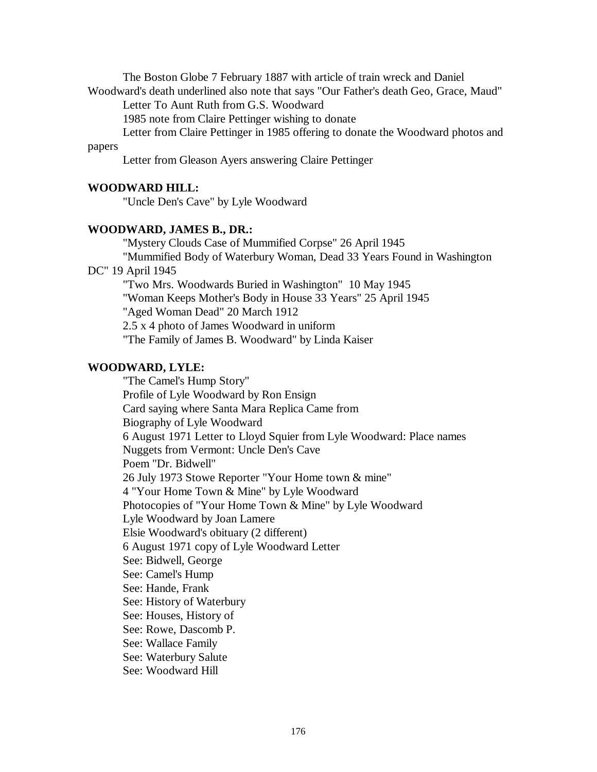The Boston Globe 7 February 1887 with article of train wreck and Daniel Woodward's death underlined also note that says "Our Father's death Geo, Grace, Maud"

Letter To Aunt Ruth from G.S. Woodward

1985 note from Claire Pettinger wishing to donate

Letter from Claire Pettinger in 1985 offering to donate the Woodward photos and

# papers

Letter from Gleason Ayers answering Claire Pettinger

## **WOODWARD HILL:**

"Uncle Den's Cave" by Lyle Woodward

## **WOODWARD, JAMES B., DR.:**

"Mystery Clouds Case of Mummified Corpse" 26 April 1945 "Mummified Body of Waterbury Woman, Dead 33 Years Found in Washington

# DC" 19 April 1945

"Two Mrs. Woodwards Buried in Washington" 10 May 1945 "Woman Keeps Mother's Body in House 33 Years" 25 April 1945 "Aged Woman Dead" 20 March 1912 2.5 x 4 photo of James Woodward in uniform "The Family of James B. Woodward" by Linda Kaiser

# **WOODWARD, LYLE:**

"The Camel's Hump Story" Profile of Lyle Woodward by Ron Ensign Card saying where Santa Mara Replica Came from Biography of Lyle Woodward 6 August 1971 Letter to Lloyd Squier from Lyle Woodward: Place names Nuggets from Vermont: Uncle Den's Cave Poem "Dr. Bidwell" 26 July 1973 Stowe Reporter "Your Home town & mine" 4 "Your Home Town & Mine" by Lyle Woodward Photocopies of "Your Home Town & Mine" by Lyle Woodward Lyle Woodward by Joan Lamere Elsie Woodward's obituary (2 different) 6 August 1971 copy of Lyle Woodward Letter See: Bidwell, George See: Camel's Hump See: Hande, Frank See: History of Waterbury See: Houses, History of See: Rowe, Dascomb P. See: Wallace Family See: Waterbury Salute See: Woodward Hill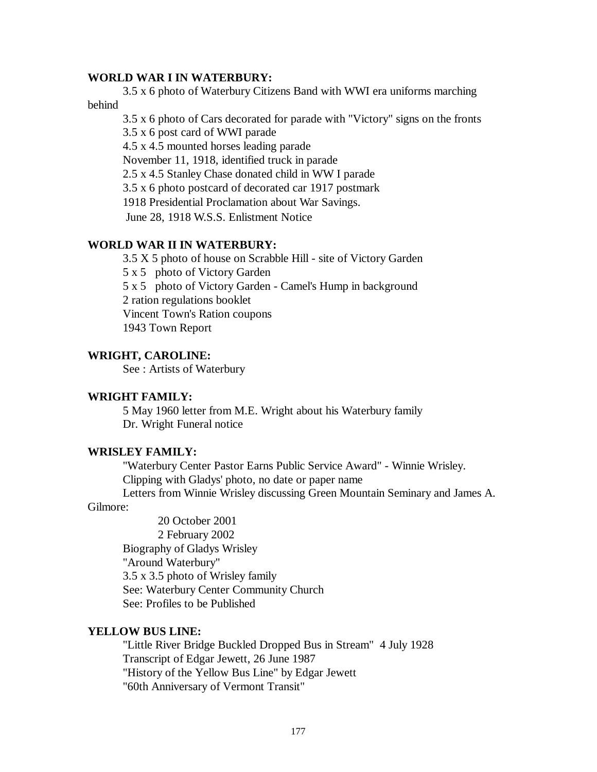### **WORLD WAR I IN WATERBURY:**

3.5 x 6 photo of Waterbury Citizens Band with WWI era uniforms marching behind

3.5 x 6 photo of Cars decorated for parade with "Victory" signs on the fronts

3.5 x 6 post card of WWI parade

4.5 x 4.5 mounted horses leading parade

November 11, 1918, identified truck in parade

2.5 x 4.5 Stanley Chase donated child in WW I parade

3.5 x 6 photo postcard of decorated car 1917 postmark

1918 Presidential Proclamation about War Savings.

June 28, 1918 W.S.S. Enlistment Notice

## **WORLD WAR II IN WATERBURY:**

3.5 X 5 photo of house on Scrabble Hill - site of Victory Garden

5 x 5 photo of Victory Garden

5 x 5 photo of Victory Garden - Camel's Hump in background

2 ration regulations booklet

Vincent Town's Ration coupons

1943 Town Report

## **WRIGHT, CAROLINE:**

See : Artists of Waterbury

## **WRIGHT FAMILY:**

5 May 1960 letter from M.E. Wright about his Waterbury family Dr. Wright Funeral notice

## **WRISLEY FAMILY:**

"Waterbury Center Pastor Earns Public Service Award" - Winnie Wrisley. Clipping with Gladys' photo, no date or paper name

Letters from Winnie Wrisley discussing Green Mountain Seminary and James A.

# Gilmore:

20 October 2001 2 February 2002 Biography of Gladys Wrisley "Around Waterbury" 3.5 x 3.5 photo of Wrisley family See: Waterbury Center Community Church See: Profiles to be Published

## **YELLOW BUS LINE:**

"Little River Bridge Buckled Dropped Bus in Stream" 4 July 1928 Transcript of Edgar Jewett, 26 June 1987 "History of the Yellow Bus Line" by Edgar Jewett "60th Anniversary of Vermont Transit"